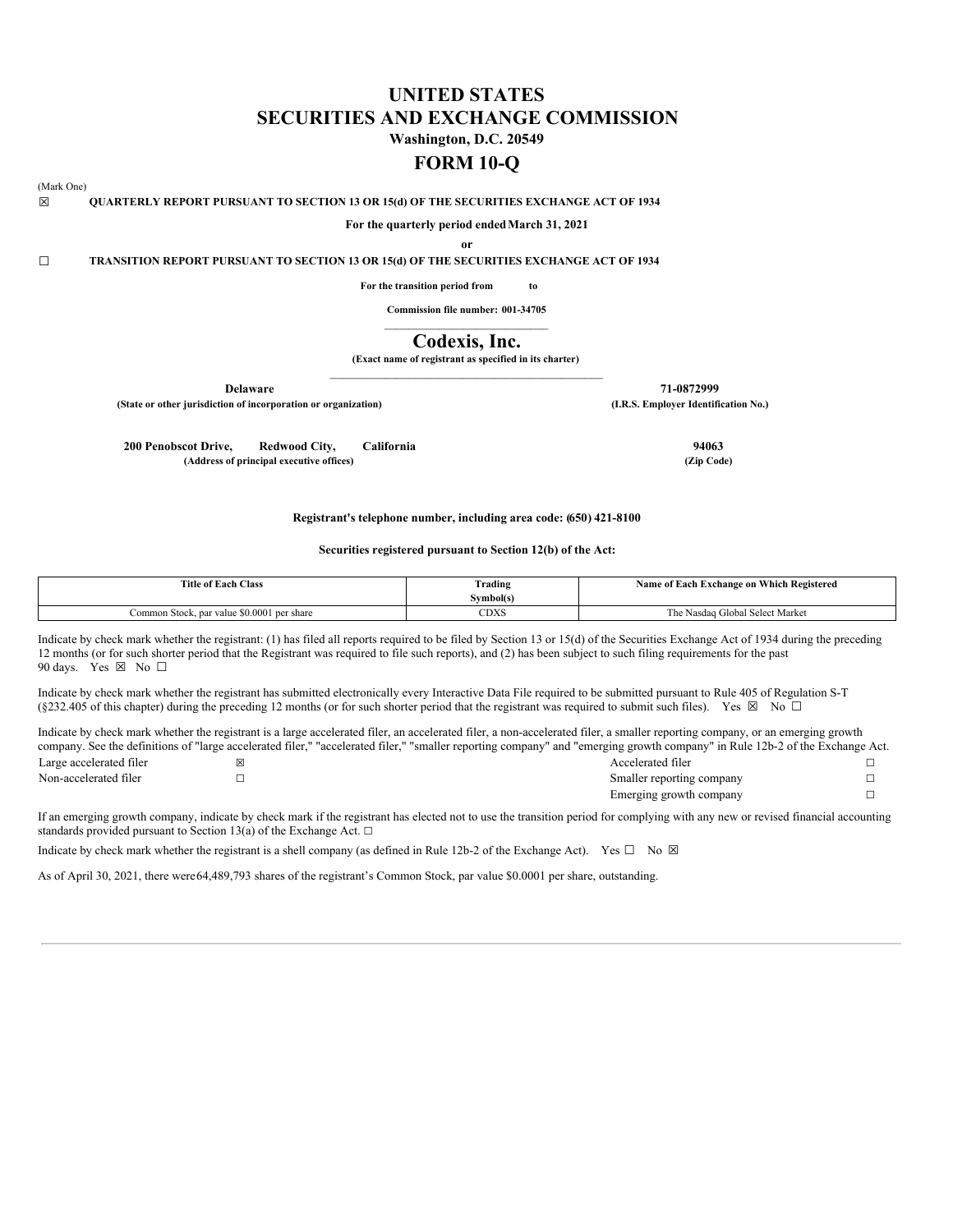# **UNITED STATES SECURITIES AND EXCHANGE COMMISSION**

**Washington, D.C. 20549**

# **FORM 10-Q**

#### (Mark One)

☒ **QUARTERLY REPORT PURSUANT TO SECTION 13 OR 15(d) OF THE SECURITIES EXCHANGE ACT OF 1934**

**For the quarterly period endedMarch 31, 2021**

**or**

☐ **TRANSITION REPORT PURSUANT TO SECTION 13 OR 15(d) OF THE SECURITIES EXCHANGE ACT OF 1934**

**For the transition period from to**

**Commission file number: 001-34705**  $\mathcal{L}_\text{max}$ 

# **Codexis, Inc.**

**(Exact name of registrant as specified in its charter)**  $\mathcal{L}_\text{max}$  and  $\mathcal{L}_\text{max}$  and  $\mathcal{L}_\text{max}$ 

**Delaware 71-0872999**

**(State or other jurisdiction of incorporation or organization) (I.R.S. Employer Identification No.)**

**200 Penobscot Drive, Redwood City, California 94063 (Address of principal executive offices) (Zip Code)**

#### **Registrant's telephone number, including area code: (650) 421-8100**

**Securities registered pursuant to Section 12(b) of the Act:**

| <b>Title of Each Class</b>                 | `rading   | Name of Each Exchange on Which Registered |
|--------------------------------------------|-----------|-------------------------------------------|
|                                            | Symbol(s) |                                           |
| Common Stock, par value \$0.0001 per share | CDXS      | The Nasdag Global Select Market           |

Indicate by check mark whether the registrant: (1) has filed all reports required to be filed by Section 13 or 15(d) of the Securities Exchange Act of 1934 during the preceding 12 months (or for such shorter period that the Registrant was required to file such reports), and (2) has been subject to such filing requirements for the past 90 days. Yes  $\boxtimes$  No  $\square$ 

Indicate by check mark whether the registrant has submitted electronically every Interactive Data File required to be submitted pursuant to Rule 405 of Regulation S-T (§232.405 of this chapter) during the preceding 12 months (or for such shorter period that the registrant was required to submit such files). Yes  $\boxtimes$  No  $\Box$ 

Indicate by check mark whether the registrant is a large accelerated filer, an accelerated filer, a non-accelerated filer, a smaller reporting company, or an emerging growth company. See the definitions of "large accelerated filer," "accelerated filer," "smaller reporting company" and "emerging growth company" in Rule 12b-2 of the Exchange Act. Large accelerated filer □ ⊠ Accelerated filer □ Non-accelerated filer ☐ Smaller reporting company ☐

| Emerging growth company                                                                                                                                                         |  |
|---------------------------------------------------------------------------------------------------------------------------------------------------------------------------------|--|
| If an emerging growth company, indicate by check mark if the registrant has elected not to use the transition period for complying with any new or revised financial accounting |  |

standards provided pursuant to Section 13(a) of the Exchange Act.  $\Box$ 

Indicate by check mark whether the registrant is a shell company (as defined in Rule 12b-2 of the Exchange Act). Yes  $\Box$  No  $\boxtimes$ 

As of April 30, 2021, there were64,489,793 shares of the registrant's Common Stock, par value \$0.0001 per share, outstanding.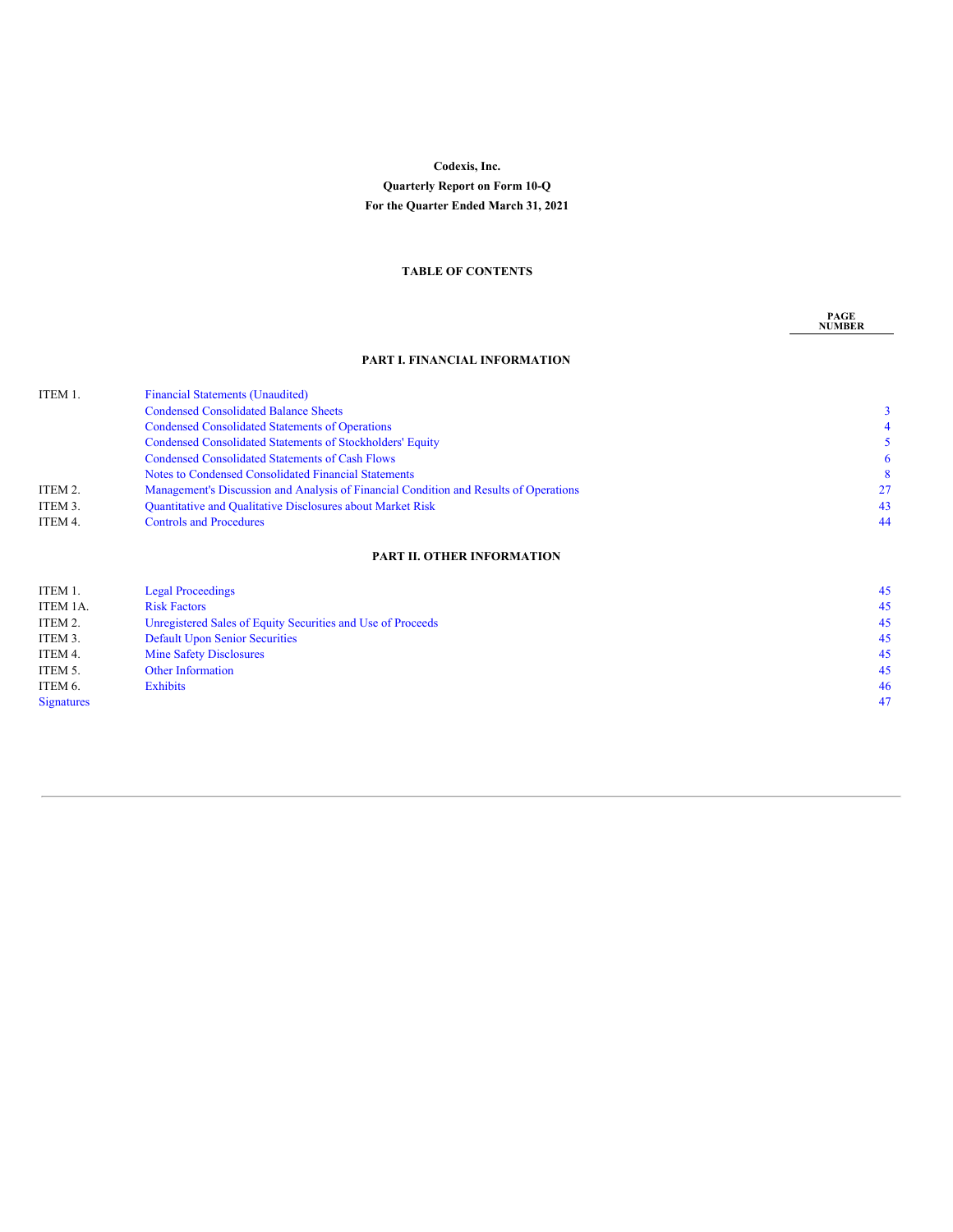# **Codexis, Inc. Quarterly Report on Form 10-Q For the Quarter Ended March 31, 2021**

# **TABLE OF CONTENTS**

<span id="page-1-0"></span>

| PART I. FINANCIAL INFORMATION<br>ITEM 1.<br><b>Financial Statements (Unaudited)</b><br><b>Condensed Consolidated Balance Sheets</b><br><b>Condensed Consolidated Statements of Operations</b><br>Condensed Consolidated Statements of Stockholders' Equity<br><b>Condensed Consolidated Statements of Cash Flows</b><br>Notes to Condensed Consolidated Financial Statements<br>ITEM 2.<br>Management's Discussion and Analysis of Financial Condition and Results of Operations<br>ITEM 3.<br>Quantitative and Qualitative Disclosures about Market Risk<br>ITEM 4.<br><b>Controls and Procedures</b><br>PART II. OTHER INFORMATION<br>ITEM 1.<br><b>Legal Proceedings</b><br>ITEM 1A.<br><b>Risk Factors</b><br>ITEM 2.<br>Unregistered Sales of Equity Securities and Use of Proceeds<br>ITEM 3.<br><b>Default Upon Senior Securities</b><br><b>Mine Safety Disclosures</b><br>ITEM 4.<br>ITEM 5.<br><b>Other Information</b><br>ITEM 6.<br><b>Exhibits</b><br><b>Signatures</b> |  | PAGE<br><b>NUMBER</b> |
|-------------------------------------------------------------------------------------------------------------------------------------------------------------------------------------------------------------------------------------------------------------------------------------------------------------------------------------------------------------------------------------------------------------------------------------------------------------------------------------------------------------------------------------------------------------------------------------------------------------------------------------------------------------------------------------------------------------------------------------------------------------------------------------------------------------------------------------------------------------------------------------------------------------------------------------------------------------------------------------|--|-----------------------|
|                                                                                                                                                                                                                                                                                                                                                                                                                                                                                                                                                                                                                                                                                                                                                                                                                                                                                                                                                                                     |  |                       |
|                                                                                                                                                                                                                                                                                                                                                                                                                                                                                                                                                                                                                                                                                                                                                                                                                                                                                                                                                                                     |  |                       |
|                                                                                                                                                                                                                                                                                                                                                                                                                                                                                                                                                                                                                                                                                                                                                                                                                                                                                                                                                                                     |  | 3                     |
|                                                                                                                                                                                                                                                                                                                                                                                                                                                                                                                                                                                                                                                                                                                                                                                                                                                                                                                                                                                     |  |                       |
|                                                                                                                                                                                                                                                                                                                                                                                                                                                                                                                                                                                                                                                                                                                                                                                                                                                                                                                                                                                     |  |                       |
|                                                                                                                                                                                                                                                                                                                                                                                                                                                                                                                                                                                                                                                                                                                                                                                                                                                                                                                                                                                     |  | 6                     |
|                                                                                                                                                                                                                                                                                                                                                                                                                                                                                                                                                                                                                                                                                                                                                                                                                                                                                                                                                                                     |  | 8                     |
|                                                                                                                                                                                                                                                                                                                                                                                                                                                                                                                                                                                                                                                                                                                                                                                                                                                                                                                                                                                     |  | 27                    |
|                                                                                                                                                                                                                                                                                                                                                                                                                                                                                                                                                                                                                                                                                                                                                                                                                                                                                                                                                                                     |  | 43                    |
|                                                                                                                                                                                                                                                                                                                                                                                                                                                                                                                                                                                                                                                                                                                                                                                                                                                                                                                                                                                     |  | 44                    |
|                                                                                                                                                                                                                                                                                                                                                                                                                                                                                                                                                                                                                                                                                                                                                                                                                                                                                                                                                                                     |  |                       |
|                                                                                                                                                                                                                                                                                                                                                                                                                                                                                                                                                                                                                                                                                                                                                                                                                                                                                                                                                                                     |  | 45                    |
|                                                                                                                                                                                                                                                                                                                                                                                                                                                                                                                                                                                                                                                                                                                                                                                                                                                                                                                                                                                     |  | 45                    |
|                                                                                                                                                                                                                                                                                                                                                                                                                                                                                                                                                                                                                                                                                                                                                                                                                                                                                                                                                                                     |  | 45                    |
|                                                                                                                                                                                                                                                                                                                                                                                                                                                                                                                                                                                                                                                                                                                                                                                                                                                                                                                                                                                     |  | 45                    |
|                                                                                                                                                                                                                                                                                                                                                                                                                                                                                                                                                                                                                                                                                                                                                                                                                                                                                                                                                                                     |  | 45                    |
|                                                                                                                                                                                                                                                                                                                                                                                                                                                                                                                                                                                                                                                                                                                                                                                                                                                                                                                                                                                     |  | 45                    |
|                                                                                                                                                                                                                                                                                                                                                                                                                                                                                                                                                                                                                                                                                                                                                                                                                                                                                                                                                                                     |  | 46                    |
|                                                                                                                                                                                                                                                                                                                                                                                                                                                                                                                                                                                                                                                                                                                                                                                                                                                                                                                                                                                     |  | 47                    |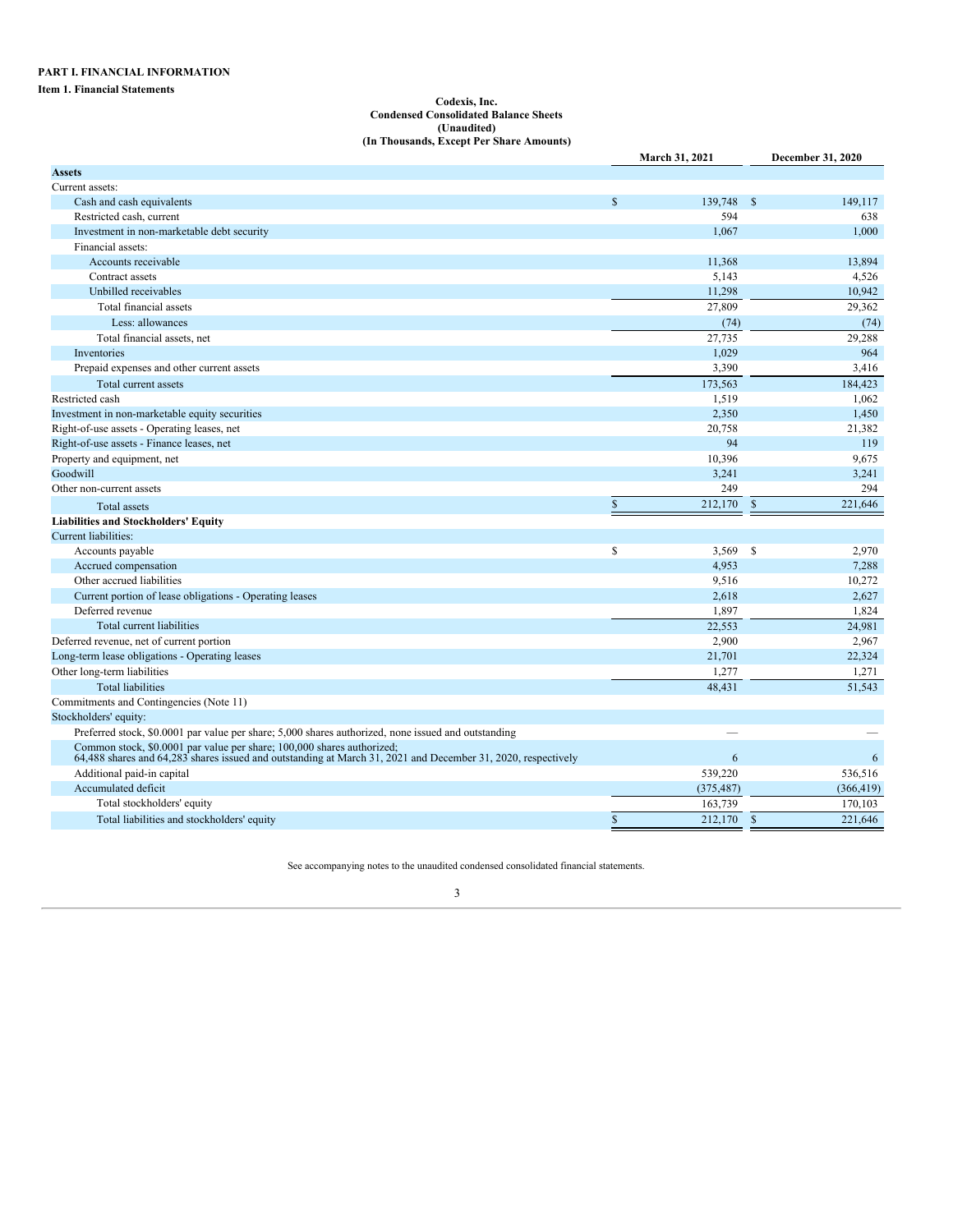# **PART I. FINANCIAL INFORMATION**

# **Item 1. Financial Statements**

#### **Codexis, Inc. Condensed Consolidated Balance Sheets (Unaudited) (In Thousands, Except Per Share Amounts)**

|                                                                                                                                                                                        |               | March 31, 2021 |               | December 31, 2020 |
|----------------------------------------------------------------------------------------------------------------------------------------------------------------------------------------|---------------|----------------|---------------|-------------------|
| <b>Assets</b>                                                                                                                                                                          |               |                |               |                   |
| Current assets:                                                                                                                                                                        |               |                |               |                   |
| Cash and cash equivalents                                                                                                                                                              | <sup>\$</sup> | 139,748 \$     |               | 149,117           |
| Restricted cash, current                                                                                                                                                               |               | 594            |               | 638               |
| Investment in non-marketable debt security                                                                                                                                             |               | 1,067          |               | 1.000             |
| Financial assets:                                                                                                                                                                      |               |                |               |                   |
| Accounts receivable                                                                                                                                                                    |               | 11,368         |               | 13,894            |
| Contract assets                                                                                                                                                                        |               | 5,143          |               | 4.526             |
| Unbilled receivables                                                                                                                                                                   |               | 11,298         |               | 10,942            |
| Total financial assets                                                                                                                                                                 |               | 27,809         |               | 29,362            |
| Less: allowances                                                                                                                                                                       |               | (74)           |               | (74)              |
| Total financial assets, net                                                                                                                                                            |               | 27,735         |               | 29,288            |
| Inventories                                                                                                                                                                            |               | 1,029          |               | 964               |
| Prepaid expenses and other current assets                                                                                                                                              |               | 3,390          |               | 3,416             |
| Total current assets                                                                                                                                                                   |               | 173,563        |               | 184,423           |
| Restricted cash                                                                                                                                                                        |               | 1,519          |               | 1,062             |
| Investment in non-marketable equity securities                                                                                                                                         |               | 2,350          |               | 1,450             |
| Right-of-use assets - Operating leases, net                                                                                                                                            |               | 20,758         |               | 21,382            |
| Right-of-use assets - Finance leases, net                                                                                                                                              |               | 94             |               | 119               |
| Property and equipment, net                                                                                                                                                            |               | 10,396         |               | 9,675             |
| Goodwill                                                                                                                                                                               |               | 3,241          |               | 3,241             |
| Other non-current assets                                                                                                                                                               |               | 249            |               | 294               |
| <b>Total</b> assets                                                                                                                                                                    | $\mathbb{S}$  | 212,170        | $\mathcal{S}$ | 221,646           |
| <b>Liabilities and Stockholders' Equity</b>                                                                                                                                            |               |                |               |                   |
| Current liabilities:                                                                                                                                                                   |               |                |               |                   |
| Accounts payable                                                                                                                                                                       | $\mathbb{S}$  | 3,569          | -S            | 2,970             |
| Accrued compensation                                                                                                                                                                   |               | 4,953          |               | 7,288             |
| Other accrued liabilities                                                                                                                                                              |               | 9,516          |               | 10,272            |
| Current portion of lease obligations - Operating leases                                                                                                                                |               | 2,618          |               | 2,627             |
| Deferred revenue                                                                                                                                                                       |               | 1,897          |               | 1,824             |
| Total current liabilities                                                                                                                                                              |               | 22.553         |               | 24.981            |
| Deferred revenue, net of current portion                                                                                                                                               |               | 2,900          |               | 2,967             |
| Long-term lease obligations - Operating leases                                                                                                                                         |               | 21,701         |               | 22,324            |
| Other long-term liabilities                                                                                                                                                            |               | 1,277          |               | 1,271             |
| <b>Total liabilities</b>                                                                                                                                                               |               | 48,431         |               | 51,543            |
| Commitments and Contingencies (Note 11)                                                                                                                                                |               |                |               |                   |
| Stockholders' equity:                                                                                                                                                                  |               |                |               |                   |
| Preferred stock, \$0.0001 par value per share; 5,000 shares authorized, none issued and outstanding                                                                                    |               |                |               |                   |
| Common stock, \$0.0001 par value per share; 100,000 shares authorized;<br>64,488 shares and 64,283 shares issued and outstanding at March 31, 2021 and December 31, 2020, respectively |               | 6              |               | 6                 |
| Additional paid-in capital                                                                                                                                                             |               | 539,220        |               | 536,516           |
| Accumulated deficit                                                                                                                                                                    |               | (375, 487)     |               | (366, 419)        |
| Total stockholders' equity                                                                                                                                                             |               | 163,739        |               | 170,103           |
| Total liabilities and stockholders' equity                                                                                                                                             | $\mathcal{S}$ | 212,170        | - \$          | 221,646           |

<span id="page-2-0"></span>See accompanying notes to the unaudited condensed consolidated financial statements.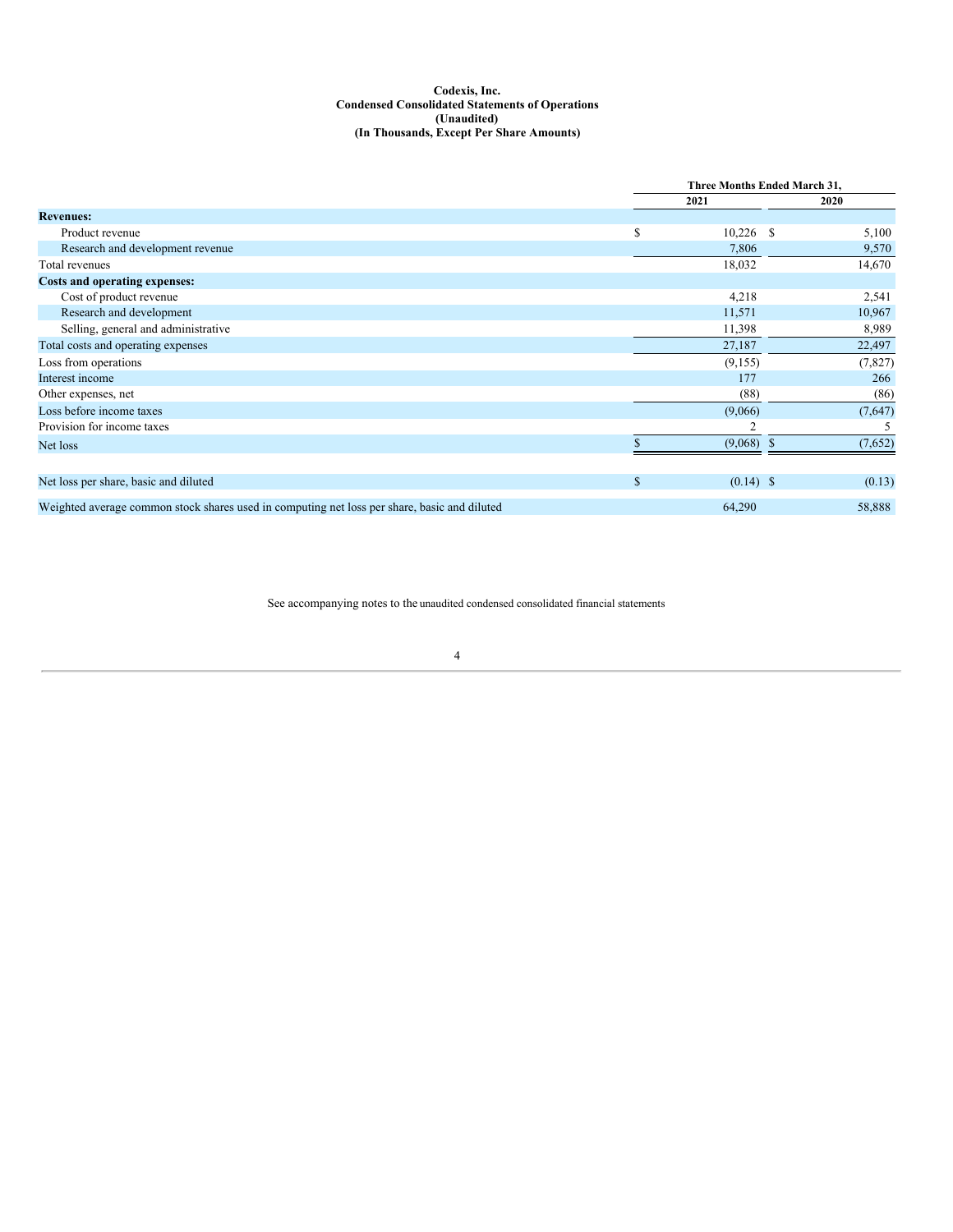## **Codexis, Inc. Condensed Consolidated Statements of Operations (Unaudited) (In Thousands, Except Per Share Amounts)**

|                                                                                              |    | Three Months Ended March 31, |         |
|----------------------------------------------------------------------------------------------|----|------------------------------|---------|
|                                                                                              |    | 2021                         | 2020    |
| <b>Revenues:</b>                                                                             |    |                              |         |
| Product revenue                                                                              | S  | $10,226$ \$                  | 5,100   |
| Research and development revenue                                                             |    | 7,806                        | 9,570   |
| Total revenues                                                                               |    | 18,032                       | 14,670  |
| Costs and operating expenses:                                                                |    |                              |         |
| Cost of product revenue                                                                      |    | 4,218                        | 2,541   |
| Research and development                                                                     |    | 11,571                       | 10,967  |
| Selling, general and administrative                                                          |    | 11,398                       | 8,989   |
| Total costs and operating expenses                                                           |    | 27,187                       | 22,497  |
| Loss from operations                                                                         |    | (9,155)                      | (7,827) |
| Interest income                                                                              |    | 177                          | 266     |
| Other expenses, net                                                                          |    | (88)                         | (86)    |
| Loss before income taxes                                                                     |    | (9,066)                      | (7,647) |
| Provision for income taxes                                                                   |    | $\overline{2}$               |         |
| Net loss                                                                                     |    | $(9,068)$ \$                 | (7,652) |
|                                                                                              |    |                              |         |
| Net loss per share, basic and diluted                                                        | \$ | $(0.14)$ \$                  | (0.13)  |
| Weighted average common stock shares used in computing net loss per share, basic and diluted |    | 64,290                       | 58,888  |

<span id="page-3-0"></span>See accompanying notes to theunaudited condensed consolidated financial statements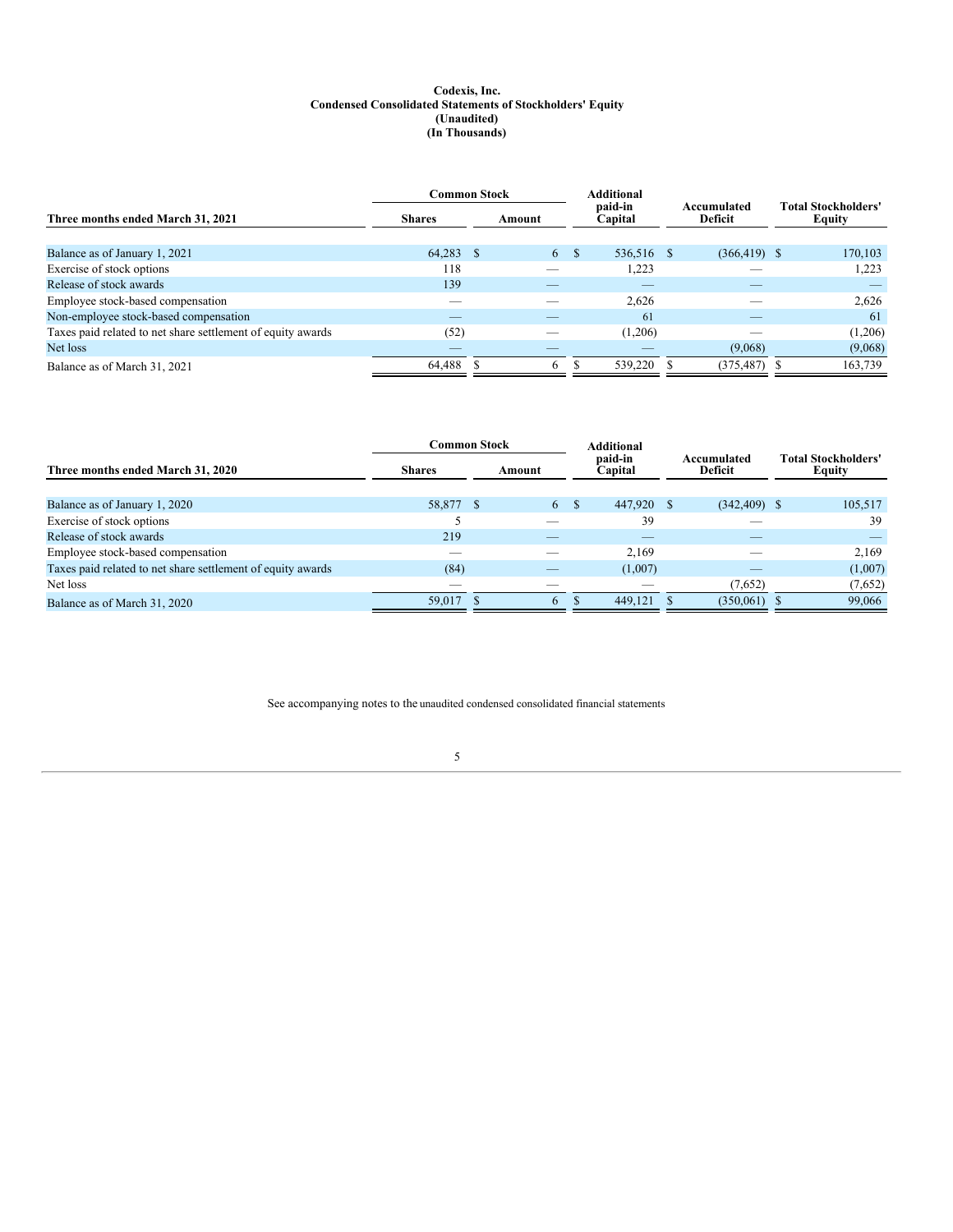## **Codexis, Inc. Condensed Consolidated Statements of Stockholders' Equity (Unaudited) (In Thousands)**

|                                                             | <b>Common Stock</b> |        | <b>Additional</b> |                    |            |  |                               |                                      |  |
|-------------------------------------------------------------|---------------------|--------|-------------------|--------------------|------------|--|-------------------------------|--------------------------------------|--|
| Three months ended March 31, 2021                           | <b>Shares</b>       | Amount |                   | paid-in<br>Capital |            |  | Accumulated<br><b>Deficit</b> | <b>Total Stockholders'</b><br>Equity |  |
|                                                             |                     |        |                   |                    |            |  |                               |                                      |  |
| Balance as of January 1, 2021                               | 64,283 \$           |        | 6                 | -8                 | 536,516 \$ |  | $(366, 419)$ \$               | 170,103                              |  |
| Exercise of stock options                                   | 118                 |        |                   |                    | 1,223      |  |                               | 1,223                                |  |
| Release of stock awards                                     | 139                 |        |                   |                    |            |  |                               |                                      |  |
| Employee stock-based compensation                           |                     |        |                   |                    | 2,626      |  |                               | 2,626                                |  |
| Non-employee stock-based compensation                       | _                   |        |                   |                    | 61         |  |                               | 61                                   |  |
| Taxes paid related to net share settlement of equity awards | (52)                |        |                   |                    | (1,206)    |  |                               | (1,206)                              |  |
| Net loss                                                    |                     |        |                   |                    |            |  | (9,068)                       | (9,068)                              |  |
| Balance as of March 31, 2021                                | 64,488              |        | 6                 |                    | 539.220    |  | (375, 487)                    | 163,739                              |  |

|                                                             | <b>Common Stock</b> |  |        | <b>Additional</b> |                    |    |                        |  |                                             |  |
|-------------------------------------------------------------|---------------------|--|--------|-------------------|--------------------|----|------------------------|--|---------------------------------------------|--|
| Three months ended March 31, 2020                           | <b>Shares</b>       |  | Amount |                   | paid-in<br>Capital |    | Accumulated<br>Deficit |  | <b>Total Stockholders'</b><br><b>Equity</b> |  |
|                                                             |                     |  |        |                   |                    |    |                        |  |                                             |  |
| Balance as of January 1, 2020                               | 58,877 \$           |  | 6      | -S                | 447,920            | -S | $(342, 409)$ \$        |  | 105,517                                     |  |
| Exercise of stock options                                   |                     |  |        |                   | 39                 |    |                        |  | 39                                          |  |
| Release of stock awards                                     | 219                 |  |        |                   | _                  |    |                        |  |                                             |  |
| Employee stock-based compensation                           |                     |  |        |                   | 2.169              |    |                        |  | 2,169                                       |  |
| Taxes paid related to net share settlement of equity awards | (84)                |  |        |                   | (1,007)            |    |                        |  | (1,007)                                     |  |
| Net loss                                                    |                     |  |        |                   |                    |    | (7,652)                |  | (7,652)                                     |  |
| Balance as of March 31, 2020                                | 59.017              |  | 6.     |                   | 449.121            |    | $(350,061)$ \$         |  | 99,066                                      |  |

<span id="page-4-0"></span>See accompanying notes to the unaudited condensed consolidated financial statements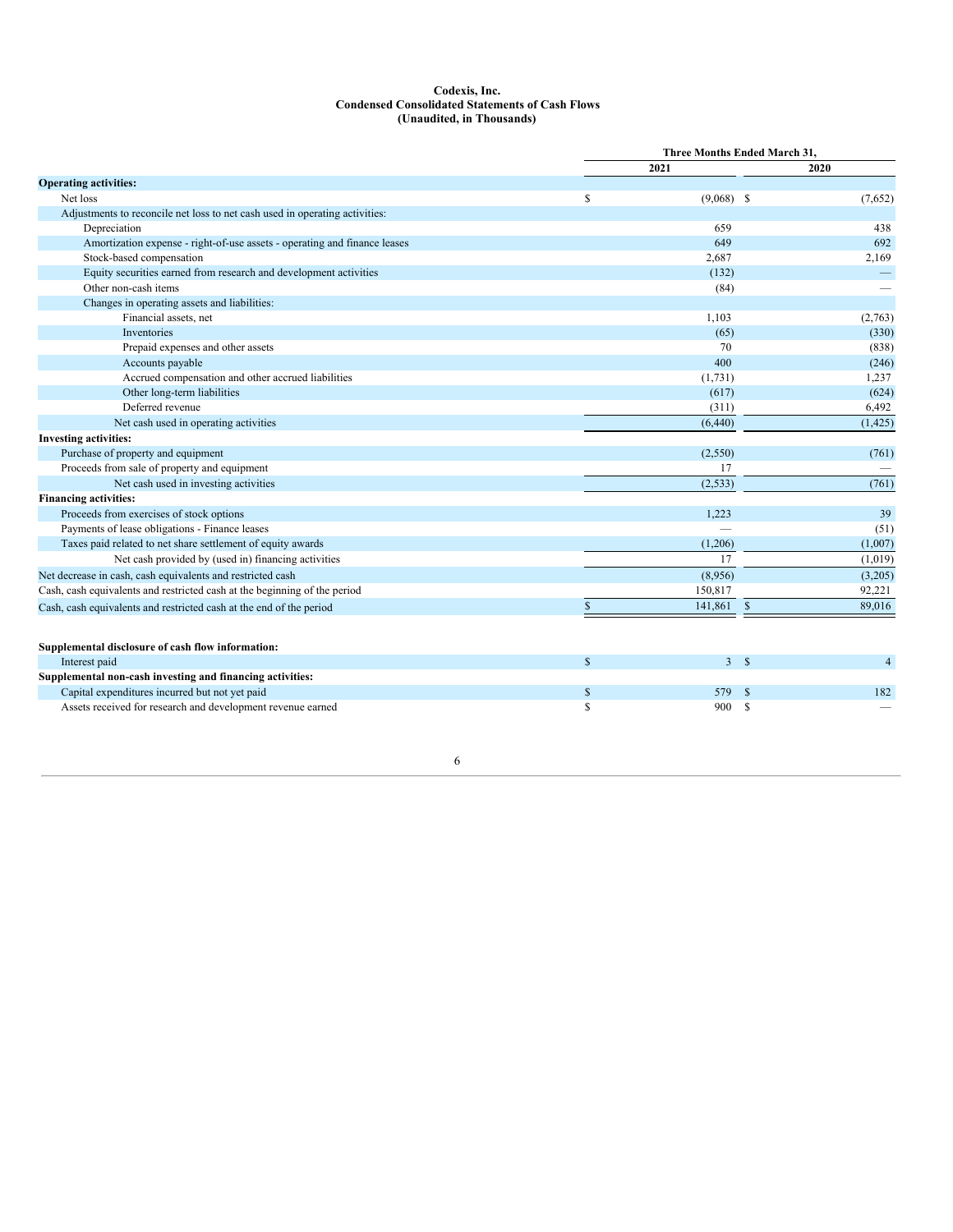### **Codexis, Inc. Condensed Consolidated Statements of Cash Flows (Unaudited, in Thousands)**

|                                                                                                               |                   | Three Months Ended March 31, |                      |                |  |  |
|---------------------------------------------------------------------------------------------------------------|-------------------|------------------------------|----------------------|----------------|--|--|
|                                                                                                               |                   | 2021                         |                      | 2020           |  |  |
| <b>Operating activities:</b>                                                                                  |                   |                              |                      |                |  |  |
| Net loss                                                                                                      | S                 | $(9,068)$ \$                 |                      | (7,652)        |  |  |
| Adjustments to reconcile net loss to net cash used in operating activities:                                   |                   |                              |                      |                |  |  |
| Depreciation                                                                                                  |                   | 659                          |                      | 438            |  |  |
| Amortization expense - right-of-use assets - operating and finance leases                                     |                   | 649                          |                      | 692            |  |  |
| Stock-based compensation                                                                                      |                   | 2,687                        |                      | 2,169          |  |  |
| Equity securities earned from research and development activities                                             |                   | (132)                        |                      |                |  |  |
| Other non-cash items                                                                                          |                   | (84)                         |                      |                |  |  |
| Changes in operating assets and liabilities:                                                                  |                   |                              |                      |                |  |  |
| Financial assets, net                                                                                         |                   | 1,103                        |                      | (2,763)        |  |  |
| Inventories                                                                                                   |                   | (65)                         |                      | (330)          |  |  |
| Prepaid expenses and other assets                                                                             |                   | 70                           |                      | (838)          |  |  |
| Accounts payable                                                                                              |                   | 400                          |                      | (246)          |  |  |
| Accrued compensation and other accrued liabilities                                                            |                   | (1,731)                      |                      | 1,237          |  |  |
| Other long-term liabilities                                                                                   |                   | (617)                        |                      | (624)          |  |  |
| Deferred revenue                                                                                              |                   | (311)                        |                      | 6,492          |  |  |
| Net cash used in operating activities                                                                         |                   | (6,440)                      |                      | (1, 425)       |  |  |
| <b>Investing activities:</b>                                                                                  |                   |                              |                      |                |  |  |
| Purchase of property and equipment                                                                            |                   | (2,550)                      |                      | (761)          |  |  |
| Proceeds from sale of property and equipment                                                                  |                   | 17                           |                      |                |  |  |
| Net cash used in investing activities                                                                         |                   | (2, 533)                     |                      | (761)          |  |  |
| <b>Financing activities:</b>                                                                                  |                   |                              |                      |                |  |  |
| Proceeds from exercises of stock options                                                                      |                   | 1.223                        |                      | 39             |  |  |
| Payments of lease obligations - Finance leases                                                                |                   |                              |                      | (51)           |  |  |
| Taxes paid related to net share settlement of equity awards                                                   |                   | (1,206)                      |                      | (1,007)        |  |  |
| Net cash provided by (used in) financing activities                                                           |                   | 17                           |                      | (1,019)        |  |  |
| Net decrease in cash, cash equivalents and restricted cash                                                    |                   | (8,956)                      |                      | (3,205)        |  |  |
| Cash, cash equivalents and restricted cash at the beginning of the period                                     |                   | 150,817                      |                      | 92,221         |  |  |
| Cash, cash equivalents and restricted cash at the end of the period                                           | $\mathbb{S}$      | 141,861 \$                   |                      | 89,016         |  |  |
|                                                                                                               |                   |                              |                      |                |  |  |
| Supplemental disclosure of cash flow information:                                                             | $\mathbb{S}$      | 3S                           |                      | $\overline{4}$ |  |  |
| Interest paid<br>Supplemental non-cash investing and financing activities:                                    |                   |                              |                      |                |  |  |
|                                                                                                               |                   | 579                          |                      | 182            |  |  |
| Capital expenditures incurred but not yet paid<br>Assets received for research and development revenue earned | $\mathbb{S}$<br>S | 900                          | - \$<br><sup>S</sup> |                |  |  |
|                                                                                                               |                   |                              |                      |                |  |  |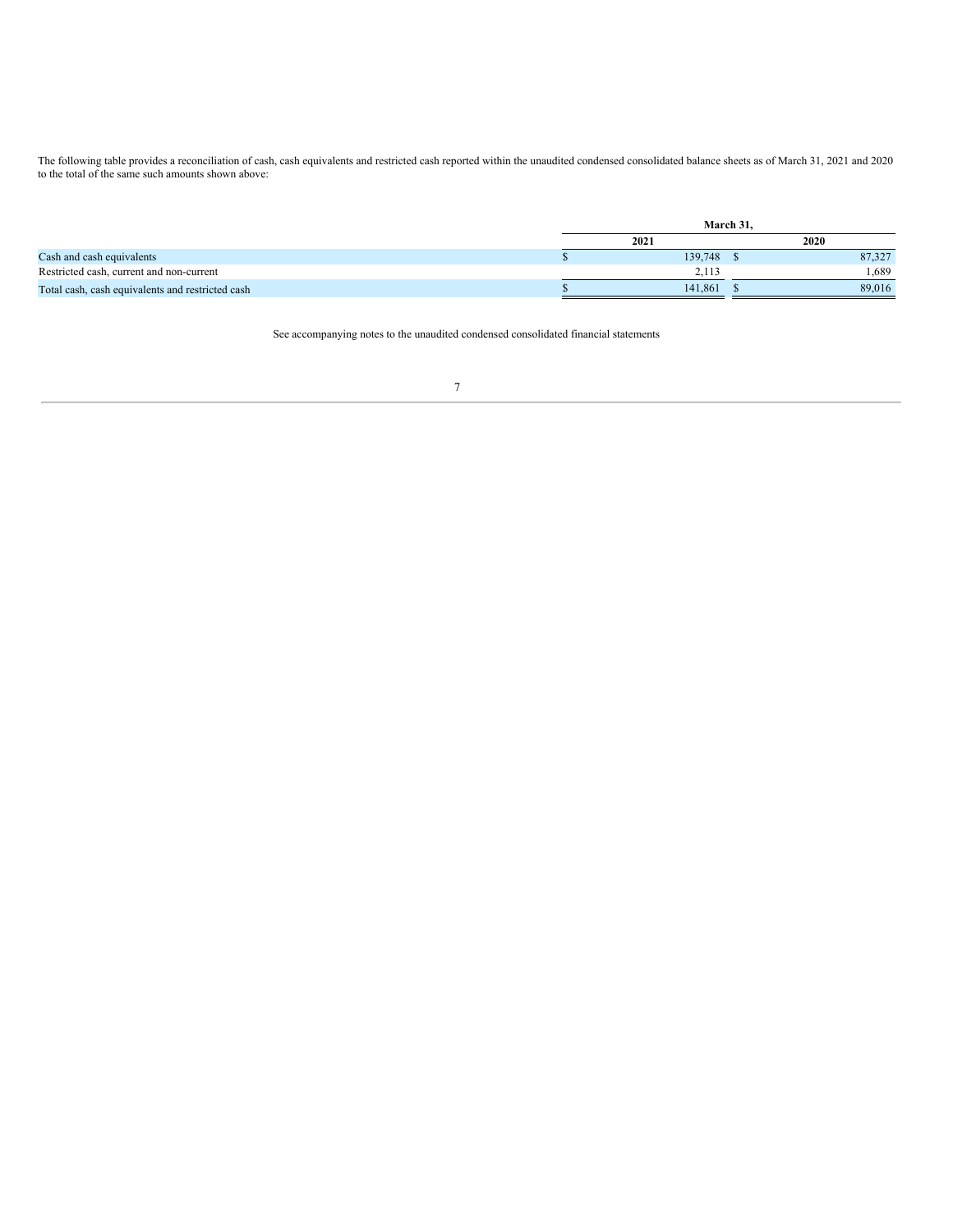The following table provides a reconciliation of cash, cash equivalents and restricted cash reported within the unaudited condensed consolidated balance sheets as of March 31, 2021 and 2020 to the total of the same such amounts shown above:

<span id="page-6-0"></span>

|                                                  | March 31. |         |  |        |  |
|--------------------------------------------------|-----------|---------|--|--------|--|
|                                                  | 2021      |         |  | 2020   |  |
| Cash and cash equivalents                        |           | 139.748 |  | 87,327 |  |
| Restricted cash, current and non-current         |           | 2,113   |  | . 689  |  |
| Total cash, cash equivalents and restricted cash |           | 141,861 |  | 89,016 |  |

See accompanying notes to the unaudited condensed consolidated financial statements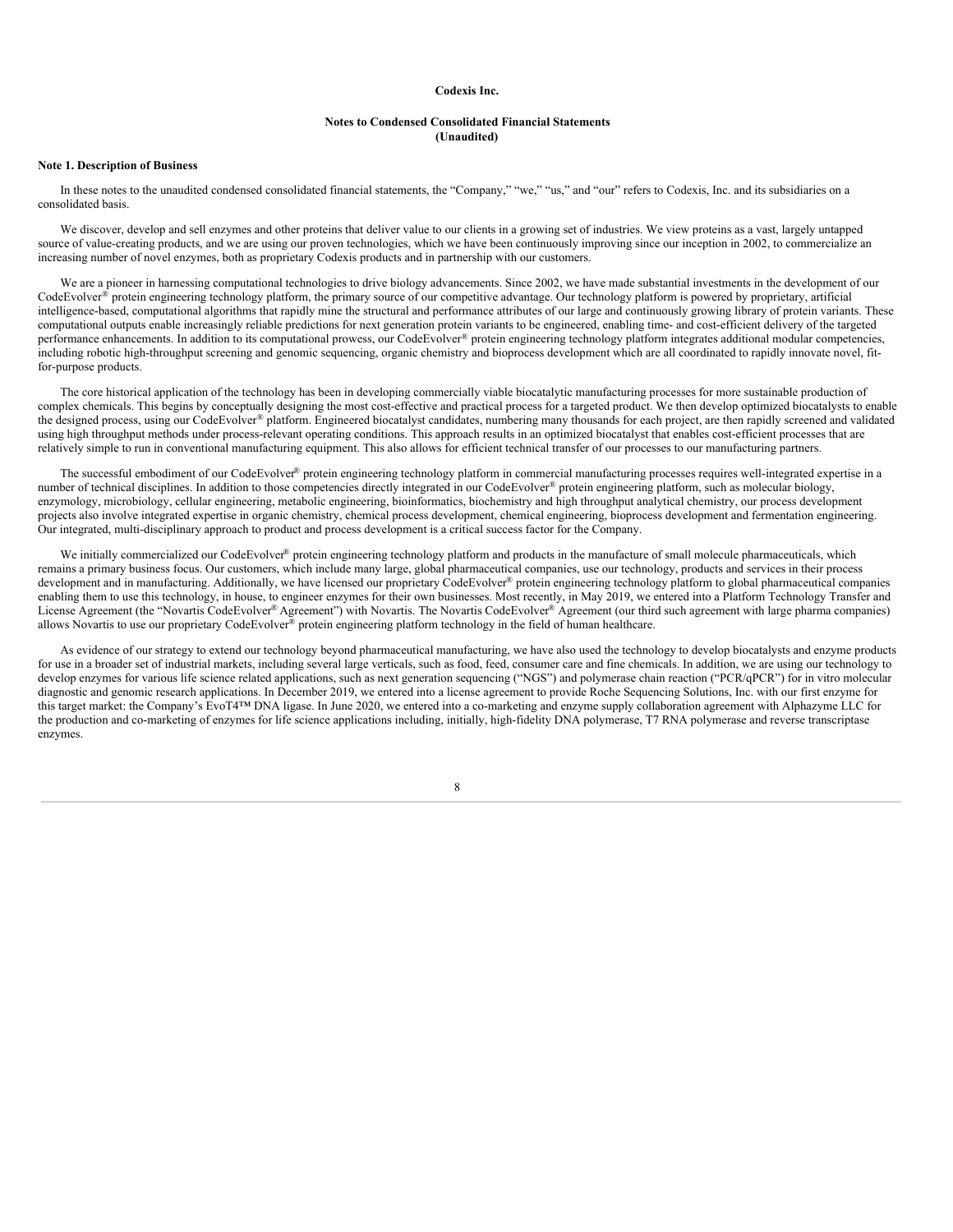## **Codexis Inc.**

## **Notes to Condensed Consolidated Financial Statements (Unaudited)**

### **Note 1. Description of Business**

In these notes to the unaudited condensed consolidated financial statements, the "Company," "we," "us," and "our" refers to Codexis, Inc. and its subsidiaries on a consolidated basis.

We discover, develop and sell enzymes and other proteins that deliver value to our clients in a growing set of industries. We view proteins as a vast, largely untapped source of value-creating products, and we are using our proven technologies, which we have been continuously improving since our inception in 2002, to commercialize an increasing number of novel enzymes, both as proprietary Codexis products and in partnership with our customers.

We are a pioneer in harnessing computational technologies to drive biology advancements. Since 2002, we have made substantial investments in the development of our CodeEvolver® protein engineering technology platform, the primary source of our competitive advantage. Our technology platform is powered by proprietary, artificial intelligence-based, computational algorithms that rapidly mine the structural and performance attributes of our large and continuously growing library of protein variants. These computational outputs enable increasingly reliable predictions for next generation protein variants to be engineered, enabling time- and cost-efficient delivery of the targeted performance enhancements. In addition to its computational prowess, our CodeEvolver® protein engineering technology platform integrates additional modular competencies, including robotic high-throughput screening and genomic sequencing, organic chemistry and bioprocess development which are all coordinated to rapidly innovate novel, fitfor-purpose products.

The core historical application of the technology has been in developing commercially viable biocatalytic manufacturing processes for more sustainable production of complex chemicals. This begins by conceptually designing the most cost-effective and practical process for a targeted product. We then develop optimized biocatalysts to enable the designed process, using our CodeEvolver® platform. Engineered biocatalyst candidates, numbering many thousands for each project, are then rapidly screened and validated using high throughput methods under process-relevant operating conditions. This approach results in an optimized biocatalyst that enables cost-efficient processes that are relatively simple to run in conventional manufacturing equipment. This also allows for efficient technical transfer of our processes to our manufacturing partners.

The successful embodiment of our CodeEvolver® protein engineering technology platform in commercial manufacturing processes requires well-integrated expertise in a number of technical disciplines. In addition to those competencies directly integrated in our CodeEvolver® protein engineering platform, such as molecular biology, enzymology, microbiology, cellular engineering, metabolic engineering, bioinformatics, biochemistry and high throughput analytical chemistry, our process development projects also involve integrated expertise in organic chemistry, chemical process development, chemical engineering, bioprocess development and fermentation engineering. Our integrated, multi-disciplinary approach to product and process development is a critical success factor for the Company.

We initially commercialized our CodeEvolver® protein engineering technology platform and products in the manufacture of small molecule pharmaceuticals, which remains a primary business focus. Our customers, which include many large, global pharmaceutical companies, use our technology, products and services in their process development and in manufacturing. Additionally, we have licensed our proprietary CodeEvolver® protein engineering technology platform to global pharmaceutical companies enabling them to use this technology, in house, to engineer enzymes for their own businesses. Most recently, in May 2019, we entered into a Platform Technology Transfer and License Agreement (the "Novartis CodeEvolver® Agreement") with Novartis. The Novartis CodeEvolver<sup>®</sup> Agreement (our third such agreement with large pharma companies) allows Novartis to use our proprietary CodeEvolver<sup>®</sup> protein engineering platform technology in the field of human healthcare.

As evidence of our strategy to extend our technology beyond pharmaceutical manufacturing, we have also used the technology to develop biocatalysts and enzyme products for use in a broader set of industrial markets, including several large verticals, such as food, feed, consumer care and fine chemicals. In addition, we are using our technology to develop enzymes for various life science related applications, such as next generation sequencing ("NGS") and polymerase chain reaction ("PCR/qPCR") for in vitro molecular diagnostic and genomic research applications. In December 2019, we entered into a license agreement to provide Roche Sequencing Solutions, Inc. with our first enzyme for this target market: the Company's EvoT4™ DNA ligase. In June 2020, we entered into a co-marketing and enzyme supply collaboration agreement with Alphazyme LLC for the production and co-marketing of enzymes for life science applications including, initially, high-fidelity DNA polymerase, T7 RNA polymerase and reverse transcriptase enzymes.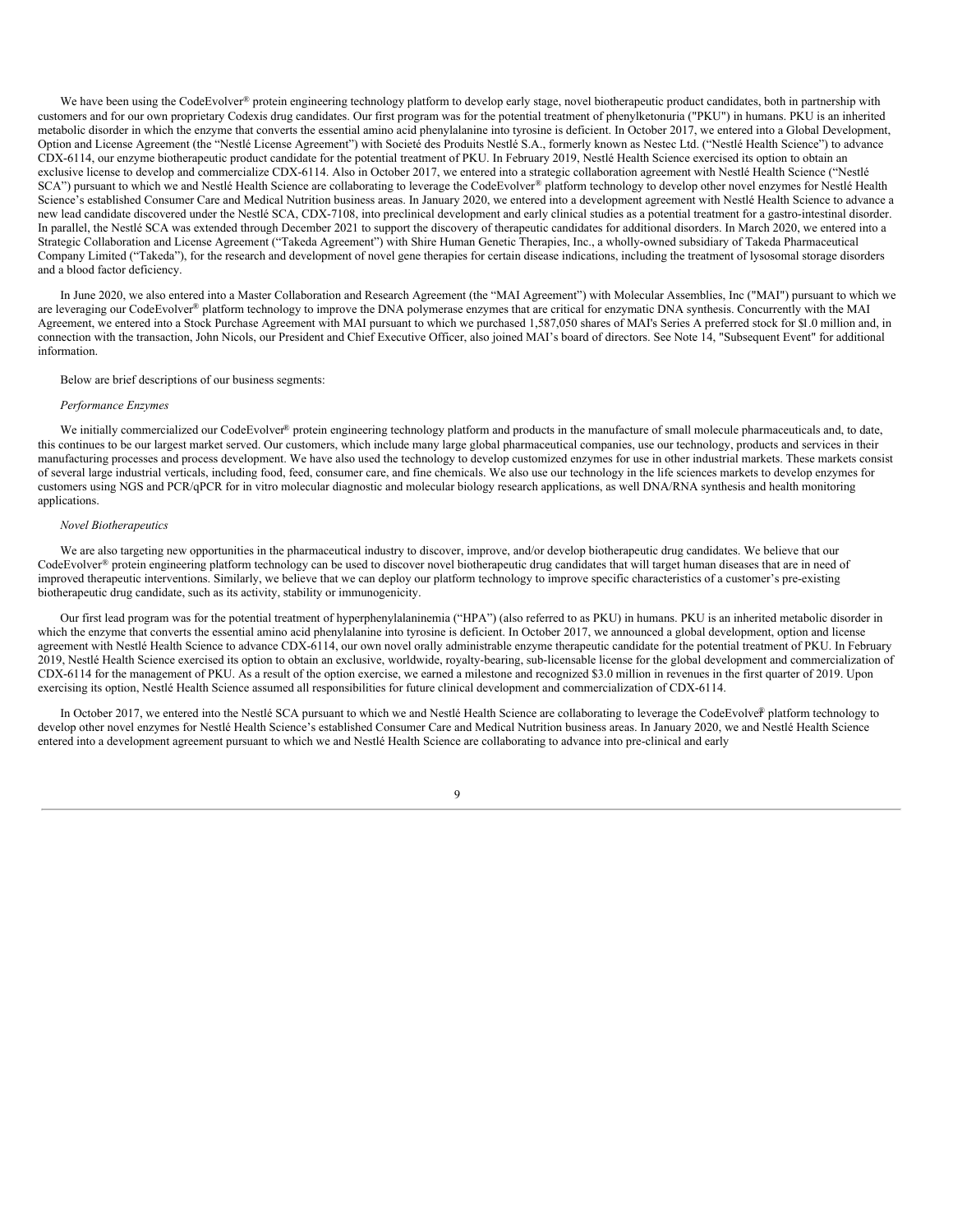We have been using the CodeEvolver® protein engineering technology platform to develop early stage, novel biotherapeutic product candidates, both in partnership with customers and for our own proprietary Codexis drug candidates. Our first program was for the potential treatment of phenylketonuria ("PKU") in humans. PKU is an inherited metabolic disorder in which the enzyme that converts the essential amino acid phenylalanine into tyrosine is deficient. In October 2017, we entered into a Global Development, Option and License Agreement (the "Nestlé License Agreement") with Societé des Produits Nestlé S.A., formerly known as Nestec Ltd. ("Nestlé Health Science") to advance CDX-6114, our enzyme biotherapeutic product candidate for the potential treatment of PKU. In February 2019, Nestlé Health Science exercised its option to obtain an exclusive license to develop and commercialize CDX-6114. Also in October 2017, we entered into a strategic collaboration agreement with Nestlé Health Science ("Nestlé SCA") pursuant to which we and Nestlé Health Science are collaborating to leverage the CodeEvolver® platform technology to develop other novel enzymes for Nestlé Health Science's established Consumer Care and Medical Nutrition business areas. In January 2020, we entered into a development agreement with Nestlé Health Science to advance a new lead candidate discovered under the Nestlé SCA, CDX-7108, into preclinical development and early clinical studies as a potential treatment for a gastro-intestinal disorder. In parallel, the Nestlé SCA was extended through December 2021 to support the discovery of therapeutic candidates for additional disorders. In March 2020, we entered into a Strategic Collaboration and License Agreement ("Takeda Agreement") with Shire Human Genetic Therapies, Inc., a wholly-owned subsidiary of Takeda Pharmaceutical Company Limited ("Takeda"), for the research and development of novel gene therapies for certain disease indications, including the treatment of lysosomal storage disorders and a blood factor deficiency.

In June 2020, we also entered into a Master Collaboration and Research Agreement (the "MAI Agreement") with Molecular Assemblies, Inc ("MAI") pursuant to which we are leveraging our CodeEvolver® platform technology to improve the DNA polymerase enzymes that are critical for enzymatic DNA synthesis. Concurrently with the MAI Agreement, we entered into a Stock Purchase Agreement with MAI pursuant to which we purchased 1,587,050 shares of MAI's Series A preferred stock for \$1.0 million and, in connection with the transaction, John Nicols, our President and Chief Executive Officer, also joined MAI's board of directors. See Note 14, "Subsequent Event" for additional information.

#### Below are brief descriptions of our business segments:

#### *Performance Enzymes*

We initially commercialized our CodeEvolver® protein engineering technology platform and products in the manufacture of small molecule pharmaceuticals and, to date, this continues to be our largest market served. Our customers, which include many large global pharmaceutical companies, use our technology, products and services in their manufacturing processes and process development. We have also used the technology to develop customized enzymes for use in other industrial markets. These markets consist of several large industrial verticals, including food, feed, consumer care, and fine chemicals. We also use our technology in the life sciences markets to develop enzymes for customers using NGS and PCR/qPCR for in vitro molecular diagnostic and molecular biology research applications, as well DNA/RNA synthesis and health monitoring applications.

#### *Novel Biotherapeutics*

We are also targeting new opportunities in the pharmaceutical industry to discover, improve, and/or develop biotherapeutic drug candidates. We believe that our CodeEvolver® protein engineering platform technology can be used to discover novel biotherapeutic drug candidates that will target human diseases that are in need of improved therapeutic interventions. Similarly, we believe that we can deploy our platform technology to improve specific characteristics of a customer's pre-existing biotherapeutic drug candidate, such as its activity, stability or immunogenicity.

Our first lead program was for the potential treatment of hyperphenylalaninemia ("HPA") (also referred to as PKU) in humans. PKU is an inherited metabolic disorder in which the enzyme that converts the essential amino acid phenylalanine into tyrosine is deficient. In October 2017, we announced a global development, option and license agreement with Nestlé Health Science to advance CDX-6114, our own novel orally administrable enzyme therapeutic candidate for the potential treatment of PKU. In February 2019, Nestlé Health Science exercised its option to obtain an exclusive, worldwide, royalty-bearing, sub-licensable license for the global development and commercialization of CDX-6114 for the management of PKU. As a result of the option exercise, we earned a milestone and recognized \$3.0 million in revenues in the first quarter of 2019. Upon exercising its option, Nestlé Health Science assumed all responsibilities for future clinical development and commercialization of CDX-6114.

In October 2017, we entered into the Nestlé SCA pursuant to which we and Nestlé Health Science are collaborating to leverage the CodeEvolver platform technology to develop other novel enzymes for Nestlé Health Science's established Consumer Care and Medical Nutrition business areas. In January 2020, we and Nestlé Health Science entered into a development agreement pursuant to which we and Nestlé Health Science are collaborating to advance into pre-clinical and early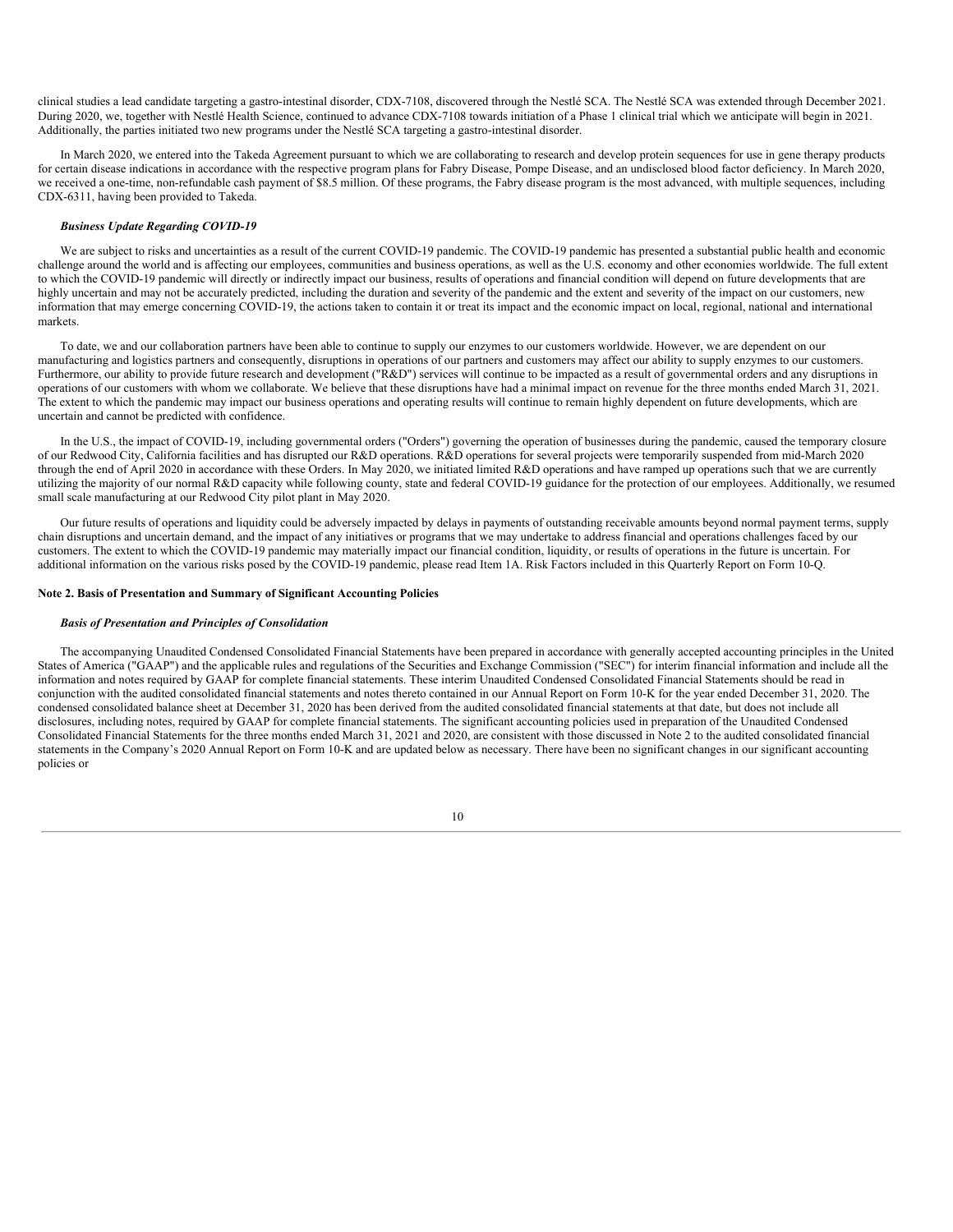clinical studies a lead candidate targeting a gastro-intestinal disorder, CDX-7108, discovered through the Nestlé SCA. The Nestlé SCA was extended through December 2021. During 2020, we, together with Nestlé Health Science, continued to advance CDX-7108 towards initiation of a Phase 1 clinical trial which we anticipate will begin in 2021. Additionally, the parties initiated two new programs under the Nestlé SCA targeting a gastro-intestinal disorder.

In March 2020, we entered into the Takeda Agreement pursuant to which we are collaborating to research and develop protein sequences for use in gene therapy products for certain disease indications in accordance with the respective program plans for Fabry Disease, Pompe Disease, and an undisclosed blood factor deficiency. In March 2020, we received a one-time, non-refundable cash payment of \$8.5 million. Of these programs, the Fabry disease program is the most advanced, with multiple sequences, including CDX-6311, having been provided to Takeda.

## *Business Update Regarding COVID-19*

We are subject to risks and uncertainties as a result of the current COVID-19 pandemic. The COVID-19 pandemic has presented a substantial public health and economic challenge around the world and is affecting our employees, communities and business operations, as well as the U.S. economy and other economies worldwide. The full extent to which the COVID-19 pandemic will directly or indirectly impact our business, results of operations and financial condition will depend on future developments that are highly uncertain and may not be accurately predicted, including the duration and severity of the pandemic and the extent and severity of the impact on our customers, new information that may emerge concerning COVID-19, the actions taken to contain it or treat its impact and the economic impact on local, regional, national and international markets.

To date, we and our collaboration partners have been able to continue to supply our enzymes to our customers worldwide. However, we are dependent on our manufacturing and logistics partners and consequently, disruptions in operations of our partners and customers may affect our ability to supply enzymes to our customers. Furthermore, our ability to provide future research and development ("R&D") services will continue to be impacted as a result of governmental orders and any disruptions in operations of our customers with whom we collaborate. We believe that these disruptions have had a minimal impact on revenue for the three months ended March 31, 2021. The extent to which the pandemic may impact our business operations and operating results will continue to remain highly dependent on future developments, which are uncertain and cannot be predicted with confidence.

In the U.S., the impact of COVID-19, including governmental orders ("Orders") governing the operation of businesses during the pandemic, caused the temporary closure of our Redwood City, California facilities and has disrupted our R&D operations. R&D operations for several projects were temporarily suspended from mid-March 2020 through the end of April 2020 in accordance with these Orders. In May 2020, we initiated limited R&D operations and have ramped up operations such that we are currently utilizing the majority of our normal R&D capacity while following county, state and federal COVID-19 guidance for the protection of our employees. Additionally, we resumed small scale manufacturing at our Redwood City pilot plant in May 2020.

Our future results of operations and liquidity could be adversely impacted by delays in payments of outstanding receivable amounts beyond normal payment terms, supply chain disruptions and uncertain demand, and the impact of any initiatives or programs that we may undertake to address financial and operations challenges faced by our customers. The extent to which the COVID-19 pandemic may materially impact our financial condition, liquidity, or results of operations in the future is uncertain. For additional information on the various risks posed by the COVID-19 pandemic, please read Item 1A. Risk Factors included in this Quarterly Report on Form 10-Q.

#### **Note 2. Basis of Presentation and Summary of Significant Accounting Policies**

#### *Basis of Presentation and Principles of Consolidation*

The accompanying Unaudited Condensed Consolidated Financial Statements have been prepared in accordance with generally accepted accounting principles in the United States of America ("GAAP") and the applicable rules and regulations of the Securities and Exchange Commission ("SEC") for interim financial information and include all the information and notes required by GAAP for complete financial statements. These interim Unaudited Condensed Consolidated Financial Statements should be read in conjunction with the audited consolidated financial statements and notes thereto contained in our Annual Report on Form 10-K for the year ended December 31, 2020. The condensed consolidated balance sheet at December 31, 2020 has been derived from the audited consolidated financial statements at that date, but does not include all disclosures, including notes, required by GAAP for complete financial statements. The significant accounting policies used in preparation of the Unaudited Condensed Consolidated Financial Statements for the three months ended March 31, 2021 and 2020, are consistent with those discussed in Note 2 to the audited consolidated financial statements in the Company's 2020 Annual Report on Form 10-K and are updated below as necessary. There have been no significant changes in our significant accounting policies or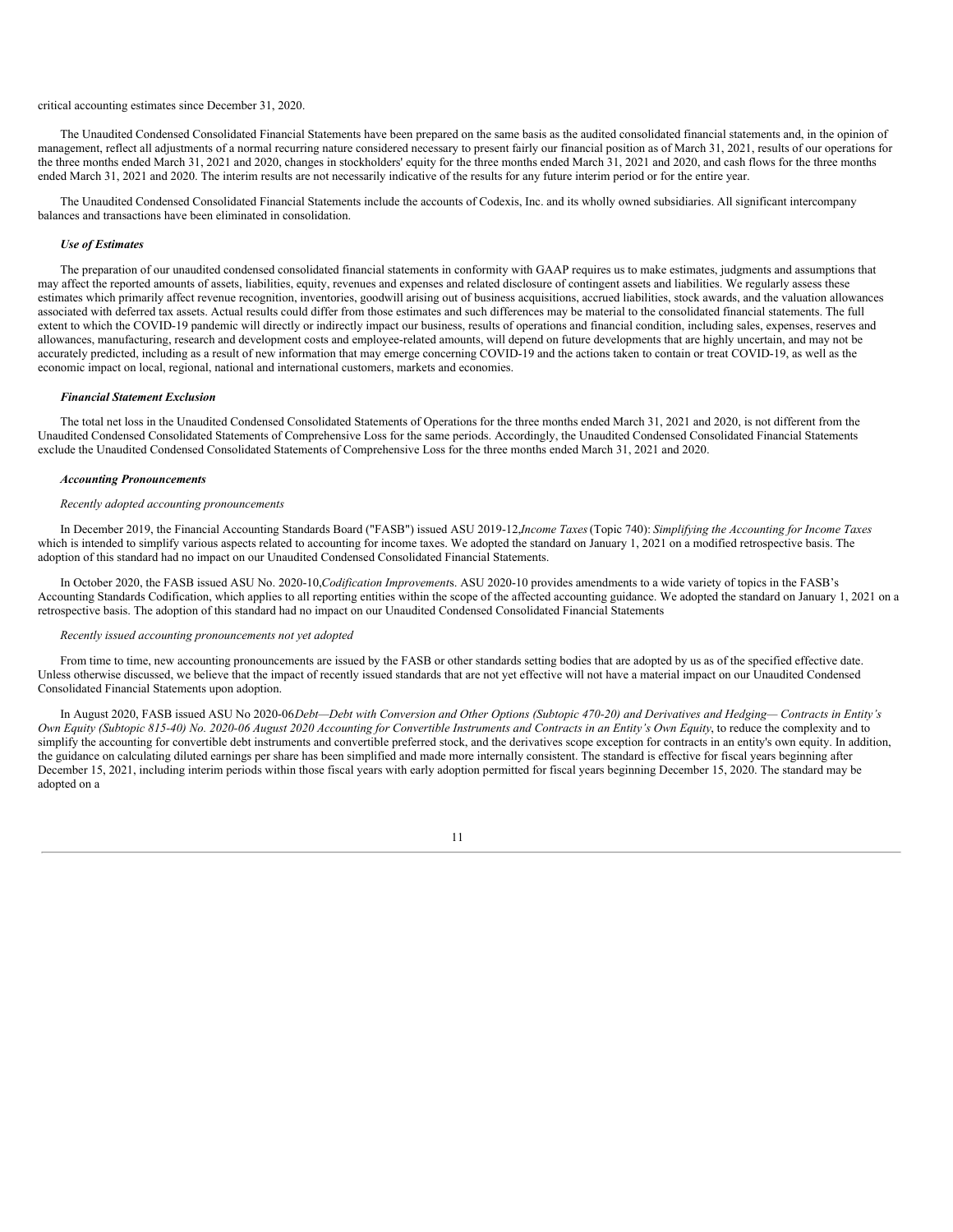#### critical accounting estimates since December 31, 2020.

The Unaudited Condensed Consolidated Financial Statements have been prepared on the same basis as the audited consolidated financial statements and, in the opinion of management, reflect all adjustments of a normal recurring nature considered necessary to present fairly our financial position as of March 31, 2021, results of our operations for the three months ended March 31, 2021 and 2020, changes in stockholders' equity for the three months ended March 31, 2021 and 2020, and cash flows for the three months ended March 31, 2021 and 2020. The interim results are not necessarily indicative of the results for any future interim period or for the entire year.

The Unaudited Condensed Consolidated Financial Statements include the accounts of Codexis, Inc. and its wholly owned subsidiaries. All significant intercompany balances and transactions have been eliminated in consolidation.

#### *Use of Estimates*

The preparation of our unaudited condensed consolidated financial statements in conformity with GAAP requires us to make estimates, judgments and assumptions that may affect the reported amounts of assets, liabilities, equity, revenues and expenses and related disclosure of contingent assets and liabilities. We regularly assess these estimates which primarily affect revenue recognition, inventories, goodwill arising out of business acquisitions, accrued liabilities, stock awards, and the valuation allowances associated with deferred tax assets. Actual results could differ from those estimates and such differences may be material to the consolidated financial statements. The full extent to which the COVID-19 pandemic will directly or indirectly impact our business, results of operations and financial condition, including sales, expenses, reserves and allowances, manufacturing, research and development costs and employee-related amounts, will depend on future developments that are highly uncertain, and may not be accurately predicted, including as a result of new information that may emerge concerning COVID-19 and the actions taken to contain or treat COVID-19, as well as the economic impact on local, regional, national and international customers, markets and economies.

#### *Financial Statement Exclusion*

The total net loss in the Unaudited Condensed Consolidated Statements of Operations for the three months ended March 31, 2021 and 2020, is not different from the Unaudited Condensed Consolidated Statements of Comprehensive Loss for the same periods. Accordingly, the Unaudited Condensed Consolidated Financial Statements exclude the Unaudited Condensed Consolidated Statements of Comprehensive Loss for the three months ended March 31, 2021 and 2020.

#### *Accounting Pronouncements*

## *Recently adopted accounting pronouncements*

In December 2019, the Financial Accounting Standards Board ("FASB") issued ASU 2019-12,*Income Taxes*(Topic 740): *Simplifying the Accounting for Income Taxes* which is intended to simplify various aspects related to accounting for income taxes. We adopted the standard on January 1, 2021 on a modified retrospective basis. The adoption of this standard had no impact on our Unaudited Condensed Consolidated Financial Statements.

In October 2020, the FASB issued ASU No. 2020-10,*Codification Improvement*s. ASU 2020-10 provides amendments to a wide variety of topics in the FASB's Accounting Standards Codification, which applies to all reporting entities within the scope of the affected accounting guidance. We adopted the standard on January 1, 2021 on a retrospective basis. The adoption of this standard had no impact on our Unaudited Condensed Consolidated Financial Statements

#### *Recently issued accounting pronouncements not yet adopted*

From time to time, new accounting pronouncements are issued by the FASB or other standards setting bodies that are adopted by us as of the specified effective date. Unless otherwise discussed, we believe that the impact of recently issued standards that are not yet effective will not have a material impact on our Unaudited Condensed Consolidated Financial Statements upon adoption.

In August 2020, FASB issued ASU No 2020-06Debt-Debt with Conversion and Other Options (Subtopic 470-20) and Derivatives and Hedging-Contracts in Entity's Own Equity (Subtopic 815-40) No. 2020-06 August 2020 Accounting for Convertible Instruments and Contracts in an Entity's Own Equity, to reduce the complexity and to simplify the accounting for convertible debt instruments and convertible preferred stock, and the derivatives scope exception for contracts in an entity's own equity. In addition, the guidance on calculating diluted earnings per share has been simplified and made more internally consistent. The standard is effective for fiscal years beginning after December 15, 2021, including interim periods within those fiscal years with early adoption permitted for fiscal years beginning December 15, 2020. The standard may be adopted on a

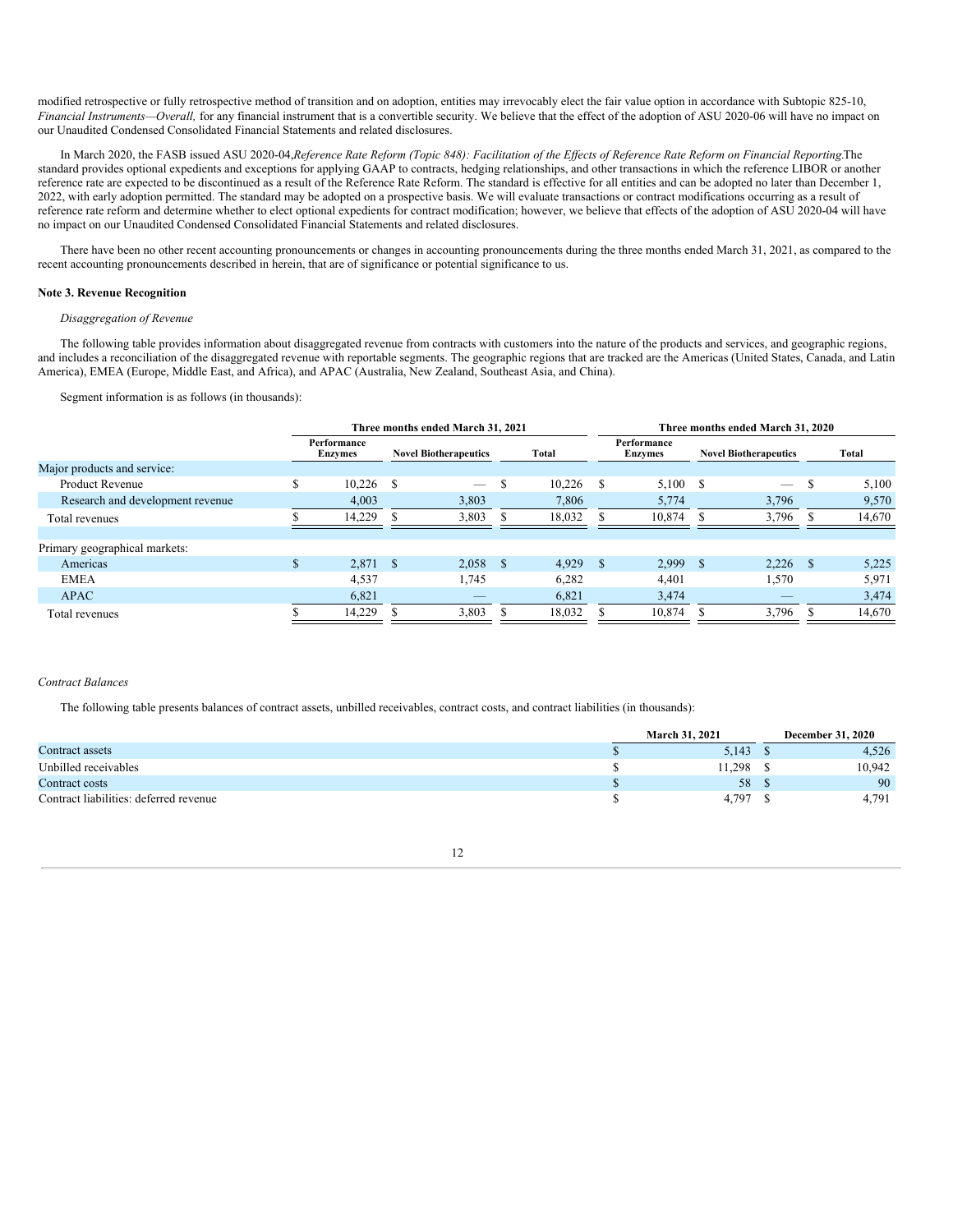modified retrospective or fully retrospective method of transition and on adoption, entities may irrevocably elect the fair value option in accordance with Subtopic 825-10, *Financial Instruments—Overall,* for any financial instrument that is a convertible security. We believe that the effect of the adoption of ASU 2020-06 will have no impact on our Unaudited Condensed Consolidated Financial Statements and related disclosures.

In March 2020, the FASB issued ASU 2020-04, Reference Rate Reform (Topic 848): Facilitation of the Effects of Reference Rate Reform on Financial Reporting. The standard provides optional expedients and exceptions for applying GAAP to contracts, hedging relationships, and other transactions in which the reference LIBOR or another reference rate are expected to be discontinued as a result of the Reference Rate Reform. The standard is effective for all entities and can be adopted no later than December 1, 2022, with early adoption permitted. The standard may be adopted on a prospective basis. We will evaluate transactions or contract modifications occurring as a result of reference rate reform and determine whether to elect optional expedients for contract modification; however, we believe that effects of the adoption of ASU 2020-04 will have no impact on our Unaudited Condensed Consolidated Financial Statements and related disclosures.

There have been no other recent accounting pronouncements or changes in accounting pronouncements during the three months ended March 31, 2021, as compared to the recent accounting pronouncements described in herein, that are of significance or potential significance to us.

#### **Note 3. Revenue Recognition**

#### *Disaggregation of Revenue*

The following table provides information about disaggregated revenue from contracts with customers into the nature of the products and services, and geographic regions, and includes a reconciliation of the disaggregated revenue with reportable segments. The geographic regions that are tracked are the Americas (United States, Canada, and Latin America), EMEA (Europe, Middle East, and Africa), and APAC (Australia, New Zealand, Southeast Asia, and China).

Segment information is as follows (in thousands):

|                                  |    | Three months ended March 31, 2021 |                              |                          |      |        | Three months ended March 31, 2020 |                        |                              |                          |               |        |  |
|----------------------------------|----|-----------------------------------|------------------------------|--------------------------|------|--------|-----------------------------------|------------------------|------------------------------|--------------------------|---------------|--------|--|
|                                  |    | Performance<br><b>Enzymes</b>     | <b>Novel Biotherapeutics</b> |                          |      | Total  |                                   | Performance<br>Enzymes | <b>Novel Biotherapeutics</b> |                          |               | Total  |  |
| Major products and service:      |    |                                   |                              |                          |      |        |                                   |                        |                              |                          |               |        |  |
| Product Revenue                  | S  | 10.226                            | \$.                          | $\overline{\phantom{a}}$ |      | 10.226 | \$.                               | 5,100S                 |                              | $\overline{\phantom{m}}$ | \$            | 5,100  |  |
| Research and development revenue |    | 4,003                             |                              | 3,803                    |      | 7,806  |                                   | 5,774                  |                              | 3,796                    |               | 9,570  |  |
| Total revenues                   |    | 14,229                            |                              | 3,803                    |      | 18,032 |                                   | 10,874                 |                              | 3.796                    |               | 14,670 |  |
|                                  |    |                                   |                              |                          |      |        |                                   |                        |                              |                          |               |        |  |
| Primary geographical markets:    |    |                                   |                              |                          |      |        |                                   |                        |                              |                          |               |        |  |
| Americas                         | \$ | 2,871                             | -S                           | 2,058                    | - \$ | 4,929  | S.                                | $2,999$ \$             |                              | 2.226                    | <sup>\$</sup> | 5,225  |  |
| <b>EMEA</b>                      |    | 4,537                             |                              | 1,745                    |      | 6,282  |                                   | 4,401                  |                              | 1,570                    |               | 5,971  |  |
| <b>APAC</b>                      |    | 6,821                             |                              |                          |      | 6,821  |                                   | 3,474                  |                              | $\overline{\phantom{a}}$ |               | 3,474  |  |
| Total revenues                   |    | 14,229                            |                              | 3,803                    |      | 18,032 |                                   | 10,874                 |                              | 3,796                    |               | 14,670 |  |

### *Contract Balances*

The following table presents balances of contract assets, unbilled receivables, contract costs, and contract liabilities (in thousands):

|                                        | <b>March 31, 2021</b> | <b>December 31, 2020</b> |
|----------------------------------------|-----------------------|--------------------------|
| Contract assets                        | 5.143                 | 4,526                    |
| Unbilled receivables                   | 1.298                 | 10.942                   |
| Contract costs                         | 58                    | 90                       |
| Contract liabilities: deferred revenue | 4.797                 | 4,791                    |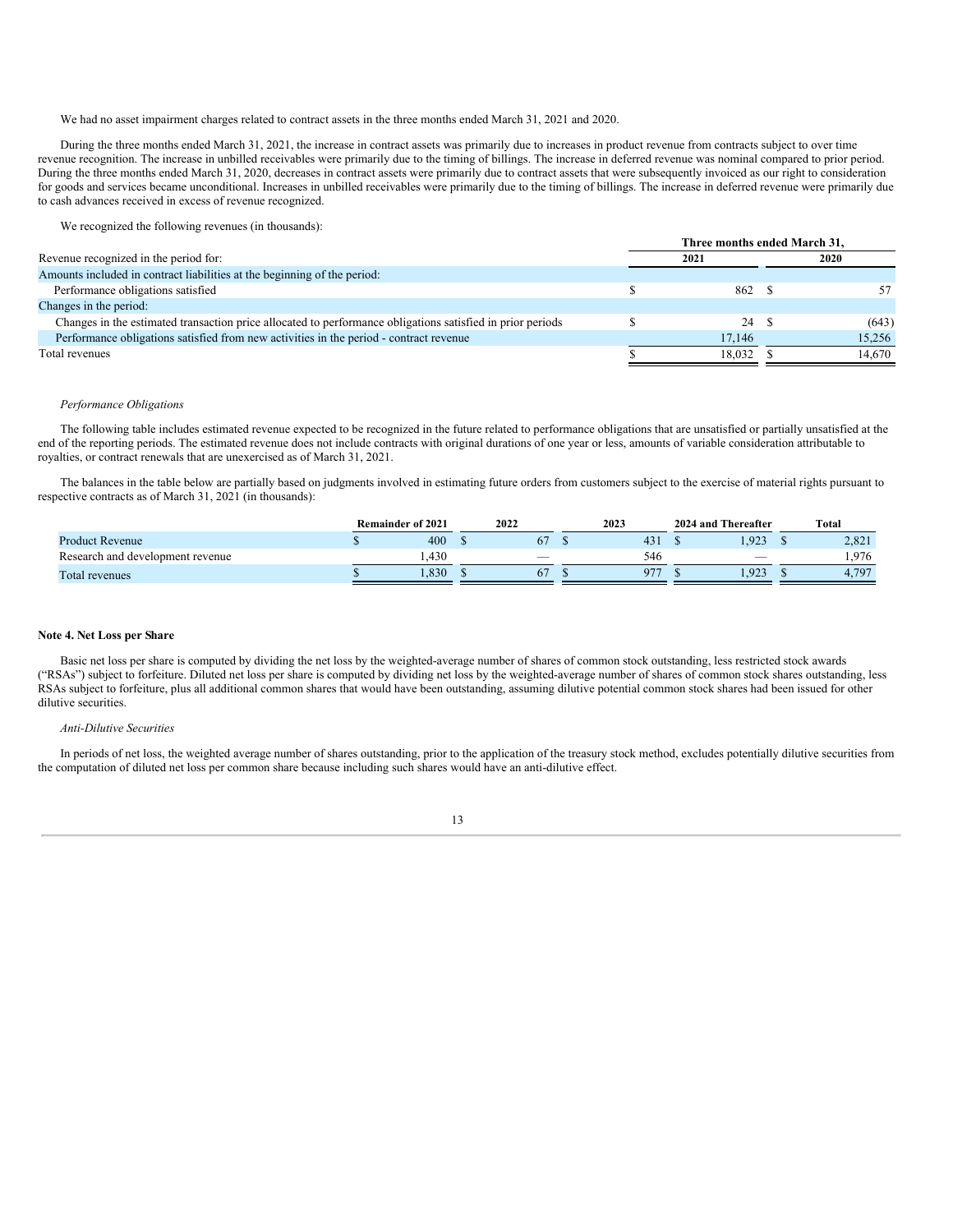We had no asset impairment charges related to contract assets in the three months ended March 31, 2021 and 2020.

During the three months ended March 31, 2021, the increase in contract assets was primarily due to increases in product revenue from contracts subject to over time revenue recognition. The increase in unbilled receivables were primarily due to the timing of billings. The increase in deferred revenue was nominal compared to prior period. During the three months ended March 31, 2020, decreases in contract assets were primarily due to contract assets that were subsequently invoiced as our right to consideration for goods and services became unconditional. Increases in unbilled receivables were primarily due to the timing of billings. The increase in deferred revenue were primarily due to cash advances received in excess of revenue recognized.

We recognized the following revenues (in thousands):

|                                                                                                            |  |           | Three months ended March 31, |        |  |  |
|------------------------------------------------------------------------------------------------------------|--|-----------|------------------------------|--------|--|--|
| Revenue recognized in the period for:                                                                      |  | 2021      |                              | 2020   |  |  |
| Amounts included in contract liabilities at the beginning of the period:                                   |  |           |                              |        |  |  |
| Performance obligations satisfied                                                                          |  | 862 \$    |                              |        |  |  |
| Changes in the period:                                                                                     |  |           |                              |        |  |  |
| Changes in the estimated transaction price allocated to performance obligations satisfied in prior periods |  | 24 S      |                              | (643)  |  |  |
| Performance obligations satisfied from new activities in the period - contract revenue                     |  | 17.146    |                              | 15.256 |  |  |
| Total revenues                                                                                             |  | 18.032 \$ |                              | 14.670 |  |  |
|                                                                                                            |  |           |                              |        |  |  |

#### *Performance Obligations*

The following table includes estimated revenue expected to be recognized in the future related to performance obligations that are unsatisfied or partially unsatisfied at the end of the reporting periods. The estimated revenue does not include contracts with original durations of one year or less, amounts of variable consideration attributable to royalties, or contract renewals that are unexercised as of March 31, 2021.

The balances in the table below are partially based on judgments involved in estimating future orders from customers subject to the exercise of material rights pursuant to respective contracts as of March 31, 2021 (in thousands):

|                                  | <b>Remainder of 2021</b> |      | 2022 | 2023            | 2024 and Thereafter      | Total |
|----------------------------------|--------------------------|------|------|-----------------|--------------------------|-------|
| <b>Product Revenue</b>           |                          | 400  | 67   | 43.             | .923                     | 2,821 |
| Research and development revenue |                          | .430 | -    | 546             | $\overline{\phantom{a}}$ | .976  |
| <b>Total revenues</b>            |                          | .830 | 67   | 07 <sup>7</sup> | 1.923                    | 4,797 |

#### **Note 4. Net Loss per Share**

Basic net loss per share is computed by dividing the net loss by the weighted-average number of shares of common stock outstanding, less restricted stock awards ("RSAs") subject to forfeiture. Diluted net loss per share is computed by dividing net loss by the weighted-average number of shares of common stock shares outstanding, less RSAs subject to forfeiture, plus all additional common shares that would have been outstanding, assuming dilutive potential common stock shares had been issued for other dilutive securities.

## *Anti-Dilutive Securities*

In periods of net loss, the weighted average number of shares outstanding, prior to the application of the treasury stock method, excludes potentially dilutive securities from the computation of diluted net loss per common share because including such shares would have an anti-dilutive effect.

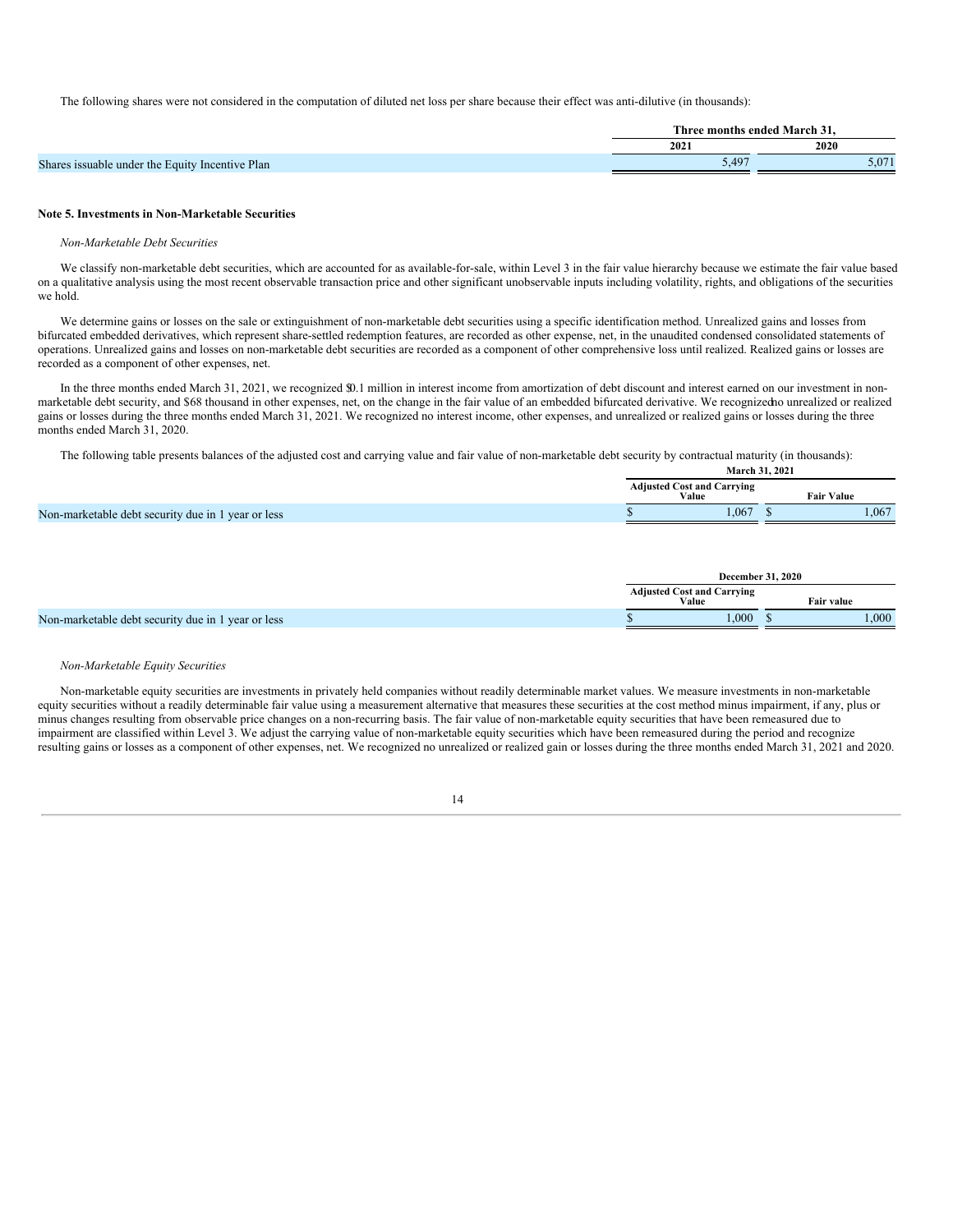The following shares were not considered in the computation of diluted net loss per share because their effect was anti-dilutive (in thousands):

|                                                  | Three months ended March 31. |       |  |  |  |  |
|--------------------------------------------------|------------------------------|-------|--|--|--|--|
|                                                  | 2021                         | 2020  |  |  |  |  |
| Shares is suable under the Equity Incentive Plan | 5.497                        | 2.071 |  |  |  |  |

### **Note 5. Investments in Non-Marketable Securities**

#### *Non-Marketable Debt Securities*

We classify non-marketable debt securities, which are accounted for as available-for-sale, within Level 3 in the fair value hierarchy because we estimate the fair value based on a qualitative analysis using the most recent observable transaction price and other significant unobservable inputs including volatility, rights, and obligations of the securities we hold.

We determine gains or losses on the sale or extinguishment of non-marketable debt securities using a specific identification method. Unrealized gains and losses from bifurcated embedded derivatives, which represent share-settled redemption features, are recorded as other expense, net, in the unaudited condensed consolidated statements of operations. Unrealized gains and losses on non-marketable debt securities are recorded as a component of other comprehensive loss until realized. Realized gains or losses are recorded as a component of other expenses, net.

In the three months ended March 31, 2021, we recognized \$0.1 million in interest income from amortization of debt discount and interest earned on our investment in nonmarketable debt security, and \$68 thousand in other expenses, net, on the change in the fair value of an embedded bifurcated derivative. We recognizedno unrealized or realized gains or losses during the three months ended March 31, 2021. We recognized no interest income, other expenses, and unrealized or realized gains or losses during the three months ended March 31, 2020.

The following table presents balances of the adjusted cost and carrying value and fair value of non-marketable debt security by contractual maturity (in thousands):

|                                                    | March 31, 2021                             |  |                   |  |  |
|----------------------------------------------------|--------------------------------------------|--|-------------------|--|--|
|                                                    | <b>Adjusted Cost and Carrying</b><br>Value |  | <b>Fair Value</b> |  |  |
| Non-marketable debt security due in 1 year or less | .067                                       |  | .067              |  |  |

|                                                    | <b>December 31, 2020</b>                   |            |       |
|----------------------------------------------------|--------------------------------------------|------------|-------|
|                                                    | <b>Adjusted Cost and Carrying</b><br>Value | Fair value |       |
| Non-marketable debt security due in 1 year or less | 000.1                                      |            | .000. |

#### *Non-Marketable Equity Securities*

Non-marketable equity securities are investments in privately held companies without readily determinable market values. We measure investments in non-marketable equity securities without a readily determinable fair value using a measurement alternative that measures these securities at the cost method minus impairment, if any, plus or minus changes resulting from observable price changes on a non-recurring basis. The fair value of non-marketable equity securities that have been remeasured due to impairment are classified within Level 3. We adjust the carrying value of non-marketable equity securities which have been remeasured during the period and recognize resulting gains or losses as a component of other expenses, net. We recognized no unrealized or realized gain or losses during the three months ended March 31, 2021 and 2020.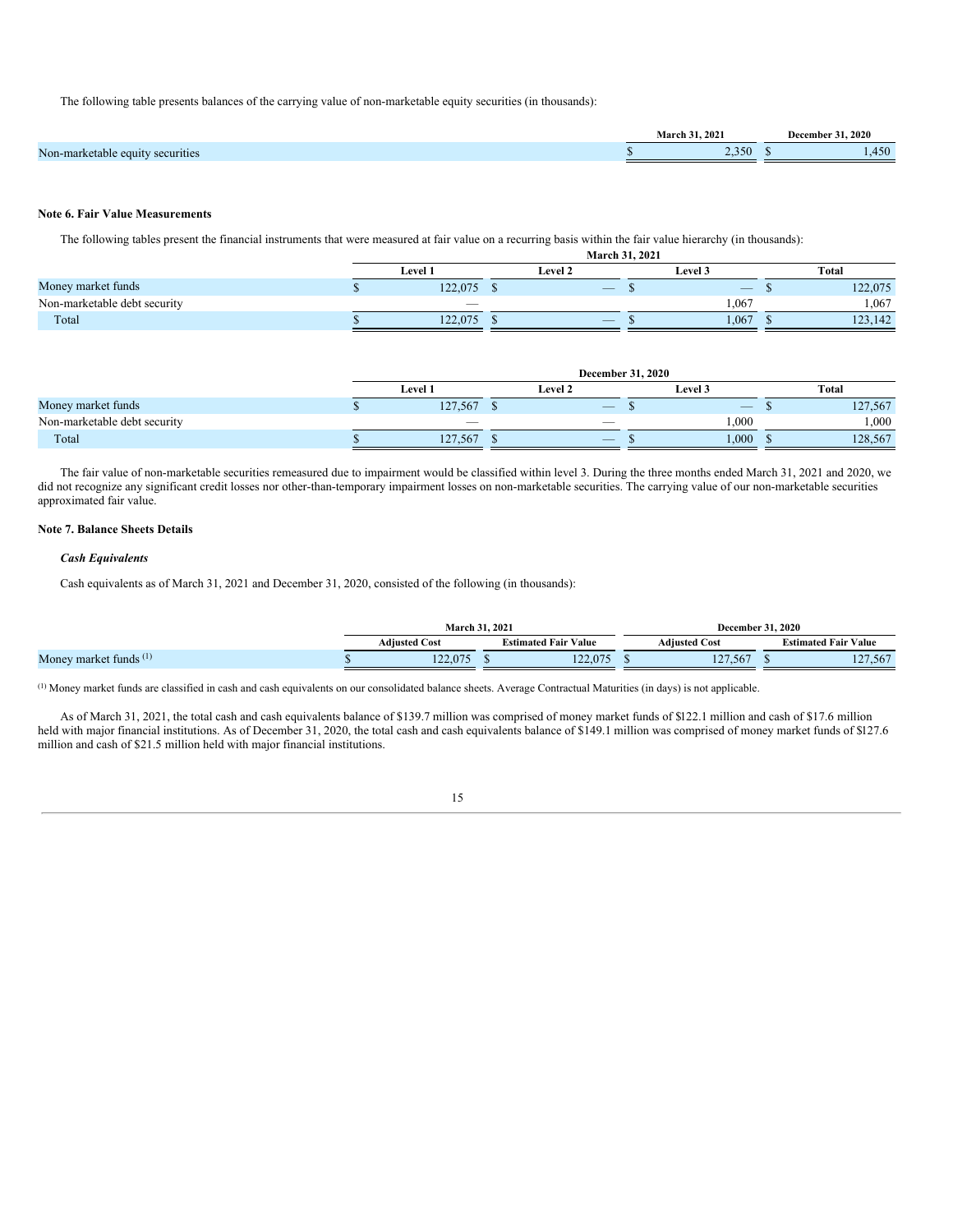The following table presents balances of the carrying value of non-marketable equity securities (in thousands):

|                                  | 2021<br>March | 11.2020<br>Jecember |
|----------------------------------|---------------|---------------------|
| Non-marketable equity securities | 2.350         | .450                |
|                                  |               |                     |

# **Note 6. Fair Value Measurements**

The following tables present the financial instruments that were measured at fair value on a recurring basis within the fair value hierarchy (in thousands): **March 31, 2021**

|                              | - MALUI 91. 2021 |                          |  |                          |  |                          |  |         |  |
|------------------------------|------------------|--------------------------|--|--------------------------|--|--------------------------|--|---------|--|
|                              |                  | <b>Level</b> 1           |  | <b>Level 2</b>           |  | Level 3                  |  | Total   |  |
| Money market funds           |                  | 122,075                  |  | $\overline{\phantom{a}}$ |  | $\overline{\phantom{a}}$ |  | 122,075 |  |
| Non-marketable debt security |                  | $\overline{\phantom{a}}$ |  |                          |  | .067                     |  | .067    |  |
| Total                        |                  | 122,075                  |  | $\overline{\phantom{a}}$ |  | 1.067                    |  | 123,142 |  |

|                              | <b>December 31, 2020</b> |  |                          |  |                          |  |         |  |  |  |
|------------------------------|--------------------------|--|--------------------------|--|--------------------------|--|---------|--|--|--|
|                              | <b>Level 1</b>           |  | <b>Level 2</b>           |  | Level 3                  |  | Total   |  |  |  |
| Money market funds           | 127,567                  |  | $\overline{\phantom{a}}$ |  | $\overline{\phantom{a}}$ |  | 127,567 |  |  |  |
| Non-marketable debt security | $\overline{\phantom{a}}$ |  | $\overline{\phantom{a}}$ |  | .000                     |  | ,000    |  |  |  |
| Total                        | 127,567                  |  | $\overline{\phantom{a}}$ |  | 000.1                    |  | 128,567 |  |  |  |

The fair value of non-marketable securities remeasured due to impairment would be classified within level 3. During the three months ended March 31, 2021 and 2020, we did not recognize any significant credit losses nor other-than-temporary impairment losses on non-marketable securities. The carrying value of our non-marketable securities approximated fair value.

## **Note 7. Balance Sheets Details**

## *Cash Equivalents*

Cash equivalents as of March 31, 2021 and December 31, 2020, consisted of the following (in thousands):

|                      | <b>March 31, 2021</b> |                      |  |                             | <b>December 31, 2020</b> |                      |
|----------------------|-----------------------|----------------------|--|-----------------------------|--------------------------|----------------------|
|                      |                       | <b>Adiusted Cost</b> |  | <b>Estimated Fair Value</b> | <b>Adiusted Cost</b>     | Estimated Fair Value |
| Money market funds ( |                       | 122,075              |  | 122,075                     | 127,567                  | 127,567              |

Money market funds are classified in cash and cash equivalents on our consolidated balance sheets. Average Contractual Maturities (in days) is not applicable. (1)

As of March 31, 2021, the total cash and cash equivalents balance of \$139.7 million was comprised of money market funds of \$122.1 million and cash of \$17.6 million held with major financial institutions. As of December 31, 2020, the total cash and cash equivalents balance of \$149.1 million was comprised of money market funds of \$127.6 million and cash of \$21.5 million held with major financial institutions.

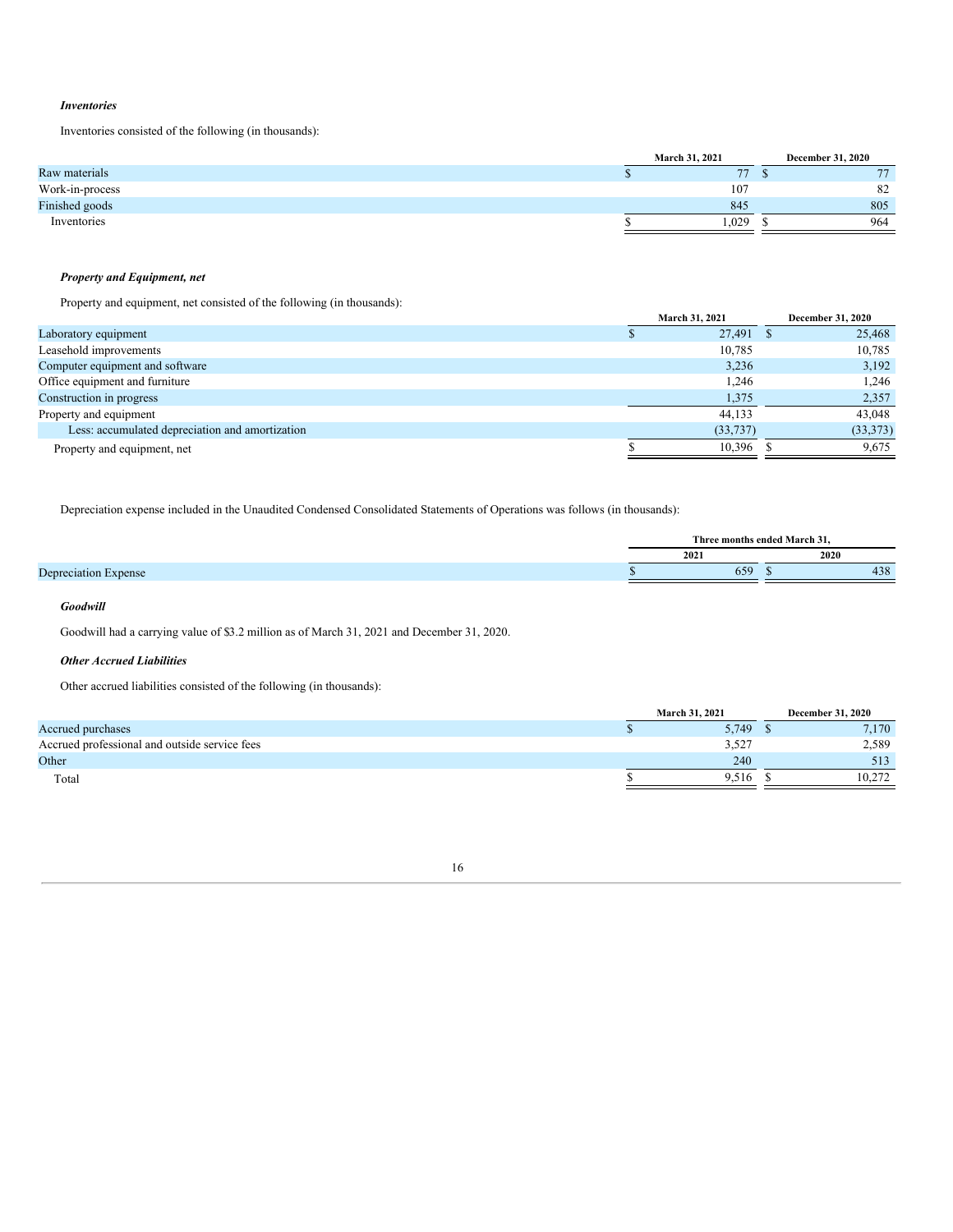# *Inventories*

Inventories consisted of the following (in thousands):

|                 | March 31, 2021 | December 31, 2020 |
|-----------------|----------------|-------------------|
| Raw materials   | 77             | 77                |
| Work-in-process | 107            | 82                |
| Finished goods  | 845            | 805               |
| Inventories     | 1,029          | 964               |

# *Property and Equipment, net*

Property and equipment, net consisted of the following (in thousands):

|                                                 | March 31, 2021 | December 31, 2020 |
|-------------------------------------------------|----------------|-------------------|
| Laboratory equipment                            | 27,491 \$      | 25,468            |
| Leasehold improvements                          | 10,785         | 10,785            |
| Computer equipment and software                 | 3.236          | 3,192             |
| Office equipment and furniture                  | 1,246          | 1,246             |
| Construction in progress                        | 1,375          | 2,357             |
| Property and equipment                          | 44.133         | 43,048            |
| Less: accumulated depreciation and amortization | (33, 737)      | (33,373)          |
| Property and equipment, net                     | $10,396$ \$    | 9,675             |
|                                                 |                |                   |

Depreciation expense included in the Unaudited Condensed Consolidated Statements of Operations was follows (in thousands):

|                                 | Marci<br>e months ended :<br>l hr |      |  |                        |
|---------------------------------|-----------------------------------|------|--|------------------------|
|                                 |                                   | 2021 |  | 2020                   |
| Depreciation<br>Expense<br>auvu |                                   | 659  |  | 120<br>$\sim$<br>1.J O |
|                                 |                                   |      |  |                        |

# *Goodwill*

Goodwill had a carrying value of \$3.2 million as of March 31, 2021 and December 31, 2020.

# *Other Accrued Liabilities*

Other accrued liabilities consisted of the following (in thousands):

| 5,749<br>Accrued purchases                             | 7,170  |
|--------------------------------------------------------|--------|
| Accrued professional and outside service fees<br>3,527 | 2,589  |
| Other<br>240                                           | 513    |
| 9.516<br>Total                                         | 10.272 |

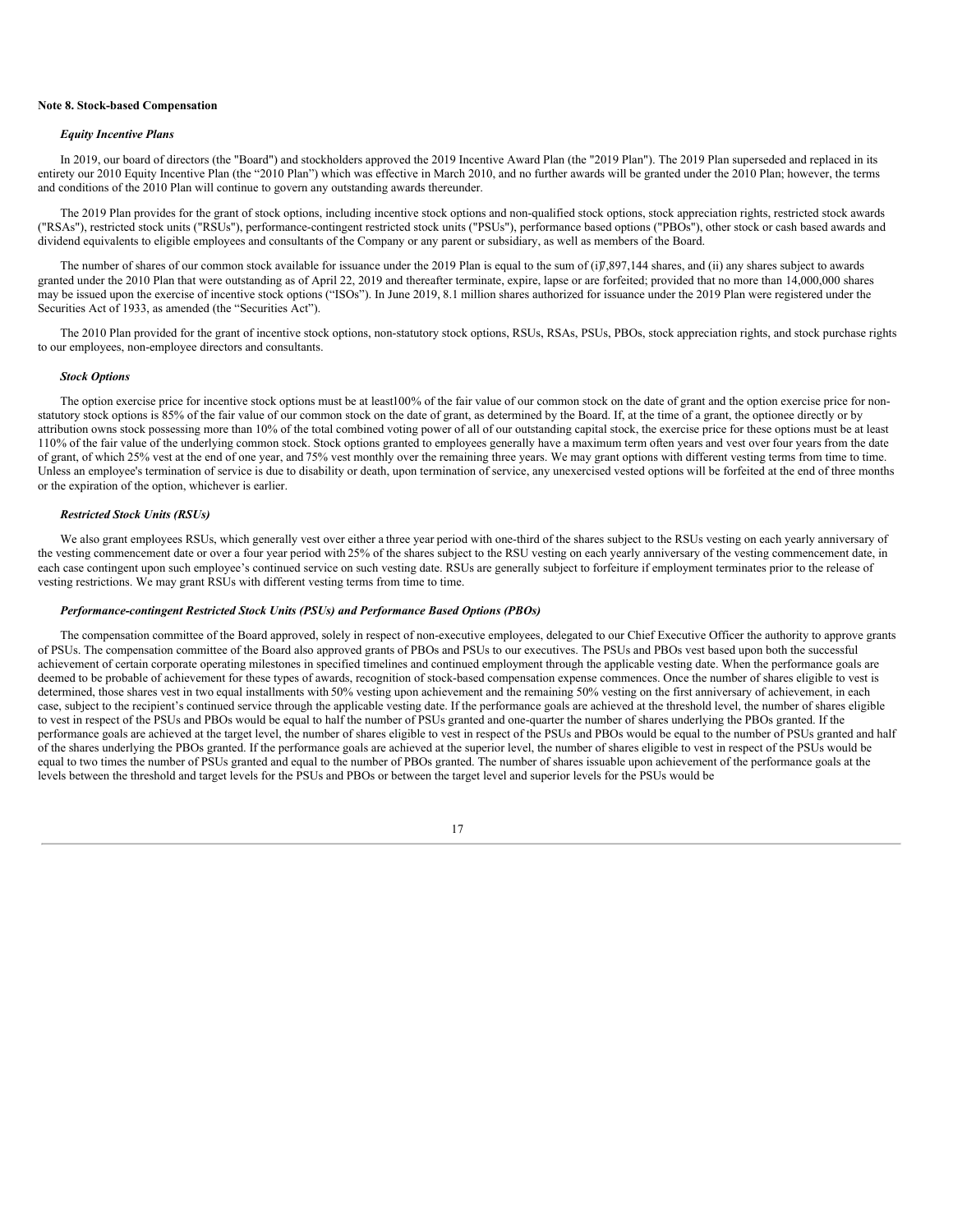#### **Note 8. Stock-based Compensation**

## *Equity Incentive Plans*

In 2019, our board of directors (the "Board") and stockholders approved the 2019 Incentive Award Plan (the "2019 Plan"). The 2019 Plan superseded and replaced in its entirety our 2010 Equity Incentive Plan (the "2010 Plan") which was effective in March 2010, and no further awards will be granted under the 2010 Plan; however, the terms and conditions of the 2010 Plan will continue to govern any outstanding awards thereunder.

The 2019 Plan provides for the grant of stock options, including incentive stock options and non-qualified stock options, stock appreciation rights, restricted stock awards ("RSAs"), restricted stock units ("RSUs"), performance-contingent restricted stock units ("PSUs"), performance based options ("PBOs"), other stock or cash based awards and dividend equivalents to eligible employees and consultants of the Company or any parent or subsidiary, as well as members of the Board.

The number of shares of our common stock available for issuance under the 2019 Plan is equal to the sum of (i)7,897,144 shares, and (ii) any shares subject to awards granted under the 2010 Plan that were outstanding as of April 22, 2019 and thereafter terminate, expire, lapse or are forfeited; provided that no more than 14,000,000 shares may be issued upon the exercise of incentive stock options ("ISOs"). In June 2019, 8.1 million shares authorized for issuance under the 2019 Plan were registered under the Securities Act of 1933, as amended (the "Securities Act").

The 2010 Plan provided for the grant of incentive stock options, non-statutory stock options, RSUs, RSAs, PSUs, PBOs, stock appreciation rights, and stock purchase rights to our employees, non-employee directors and consultants.

# *Stock Options*

The option exercise price for incentive stock options must be at least100% of the fair value of our common stock on the date of grant and the option exercise price for nonstatutory stock options is 85% of the fair value of our common stock on the date of grant, as determined by the Board. If, at the time of a grant, the optionee directly or by attribution owns stock possessing more than 10% of the total combined voting power of all of our outstanding capital stock, the exercise price for these options must be at least 110% of the fair value of the underlying common stock. Stock options granted to employees generally have a maximum term often years and vest over four years from the date of grant, of which 25% vest at the end of one year, and 75% vest monthly over the remaining three years. We may grant options with different vesting terms from time to time. Unless an employee's termination of service is due to disability or death, upon termination of service, any unexercised vested options will be forfeited at the end of three months or the expiration of the option, whichever is earlier.

## *Restricted Stock Units (RSUs)*

We also grant employees RSUs, which generally vest over either a three year period with one-third of the shares subject to the RSUs vesting on each yearly anniversary of the vesting commencement date or over a four year period with 25% of the shares subject to the RSU vesting on each yearly anniversary of the vesting commencement date, in each case contingent upon such employee's continued service on such vesting date. RSUs are generally subject to forfeiture if employment terminates prior to the release of vesting restrictions. We may grant RSUs with different vesting terms from time to time.

#### *Performance-contingent Restricted Stock Units (PSUs) and Performance Based Options (PBOs)*

The compensation committee of the Board approved, solely in respect of non-executive employees, delegated to our Chief Executive Officer the authority to approve grants of PSUs. The compensation committee of the Board also approved grants of PBOs and PSUs to our executives. The PSUs and PBOs vest based upon both the successful achievement of certain corporate operating milestones in specified timelines and continued employment through the applicable vesting date. When the performance goals are deemed to be probable of achievement for these types of awards, recognition of stock-based compensation expense commences. Once the number of shares eligible to vest is determined, those shares vest in two equal installments with 50% vesting upon achievement and the remaining 50% vesting on the first anniversary of achievement, in each case, subject to the recipient's continued service through the applicable vesting date. If the performance goals are achieved at the threshold level, the number of shares eligible to vest in respect of the PSUs and PBOs would be equal to half the number of PSUs granted and one-quarter the number of shares underlying the PBOs granted. If the performance goals are achieved at the target level, the number of shares eligible to vest in respect of the PSUs and PBOs would be equal to the number of PSUs granted and half of the shares underlying the PBOs granted. If the performance goals are achieved at the superior level, the number of shares eligible to vest in respect of the PSUs would be equal to two times the number of PSUs granted and equal to the number of PBOs granted. The number of shares issuable upon achievement of the performance goals at the levels between the threshold and target levels for the PSUs and PBOs or between the target level and superior levels for the PSUs would be

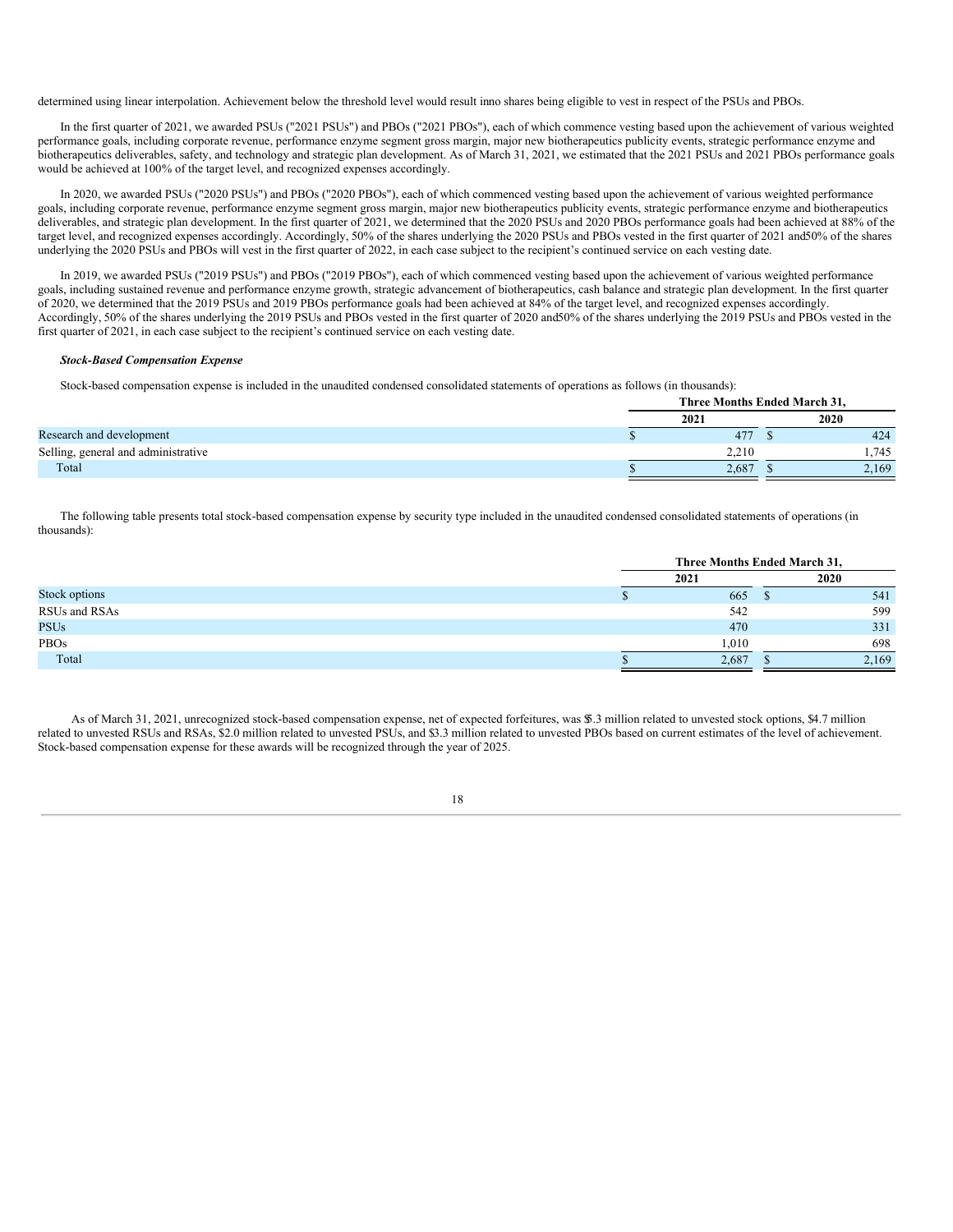determined using linear interpolation. Achievement below the threshold level would result inno shares being eligible to vest in respect of the PSUs and PBOs.

In the first quarter of 2021, we awarded PSUs ("2021 PSUs") and PBOs ("2021 PBOs"), each of which commence vesting based upon the achievement of various weighted performance goals, including corporate revenue, performance enzyme segment gross margin, major new biotherapeutics publicity events, strategic performance enzyme and biotherapeutics deliverables, safety, and technology and strategic plan development. As of March 31, 2021, we estimated that the 2021 PSUs and 2021 PBOs performance goals would be achieved at 100% of the target level, and recognized expenses accordingly.

In 2020, we awarded PSUs ("2020 PSUs") and PBOs ("2020 PBOs"), each of which commenced vesting based upon the achievement of various weighted performance goals, including corporate revenue, performance enzyme segment gross margin, major new biotherapeutics publicity events, strategic performance enzyme and biotherapeutics deliverables, and strategic plan development. In the first quarter of 2021, we determined that the 2020 PSUs and 2020 PBOs performance goals had been achieved at 88% of the target level, and recognized expenses accordingly. Accordingly, 50% of the shares underlying the 2020 PSUs and PBOs vested in the first quarter of 2021 and50% of the shares underlying the 2020 PSUs and PBOs will vest in the first quarter of 2022, in each case subject to the recipient's continued service on each vesting date.

In 2019, we awarded PSUs ("2019 PSUs") and PBOs ("2019 PBOs"), each of which commenced vesting based upon the achievement of various weighted performance goals, including sustained revenue and performance enzyme growth, strategic advancement of biotherapeutics, cash balance and strategic plan development. In the first quarter of 2020, we determined that the 2019 PSUs and 2019 PBOs performance goals had been achieved at 84% of the target level, and recognized expenses accordingly. Accordingly, 50% of the shares underlying the 2019 PSUs and PBOs vested in the first quarter of 2020 and50% of the shares underlying the 2019 PSUs and PBOs vested in the first quarter of 2021, in each case subject to the recipient's continued service on each vesting date.

#### *Stock-Based Compensation Expense*

Stock-based compensation expense is included in the unaudited condensed consolidated statements of operations as follows (in thousands):

|                                     | Three Months Ended March 31. |       |  |  |  |
|-------------------------------------|------------------------------|-------|--|--|--|
|                                     | 2021                         | 2020  |  |  |  |
| Research and development            | 477                          | 424   |  |  |  |
| Selling, general and administrative | 2.210                        | .745  |  |  |  |
| Total                               | 2.687                        | 2.169 |  |  |  |

The following table presents total stock-based compensation expense by security type included in the unaudited condensed consolidated statements of operations (in thousands):

|               | Three Months Ended March 31, |  |       |  |  |
|---------------|------------------------------|--|-------|--|--|
|               | 2021                         |  | 2020  |  |  |
| Stock options | 665                          |  | 541   |  |  |
| RSUs and RSAs | 542                          |  | 599   |  |  |
| <b>PSUs</b>   | 470                          |  | 331   |  |  |
| PBOs          | 1.010                        |  | 698   |  |  |
| Total         | 2,687                        |  | 2,169 |  |  |

As of March 31, 2021, unrecognized stock-based compensation expense, net of expected forfeitures, was \$5.3 million related to unvested stock options, \$4.7 million related to unvested RSUs and RSAs, \$2.0 million related to unvested PSUs, and \$3.3 million related to unvested PBOs based on current estimates of the level of achievement. Stock-based compensation expense for these awards will be recognized through the year of 2025.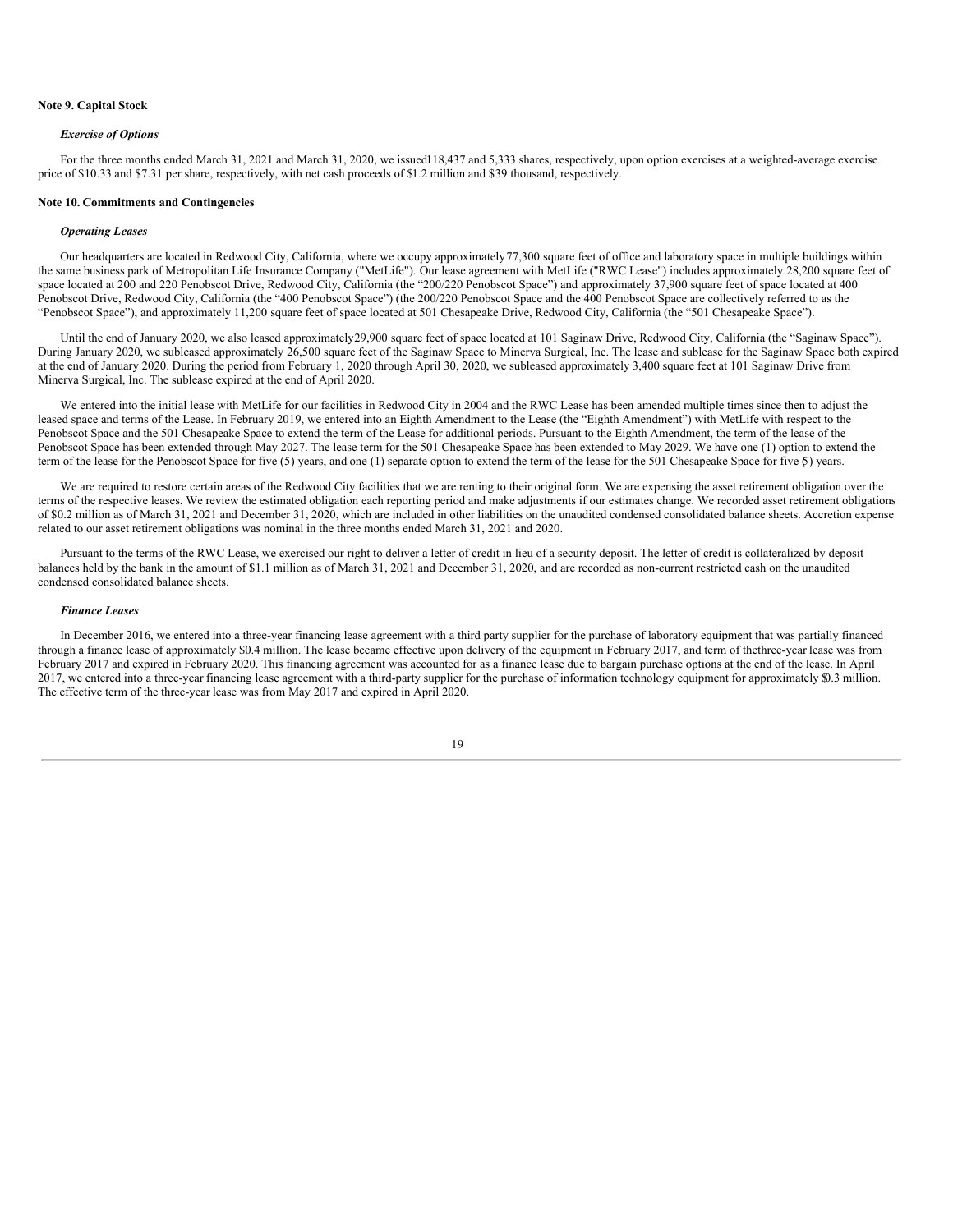## **Note 9. Capital Stock**

## *Exercise of Options*

For the three months ended March 31, 2021 and March 31, 2020, we issued118,437 and 5,333 shares, respectively, upon option exercises at a weighted-average exercise price of \$10.33 and \$7.31 per share, respectively, with net cash proceeds of \$1.2 million and \$39 thousand, respectively.

#### **Note 10. Commitments and Contingencies**

#### *Operating Leases*

Our headquarters are located in Redwood City, California, where we occupy approximately77,300 square feet of office and laboratory space in multiple buildings within the same business park of Metropolitan Life Insurance Company ("MetLife"). Our lease agreement with MetLife ("RWC Lease") includes approximately 28,200 square feet of space located at 200 and 220 Penobscot Drive, Redwood City, California (the "200/220 Penobscot Space") and approximately 37,900 square feet of space located at 400 Penobscot Drive, Redwood City, California (the "400 Penobscot Space") (the 200/220 Penobscot Space and the 400 Penobscot Space are collectively referred to as the "Penobscot Space"), and approximately 11,200 square feet of space located at 501 Chesapeake Drive, Redwood City, California (the "501 Chesapeake Space").

Until the end of January 2020, we also leased approximately29,900 square feet of space located at 101 Saginaw Drive, Redwood City, California (the "Saginaw Space"). During January 2020, we subleased approximately 26,500 square feet of the Saginaw Space to Minerva Surgical, Inc. The lease and sublease for the Saginaw Space both expired at the end of January 2020. During the period from February 1, 2020 through April 30, 2020, we subleased approximately 3,400 square feet at 101 Saginaw Drive from Minerva Surgical, Inc. The sublease expired at the end of April 2020.

We entered into the initial lease with MetLife for our facilities in Redwood City in 2004 and the RWC Lease has been amended multiple times since then to adjust the leased space and terms of the Lease. In February 2019, we entered into an Eighth Amendment to the Lease (the "Eighth Amendment") with MetLife with respect to the Penobscot Space and the 501 Chesapeake Space to extend the term of the Lease for additional periods. Pursuant to the Eighth Amendment, the term of the lease of the Penobscot Space has been extended through May 2027. The lease term for the 501 Chesapeake Space has been extended to May 2029. We have one (1) option to extend the term of the lease for the Penobscot Space for five (5) years, and one (1) separate option to extend the term of the lease for the 501 Chesapeake Space for five  $\delta$ ) years.

We are required to restore certain areas of the Redwood City facilities that we are renting to their original form. We are expensing the asset retirement obligation over the terms of the respective leases. We review the estimated obligation each reporting period and make adjustments if our estimates change. We recorded asset retirement obligations of \$0.2 million as of March 31, 2021 and December 31, 2020, which are included in other liabilities on the unaudited condensed consolidated balance sheets. Accretion expense related to our asset retirement obligations was nominal in the three months ended March 31, 2021 and 2020.

Pursuant to the terms of the RWC Lease, we exercised our right to deliver a letter of credit in lieu of a security deposit. The letter of credit is collateralized by deposit balances held by the bank in the amount of \$1.1 million as of March 31, 2021 and December 31, 2020, and are recorded as non-current restricted cash on the unaudited condensed consolidated balance sheets.

#### *Finance Leases*

In December 2016, we entered into a three-year financing lease agreement with a third party supplier for the purchase of laboratory equipment that was partially financed through a finance lease of approximately \$0.4 million. The lease became effective upon delivery of the equipment in February 2017, and term of thethree-year lease was from February 2017 and expired in February 2020. This financing agreement was accounted for as a finance lease due to bargain purchase options at the end of the lease. In April 2017, we entered into a three-year financing lease agreement with a third-party supplier for the purchase of information technology equipment for approximately \$0.3 million. The effective term of the three-year lease was from May 2017 and expired in April 2020.

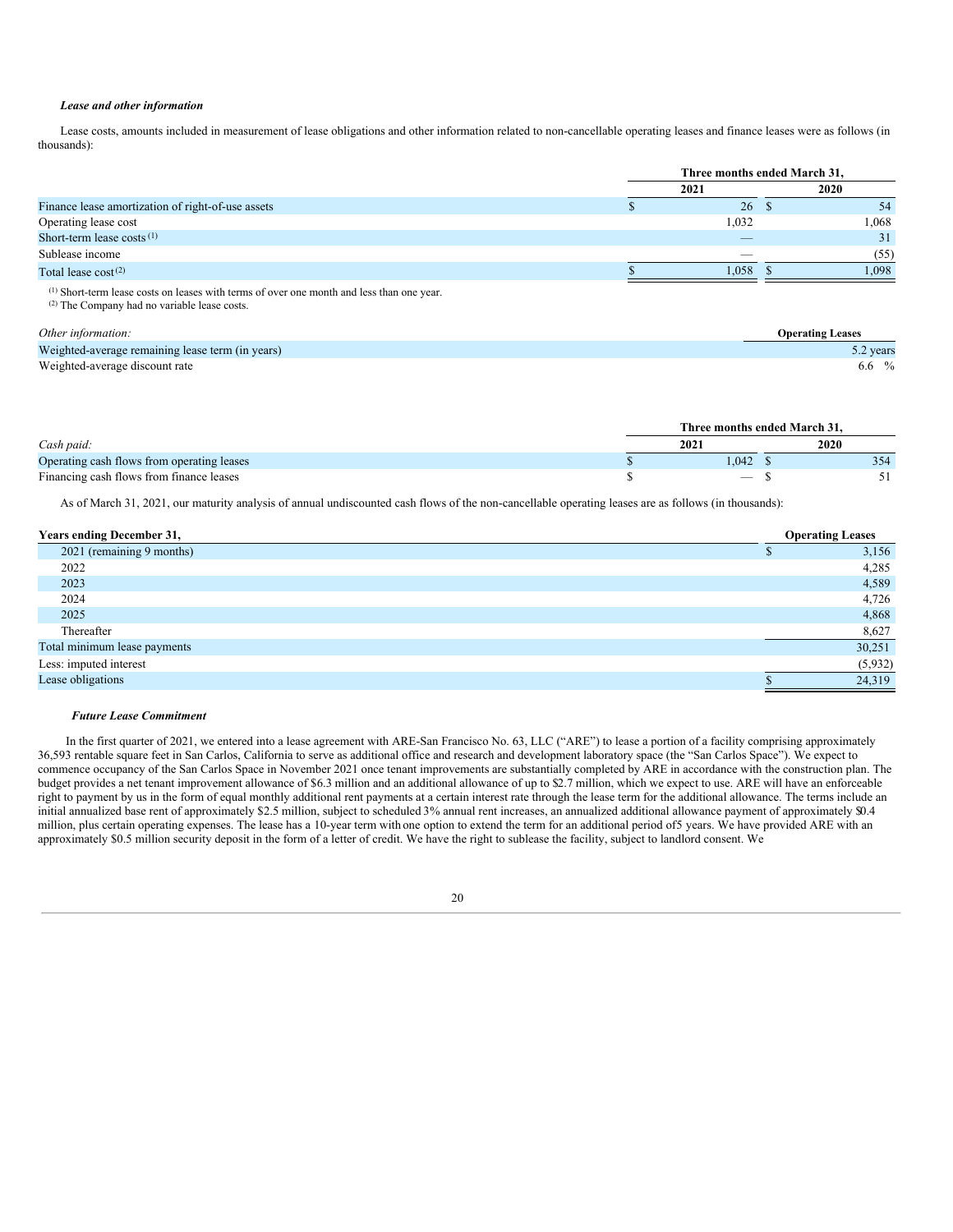#### *Lease and other information*

Lease costs, amounts included in measurement of lease obligations and other information related to non-cancellable operating leases and finance leases were as follows (in thousands):

|                                                   |      | Three months ended March 31, |  |       |  |  |
|---------------------------------------------------|------|------------------------------|--|-------|--|--|
|                                                   | 2021 |                              |  | 2020  |  |  |
| Finance lease amortization of right-of-use assets |      | 26                           |  | 54    |  |  |
| Operating lease cost                              |      | 1,032                        |  | 1,068 |  |  |
| Short-term lease costs $(1)$                      |      | _                            |  | 31    |  |  |
| Sublease income                                   |      | $\overline{\phantom{a}}$     |  | (55)  |  |  |
| Total lease $cost^{(2)}$                          |      | 1.058                        |  | 1.098 |  |  |
|                                                   |      |                              |  |       |  |  |

 $(1)$  Short-term lease costs on leases with terms of over one month and less than one year.

<sup>(2)</sup> The Company had no variable lease costs.

| Other information:                               | <b>Operating Leases</b> |
|--------------------------------------------------|-------------------------|
| Weighted-average remaining lease term (in years) | $5.2$ vears             |
| Weighted-average discount rate                   | 6.6 $\%$                |

|                                            | Three months ended March 31.    |      |  |  |  |  |  |  |
|--------------------------------------------|---------------------------------|------|--|--|--|--|--|--|
| Cash paid:                                 | 202                             | 2020 |  |  |  |  |  |  |
| Operating cash flows from operating leases | 1.042                           | 354  |  |  |  |  |  |  |
| Financing cash flows from finance leases   | $\hspace{0.1mm}-\hspace{0.1mm}$ |      |  |  |  |  |  |  |

As of March 31, 2021, our maturity analysis of annual undiscounted cash flows of the non-cancellable operating leases are as follows (in thousands):

| <b>Years ending December 31,</b> | <b>Operating Leases</b> |
|----------------------------------|-------------------------|
| 2021 (remaining 9 months)        | 3,156                   |
| 2022                             | 4,285                   |
| 2023                             | 4,589                   |
| 2024                             | 4,726                   |
| 2025                             | 4,868                   |
| Thereafter                       | 8,627                   |
| Total minimum lease payments     | 30,251                  |
| Less: imputed interest           | (5,932)                 |
| Lease obligations                | 24,319                  |

## *Future Lease Commitment*

In the first quarter of 2021, we entered into a lease agreement with ARE-San Francisco No. 63, LLC ("ARE") to lease a portion of a facility comprising approximately 36,593 rentable square feet in San Carlos, California to serve as additional office and research and development laboratory space (the "San Carlos Space"). We expect to commence occupancy of the San Carlos Space in November 2021 once tenant improvements are substantially completed by ARE in accordance with the construction plan. The budget provides a net tenant improvement allowance of \$6.3 million and an additional allowance of up to \$2.7 million, which we expect to use. ARE will have an enforceable right to payment by us in the form of equal monthly additional rent payments at a certain interest rate through the lease term for the additional allowance. The terms include an initial annualized base rent of approximately \$2.5 million, subject to scheduled 3% annual rent increases, an annualized additional allowance payment of approximately \$0.4 million, plus certain operating expenses. The lease has a 10-year term with one option to extend the term for an additional period of5 years. We have provided ARE with an approximately \$0.5 million security deposit in the form of a letter of credit. We have the right to sublease the facility, subject to landlord consent. We

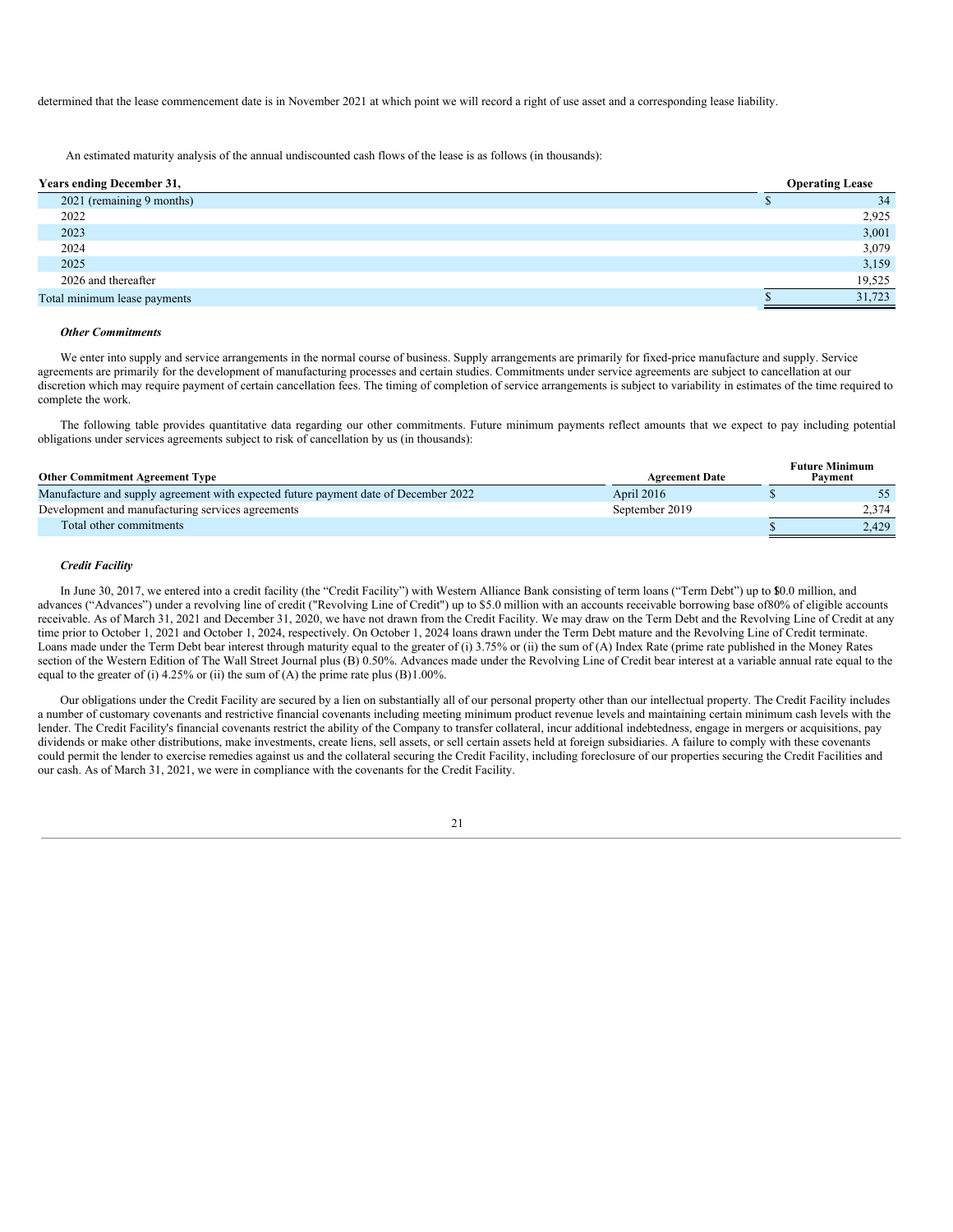determined that the lease commencement date is in November 2021 at which point we will record a right of use asset and a corresponding lease liability.

An estimated maturity analysis of the annual undiscounted cash flows of the lease is as follows (in thousands):

| <b>Years ending December 31,</b> |  |        |  |  |  |
|----------------------------------|--|--------|--|--|--|
| 2021 (remaining 9 months)        |  | 34     |  |  |  |
| 2022                             |  | 2,925  |  |  |  |
| 2023                             |  | 3,001  |  |  |  |
| 2024                             |  | 3,079  |  |  |  |
| 2025                             |  | 3,159  |  |  |  |
| 2026 and thereafter              |  | 19,525 |  |  |  |
| Total minimum lease payments     |  | 31,723 |  |  |  |

### *Other Commitments*

We enter into supply and service arrangements in the normal course of business. Supply arrangements are primarily for fixed-price manufacture and supply. Service agreements are primarily for the development of manufacturing processes and certain studies. Commitments under service agreements are subject to cancellation at our discretion which may require payment of certain cancellation fees. The timing of completion of service arrangements is subject to variability in estimates of the time required to complete the work.

The following table provides quantitative data regarding our other commitments. Future minimum payments reflect amounts that we expect to pay including potential obligations under services agreements subject to risk of cancellation by us (in thousands):

| <b>Other Commitment Agreement Type</b>                                              | <b>Agreement Date</b> | <b>Future Minimum</b><br>Pavment |
|-------------------------------------------------------------------------------------|-----------------------|----------------------------------|
| Manufacture and supply agreement with expected future payment date of December 2022 | April 2016            |                                  |
| Development and manufacturing services agreements                                   | September 2019        | 2.374                            |
| Total other commitments                                                             |                       | 2.429                            |

### *Credit Facility*

In June 30, 2017, we entered into a credit facility (the "Credit Facility") with Western Alliance Bank consisting of term loans ("Term Debt") up to \$0.0 million, and advances ("Advances") under a revolving line of credit ("Revolving Line of Credit") up to \$5.0 million with an accounts receivable borrowing base of80% of eligible accounts receivable. As of March 31, 2021 and December 31, 2020, we have not drawn from the Credit Facility. We may draw on the Term Debt and the Revolving Line of Credit at any time prior to October 1, 2021 and October 1, 2024, respectively. On October 1, 2024 loans drawn under the Term Debt mature and the Revolving Line of Credit terminate. Loans made under the Term Debt bear interest through maturity equal to the greater of (i) 3.75% or (ii) the sum of (A) Index Rate (prime rate published in the Money Rates section of the Western Edition of The Wall Street Journal plus (B) 0.50%. Advances made under the Revolving Line of Credit bear interest at a variable annual rate equal to the equal to the greater of (i)  $4.25\%$  or (ii) the sum of (A) the prime rate plus (B)1.00%.

Our obligations under the Credit Facility are secured by a lien on substantially all of our personal property other than our intellectual property. The Credit Facility includes a number of customary covenants and restrictive financial covenants including meeting minimum product revenue levels and maintaining certain minimum cash levels with the lender. The Credit Facility's financial covenants restrict the ability of the Company to transfer collateral, incur additional indebtedness, engage in mergers or acquisitions, pay dividends or make other distributions, make investments, create liens, sell assets, or sell certain assets held at foreign subsidiaries. A failure to comply with these covenants could permit the lender to exercise remedies against us and the collateral securing the Credit Facility, including foreclosure of our properties securing the Credit Facilities and our cash. As of March 31, 2021, we were in compliance with the covenants for the Credit Facility.

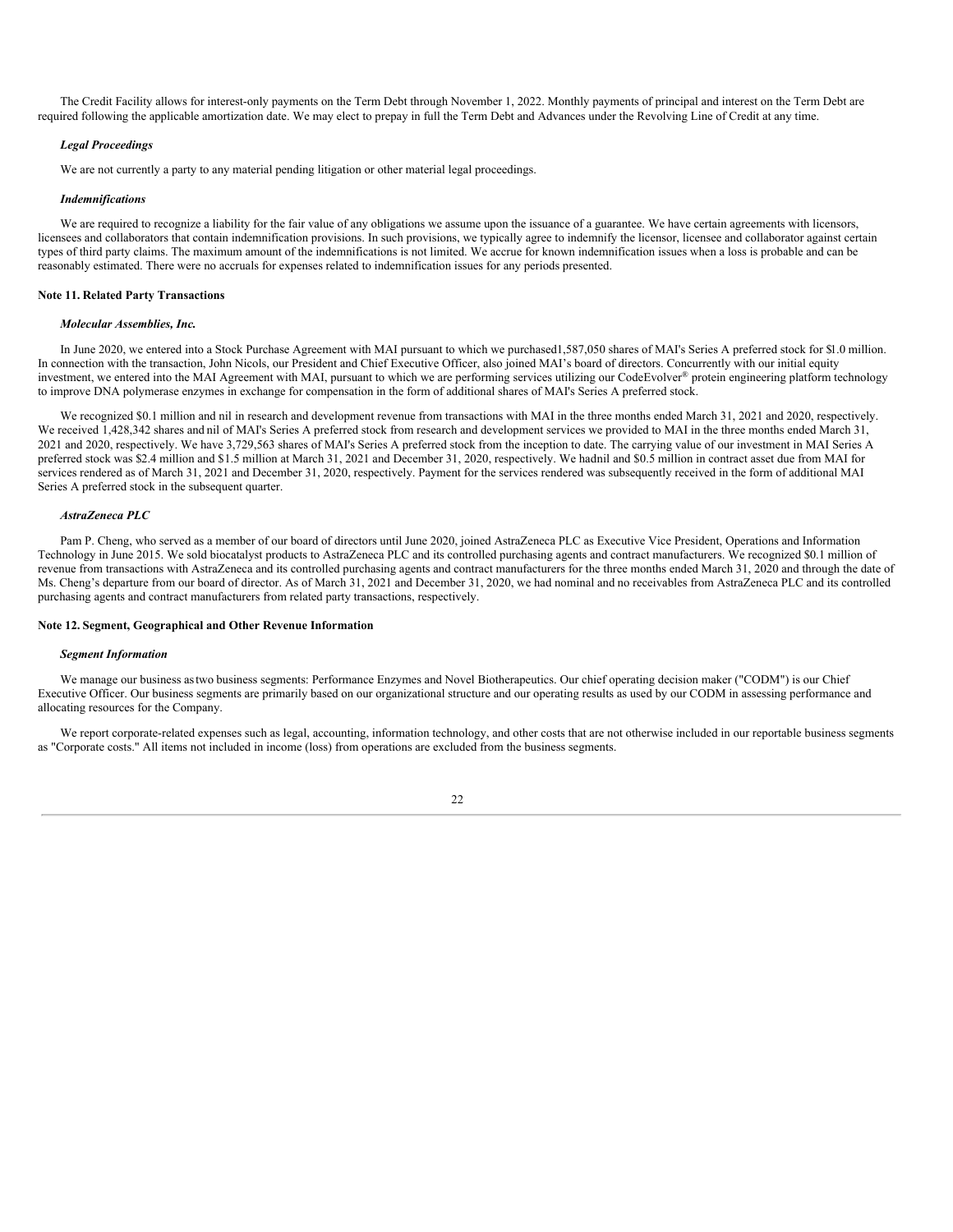The Credit Facility allows for interest-only payments on the Term Debt through November 1, 2022. Monthly payments of principal and interest on the Term Debt are required following the applicable amortization date. We may elect to prepay in full the Term Debt and Advances under the Revolving Line of Credit at any time.

#### *Legal Proceedings*

We are not currently a party to any material pending litigation or other material legal proceedings.

#### *Indemnifications*

We are required to recognize a liability for the fair value of any obligations we assume upon the issuance of a guarantee. We have certain agreements with licensors, licensees and collaborators that contain indemnification provisions. In such provisions, we typically agree to indemnify the licensor, licensee and collaborator against certain types of third party claims. The maximum amount of the indemnifications is not limited. We accrue for known indemnification issues when a loss is probable and can be reasonably estimated. There were no accruals for expenses related to indemnification issues for any periods presented.

#### **Note 11. Related Party Transactions**

## *Molecular Assemblies, Inc.*

In June 2020, we entered into a Stock Purchase Agreement with MAI pursuant to which we purchased1,587,050 shares of MAI's Series A preferred stock for \$1.0 million. In connection with the transaction, John Nicols, our President and Chief Executive Officer, also joined MAI's board of directors. Concurrently with our initial equity investment, we entered into the MAI Agreement with MAI, pursuant to which we are performing services utilizing our CodeEvolver® protein engineering platform technology to improve DNA polymerase enzymes in exchange for compensation in the form of additional shares of MAI's Series A preferred stock.

We recognized \$0.1 million and nil in research and development revenue from transactions with MAI in the three months ended March 31, 2021 and 2020, respectively. We received 1,428,342 shares and nil of MAI's Series A preferred stock from research and development services we provided to MAI in the three months ended March 31, 2021 and 2020, respectively. We have 3,729,563 shares of MAI's Series A preferred stock from the inception to date. The carrying value of our investment in MAI Series A preferred stock was \$2.4 million and \$1.5 million at March 31, 2021 and December 31, 2020, respectively. We hadnil and \$0.5 million in contract asset due from MAI for services rendered as of March 31, 2021 and December 31, 2020, respectively. Payment for the services rendered was subsequently received in the form of additional MAI Series A preferred stock in the subsequent quarter.

## *AstraZeneca PLC*

Pam P. Cheng, who served as a member of our board of directors until June 2020, joined AstraZeneca PLC as Executive Vice President, Operations and Information Technology in June 2015. We sold biocatalyst products to AstraZeneca PLC and its controlled purchasing agents and contract manufacturers. We recognized \$0.1 million of revenue from transactions with AstraZeneca and its controlled purchasing agents and contract manufacturers for the three months ended March 31, 2020 and through the date of Ms. Cheng's departure from our board of director. As of March 31, 2021 and December 31, 2020, we had nominal and no receivables from AstraZeneca PLC and its controlled purchasing agents and contract manufacturers from related party transactions, respectively.

#### **Note 12. Segment, Geographical and Other Revenue Information**

#### *Segment Information*

We manage our business astwo business segments: Performance Enzymes and Novel Biotherapeutics. Our chief operating decision maker ("CODM") is our Chief Executive Officer. Our business segments are primarily based on our organizational structure and our operating results as used by our CODM in assessing performance and allocating resources for the Company.

We report corporate-related expenses such as legal, accounting, information technology, and other costs that are not otherwise included in our reportable business segments as "Corporate costs." All items not included in income (loss) from operations are excluded from the business segments.

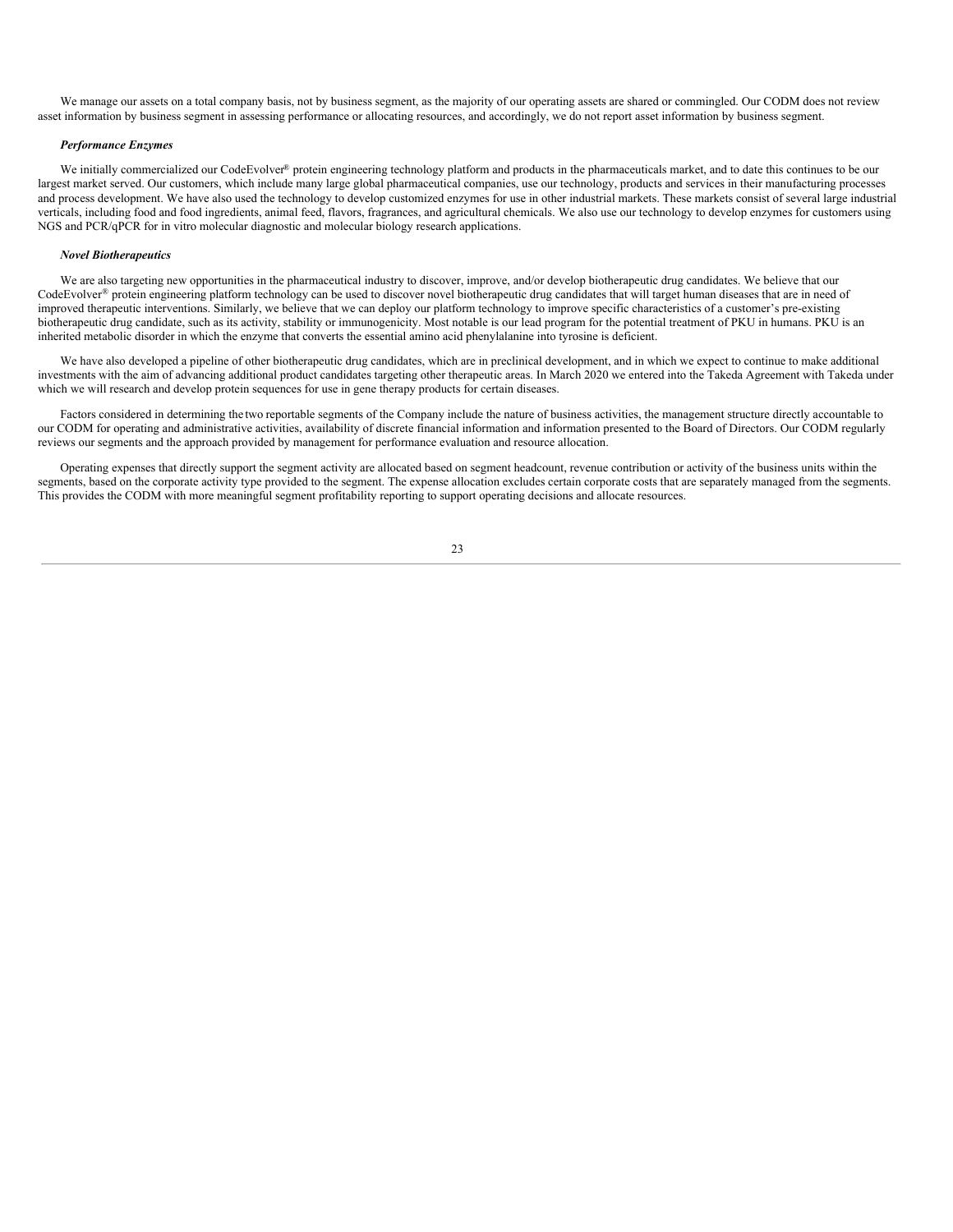We manage our assets on a total company basis, not by business segment, as the majority of our operating assets are shared or commingled. Our CODM does not review asset information by business segment in assessing performance or allocating resources, and accordingly, we do not report asset information by business segment.

## *Performance Enzymes*

We initially commercialized our CodeEvolver® protein engineering technology platform and products in the pharmaceuticals market, and to date this continues to be our largest market served. Our customers, which include many large global pharmaceutical companies, use our technology, products and services in their manufacturing processes and process development. We have also used the technology to develop customized enzymes for use in other industrial markets. These markets consist of several large industrial verticals, including food and food ingredients, animal feed, flavors, fragrances, and agricultural chemicals. We also use our technology to develop enzymes for customers using NGS and PCR/qPCR for in vitro molecular diagnostic and molecular biology research applications.

## *Novel Biotherapeutics*

We are also targeting new opportunities in the pharmaceutical industry to discover, improve, and/or develop biotherapeutic drug candidates. We believe that our CodeEvolver® protein engineering platform technology can be used to discover novel biotherapeutic drug candidates that will target human diseases that are in need of improved therapeutic interventions. Similarly, we believe that we can deploy our platform technology to improve specific characteristics of a customer's pre-existing biotherapeutic drug candidate, such as its activity, stability or immunogenicity. Most notable is our lead program for the potential treatment of PKU in humans. PKU is an inherited metabolic disorder in which the enzyme that converts the essential amino acid phenylalanine into tyrosine is deficient.

We have also developed a pipeline of other biotherapeutic drug candidates, which are in preclinical development, and in which we expect to continue to make additional investments with the aim of advancing additional product candidates targeting other therapeutic areas. In March 2020 we entered into the Takeda Agreement with Takeda under which we will research and develop protein sequences for use in gene therapy products for certain diseases.

Factors considered in determining the two reportable segments of the Company include the nature of business activities, the management structure directly accountable to our CODM for operating and administrative activities, availability of discrete financial information and information presented to the Board of Directors. Our CODM regularly reviews our segments and the approach provided by management for performance evaluation and resource allocation.

Operating expenses that directly support the segment activity are allocated based on segment headcount, revenue contribution or activity of the business units within the segments, based on the corporate activity type provided to the segment. The expense allocation excludes certain corporate costs that are separately managed from the segments. This provides the CODM with more meaningful segment profitability reporting to support operating decisions and allocate resources.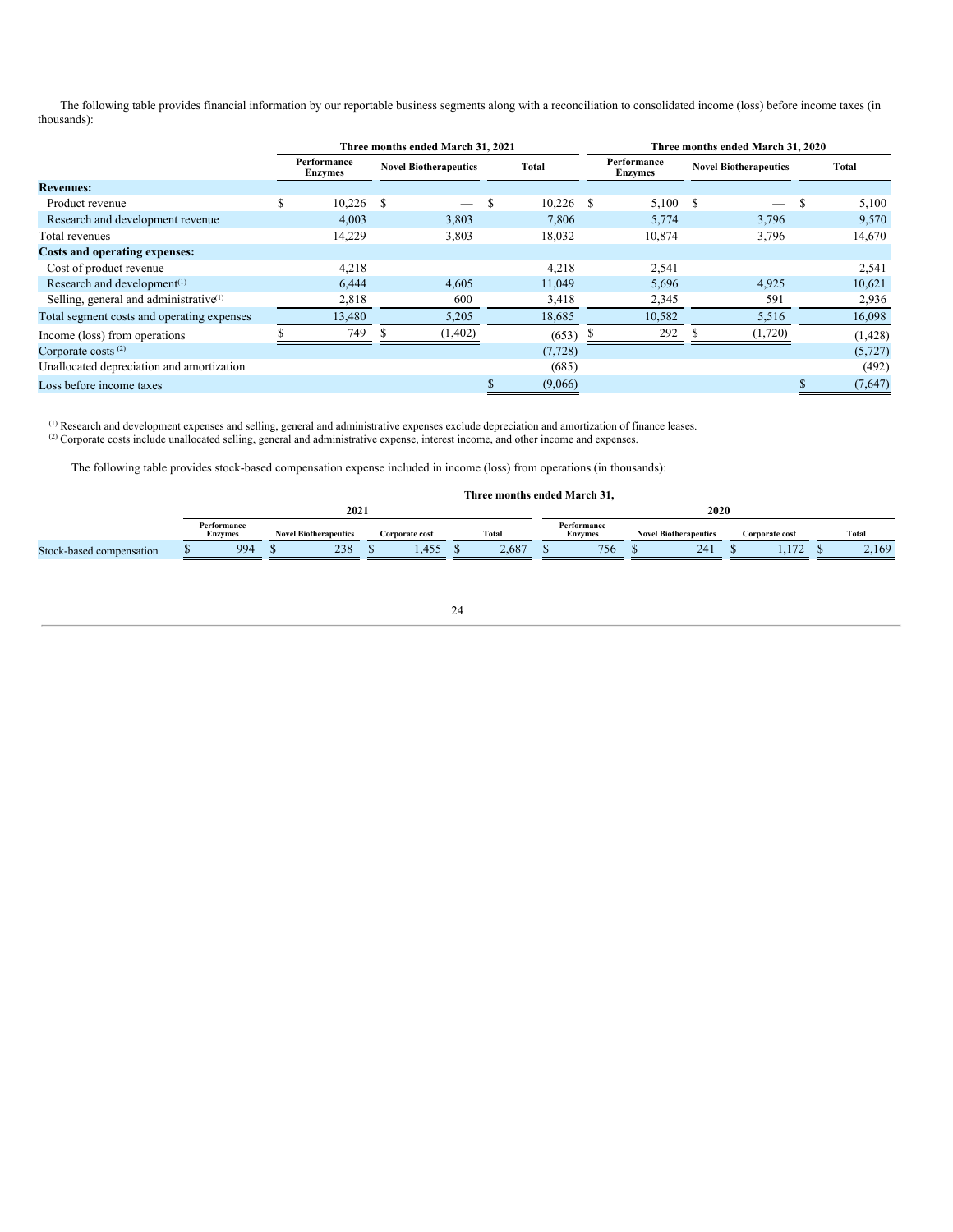The following table provides financial information by our reportable business segments along with a reconciliation to consolidated income (loss) before income taxes (in thousands):

|                                            | Three months ended March 31, 2021 |        |    |                              |   |          | Three months ended March 31, 2020 |        |      |                          |   |          |  |                               |                              |  |  |       |
|--------------------------------------------|-----------------------------------|--------|----|------------------------------|---|----------|-----------------------------------|--------|------|--------------------------|---|----------|--|-------------------------------|------------------------------|--|--|-------|
|                                            | Performance<br><b>Enzymes</b>     |        |    | <b>Novel Biotherapeutics</b> |   | Total    |                                   |        |      |                          |   |          |  | Performance<br><b>Enzymes</b> | <b>Novel Biotherapeutics</b> |  |  | Total |
| <b>Revenues:</b>                           |                                   |        |    |                              |   |          |                                   |        |      |                          |   |          |  |                               |                              |  |  |       |
| Product revenue                            | S                                 | 10,226 | -S | -                            | S | 10,226   | -S                                | 5,100  | - \$ | $\overline{\phantom{a}}$ | S | 5,100    |  |                               |                              |  |  |       |
| Research and development revenue           |                                   | 4,003  |    | 3,803                        |   | 7,806    |                                   | 5,774  |      | 3,796                    |   | 9,570    |  |                               |                              |  |  |       |
| Total revenues                             |                                   | 14,229 |    | 3,803                        |   | 18,032   |                                   | 10,874 |      | 3,796                    |   | 14,670   |  |                               |                              |  |  |       |
| <b>Costs and operating expenses:</b>       |                                   |        |    |                              |   |          |                                   |        |      |                          |   |          |  |                               |                              |  |  |       |
| Cost of product revenue                    |                                   | 4,218  |    |                              |   | 4,218    |                                   | 2,541  |      |                          |   | 2,541    |  |                               |                              |  |  |       |
| Research and development <sup>(1)</sup>    |                                   | 6,444  |    | 4,605                        |   | 11,049   |                                   | 5,696  |      | 4,925                    |   | 10,621   |  |                               |                              |  |  |       |
| Selling, general and administrative $(1)$  |                                   | 2,818  |    | 600                          |   | 3,418    |                                   | 2,345  |      | 591                      |   | 2,936    |  |                               |                              |  |  |       |
| Total segment costs and operating expenses |                                   | 13,480 |    | 5,205                        |   | 18,685   |                                   | 10,582 |      | 5,516                    |   | 16,098   |  |                               |                              |  |  |       |
| Income (loss) from operations              |                                   | 749    |    | (1, 402)                     |   | (653)    |                                   | 292    |      | (1,720)                  |   | (1, 428) |  |                               |                              |  |  |       |
| Corporate costs $(2)$                      |                                   |        |    |                              |   | (7, 728) |                                   |        |      |                          |   | (5, 727) |  |                               |                              |  |  |       |
| Unallocated depreciation and amortization  |                                   |        |    |                              |   | (685)    |                                   |        |      |                          |   | (492)    |  |                               |                              |  |  |       |
| Loss before income taxes                   |                                   |        |    |                              |   | (9,066)  |                                   |        |      |                          |   | (7,647)  |  |                               |                              |  |  |       |

 $<sup>(1)</sup>$  Research and development expenses and selling, general and administrative expenses exclude depreciation and amortization of finance leases.</sup>  $(2)$  Corporate costs include unallocated selling, general and administrative expense, interest income, and other income and expenses.

The following table provides stock-based compensation expense included in income (loss) from operations (in thousands):

|                          | Three months ended March 31. |                               |  |                              |  |                |      |       |  |                        |  |                              |  |                       |       |
|--------------------------|------------------------------|-------------------------------|--|------------------------------|--|----------------|------|-------|--|------------------------|--|------------------------------|--|-----------------------|-------|
|                          | 2021                         |                               |  |                              |  |                | 2020 |       |  |                        |  |                              |  |                       |       |
|                          |                              | Performance<br><b>Enzymes</b> |  | <b>Novel Biotherapeutics</b> |  | Corporate cost |      | Total |  | Performance<br>Enzymes |  | <b>Novel Biotherapeutics</b> |  | <b>Corporate cost</b> | Total |
| Stock-based compensation |                              | 994                           |  | 238                          |  | 1.455          |      | 2.687 |  | 756                    |  | 241                          |  | 1.70                  | 2,169 |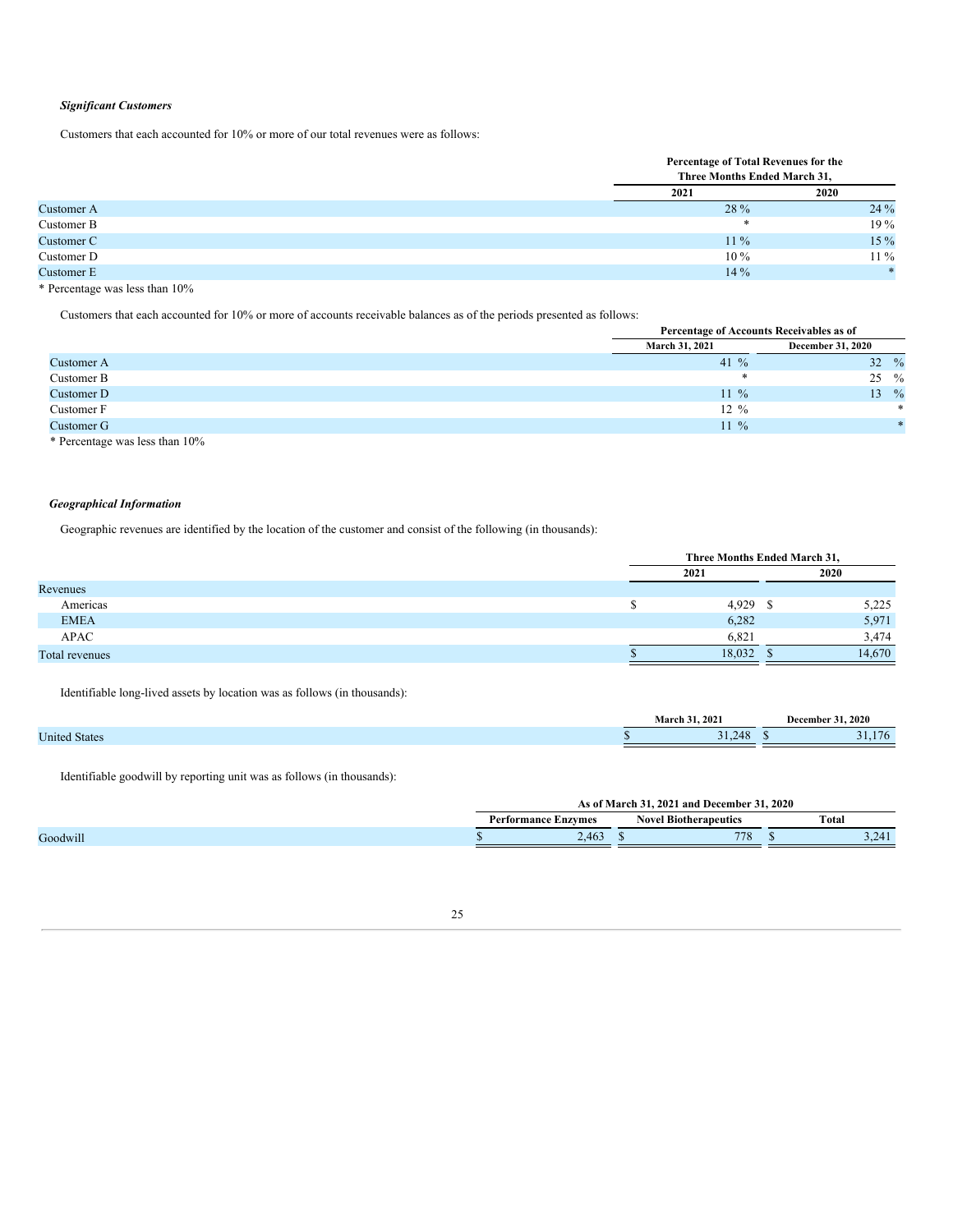# *Significant Customers*

Customers that each accounted for 10% or more of our total revenues were as follows:

|            | Percentage of Total Revenues for the<br>Three Months Ended March 31, |        |
|------------|----------------------------------------------------------------------|--------|
|            | 2021                                                                 | 2020   |
| Customer A | 28 %                                                                 | 24 %   |
| Customer B | $\ast$                                                               | $19\%$ |
| Customer C | $11\%$                                                               | 15 %   |
| Customer D | $10\%$                                                               | $11\%$ |
| Customer E | $14\%$                                                               | $*$    |
|            |                                                                      |        |

\* Percentage was less than 10%

Customers that each accounted for 10% or more of accounts receivable balances as of the periods presented as follows:

|            | Percentage of Accounts Receivables as of |                          |
|------------|------------------------------------------|--------------------------|
|            | <b>March 31, 2021</b>                    | <b>December 31, 2020</b> |
| Customer A | 41 $\%$                                  | $32 \frac{9}{6}$         |
| Customer B | *                                        | $25 \frac{9}{6}$         |
| Customer D | $11\%$                                   | $13 \frac{9}{6}$         |
| Customer F | $12 \frac{9}{6}$                         | $*$                      |
| Customer G | $11\%$                                   |                          |
| .          |                                          |                          |

\* Percentage was less than 10%

# *Geographical Information*

Geographic revenues are identified by the location of the customer and consist of the following (in thousands):

|                | Three Months Ended March 31, |        |       |
|----------------|------------------------------|--------|-------|
|                | 2021                         | 2020   |       |
| Revenues       |                              |        |       |
| Americas       | 4,929                        |        | 5,225 |
| <b>EMEA</b>    | 6,282                        |        | 5,971 |
| APAC           | 6,821                        |        | 3,474 |
| Total revenues | 18.032                       | 14,670 |       |
|                |                              |        |       |

Identifiable long-lived assets by location was as follows (in thousands):

|                      | 202<br>March | 51. 2020<br>December |
|----------------------|--------------|----------------------|
| <b>United States</b> | 248          | 176                  |

Identifiable goodwill by reporting unit was as follows (in thousands):

|                      | 2020<br>2021<br>u and December<br>March<br>.s ot |                        |  |            |  |                 |  |  |  |  |  |
|----------------------|--------------------------------------------------|------------------------|--|------------|--|-----------------|--|--|--|--|--|
|                      |                                                  | Performance<br>Enzymes |  | Total      |  |                 |  |  |  |  |  |
| $\cdots$<br>Goodwill |                                                  | $1.46^\circ$<br>2.10J  |  | 770<br>70. |  | 211<br><u>.</u> |  |  |  |  |  |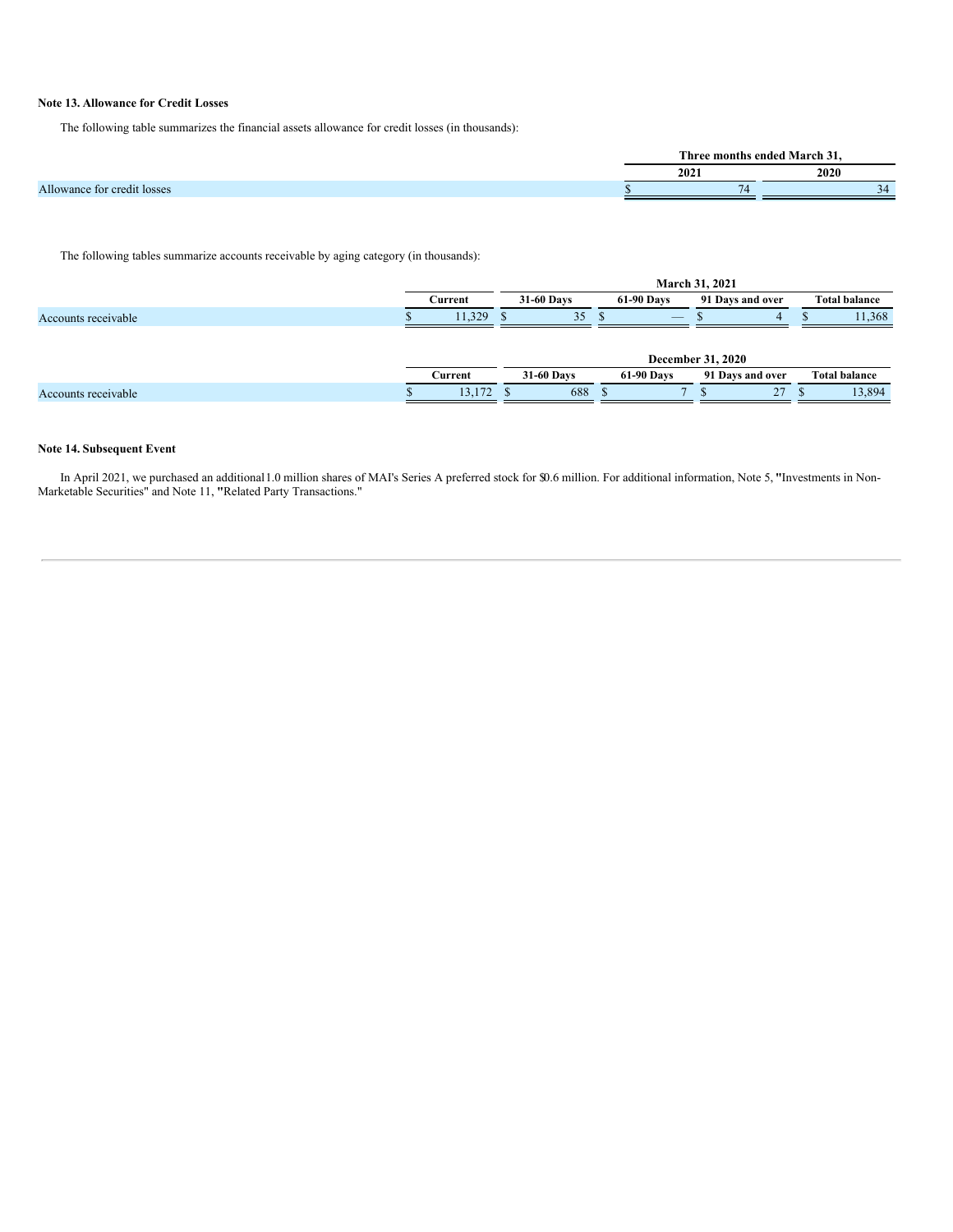# **Note 13. Allowance for Credit Losses**

The following table summarizes the financial assets allowance for credit losses (in thousands):

| Three months ended March 31. |      |  |  |  |  |
|------------------------------|------|--|--|--|--|
| 2021                         | 2020 |  |  |  |  |
|                              |      |  |  |  |  |
|                              |      |  |  |  |  |

The following tables summarize accounts receivable by aging category (in thousands):

|                     |         | <b>March 31, 2021</b> |                   |  |                          |  |                  |  |                      |  |  |  |
|---------------------|---------|-----------------------|-------------------|--|--------------------------|--|------------------|--|----------------------|--|--|--|
|                     | Current |                       | <b>31-60 Days</b> |  | <b>61-90 Days</b>        |  | 91 Days and over |  | <b>Total balance</b> |  |  |  |
| Accounts receivable | 11,329  |                       | 35                |  | $\overline{\phantom{a}}$ |  |                  |  | 11,368               |  |  |  |
|                     |         |                       |                   |  |                          |  |                  |  |                      |  |  |  |
|                     |         |                       |                   |  | <b>December 31, 2020</b> |  |                  |  |                      |  |  |  |
|                     | Current |                       | <b>31-60 Days</b> |  | <b>61-90 Days</b>        |  | 91 Days and over |  | <b>Total balance</b> |  |  |  |
| Accounts receivable | 13,172  |                       | 688               |  |                          |  | 27               |  | 13,894               |  |  |  |

# **Note 14. Subsequent Event**

<span id="page-25-0"></span>In April 2021, we purchased an additional1.0 million shares of MAI's Series A preferred stock for \$0.6 million. For additional information, Note 5, **"**Investments in Non-Marketable Securities" and Note 11, **"**Related Party Transactions."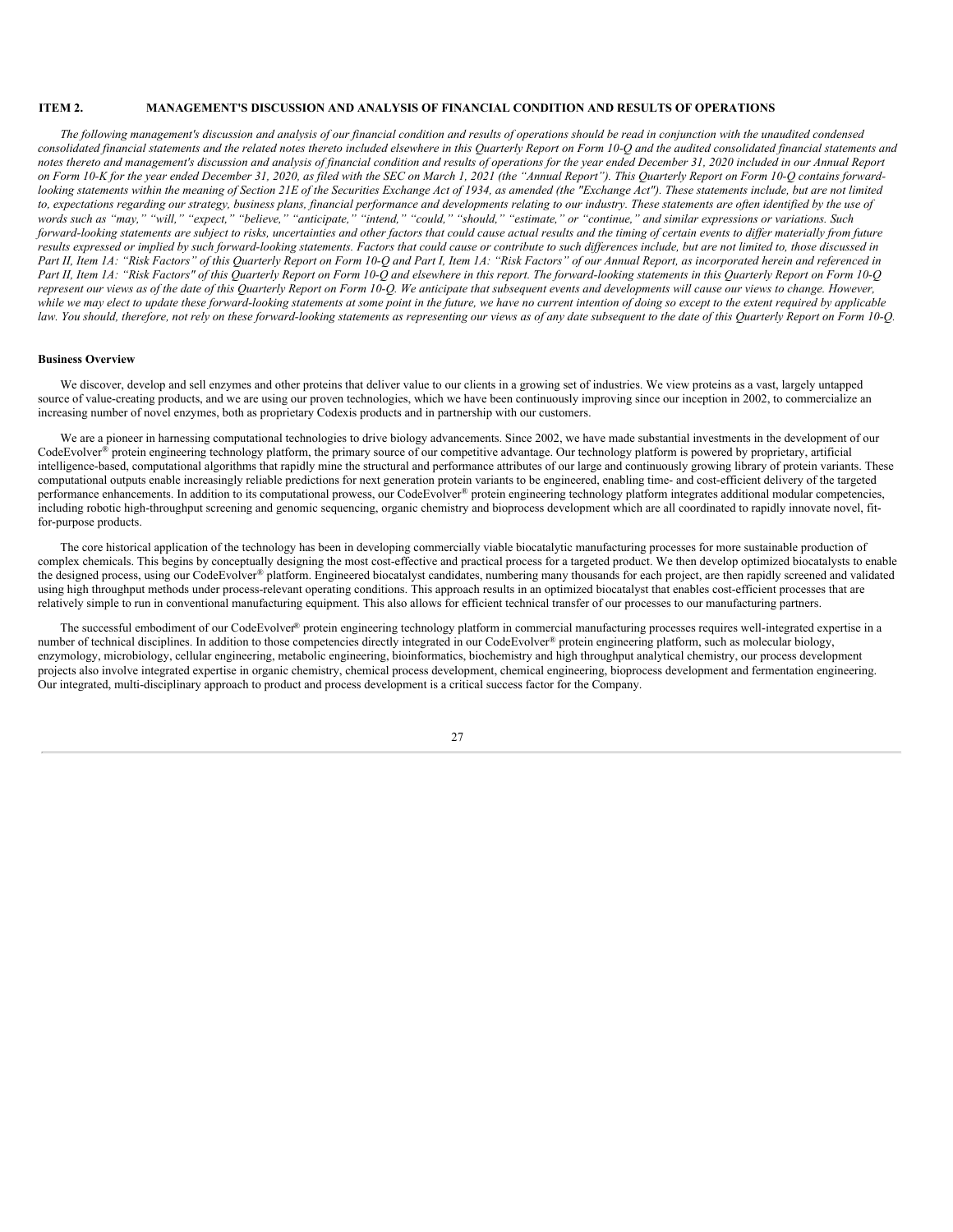## **ITEM 2. MANAGEMENT'S DISCUSSION AND ANALYSIS OF FINANCIAL CONDITION AND RESULTS OF OPERATIONS**

The following management's discussion and analysis of our financial condition and results of operations should be read in conjunction with the unaudited condensed consolidated financial statements and the related notes thereto included elsewhere in this Quarterly Report on Form 10-Q and the audited consolidated financial statements and notes thereto and management's discussion and analysis of financial condition and results of operations for the year ended December 31, 2020 included in our Annual Report on Form 10-K for the year ended December 31, 2020, as filed with the SEC on March 1, 2021 (the "Annual Report"). This Quarterly Report on Form 10-Q contains forwardlooking statements within the meaning of Section 21E of the Securities Exchange Act of 1934, as amended (the "Exchange Act"). These statements include, but are not limited to, expectations regarding our strategy, business plans, financial performance and developments relating to our industry. These statements are often identified by the use of words such as "may." "will." "expect." "believe." "anticipate." "intend." "could." "should." "estimate." or "continue." and similar expressions or variations. Such forward-looking statements are subject to risks, uncertainties and other factors that could cause actual results and the timing of certain events to differ materially from future .<br>results expressed or implied by such forward-looking statements. Factors that could cause or contribute to such differences include, but are not limited to, those discussed in Part II, Item 1A: "Risk Factors" of this Quarterly Report on Form 10-Q and Part I, Item 1A: "Risk Factors" of our Annual Report, as incorporated herein and referenced in Part II, Item 1A: "Risk Factors" of this Quarterly Report on Form 10-Q and elsewhere in this report. The forward-looking statements in this Quarterly Report on Form 10-Q represent our views as of the date of this Quarterly Report on Form 10-Q. We anticipate that subsequent events and developments will cause our views to change. However, while we may elect to update these forward-looking statements at some point in the future, we have no current intention of doing so except to the extent required by applicable law. You should, therefore, not rely on these forward-looking statements as representing our views as of any date subsequent to the date of this Quarterly Report on Form 10-Q.

## **Business Overview**

We discover, develop and sell enzymes and other proteins that deliver value to our clients in a growing set of industries. We view proteins as a vast, largely untapped source of value-creating products, and we are using our proven technologies, which we have been continuously improving since our inception in 2002, to commercialize an increasing number of novel enzymes, both as proprietary Codexis products and in partnership with our customers.

We are a pioneer in harnessing computational technologies to drive biology advancements. Since 2002, we have made substantial investments in the development of our CodeEvolver® protein engineering technology platform, the primary source of our competitive advantage. Our technology platform is powered by proprietary, artificial intelligence-based, computational algorithms that rapidly mine the structural and performance attributes of our large and continuously growing library of protein variants. These computational outputs enable increasingly reliable predictions for next generation protein variants to be engineered, enabling time- and cost-efficient delivery of the targeted performance enhancements. In addition to its computational prowess, our CodeEvolver® protein engineering technology platform integrates additional modular competencies, including robotic high-throughput screening and genomic sequencing, organic chemistry and bioprocess development which are all coordinated to rapidly innovate novel, fitfor-purpose products.

The core historical application of the technology has been in developing commercially viable biocatalytic manufacturing processes for more sustainable production of complex chemicals. This begins by conceptually designing the most cost-effective and practical process for a targeted product. We then develop optimized biocatalysts to enable the designed process, using our CodeEvolver® platform. Engineered biocatalyst candidates, numbering many thousands for each project, are then rapidly screened and validated using high throughput methods under process-relevant operating conditions. This approach results in an optimized biocatalyst that enables cost-efficient processes that are relatively simple to run in conventional manufacturing equipment. This also allows for efficient technical transfer of our processes to our manufacturing partners.

The successful embodiment of our CodeEvolver® protein engineering technology platform in commercial manufacturing processes requires well-integrated expertise in a number of technical disciplines. In addition to those competencies directly integrated in our CodeEvolver® protein engineering platform, such as molecular biology, enzymology, microbiology, cellular engineering, metabolic engineering, bioinformatics, biochemistry and high throughput analytical chemistry, our process development projects also involve integrated expertise in organic chemistry, chemical process development, chemical engineering, bioprocess development and fermentation engineering. Our integrated, multi-disciplinary approach to product and process development is a critical success factor for the Company.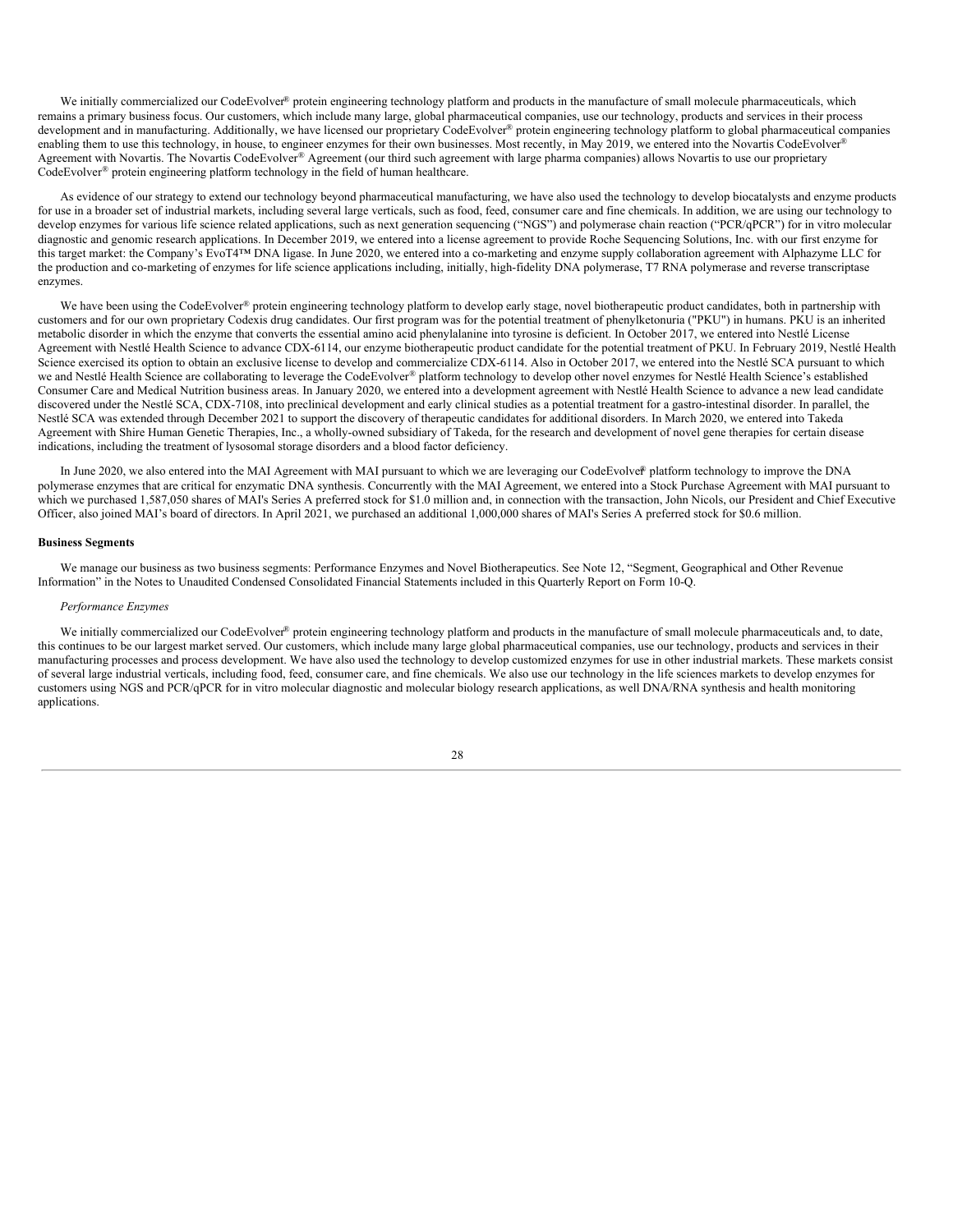We initially commercialized our CodeEvolver® protein engineering technology platform and products in the manufacture of small molecule pharmaceuticals, which remains a primary business focus. Our customers, which include many large, global pharmaceutical companies, use our technology, products and services in their process development and in manufacturing. Additionally, we have licensed our proprietary CodeEvolver® protein engineering technology platform to global pharmaceutical companies enabling them to use this technology, in house, to engineer enzymes for their own businesses. Most recently, in May 2019, we entered into the Novartis CodeEvolver® Agreement with Novartis. The Novartis CodeEvolver® Agreement (our third such agreement with large pharma companies) allows Novartis to use our proprietary  $CodeEvolver^@$  protein engineering platform technology in the field of human healthcare.

As evidence of our strategy to extend our technology beyond pharmaceutical manufacturing, we have also used the technology to develop biocatalysts and enzyme products for use in a broader set of industrial markets, including several large verticals, such as food, feed, consumer care and fine chemicals. In addition, we are using our technology to develop enzymes for various life science related applications, such as next generation sequencing ("NGS") and polymerase chain reaction ("PCR/qPCR") for in vitro molecular diagnostic and genomic research applications. In December 2019, we entered into a license agreement to provide Roche Sequencing Solutions, Inc. with our first enzyme for this target market: the Company's EvoT4™ DNA ligase. In June 2020, we entered into a co-marketing and enzyme supply collaboration agreement with Alphazyme LLC for the production and co-marketing of enzymes for life science applications including, initially, high-fidelity DNA polymerase, T7 RNA polymerase and reverse transcriptase enzymes.

We have been using the CodeEvolver® protein engineering technology platform to develop early stage, novel biotherapeutic product candidates, both in partnership with customers and for our own proprietary Codexis drug candidates. Our first program was for the potential treatment of phenylketonuria ("PKU") in humans. PKU is an inherited metabolic disorder in which the enzyme that converts the essential amino acid phenylalanine into tyrosine is deficient. In October 2017, we entered into Nestlé License Agreement with Nestlé Health Science to advance CDX-6114, our enzyme biotherapeutic product candidate for the potential treatment of PKU. In February 2019, Nestlé Health Science exercised its option to obtain an exclusive license to develop and commercialize CDX-6114. Also in October 2017, we entered into the Nestlé SCA pursuant to which we and Nestlé Health Science are collaborating to leverage the CodeEvolver® platform technology to develop other novel enzymes for Nestlé Health Science's established Consumer Care and Medical Nutrition business areas. In January 2020, we entered into a development agreement with Nestlé Health Science to advance a new lead candidate discovered under the Nestlé SCA, CDX-7108, into preclinical development and early clinical studies as a potential treatment for a gastro-intestinal disorder. In parallel, the Nestlé SCA was extended through December 2021 to support the discovery of therapeutic candidates for additional disorders. In March 2020, we entered into Takeda Agreement with Shire Human Genetic Therapies, Inc., a wholly-owned subsidiary of Takeda, for the research and development of novel gene therapies for certain disease indications, including the treatment of lysosomal storage disorders and a blood factor deficiency.

In June 2020, we also entered into the MAI Agreement with MAI pursuant to which we are leveraging our CodeEvolver® platform technology to improve the DNA polymerase enzymes that are critical for enzymatic DNA synthesis. Concurrently with the MAI Agreement, we entered into a Stock Purchase Agreement with MAI pursuant to which we purchased 1,587,050 shares of MAI's Series A preferred stock for \$1.0 million and, in connection with the transaction, John Nicols, our President and Chief Executive Officer, also joined MAI's board of directors. In April 2021, we purchased an additional 1,000,000 shares of MAI's Series A preferred stock for \$0.6 million.

#### **Business Segments**

We manage our business as two business segments: Performance Enzymes and Novel Biotherapeutics. See Note 12, "Segment, Geographical and Other Revenue Information" in the Notes to Unaudited Condensed Consolidated Financial Statements included in this Quarterly Report on Form 10-Q.

#### *Performance Enzymes*

We initially commercialized our CodeEvolver® protein engineering technology platform and products in the manufacture of small molecule pharmaceuticals and, to date, this continues to be our largest market served. Our customers, which include many large global pharmaceutical companies, use our technology, products and services in their manufacturing processes and process development. We have also used the technology to develop customized enzymes for use in other industrial markets. These markets consist of several large industrial verticals, including food, feed, consumer care, and fine chemicals. We also use our technology in the life sciences markets to develop enzymes for customers using NGS and PCR/qPCR for in vitro molecular diagnostic and molecular biology research applications, as well DNA/RNA synthesis and health monitoring applications.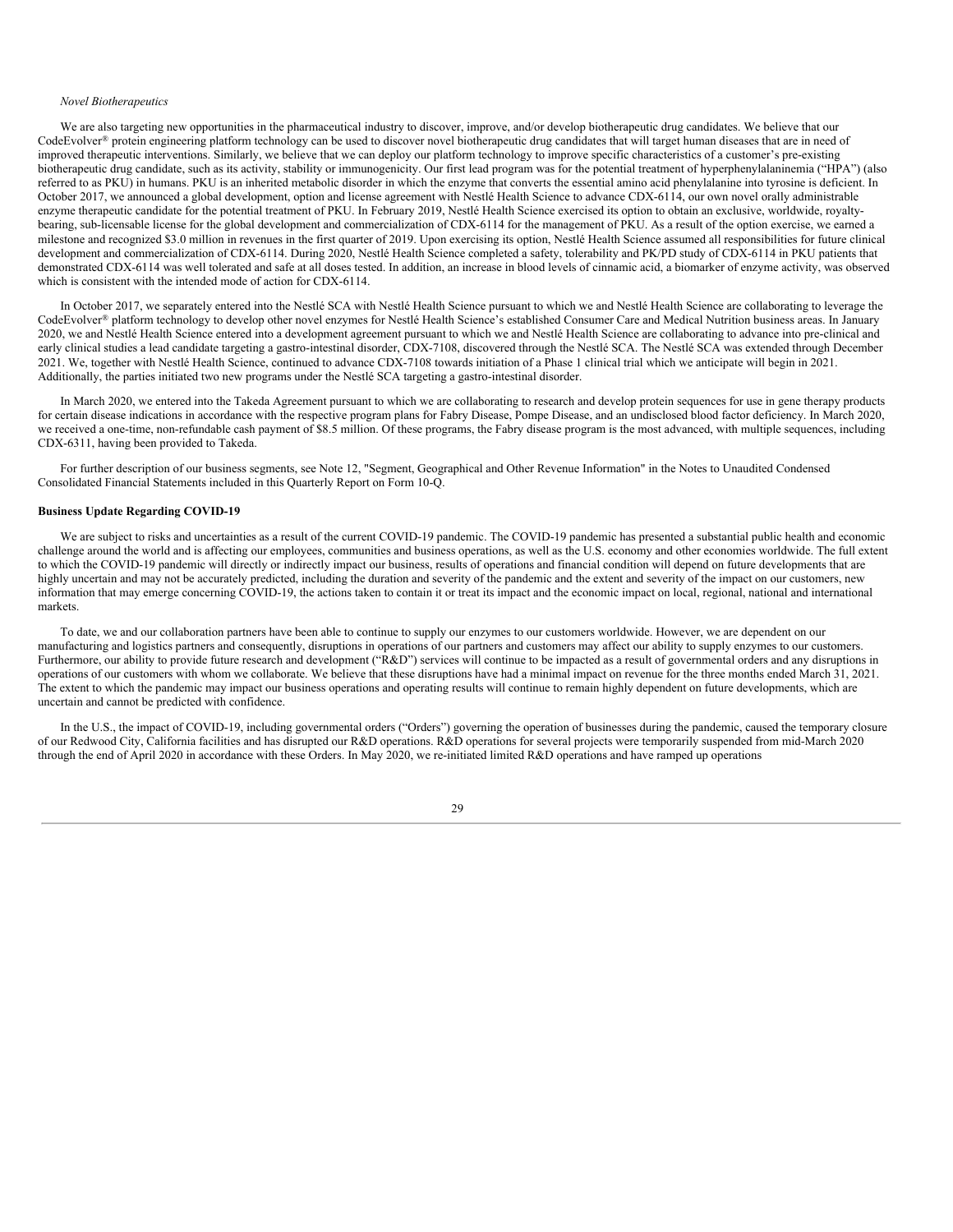## *Novel Biotherapeutics*

We are also targeting new opportunities in the pharmaceutical industry to discover, improve, and/or develop biotherapeutic drug candidates. We believe that our CodeEvolver® protein engineering platform technology can be used to discover novel biotherapeutic drug candidates that will target human diseases that are in need of improved therapeutic interventions. Similarly, we believe that we can deploy our platform technology to improve specific characteristics of a customer's pre-existing biotherapeutic drug candidate, such as its activity, stability or immunogenicity. Our first lead program was for the potential treatment of hyperphenylalaninemia ("HPA") (also referred to as PKU) in humans. PKU is an inherited metabolic disorder in which the enzyme that converts the essential amino acid phenylalanine into tyrosine is deficient. In October 2017, we announced a global development, option and license agreement with Nestlé Health Science to advance CDX-6114, our own novel orally administrable enzyme therapeutic candidate for the potential treatment of PKU. In February 2019, Nestlé Health Science exercised its option to obtain an exclusive, worldwide, royaltybearing, sub-licensable license for the global development and commercialization of CDX-6114 for the management of PKU. As a result of the option exercise, we earned a milestone and recognized \$3.0 million in revenues in the first quarter of 2019. Upon exercising its option, Nestlé Health Science assumed all responsibilities for future clinical development and commercialization of CDX-6114. During 2020, Nestlé Health Science completed a safety, tolerability and PK/PD study of CDX-6114 in PKU patients that demonstrated CDX-6114 was well tolerated and safe at all doses tested. In addition, an increase in blood levels of cinnamic acid, a biomarker of enzyme activity, was observed which is consistent with the intended mode of action for CDX-6114.

In October 2017, we separately entered into the Nestlé SCA with Nestlé Health Science pursuant to which we and Nestlé Health Science are collaborating to leverage the CodeEvolver® platform technology to develop other novel enzymes for Nestlé Health Science's established Consumer Care and Medical Nutrition business areas. In January 2020, we and Nestlé Health Science entered into a development agreement pursuant to which we and Nestlé Health Science are collaborating to advance into pre-clinical and early clinical studies a lead candidate targeting a gastro-intestinal disorder, CDX-7108, discovered through the Nestlé SCA. The Nestlé SCA was extended through December 2021. We, together with Nestlé Health Science, continued to advance CDX-7108 towards initiation of a Phase 1 clinical trial which we anticipate will begin in 2021. Additionally, the parties initiated two new programs under the Nestlé SCA targeting a gastro-intestinal disorder.

In March 2020, we entered into the Takeda Agreement pursuant to which we are collaborating to research and develop protein sequences for use in gene therapy products for certain disease indications in accordance with the respective program plans for Fabry Disease, Pompe Disease, and an undisclosed blood factor deficiency. In March 2020, we received a one-time, non-refundable cash payment of \$8.5 million. Of these programs, the Fabry disease program is the most advanced, with multiple sequences, including CDX-6311, having been provided to Takeda.

For further description of our business segments, see Note 12, "Segment, Geographical and Other Revenue Information" in the Notes to Unaudited Condensed Consolidated Financial Statements included in this Quarterly Report on Form 10-Q.

## **Business Update Regarding COVID-19**

We are subject to risks and uncertainties as a result of the current COVID-19 pandemic. The COVID-19 pandemic has presented a substantial public health and economic challenge around the world and is affecting our employees, communities and business operations, as well as the U.S. economy and other economies worldwide. The full extent to which the COVID-19 pandemic will directly or indirectly impact our business, results of operations and financial condition will depend on future developments that are highly uncertain and may not be accurately predicted, including the duration and severity of the pandemic and the extent and severity of the impact on our customers, new information that may emerge concerning COVID-19, the actions taken to contain it or treat its impact and the economic impact on local, regional, national and international markets.

To date, we and our collaboration partners have been able to continue to supply our enzymes to our customers worldwide. However, we are dependent on our manufacturing and logistics partners and consequently, disruptions in operations of our partners and customers may affect our ability to supply enzymes to our customers. Furthermore, our ability to provide future research and development ("R&D") services will continue to be impacted as a result of governmental orders and any disruptions in operations of our customers with whom we collaborate. We believe that these disruptions have had a minimal impact on revenue for the three months ended March 31, 2021. The extent to which the pandemic may impact our business operations and operating results will continue to remain highly dependent on future developments, which are uncertain and cannot be predicted with confidence.

In the U.S., the impact of COVID-19, including governmental orders ("Orders") governing the operation of businesses during the pandemic, caused the temporary closure of our Redwood City, California facilities and has disrupted our R&D operations. R&D operations for several projects were temporarily suspended from mid-March 2020 through the end of April 2020 in accordance with these Orders. In May 2020, we re-initiated limited R&D operations and have ramped up operations

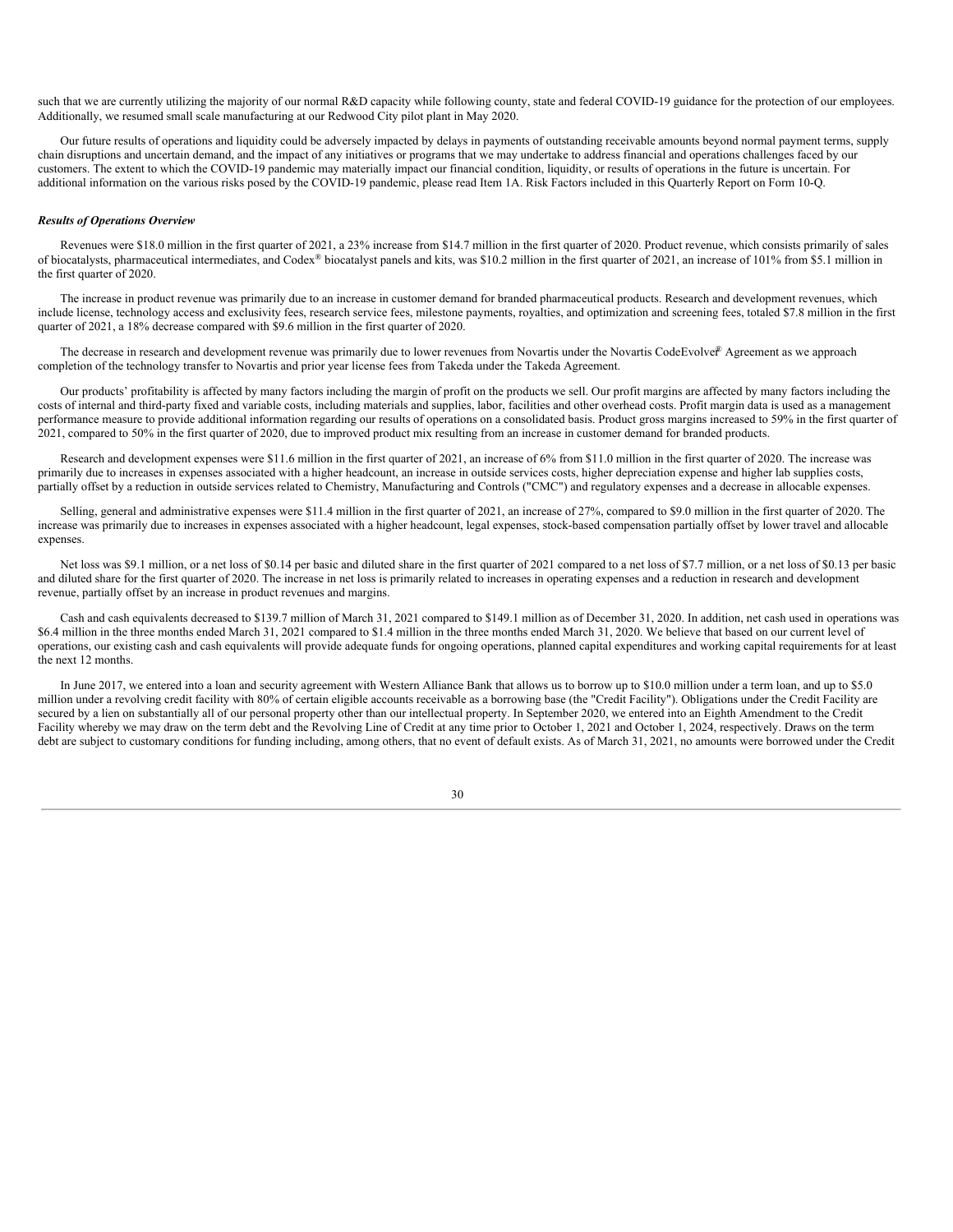such that we are currently utilizing the majority of our normal R&D capacity while following county, state and federal COVID-19 guidance for the protection of our employees. Additionally, we resumed small scale manufacturing at our Redwood City pilot plant in May 2020.

Our future results of operations and liquidity could be adversely impacted by delays in payments of outstanding receivable amounts beyond normal payment terms, supply chain disruptions and uncertain demand, and the impact of any initiatives or programs that we may undertake to address financial and operations challenges faced by our customers. The extent to which the COVID-19 pandemic may materially impact our financial condition, liquidity, or results of operations in the future is uncertain. For additional information on the various risks posed by the COVID-19 pandemic, please read Item 1A. Risk Factors included in this Quarterly Report on Form 10-Q.

# *Results of Operations Overview*

Revenues were \$18.0 million in the first quarter of 2021, a 23% increase from \$14.7 million in the first quarter of 2020. Product revenue, which consists primarily of sales of biocatalysts, pharmaceutical intermediates, and Codex® biocatalyst panels and kits, was \$10.2 million in the first quarter of 2021, an increase of 101% from \$5.1 million in the first quarter of 2020.

The increase in product revenue was primarily due to an increase in customer demand for branded pharmaceutical products. Research and development revenues, which include license, technology access and exclusivity fees, research service fees, milestone payments, royalties, and optimization and screening fees, totaled \$7.8 million in the first quarter of 2021, a 18% decrease compared with \$9.6 million in the first quarter of 2020.

The decrease in research and development revenue was primarily due to lower revenues from Novartis under the Novartis CodeEvolver® Agreement as we approach completion of the technology transfer to Novartis and prior year license fees from Takeda under the Takeda Agreement.

Our products' profitability is affected by many factors including the margin of profit on the products we sell. Our profit margins are affected by many factors including the costs of internal and third-party fixed and variable costs, including materials and supplies, labor, facilities and other overhead costs. Profit margin data is used as a management performance measure to provide additional information regarding our results of operations on a consolidated basis. Product gross margins increased to 59% in the first quarter of 2021, compared to 50% in the first quarter of 2020, due to improved product mix resulting from an increase in customer demand for branded products.

Research and development expenses were \$11.6 million in the first quarter of 2021, an increase of 6% from \$11.0 million in the first quarter of 2020. The increase was primarily due to increases in expenses associated with a higher headcount, an increase in outside services costs, higher depreciation expense and higher lab supplies costs, partially offset by a reduction in outside services related to Chemistry, Manufacturing and Controls ("CMC") and regulatory expenses and a decrease in allocable expenses.

Selling, general and administrative expenses were \$11.4 million in the first quarter of 2021, an increase of 27%, compared to \$9.0 million in the first quarter of 2020. The increase was primarily due to increases in expenses associated with a higher headcount, legal expenses, stock-based compensation partially offset by lower travel and allocable expenses.

Net loss was \$9.1 million, or a net loss of \$0.14 per basic and diluted share in the first quarter of 2021 compared to a net loss of \$7.7 million, or a net loss of \$0.13 per basic and diluted share for the first quarter of 2020. The increase in net loss is primarily related to increases in operating expenses and a reduction in research and development revenue, partially offset by an increase in product revenues and margins.

Cash and cash equivalents decreased to \$139.7 million of March 31, 2021 compared to \$149.1 million as of December 31, 2020. In addition, net cash used in operations was \$6.4 million in the three months ended March 31, 2021 compared to \$1.4 million in the three months ended March 31, 2020. We believe that based on our current level of operations, our existing cash and cash equivalents will provide adequate funds for ongoing operations, planned capital expenditures and working capital requirements for at least the next 12 months.

In June 2017, we entered into a loan and security agreement with Western Alliance Bank that allows us to borrow up to \$10.0 million under a term loan, and up to \$5.0 million under a revolving credit facility with 80% of certain eligible accounts receivable as a borrowing base (the "Credit Facility"). Obligations under the Credit Facility are secured by a lien on substantially all of our personal property other than our intellectual property. In September 2020, we entered into an Eighth Amendment to the Credit Facility whereby we may draw on the term debt and the Revolving Line of Credit at any time prior to October 1, 2021 and October 1, 2024, respectively. Draws on the term debt are subject to customary conditions for funding including, among others, that no event of default exists. As of March 31, 2021, no amounts were borrowed under the Credit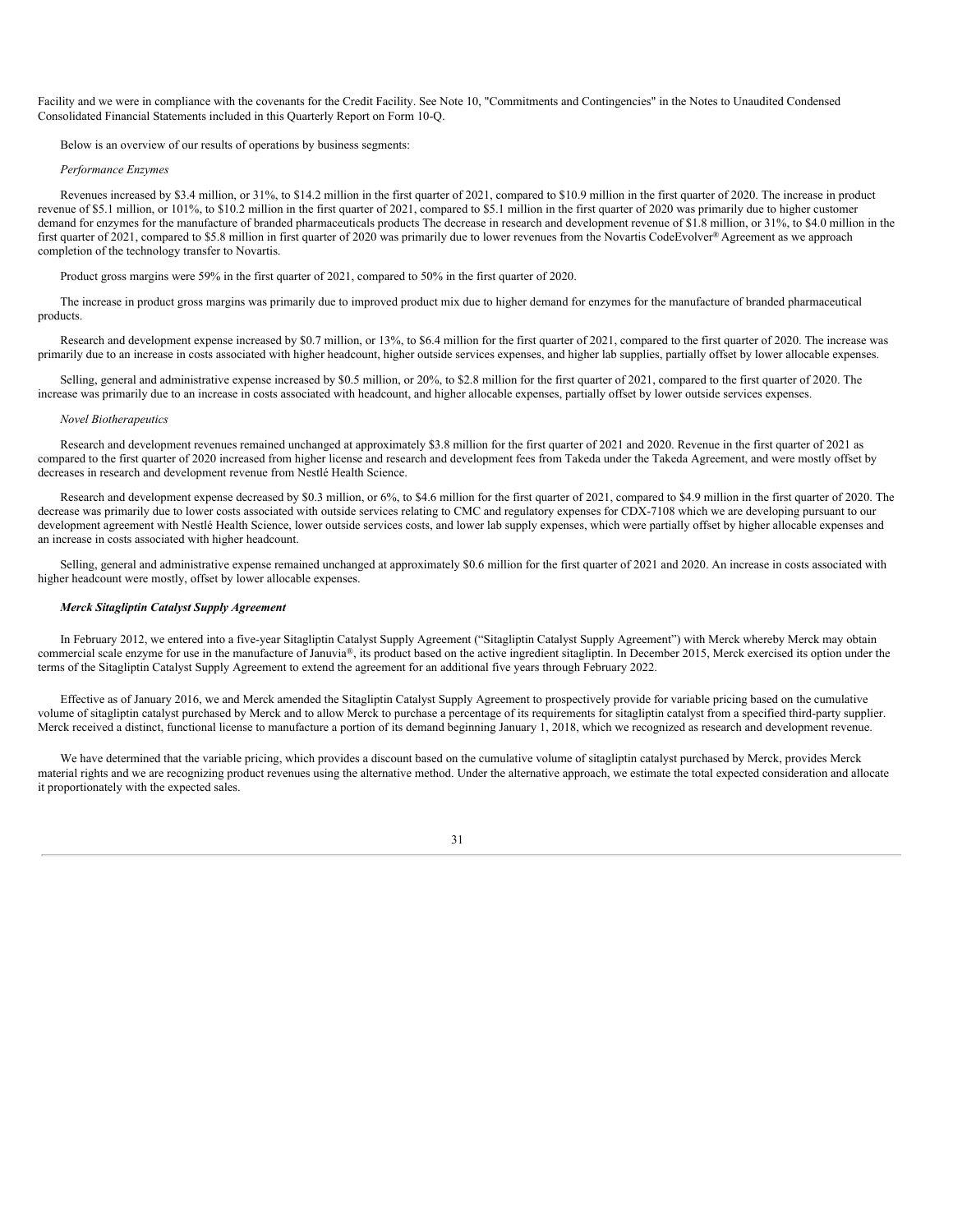Facility and we were in compliance with the covenants for the Credit Facility. See Note 10, "Commitments and Contingencies" in the Notes to Unaudited Condensed Consolidated Financial Statements included in this Quarterly Report on Form 10-Q.

Below is an overview of our results of operations by business segments:

## *Performance Enzymes*

Revenues increased by \$3.4 million, or 31%, to \$14.2 million in the first quarter of 2021, compared to \$10.9 million in the first quarter of 2020. The increase in product revenue of \$5.1 million, or 101%, to \$10.2 million in the first quarter of 2021, compared to \$5.1 million in the first quarter of 2020 was primarily due to higher customer demand for enzymes for the manufacture of branded pharmaceuticals products The decrease in research and development revenue of \$1.8 million, or 31%, to \$4.0 million in the first quarter of 2021, compared to \$5.8 million in first quarter of 2020 was primarily due to lower revenues from the Novartis CodeEvolver® Agreement as we approach completion of the technology transfer to Novartis.

Product gross margins were 59% in the first quarter of 2021, compared to 50% in the first quarter of 2020.

The increase in product gross margins was primarily due to improved product mix due to higher demand for enzymes for the manufacture of branded pharmaceutical products.

Research and development expense increased by \$0.7 million, or 13%, to \$6.4 million for the first quarter of 2021, compared to the first quarter of 2020. The increase was primarily due to an increase in costs associated with higher headcount, higher outside services expenses, and higher lab supplies, partially offset by lower allocable expenses.

Selling, general and administrative expense increased by \$0.5 million, or 20%, to \$2.8 million for the first quarter of 2021, compared to the first quarter of 2020. The increase was primarily due to an increase in costs associated with headcount, and higher allocable expenses, partially offset by lower outside services expenses.

## *Novel Biotherapeutics*

Research and development revenues remained unchanged at approximately \$3.8 million for the first quarter of 2021 and 2020. Revenue in the first quarter of 2021 as compared to the first quarter of 2020 increased from higher license and research and development fees from Takeda under the Takeda Agreement, and were mostly offset by decreases in research and development revenue from Nestlé Health Science.

Research and development expense decreased by \$0.3 million, or 6%, to \$4.6 million for the first quarter of 2021, compared to \$4.9 million in the first quarter of 2020. The decrease was primarily due to lower costs associated with outside services relating to CMC and regulatory expenses for CDX-7108 which we are developing pursuant to our development agreement with Nestlé Health Science, lower outside services costs, and lower lab supply expenses, which were partially offset by higher allocable expenses and an increase in costs associated with higher headcount.

Selling, general and administrative expense remained unchanged at approximately \$0.6 million for the first quarter of 2021 and 2020. An increase in costs associated with higher headcount were mostly, offset by lower allocable expenses.

## *Merck Sitagliptin Catalyst Supply Agreement*

In February 2012, we entered into a five-year Sitagliptin Catalyst Supply Agreement ("Sitagliptin Catalyst Supply Agreement") with Merck whereby Merck may obtain commercial scale enzyme for use in the manufacture of Januvia®, its product based on the active ingredient sitagliptin. In December 2015, Merck exercised its option under the terms of the Sitagliptin Catalyst Supply Agreement to extend the agreement for an additional five years through February 2022.

Effective as of January 2016, we and Merck amended the Sitagliptin Catalyst Supply Agreement to prospectively provide for variable pricing based on the cumulative volume of sitagliptin catalyst purchased by Merck and to allow Merck to purchase a percentage of its requirements for sitagliptin catalyst from a specified third-party supplier. Merck received a distinct, functional license to manufacture a portion of its demand beginning January 1, 2018, which we recognized as research and development revenue.

We have determined that the variable pricing, which provides a discount based on the cumulative volume of sitagliptin catalyst purchased by Merck, provides Merck material rights and we are recognizing product revenues using the alternative method. Under the alternative approach, we estimate the total expected consideration and allocate it proportionately with the expected sales.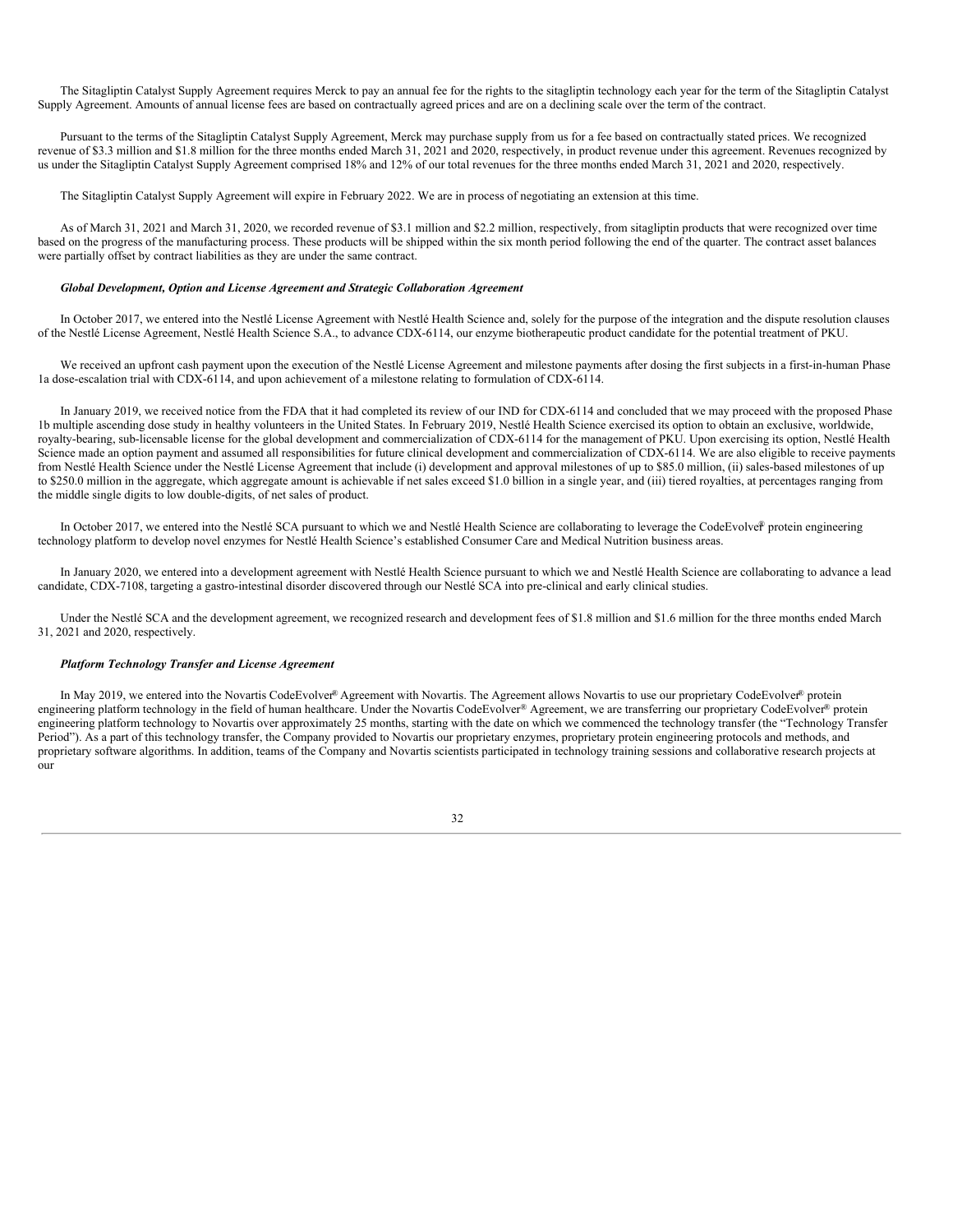The Sitagliptin Catalyst Supply Agreement requires Merck to pay an annual fee for the rights to the sitagliptin technology each year for the term of the Sitagliptin Catalyst Supply Agreement. Amounts of annual license fees are based on contractually agreed prices and are on a declining scale over the term of the contract.

Pursuant to the terms of the Sitagliptin Catalyst Supply Agreement, Merck may purchase supply from us for a fee based on contractually stated prices. We recognized revenue of \$3.3 million and \$1.8 million for the three months ended March 31, 2021 and 2020, respectively, in product revenue under this agreement. Revenues recognized by us under the Sitagliptin Catalyst Supply Agreement comprised 18% and 12% of our total revenues for the three months ended March 31, 2021 and 2020, respectively.

The Sitagliptin Catalyst Supply Agreement will expire in February 2022. We are in process of negotiating an extension at this time.

As of March 31, 2021 and March 31, 2020, we recorded revenue of \$3.1 million and \$2.2 million, respectively, from sitagliptin products that were recognized over time based on the progress of the manufacturing process. These products will be shipped within the six month period following the end of the quarter. The contract asset balances were partially offset by contract liabilities as they are under the same contract.

#### *Global Development, Option and License Agreement and Strategic Collaboration Agreement*

In October 2017, we entered into the Nestlé License Agreement with Nestlé Health Science and, solely for the purpose of the integration and the dispute resolution clauses of the Nestlé License Agreement, Nestlé Health Science S.A., to advance CDX-6114, our enzyme biotherapeutic product candidate for the potential treatment of PKU.

We received an upfront cash payment upon the execution of the Nestlé License Agreement and milestone payments after dosing the first subjects in a first-in-human Phase 1a dose-escalation trial with CDX-6114, and upon achievement of a milestone relating to formulation of CDX-6114.

In January 2019, we received notice from the FDA that it had completed its review of our IND for CDX-6114 and concluded that we may proceed with the proposed Phase 1b multiple ascending dose study in healthy volunteers in the United States. In February 2019, Nestlé Health Science exercised its option to obtain an exclusive, worldwide, royalty-bearing, sub-licensable license for the global development and commercialization of CDX-6114 for the management of PKU. Upon exercising its option, Nestlé Health Science made an option payment and assumed all responsibilities for future clinical development and commercialization of CDX-6114. We are also eligible to receive payments from Nestlé Health Science under the Nestlé License Agreement that include (i) development and approval milestones of up to \$85.0 million, (ii) sales-based milestones of up to \$250.0 million in the aggregate, which aggregate amount is achievable if net sales exceed \$1.0 billion in a single year, and (iii) tiered royalties, at percentages ranging from the middle single digits to low double-digits, of net sales of product.

In October 2017, we entered into the Nestlé SCA pursuant to which we and Nestlé Health Science are collaborating to leverage the CodeEvolver protein engineering technology platform to develop novel enzymes for Nestlé Health Science's established Consumer Care and Medical Nutrition business areas.

In January 2020, we entered into a development agreement with Nestlé Health Science pursuant to which we and Nestlé Health Science are collaborating to advance a lead candidate, CDX-7108, targeting a gastro-intestinal disorder discovered through our Nestlé SCA into pre-clinical and early clinical studies.

Under the Nestlé SCA and the development agreement, we recognized research and development fees of \$1.8 million and \$1.6 million for the three months ended March 31, 2021 and 2020, respectively.

#### *Platform Technology Transfer and License Agreement*

In May 2019, we entered into the Novartis CodeEvolver® Agreement with Novartis. The Agreement allows Novartis to use our proprietary CodeEvolver® protein engineering platform technology in the field of human healthcare. Under the Novartis CodeEvolver® Agreement, we are transferring our proprietary CodeEvolver® protein engineering platform technology to Novartis over approximately 25 months, starting with the date on which we commenced the technology transfer (the "Technology Transfer Period"). As a part of this technology transfer, the Company provided to Novartis our proprietary enzymes, proprietary protein engineering protocols and methods, and proprietary software algorithms. In addition, teams of the Company and Novartis scientists participated in technology training sessions and collaborative research projects at our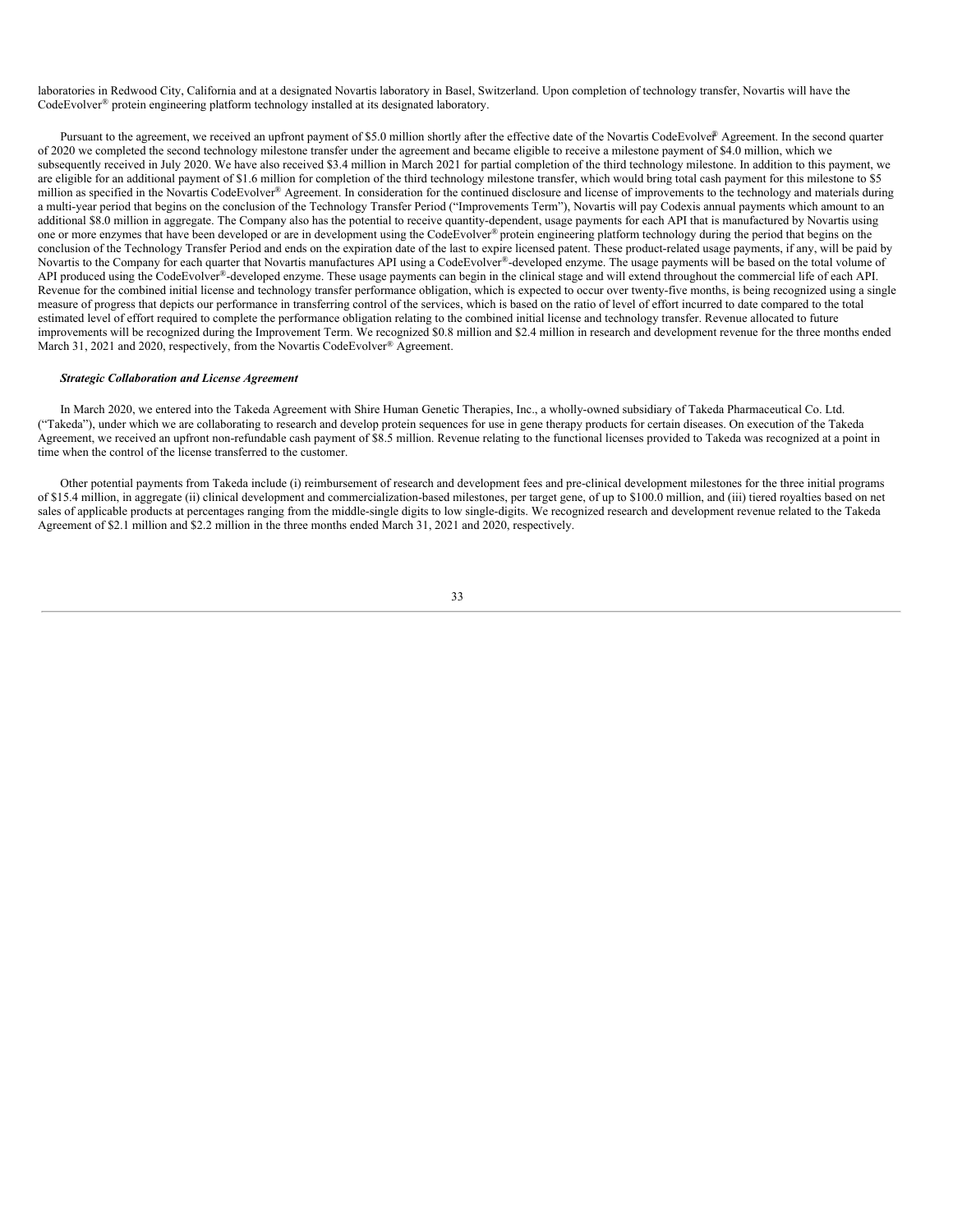laboratories in Redwood City, California and at a designated Novartis laboratory in Basel, Switzerland. Upon completion of technology transfer, Novartis will have the CodeEvolver® protein engineering platform technology installed at its designated laboratory.

Pursuant to the agreement, we received an upfront payment of \$5.0 million shortly after the effective date of the Novartis CodeEvolver Agreement. In the second quarter of 2020 we completed the second technology milestone transfer under the agreement and became eligible to receive a milestone payment of \$4.0 million, which we subsequently received in July 2020. We have also received \$3.4 million in March 2021 for partial completion of the third technology milestone. In addition to this payment, we are eligible for an additional payment of \$1.6 million for completion of the third technology milestone transfer, which would bring total cash payment for this milestone to \$5 million as specified in the Novartis CodeEvolver® Agreement. In consideration for the continued disclosure and license of improvements to the technology and materials during a multi-year period that begins on the conclusion of the Technology Transfer Period ("Improvements Term"), Novartis will pay Codexis annual payments which amount to an additional \$8.0 million in aggregate. The Company also has the potential to receive quantity-dependent, usage payments for each API that is manufactured by Novartis using one or more enzymes that have been developed or are in development using the CodeEvolver® protein engineering platform technology during the period that begins on the conclusion of the Technology Transfer Period and ends on the expiration date of the last to expire licensed patent. These product-related usage payments, if any, will be paid by Novartis to the Company for each quarter that Novartis manufactures API using a CodeEvolver®-developed enzyme. The usage payments will be based on the total volume of API produced using the CodeEvolver®-developed enzyme. These usage payments can begin in the clinical stage and will extend throughout the commercial life of each API. Revenue for the combined initial license and technology transfer performance obligation, which is expected to occur over twenty-five months, is being recognized using a single measure of progress that depicts our performance in transferring control of the services, which is based on the ratio of level of effort incurred to date compared to the total estimated level of effort required to complete the performance obligation relating to the combined initial license and technology transfer. Revenue allocated to future improvements will be recognized during the Improvement Term. We recognized \$0.8 million and \$2.4 million in research and development revenue for the three months ended March 31, 2021 and 2020, respectively, from the Novartis CodeEvolver® Agreement.

## *Strategic Collaboration and License Agreement*

In March 2020, we entered into the Takeda Agreement with Shire Human Genetic Therapies, Inc., a wholly-owned subsidiary of Takeda Pharmaceutical Co. Ltd. ("Takeda"), under which we are collaborating to research and develop protein sequences for use in gene therapy products for certain diseases. On execution of the Takeda Agreement, we received an upfront non-refundable cash payment of \$8.5 million. Revenue relating to the functional licenses provided to Takeda was recognized at a point in time when the control of the license transferred to the customer.

Other potential payments from Takeda include (i) reimbursement of research and development fees and pre-clinical development milestones for the three initial programs of \$15.4 million, in aggregate (ii) clinical development and commercialization-based milestones, per target gene, of up to \$100.0 million, and (iii) tiered royalties based on net sales of applicable products at percentages ranging from the middle-single digits to low single-digits. We recognized research and development revenue related to the Takeda Agreement of \$2.1 million and \$2.2 million in the three months ended March 31, 2021 and 2020, respectively.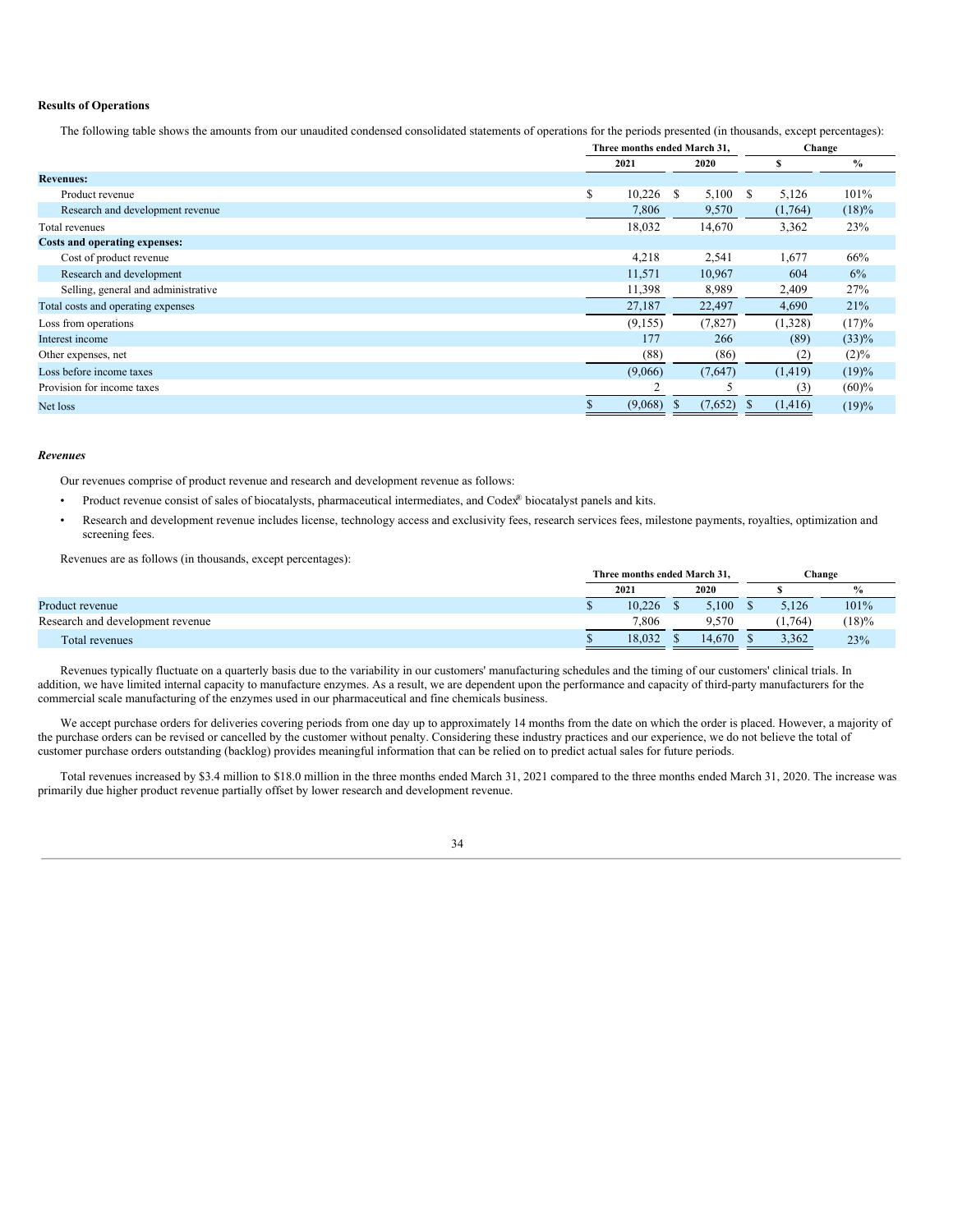## **Results of Operations**

The following table shows the amounts from our unaudited condensed consolidated statements of operations for the periods presented (in thousands, except percentages):

|                                      | Three months ended March 31,                                                             |         |               | Change        |
|--------------------------------------|------------------------------------------------------------------------------------------|---------|---------------|---------------|
|                                      | 2021<br>2020                                                                             |         | S             | $\frac{0}{0}$ |
| <b>Revenues:</b>                     | \$<br>5,100<br>$10,226$ \$<br>-S<br>7,806<br>9,570<br>14,670<br>18,032<br>4,218<br>2,541 |         |               |               |
| Product revenue                      |                                                                                          |         | 5,126         | 101%          |
| Research and development revenue     |                                                                                          |         | (1,764)       | $(18)\%$      |
| Total revenues                       |                                                                                          |         | 3,362         | 23%           |
| <b>Costs and operating expenses:</b> |                                                                                          |         |               |               |
| Cost of product revenue              |                                                                                          |         | 1,677         | 66%           |
| Research and development             | 11,571                                                                                   | 10,967  | 604           | 6%            |
| Selling, general and administrative  | 11,398                                                                                   | 8,989   | 2,409         | 27%           |
| Total costs and operating expenses   | 27,187                                                                                   | 22,497  | 4,690         | 21%           |
| Loss from operations                 | (9,155)                                                                                  | (7,827) | (1,328)       | (17)%         |
| Interest income                      | 177                                                                                      | 266     | (89)          | $(33)\%$      |
| Other expenses, net                  | (88)                                                                                     | (86)    | (2)           | $(2)\%$       |
| Loss before income taxes             | (9,066)                                                                                  | (7,647) | (1, 419)      | (19)%         |
| Provision for income taxes           |                                                                                          |         | (3)           | (60)%         |
| Net loss                             | (9,068)                                                                                  | (7,652) | (1, 416)<br>ъ | (19)%         |

#### *Revenues*

Our revenues comprise of product revenue and research and development revenue as follows:

- Product revenue consist of sales of biocatalysts, pharmaceutical intermediates, and Codex<sup>®</sup> biocatalyst panels and kits.
- Research and development revenue includes license, technology access and exclusivity fees, research services fees, milestone payments, royalties, optimization and screening fees.

Revenues are as follows (in thousands, except percentages):

|                                  | Three months ended March 31. |        |  |           |  | Change |          |  |
|----------------------------------|------------------------------|--------|--|-----------|--|--------|----------|--|
|                                  | 2021                         |        |  | 2020      |  |        |          |  |
| Product revenue                  |                              | 10.226 |  | $5.100 -$ |  | 5,126  | 101%     |  |
| Research and development revenue |                              | 7.806  |  | 9.570     |  | 1.764  | $(18)\%$ |  |
| Total revenues                   |                              | 18.032 |  | 14.670    |  | 3.362  | 23%      |  |

Revenues typically fluctuate on a quarterly basis due to the variability in our customers' manufacturing schedules and the timing of our customers' clinical trials. In addition, we have limited internal capacity to manufacture enzymes. As a result, we are dependent upon the performance and capacity of third-party manufacturers for the commercial scale manufacturing of the enzymes used in our pharmaceutical and fine chemicals business.

We accept purchase orders for deliveries covering periods from one day up to approximately 14 months from the date on which the order is placed. However, a majority of the purchase orders can be revised or cancelled by the customer without penalty. Considering these industry practices and our experience, we do not believe the total of customer purchase orders outstanding (backlog) provides meaningful information that can be relied on to predict actual sales for future periods.

Total revenues increased by \$3.4 million to \$18.0 million in the three months ended March 31, 2021 compared to the three months ended March 31, 2020. The increase was primarily due higher product revenue partially offset by lower research and development revenue.

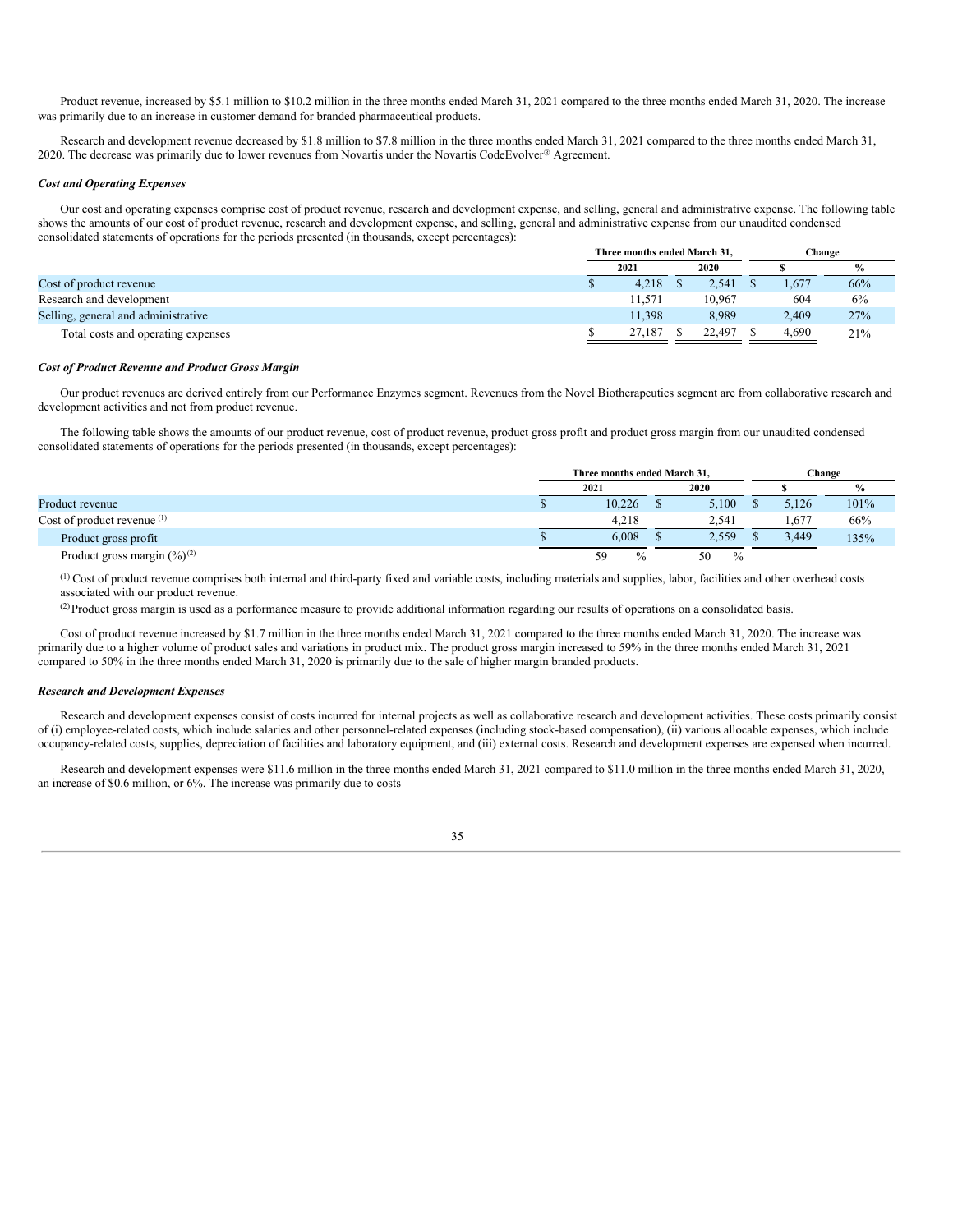Product revenue, increased by \$5.1 million to \$10.2 million in the three months ended March 31, 2021 compared to the three months ended March 31, 2020. The increase was primarily due to an increase in customer demand for branded pharmaceutical products.

Research and development revenue decreased by \$1.8 million to \$7.8 million in the three months ended March 31, 2021 compared to the three months ended March 31, 2020. The decrease was primarily due to lower revenues from Novartis under the Novartis CodeEvolver® Agreement.

#### *Cost and Operating Expenses*

Our cost and operating expenses comprise cost of product revenue, research and development expense, and selling, general and administrative expense. The following table shows the amounts of our cost of product revenue, research and development expense, and selling, general and administrative expense from our unaudited condensed consolidated statements of operations for the periods presented (in thousands, except percentages):

|                                     | Three months ended March 31. |        |  |        | Change |       |               |  |  |
|-------------------------------------|------------------------------|--------|--|--------|--------|-------|---------------|--|--|
|                                     |                              | 2021   |  | 2020   |        |       | $\frac{9}{6}$ |  |  |
| Cost of product revenue             | D                            | 4.218  |  | 2.541  |        | 1,677 | 66%           |  |  |
| Research and development            |                              | 11.571 |  | 10.967 |        | 604   | 6%            |  |  |
| Selling, general and administrative |                              | 11.398 |  | 8.989  |        | 2,409 | 27%           |  |  |
| Total costs and operating expenses  |                              | 27.187 |  | 22.497 |        | 4,690 | 21%           |  |  |

### *Cost of Product Revenue and Product Gross Margin*

Our product revenues are derived entirely from our Performance Enzymes segment. Revenues from the Novel Biotherapeutics segment are from collaborative research and development activities and not from product revenue.

The following table shows the amounts of our product revenue, cost of product revenue, product gross profit and product gross margin from our unaudited condensed consolidated statements of operations for the periods presented (in thousands, except percentages):

|                                            | Three months ended March 31, |       | Change |      |
|--------------------------------------------|------------------------------|-------|--------|------|
|                                            | 2021                         | 2020  |        | $\%$ |
| Product revenue                            | 10,226                       | 5,100 | 5,126  | 101% |
| Cost of product revenue (1)                | 4.218                        | 2.541 | 1,677  | 66%  |
| Product gross profit                       | 6.008                        | 2.559 | 3,449  | 135% |
| Product gross margin $(\frac{9}{6})^{(2)}$ | $\frac{0}{0}$<br>50          | 50    |        |      |

 $(1)$  Cost of product revenue comprises both internal and third-party fixed and variable costs, including materials and supplies, labor, facilities and other overhead costs associated with our product revenue.

 $^{(2)}$  Product gross margin is used as a performance measure to provide additional information regarding our results of operations on a consolidated basis.

Cost of product revenue increased by \$1.7 million in the three months ended March 31, 2021 compared to the three months ended March 31, 2020. The increase was primarily due to a higher volume of product sales and variations in product mix. The product gross margin increased to 59% in the three months ended March 31, 2021 compared to 50% in the three months ended March 31, 2020 is primarily due to the sale of higher margin branded products.

# *Research and Development Expenses*

Research and development expenses consist of costs incurred for internal projects as well as collaborative research and development activities. These costs primarily consist of (i) employee-related costs, which include salaries and other personnel-related expenses (including stock-based compensation), (ii) various allocable expenses, which include occupancy-related costs, supplies, depreciation of facilities and laboratory equipment, and (iii) external costs. Research and development expenses are expensed when incurred.

Research and development expenses were \$11.6 million in the three months ended March 31, 2021 compared to \$11.0 million in the three months ended March 31, 2020, an increase of \$0.6 million, or 6%. The increase was primarily due to costs

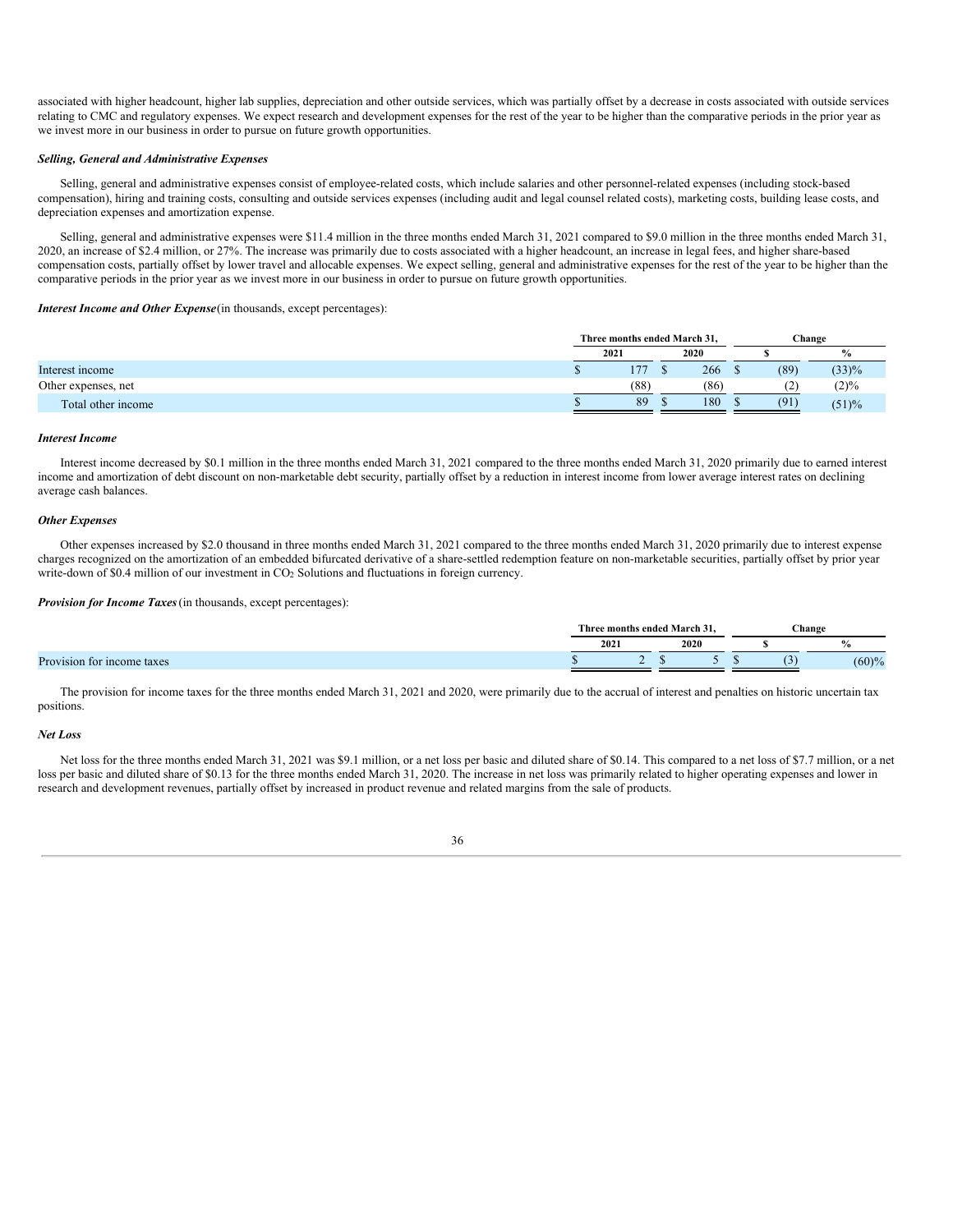associated with higher headcount, higher lab supplies, depreciation and other outside services, which was partially offset by a decrease in costs associated with outside services relating to CMC and regulatory expenses. We expect research and development expenses for the rest of the year to be higher than the comparative periods in the prior year as we invest more in our business in order to pursue on future growth opportunities.

## *Selling, General and Administrative Expenses*

Selling, general and administrative expenses consist of employee-related costs, which include salaries and other personnel-related expenses (including stock-based compensation), hiring and training costs, consulting and outside services expenses (including audit and legal counsel related costs), marketing costs, building lease costs, and depreciation expenses and amortization expense.

Selling, general and administrative expenses were \$11.4 million in the three months ended March 31, 2021 compared to \$9.0 million in the three months ended March 31, 2020, an increase of \$2.4 million, or 27%. The increase was primarily due to costs associated with a higher headcount, an increase in legal fees, and higher share-based compensation costs, partially offset by lower travel and allocable expenses. We expect selling, general and administrative expenses for the rest of the year to be higher than the comparative periods in the prior year as we invest more in our business in order to pursue on future growth opportunities.

## *Interest Income and Other Expense*(in thousands, except percentages):

|                     | Three months ended March 31, |      |  |      |      | Change    |
|---------------------|------------------------------|------|--|------|------|-----------|
|                     | 2021<br>2020                 |      |  |      | 0/   |           |
| Interest income     |                              | 177  |  | 266  | (89) | $(33)\%$  |
| Other expenses, net |                              | (88) |  | (86) |      | $(2)\%$   |
| Total other income  |                              | 89   |  | 180  | (91) | $(51) \%$ |

#### *Interest Income*

Interest income decreased by \$0.1 million in the three months ended March 31, 2021 compared to the three months ended March 31, 2020 primarily due to earned interest income and amortization of debt discount on non-marketable debt security, partially offset by a reduction in interest income from lower average interest rates on declining average cash balances.

# *Other Expenses*

Other expenses increased by \$2.0 thousand in three months ended March 31, 2021 compared to the three months ended March 31, 2020 primarily due to interest expense charges recognized on the amortization of an embedded bifurcated derivative of a share-settled redemption feature on non-marketable securities, partially offset by prior year write-down of \$0.4 million of our investment in CO<sub>2</sub> Solutions and fluctuations in foreign currency.

#### *Provision for Income Taxes*(in thousands, except percentages):

|      | Three months ended March 31. |      | Change |        |  |
|------|------------------------------|------|--------|--------|--|
| 2021 |                              | 2020 |        |        |  |
|      |                              |      |        | $60\%$ |  |

The provision for income taxes for the three months ended March 31, 2021 and 2020, were primarily due to the accrual of interest and penalties on historic uncertain tax positions.

## *Net Loss*

Net loss for the three months ended March 31, 2021 was \$9.1 million, or a net loss per basic and diluted share of \$0.14. This compared to a net loss of \$7.7 million, or a net loss per basic and diluted share of \$0.13 for the three months ended March 31, 2020. The increase in net loss was primarily related to higher operating expenses and lower in research and development revenues, partially offset by increased in product revenue and related margins from the sale of products.

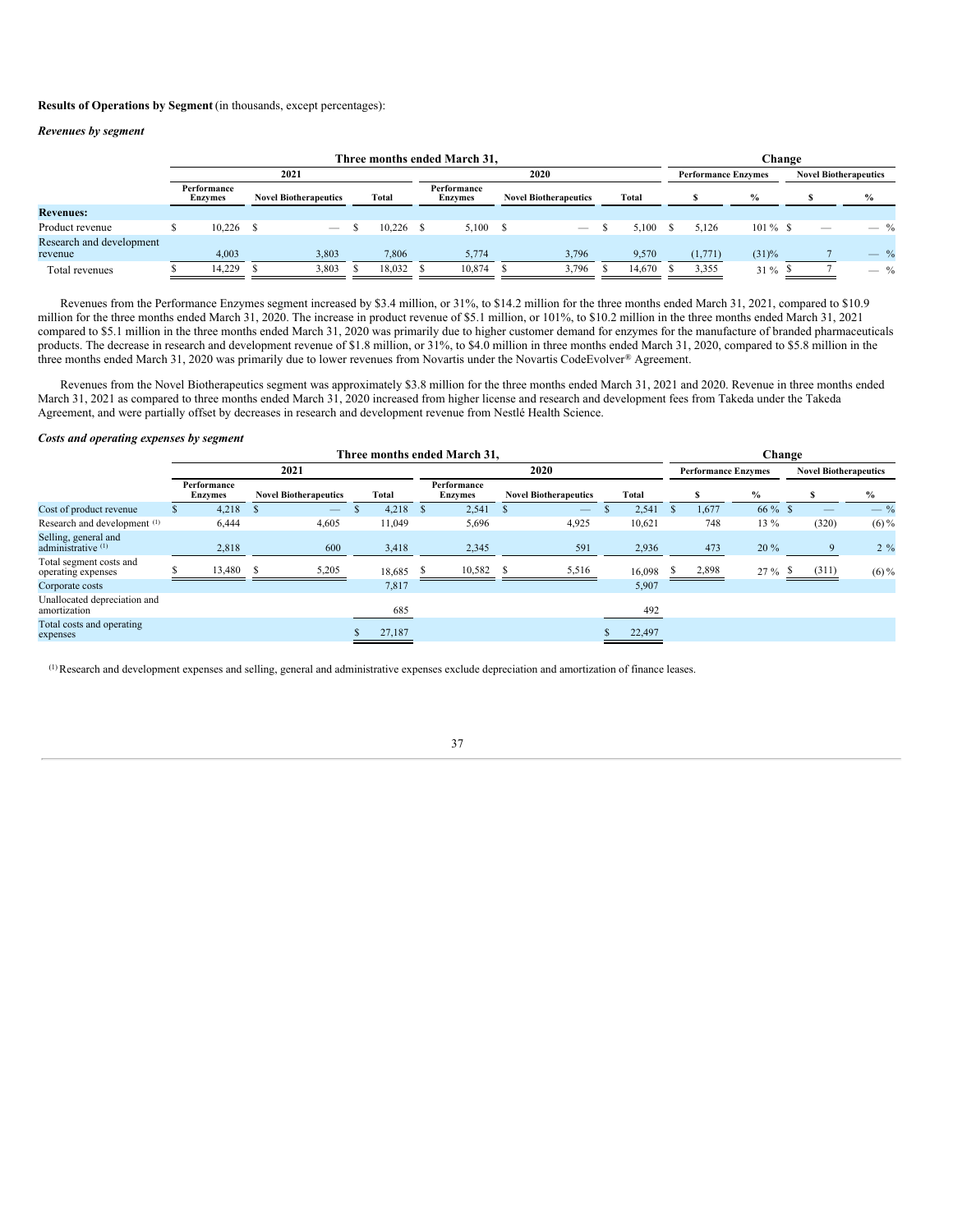### **Results of Operations by Segment** (in thousands, except percentages):

# *Revenues by segment*

| Three months ended March 31.        |  |                               |  |                              |  |        |  | Change                        |     |                              |  |              |                            |         |               |                              |  |               |
|-------------------------------------|--|-------------------------------|--|------------------------------|--|--------|--|-------------------------------|-----|------------------------------|--|--------------|----------------------------|---------|---------------|------------------------------|--|---------------|
|                                     |  | 2021                          |  |                              |  | 2020   |  |                               |     |                              |  |              | <b>Performance Enzymes</b> |         |               | <b>Novel Biotherapeutics</b> |  |               |
|                                     |  | Performance<br><b>Enzymes</b> |  | <b>Novel Biotherapeutics</b> |  | Total  |  | Performance<br><b>Enzymes</b> |     | <b>Novel Biotherapeutics</b> |  | <b>Total</b> |                            |         | $\frac{0}{0}$ |                              |  | $\frac{9}{6}$ |
| <b>Revenues:</b>                    |  |                               |  |                              |  |        |  |                               |     |                              |  |              |                            |         |               |                              |  |               |
| Product revenue                     |  | $10.226$ \$                   |  |                              |  | 10.226 |  | 5,100                         | - S |                              |  | 5.100        |                            | 5.126   | $101\%$ \$    |                              |  | $-$ %         |
| Research and development<br>revenue |  | 4,003                         |  | 3,803                        |  | 7,806  |  | 5,774                         |     | 3,796                        |  | 9,570        |                            | (1,771) | $(31)\%$      |                              |  | $-$ %         |
| Total revenues                      |  | 14.229                        |  | 3.803                        |  | 18.032 |  | 10.874                        |     | 3.796                        |  | 14.670       |                            | 3,355   | $31\%$        |                              |  | $-$ %         |

Revenues from the Performance Enzymes segment increased by \$3.4 million, or 31%, to \$14.2 million for the three months ended March 31, 2021, compared to \$10.9 million for the three months ended March 31, 2020. The increase in product revenue of \$5.1 million, or 101%, to \$10.2 million in the three months ended March 31, 2021 compared to \$5.1 million in the three months ended March 31, 2020 was primarily due to higher customer demand for enzymes for the manufacture of branded pharmaceuticals products. The decrease in research and development revenue of \$1.8 million, or 31%, to \$4.0 million in three months ended March 31, 2020, compared to \$5.8 million in the three months ended March 31, 2020 was primarily due to lower revenues from Novartis under the Novartis CodeEvolver® Agreement.

Revenues from the Novel Biotherapeutics segment was approximately \$3.8 million for the three months ended March 31, 2021 and 2020. Revenue in three months ended March 31, 2021 as compared to three months ended March 31, 2020 increased from higher license and research and development fees from Takeda under the Takeda Agreement, and were partially offset by decreases in research and development revenue from Nestlé Health Science.

#### *Costs and operating expenses by segment*

| Three months ended March 31,  |                              |              |                               |        |  |       |                              | Change |                            |       |        |                              |                       |   |               |
|-------------------------------|------------------------------|--------------|-------------------------------|--------|--|-------|------------------------------|--------|----------------------------|-------|--------|------------------------------|-----------------------|---|---------------|
| 2021                          |                              |              |                               | 2020   |  |       |                              |        | <b>Performance Enzymes</b> |       |        | <b>Novel Biotherapeutics</b> |                       |   |               |
| Performance<br><b>Enzymes</b> | <b>Novel Biotherapeutics</b> | <b>Total</b> | Performance<br><b>Enzymes</b> |        |  |       |                              |        |                            | Total |        |                              |                       | S | $\frac{0}{0}$ |
| 4,218                         |                              | 4,218        |                               | 2,541  |  |       |                              | 2,541  |                            | 1,677 |        |                              | $-$ %                 |   |               |
| 6,444                         | 4,605                        | 11,049       |                               | 5,696  |  | 4,925 |                              | 10,621 |                            | 748   | $13\%$ |                              | (320)<br>$(6)\%$      |   |               |
| 2,818                         | 600                          | 3,418        |                               | 2,345  |  | 591   |                              | 2,936  |                            | 473   | $20\%$ |                              | $2\%$<br>$\mathbf Q$  |   |               |
|                               | 5,205                        | 18,685       |                               | 10,582 |  | 5,516 |                              | 16,098 |                            | 2,898 |        |                              | (311)<br>$(6)\%$      |   |               |
|                               |                              | 7,817        |                               |        |  |       |                              | 5,907  |                            |       |        |                              |                       |   |               |
|                               |                              | 685          |                               |        |  |       |                              | 492    |                            |       |        |                              |                       |   |               |
|                               |                              | 27,187       |                               |        |  |       |                              | 22,497 |                            |       |        |                              |                       |   |               |
|                               |                              | 13,480       |                               |        |  |       | <b>Novel Biotherapeutics</b> |        |                            |       |        | $\frac{6}{6}$                | 66 % \$<br>$27 \%$ \$ |   |               |

 $(1)$  Research and development expenses and selling, general and administrative expenses exclude depreciation and amortization of finance leases.

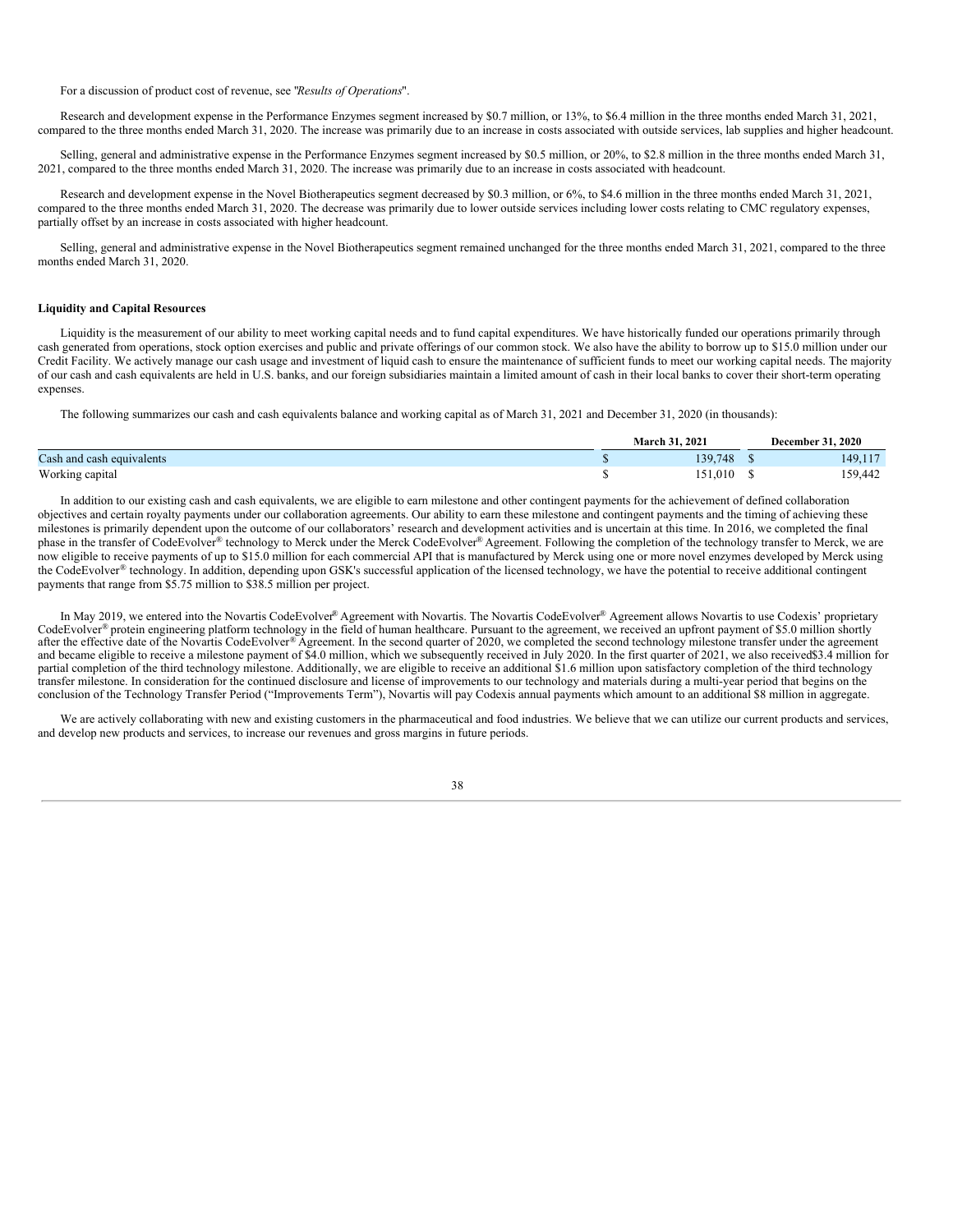For a discussion of product cost of revenue, see "*Results of Operations*".

Research and development expense in the Performance Enzymes segment increased by \$0.7 million, or 13%, to \$6.4 million in the three months ended March 31, 2021, compared to the three months ended March 31, 2020. The increase was primarily due to an increase in costs associated with outside services, lab supplies and higher headcount.

Selling, general and administrative expense in the Performance Enzymes segment increased by \$0.5 million, or 20%, to \$2.8 million in the three months ended March 31, 2021, compared to the three months ended March 31, 2020. The increase was primarily due to an increase in costs associated with headcount.

Research and development expense in the Novel Biotherapeutics segment decreased by \$0.3 million, or 6%, to \$4.6 million in the three months ended March 31, 2021, compared to the three months ended March 31, 2020. The decrease was primarily due to lower outside services including lower costs relating to CMC regulatory expenses, partially offset by an increase in costs associated with higher headcount.

Selling, general and administrative expense in the Novel Biotherapeutics segment remained unchanged for the three months ended March 31, 2021, compared to the three months ended March 31, 2020.

### **Liquidity and Capital Resources**

Liquidity is the measurement of our ability to meet working capital needs and to fund capital expenditures. We have historically funded our operations primarily through cash generated from operations, stock option exercises and public and private offerings of our common stock. We also have the ability to borrow up to \$15.0 million under our Credit Facility. We actively manage our cash usage and investment of liquid cash to ensure the maintenance of sufficient funds to meet our working capital needs. The majority of our cash and cash equivalents are held in U.S. banks, and our foreign subsidiaries maintain a limited amount of cash in their local banks to cover their short-term operating expenses.

The following summarizes our cash and cash equivalents balance and working capital as of March 31, 2021 and December 31, 2020 (in thousands):

|                           | <b>March 31, 2021</b> | <b>December 31, 2020</b> |
|---------------------------|-----------------------|--------------------------|
| Cash and cash equivalents | '40'                  | 117<br>149,11            |
| Working capital           | 1.010                 | 159.442                  |

In addition to our existing cash and cash equivalents, we are eligible to earn milestone and other contingent payments for the achievement of defined collaboration objectives and certain royalty payments under our collaboration agreements. Our ability to earn these milestone and contingent payments and the timing of achieving these milestones is primarily dependent upon the outcome of our collaborators' research and development activities and is uncertain at this time. In 2016, we completed the final phase in the transfer of CodeEvolver® technology to Merck under the Merck CodeEvolver® Agreement. Following the completion of the technology transfer to Merck, we are now eligible to receive payments of up to \$15.0 million for each commercial API that is manufactured by Merck using one or more novel enzymes developed by Merck using the CodeEvolver® technology. In addition, depending upon GSK's successful application of the licensed technology, we have the potential to receive additional contingent payments that range from \$5.75 million to \$38.5 million per project.

In May 2019, we entered into the Novartis CodeEvolver® Agreement with Novartis. The Novartis CodeEvolver® Agreement allows Novartis to use Codexis' proprietary CodeEvolver<sup>®</sup> protein engineering platform technology in the field of human healthcare. Pursuant to the agreement, we received an upfront payment of \$5.0 million shortly after the effective date of the Novartis CodeEvolver® Agreement. In the second quarter of 2020, we completed the second technology milestone transfer under the agreement and became eligible to receive a milestone payment of \$4.0 million, which we subsequently received in July 2020. In the first quarter of 2021, we also received\$3.4 million for partial completion of the third technology milestone. Additionally, we are eligible to receive an additional \$1.6 million upon satisfactory completion of the third technology transfer milestone. In consideration for the continued disclosure and license of improvements to our technology and materials during a multi-year period that begins on the conclusion of the Technology Transfer Period ("Improvements Term"), Novartis will pay Codexis annual payments which amount to an additional \$8 million in aggregate.

We are actively collaborating with new and existing customers in the pharmaceutical and food industries. We believe that we can utilize our current products and services, and develop new products and services, to increase our revenues and gross margins in future periods.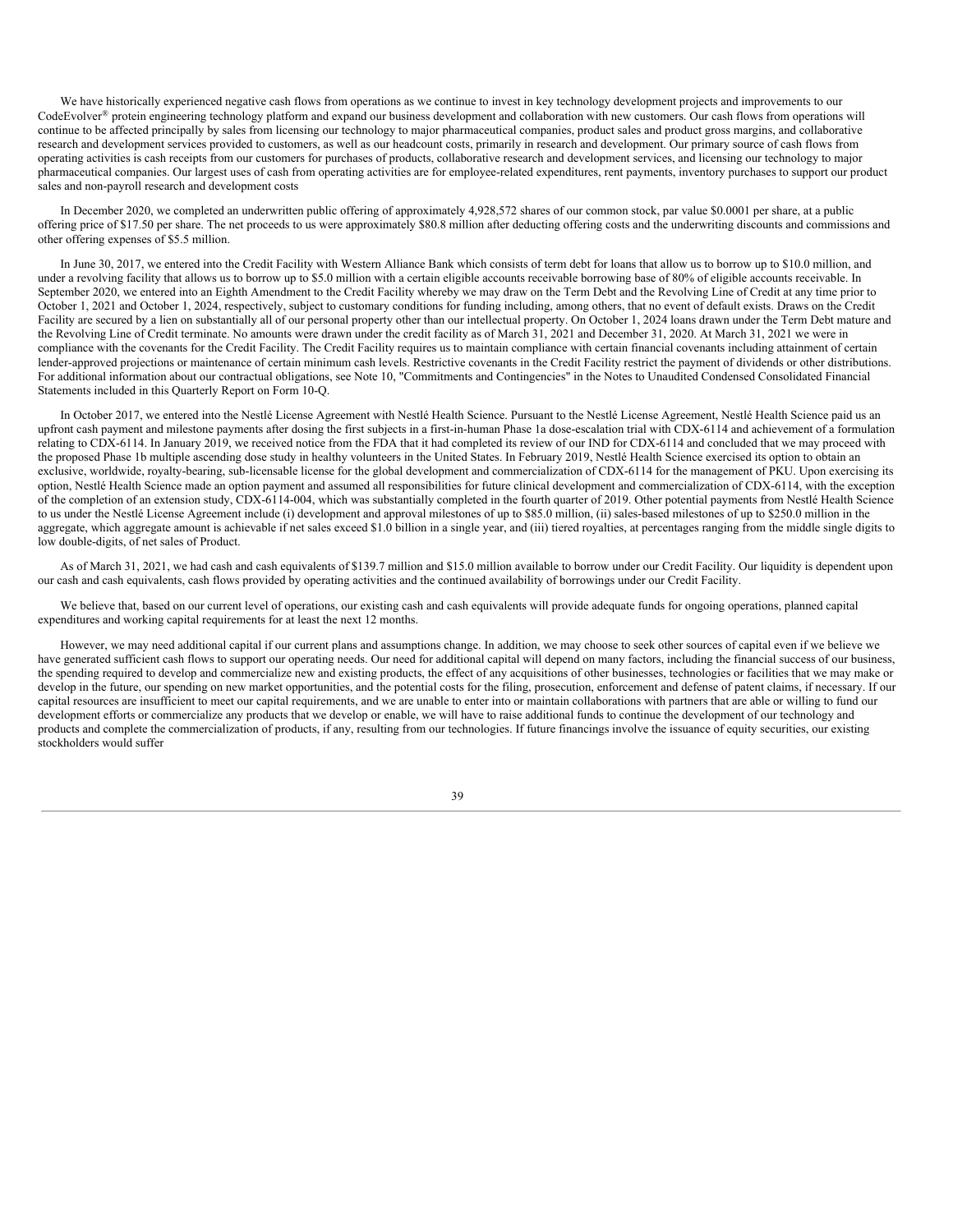We have historically experienced negative cash flows from operations as we continue to invest in key technology development projects and improvements to our CodeEvolver® protein engineering technology platform and expand our business development and collaboration with new customers. Our cash flows from operations will continue to be affected principally by sales from licensing our technology to major pharmaceutical companies, product sales and product gross margins, and collaborative research and development services provided to customers, as well as our headcount costs, primarily in research and development. Our primary source of cash flows from operating activities is cash receipts from our customers for purchases of products, collaborative research and development services, and licensing our technology to major pharmaceutical companies. Our largest uses of cash from operating activities are for employee-related expenditures, rent payments, inventory purchases to support our product sales and non-payroll research and development costs

In December 2020, we completed an underwritten public offering of approximately 4,928,572 shares of our common stock, par value \$0.0001 per share, at a public offering price of \$17.50 per share. The net proceeds to us were approximately \$80.8 million after deducting offering costs and the underwriting discounts and commissions and other offering expenses of \$5.5 million.

In June 30, 2017, we entered into the Credit Facility with Western Alliance Bank which consists of term debt for loans that allow us to borrow up to \$10.0 million, and under a revolving facility that allows us to borrow up to \$5.0 million with a certain eligible accounts receivable borrowing base of 80% of eligible accounts receivable. In September 2020, we entered into an Eighth Amendment to the Credit Facility whereby we may draw on the Term Debt and the Revolving Line of Credit at any time prior to October 1, 2021 and October 1, 2024, respectively, subject to customary conditions for funding including, among others, that no event of default exists. Draws on the Credit Facility are secured by a lien on substantially all of our personal property other than our intellectual property. On October 1, 2024 loans drawn under the Term Debt mature and the Revolving Line of Credit terminate. No amounts were drawn under the credit facility as of March 31, 2021 and December 31, 2020. At March 31, 2021 we were in compliance with the covenants for the Credit Facility. The Credit Facility requires us to maintain compliance with certain financial covenants including attainment of certain lender-approved projections or maintenance of certain minimum cash levels. Restrictive covenants in the Credit Facility restrict the payment of dividends or other distributions. For additional information about our contractual obligations, see Note 10, "Commitments and Contingencies" in the Notes to Unaudited Condensed Consolidated Financial Statements included in this Quarterly Report on Form 10-Q.

In October 2017, we entered into the Nestlé License Agreement with Nestlé Health Science. Pursuant to the Nestlé License Agreement, Nestlé Health Science paid us an upfront cash payment and milestone payments after dosing the first subjects in a first-in-human Phase 1a dose-escalation trial with CDX-6114 and achievement of a formulation relating to CDX-6114. In January 2019, we received notice from the FDA that it had completed its review of our IND for CDX-6114 and concluded that we may proceed with the proposed Phase 1b multiple ascending dose study in healthy volunteers in the United States. In February 2019, Nestlé Health Science exercised its option to obtain an exclusive, worldwide, royalty-bearing, sub-licensable license for the global development and commercialization of CDX-6114 for the management of PKU. Upon exercising its option, Nestlé Health Science made an option payment and assumed all responsibilities for future clinical development and commercialization of CDX-6114, with the exception of the completion of an extension study, CDX-6114-004, which was substantially completed in the fourth quarter of 2019. Other potential payments from Nestlé Health Science to us under the Nestlé License Agreement include (i) development and approval milestones of up to \$85.0 million, (ii) sales-based milestones of up to \$250.0 million in the aggregate, which aggregate amount is achievable if net sales exceed \$1.0 billion in a single year, and (iii) tiered royalties, at percentages ranging from the middle single digits to low double-digits, of net sales of Product.

As of March 31, 2021, we had cash and cash equivalents of \$139.7 million and \$15.0 million available to borrow under our Credit Facility. Our liquidity is dependent upon our cash and cash equivalents, cash flows provided by operating activities and the continued availability of borrowings under our Credit Facility.

We believe that, based on our current level of operations, our existing cash and cash equivalents will provide adequate funds for ongoing operations, planned capital expenditures and working capital requirements for at least the next 12 months.

However, we may need additional capital if our current plans and assumptions change. In addition, we may choose to seek other sources of capital even if we believe we have generated sufficient cash flows to support our operating needs. Our need for additional capital will depend on many factors, including the financial success of our business, the spending required to develop and commercialize new and existing products, the effect of any acquisitions of other businesses, technologies or facilities that we may make or develop in the future, our spending on new market opportunities, and the potential costs for the filing, prosecution, enforcement and defense of patent claims, if necessary. If our capital resources are insufficient to meet our capital requirements, and we are unable to enter into or maintain collaborations with partners that are able or willing to fund our development efforts or commercialize any products that we develop or enable, we will have to raise additional funds to continue the development of our technology and products and complete the commercialization of products, if any, resulting from our technologies. If future financings involve the issuance of equity securities, our existing stockholders would suffer

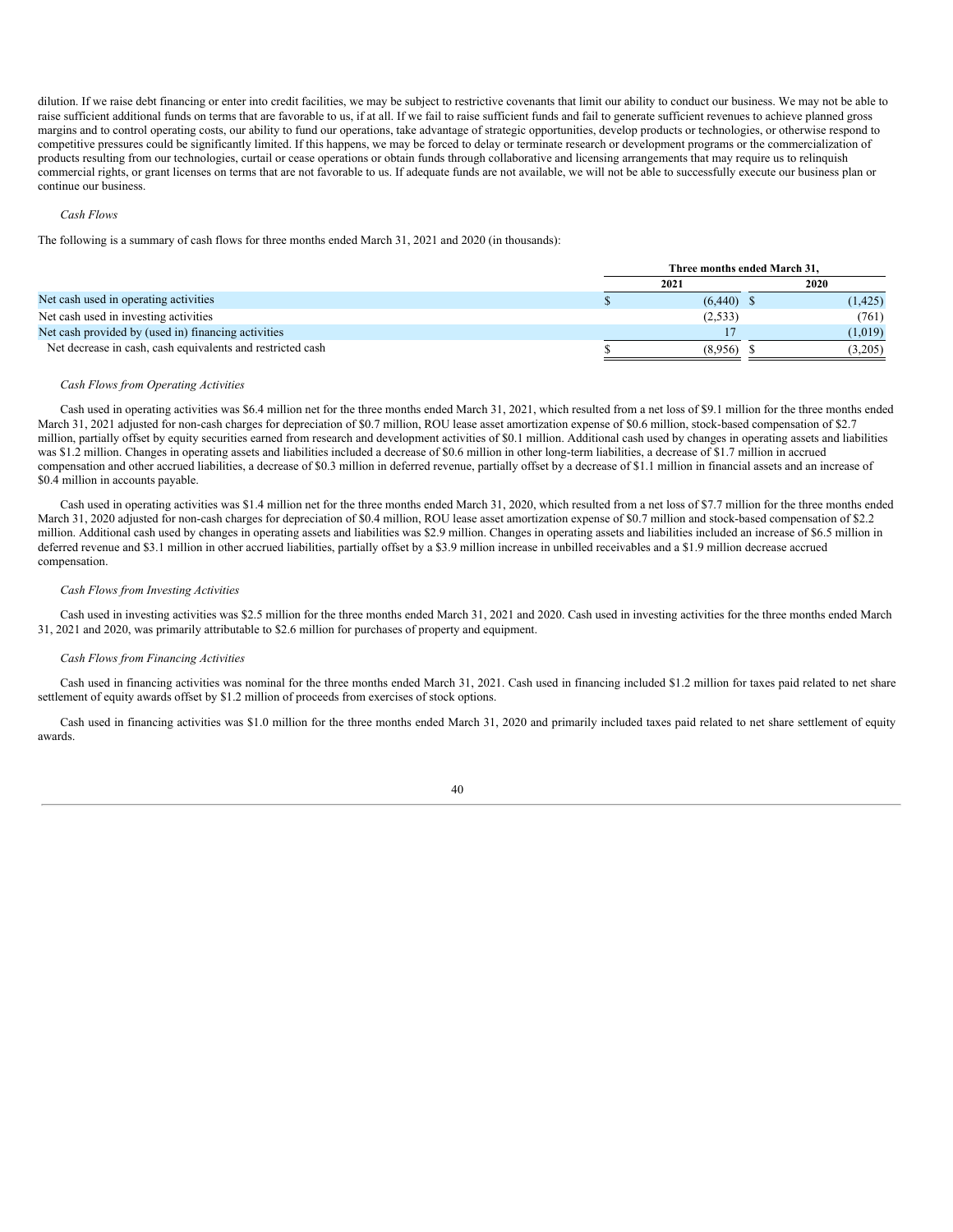dilution. If we raise debt financing or enter into credit facilities, we may be subject to restrictive covenants that limit our ability to conduct our business. We may not be able to raise sufficient additional funds on terms that are favorable to us, if at all. If we fail to raise sufficient funds and fail to generate sufficient revenues to achieve planned gross margins and to control operating costs, our ability to fund our operations, take advantage of strategic opportunities, develop products or technologies, or otherwise respond to competitive pressures could be significantly limited. If this happens, we may be forced to delay or terminate research or development programs or the commercialization of products resulting from our technologies, curtail or cease operations or obtain funds through collaborative and licensing arrangements that may require us to relinquish commercial rights, or grant licenses on terms that are not favorable to us. If adequate funds are not available, we will not be able to successfully execute our business plan or continue our business.

### *Cash Flows*

The following is a summary of cash flows for three months ended March 31, 2021 and 2020 (in thousands):

|                                                            | Three months ended March 31. |  |          |  |
|------------------------------------------------------------|------------------------------|--|----------|--|
|                                                            | 2021                         |  | 2020     |  |
| Net cash used in operating activities                      | (6.440)                      |  | (1, 425) |  |
| Net cash used in investing activities                      | (2, 533)                     |  | (761)    |  |
| Net cash provided by (used in) financing activities        |                              |  | (1,019)  |  |
| Net decrease in cash, cash equivalents and restricted cash | (8.956)                      |  | (3,205)  |  |

#### *Cash Flows from Operating Activities*

Cash used in operating activities was \$6.4 million net for the three months ended March 31, 2021, which resulted from a net loss of \$9.1 million for the three months ended March 31, 2021 adjusted for non-cash charges for depreciation of \$0.7 million, ROU lease asset amortization expense of \$0.6 million, stock-based compensation of \$2.7 million, partially offset by equity securities earned from research and development activities of \$0.1 million. Additional cash used by changes in operating assets and liabilities was \$1.2 million. Changes in operating assets and liabilities included a decrease of \$0.6 million in other long-term liabilities, a decrease of \$1.7 million in accrued compensation and other accrued liabilities, a decrease of \$0.3 million in deferred revenue, partially offset by a decrease of \$1.1 million in financial assets and an increase of \$0.4 million in accounts payable.

Cash used in operating activities was \$1.4 million net for the three months ended March 31, 2020, which resulted from a net loss of \$7.7 million for the three months ended March 31, 2020 adjusted for non-cash charges for depreciation of \$0.4 million, ROU lease asset amortization expense of \$0.7 million and stock-based compensation of \$2.2 million. Additional cash used by changes in operating assets and liabilities was \$2.9 million. Changes in operating assets and liabilities included an increase of \$6.5 million in deferred revenue and \$3.1 million in other accrued liabilities, partially offset by a \$3.9 million increase in unbilled receivables and a \$1.9 million decrease accrued compensation.

#### *Cash Flows from Investing Activities*

Cash used in investing activities was \$2.5 million for the three months ended March 31, 2021 and 2020. Cash used in investing activities for the three months ended March 31, 2021 and 2020, was primarily attributable to \$2.6 million for purchases of property and equipment.

#### *Cash Flows from Financing Activities*

Cash used in financing activities was nominal for the three months ended March 31, 2021. Cash used in financing included \$1.2 million for taxes paid related to net share settlement of equity awards offset by \$1.2 million of proceeds from exercises of stock options.

Cash used in financing activities was \$1.0 million for the three months ended March 31, 2020 and primarily included taxes paid related to net share settlement of equity awards.

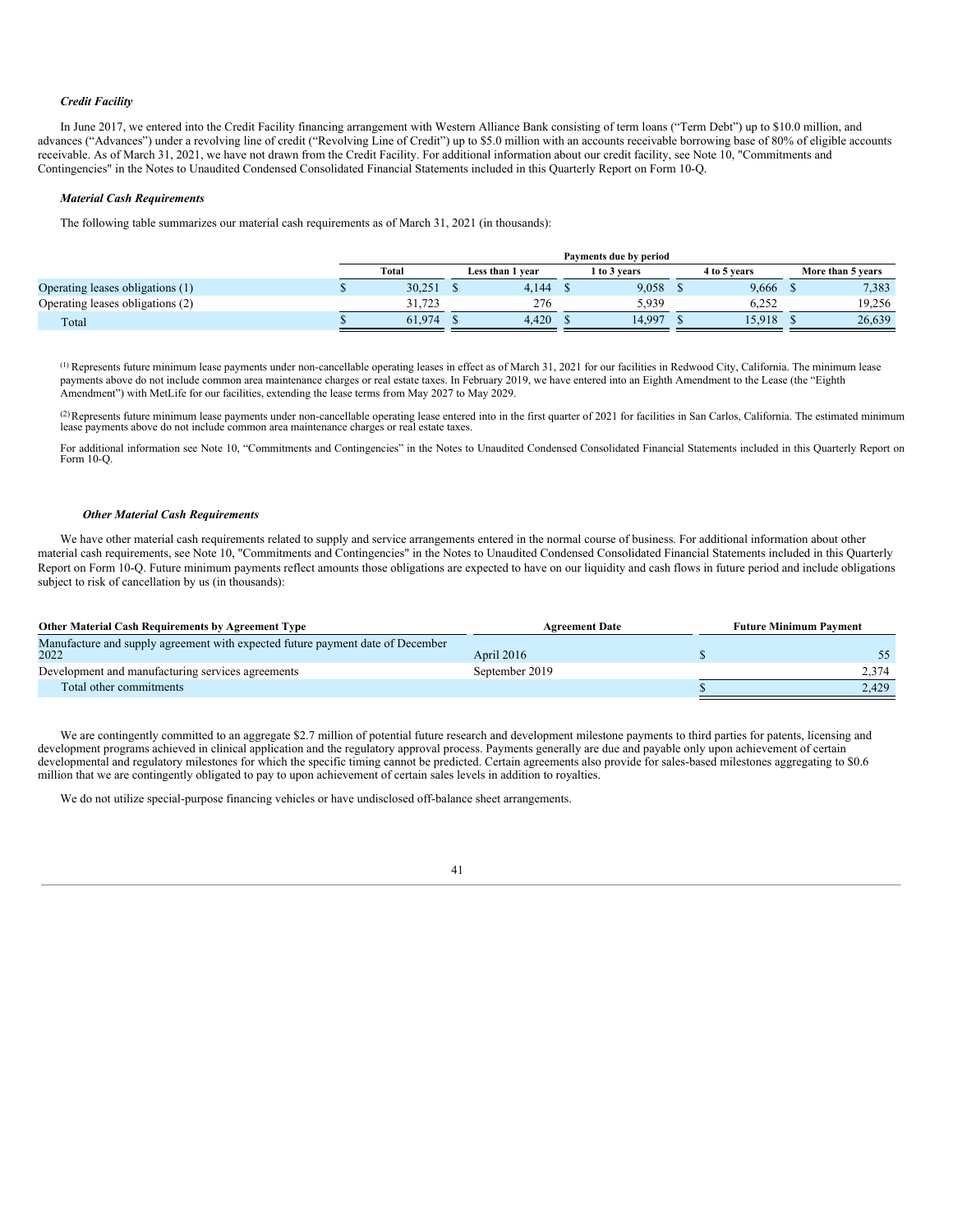## *Credit Facility*

In June 2017, we entered into the Credit Facility financing arrangement with Western Alliance Bank consisting of term loans ("Term Debt") up to \$10.0 million, and advances ("Advances") under a revolving line of credit ("Revolving Line of Credit") up to \$5.0 million with an accounts receivable borrowing base of 80% of eligible accounts receivable. As of March 31, 2021, we have not drawn from the Credit Facility. For additional information about our credit facility, see Note 10, "Commitments and Contingencies" in the Notes to Unaudited Condensed Consolidated Financial Statements included in this Quarterly Report on Form 10-Q.

### *Material Cash Requirements*

The following table summarizes our material cash requirements as of March 31, 2021 (in thousands):

|                                  | Payments due by period |        |  |                  |  |              |  |              |                   |
|----------------------------------|------------------------|--------|--|------------------|--|--------------|--|--------------|-------------------|
|                                  |                        | Total  |  | Less than 1 year |  | 1 to 3 vears |  | 4 to 5 years | More than 5 years |
| Operating leases obligations (1) |                        | 30,251 |  | 4.144            |  | 9,058        |  | 9,666        | 7,383             |
| Operating leases obligations (2) |                        | 31.723 |  | 276              |  | 5.939        |  | 6.252        | 19.256            |
| Total                            |                        | 61.974 |  | 4.420            |  | 14.997       |  | 15.918       | 26,639            |

 $\frac{(1)}{1}$  Represents future minimum lease payments under non-cancellable operating leases in effect as of March 31, 2021 for our facilities in Redwood City, California. The minimum lease payments above do not include common area maintenance charges or real estate taxes. In February 2019, we have entered into an Eighth Amendment to the Lease (the "Eighth Amendment") with MetLife for our facilities, extending the lease terms from May 2027 to May 2029.

<sup>(2)</sup> Represents future minimum lease payments under non-cancellable operating lease entered into in the first quarter of 2021 for facilities in San Carlos, California. The estimated minimum lease payments above do not inc

For additional information see Note 10, "Commitments and Contingencies" in the Notes to Unaudited Condensed Consolidated Financial Statements included in this Quarterly Report on Form 10-Q.

### *Other Material Cash Requirements*

We have other material cash requirements related to supply and service arrangements entered in the normal course of business. For additional information about other material cash requirements, see Note 10, "Commitments and Contingencies" in the Notes to Unaudited Condensed Consolidated Financial Statements included in this Quarterly Report on Form 10-Q. Future minimum payments reflect amounts those obligations are expected to have on our liquidity and cash flows in future period and include obligations subject to risk of cancellation by us (in thousands):

| <b>Other Material Cash Requirements by Agreement Type</b>                              | <b>Agreement Date</b> | <b>Future Minimum Payment</b> |
|----------------------------------------------------------------------------------------|-----------------------|-------------------------------|
| Manufacture and supply agreement with expected future payment date of December<br>2022 | April 2016            |                               |
| Development and manufacturing services agreements                                      | September 2019        | 2.374                         |
| Total other commitments                                                                |                       | 2.429                         |

We are contingently committed to an aggregate \$2.7 million of potential future research and development milestone payments to third parties for patents, licensing and development programs achieved in clinical application and the regulatory approval process. Payments generally are due and payable only upon achievement of certain developmental and regulatory milestones for which the specific timing cannot be predicted. Certain agreements also provide for sales-based milestones aggregating to \$0.6 million that we are contingently obligated to pay to upon achievement of certain sales levels in addition to royalties.

We do not utilize special-purpose financing vehicles or have undisclosed off-balance sheet arrangements.

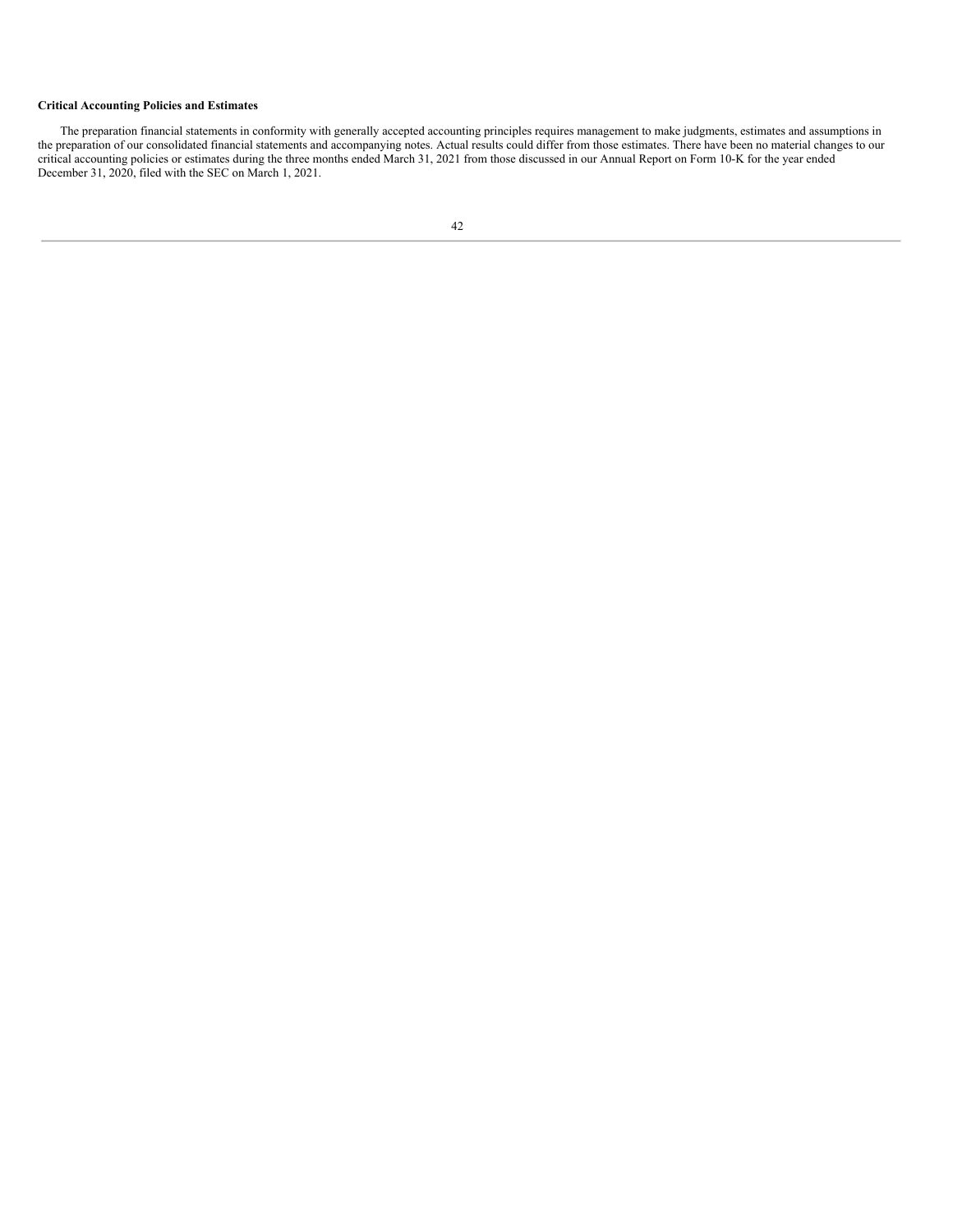## **Critical Accounting Policies and Estimates**

The preparation financial statements in conformity with generally accepted accounting principles requires management to make judgments, estimates and assumptions in the preparation of our consolidated financial statements and accompanying notes. Actual results could differ from those estimates. There have been no material changes to our critical accounting policies or estimates during the three months ended March 31, 2021 from those discussed in our Annual Report on Form 10-K for the year ended December 31, 2020, filed with the SEC on March 1, 2021.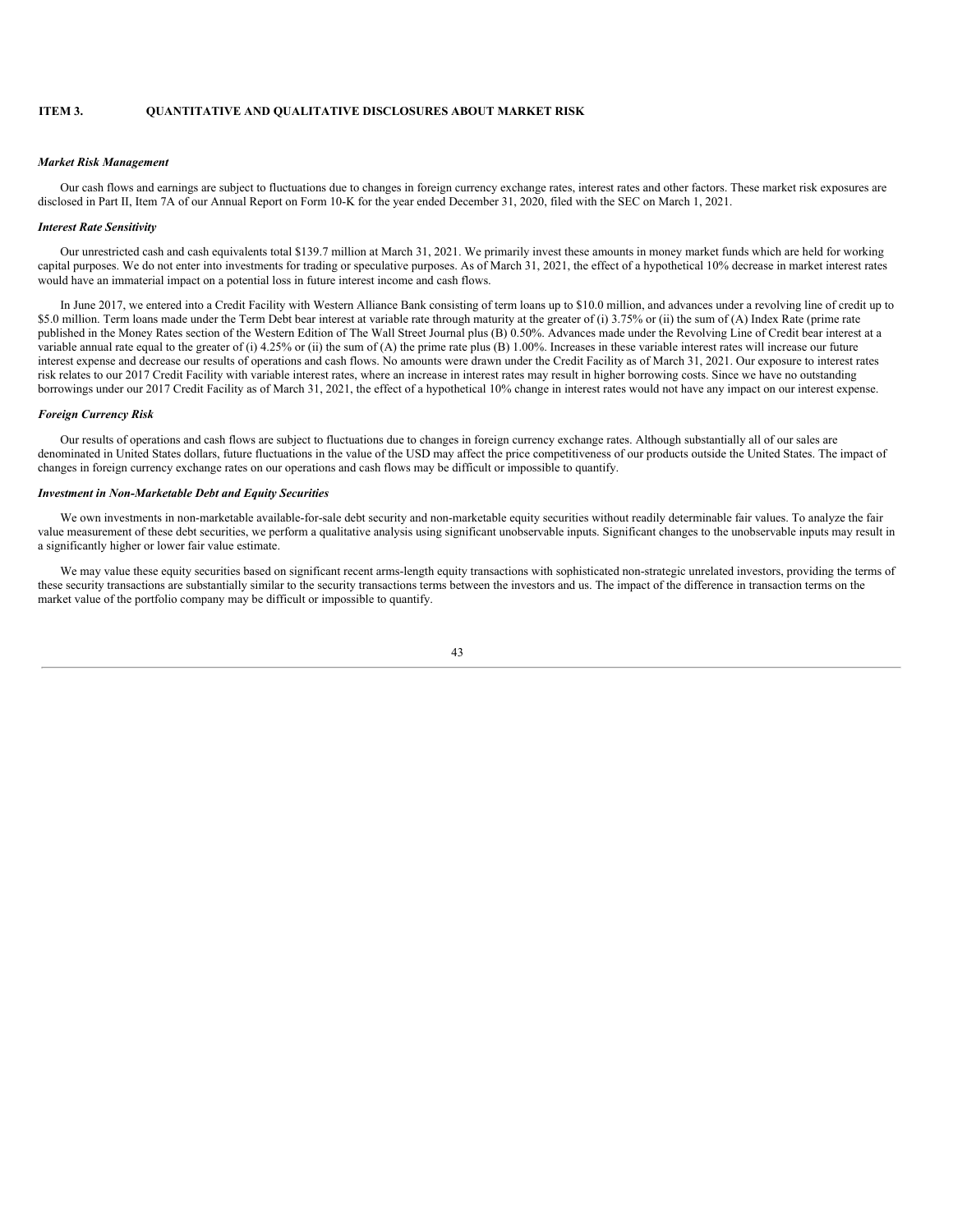# **ITEM 3. QUANTITATIVE AND QUALITATIVE DISCLOSURES ABOUT MARKET RISK**

#### *Market Risk Management*

Our cash flows and earnings are subject to fluctuations due to changes in foreign currency exchange rates, interest rates and other factors. These market risk exposures are disclosed in Part II, Item 7A of our Annual Report on Form 10-K for the year ended December 31, 2020, filed with the SEC on March 1, 2021.

#### *Interest Rate Sensitivity*

Our unrestricted cash and cash equivalents total \$139.7 million at March 31, 2021. We primarily invest these amounts in money market funds which are held for working capital purposes. We do not enter into investments for trading or speculative purposes. As of March 31, 2021, the effect of a hypothetical 10% decrease in market interest rates would have an immaterial impact on a potential loss in future interest income and cash flows.

In June 2017, we entered into a Credit Facility with Western Alliance Bank consisting of term loans up to \$10.0 million, and advances under a revolving line of credit up to \$5.0 million. Term loans made under the Term Debt bear interest at variable rate through maturity at the greater of (i) 3.75% or (ii) the sum of (A) Index Rate (prime rate published in the Money Rates section of the Western Edition of The Wall Street Journal plus (B) 0.50%. Advances made under the Revolving Line of Credit bear interest at a variable annual rate equal to the greater of (i) 4.25% or (ii) the sum of (A) the prime rate plus (B) 1.00%. Increases in these variable interest rates will increase our future interest expense and decrease our results of operations and cash flows. No amounts were drawn under the Credit Facility as of March 31, 2021. Our exposure to interest rates risk relates to our 2017 Credit Facility with variable interest rates, where an increase in interest rates may result in higher borrowing costs. Since we have no outstanding borrowings under our 2017 Credit Facility as of March 31, 2021, the effect of a hypothetical 10% change in interest rates would not have any impact on our interest expense.

#### *Foreign Currency Risk*

Our results of operations and cash flows are subject to fluctuations due to changes in foreign currency exchange rates. Although substantially all of our sales are denominated in United States dollars, future fluctuations in the value of the USD may affect the price competitiveness of our products outside the United States. The impact of changes in foreign currency exchange rates on our operations and cash flows may be difficult or impossible to quantify.

#### *Investment in Non-Marketable Debt and Equity Securities*

We own investments in non-marketable available-for-sale debt security and non-marketable equity securities without readily determinable fair values. To analyze the fair value measurement of these debt securities, we perform a qualitative analysis using significant unobservable inputs. Significant changes to the unobservable inputs may result in a significantly higher or lower fair value estimate.

We may value these equity securities based on significant recent arms-length equity transactions with sophisticated non-strategic unrelated investors, providing the terms of these security transactions are substantially similar to the security transactions terms between the investors and us. The impact of the difference in transaction terms on the market value of the portfolio company may be difficult or impossible to quantify.

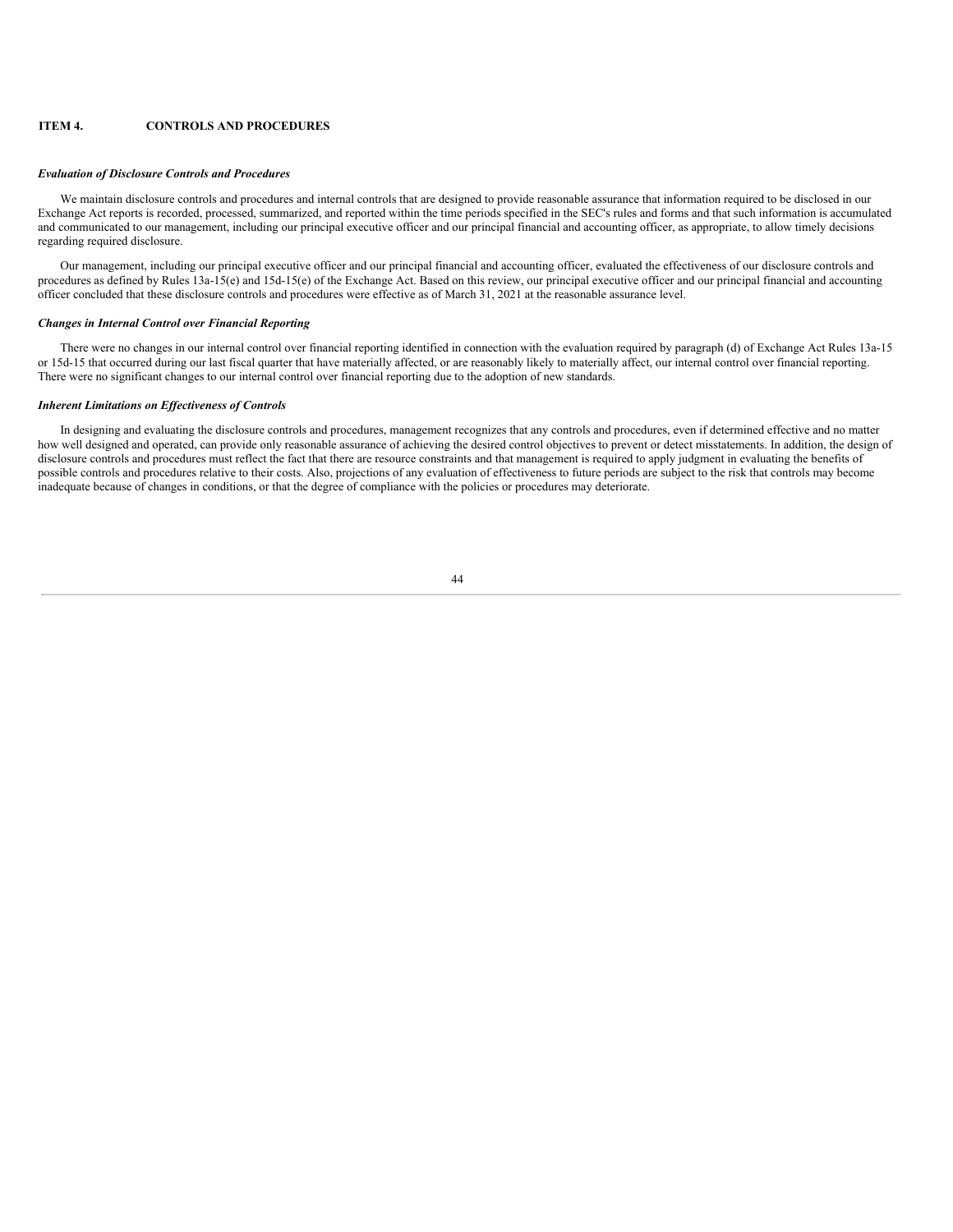## **ITEM 4. CONTROLS AND PROCEDURES**

### *Evaluation of Disclosure Controls and Procedures*

We maintain disclosure controls and procedures and internal controls that are designed to provide reasonable assurance that information required to be disclosed in our Exchange Act reports is recorded, processed, summarized, and reported within the time periods specified in the SEC's rules and forms and that such information is accumulated and communicated to our management, including our principal executive officer and our principal financial and accounting officer, as appropriate, to allow timely decisions regarding required disclosure.

Our management, including our principal executive officer and our principal financial and accounting officer, evaluated the effectiveness of our disclosure controls and procedures as defined by Rules 13a-15(e) and 15d-15(e) of the Exchange Act. Based on this review, our principal executive officer and our principal financial and accounting officer concluded that these disclosure controls and procedures were effective as of March 31, 2021 at the reasonable assurance level.

### *Changes in Internal Control over Financial Reporting*

There were no changes in our internal control over financial reporting identified in connection with the evaluation required by paragraph (d) of Exchange Act Rules 13a-15 or 15d-15 that occurred during our last fiscal quarter that have materially affected, or are reasonably likely to materially affect, our internal control over financial reporting. There were no significant changes to our internal control over financial reporting due to the adoption of new standards.

## *Inherent Limitations on Ef ectiveness of Controls*

In designing and evaluating the disclosure controls and procedures, management recognizes that any controls and procedures, even if determined effective and no matter how well designed and operated, can provide only reasonable assurance of achieving the desired control objectives to prevent or detect misstatements. In addition, the design of disclosure controls and procedures must reflect the fact that there are resource constraints and that management is required to apply judgment in evaluating the benefits of possible controls and procedures relative to their costs. Also, projections of any evaluation of effectiveness to future periods are subject to the risk that controls may become inadequate because of changes in conditions, or that the degree of compliance with the policies or procedures may deteriorate.

### 44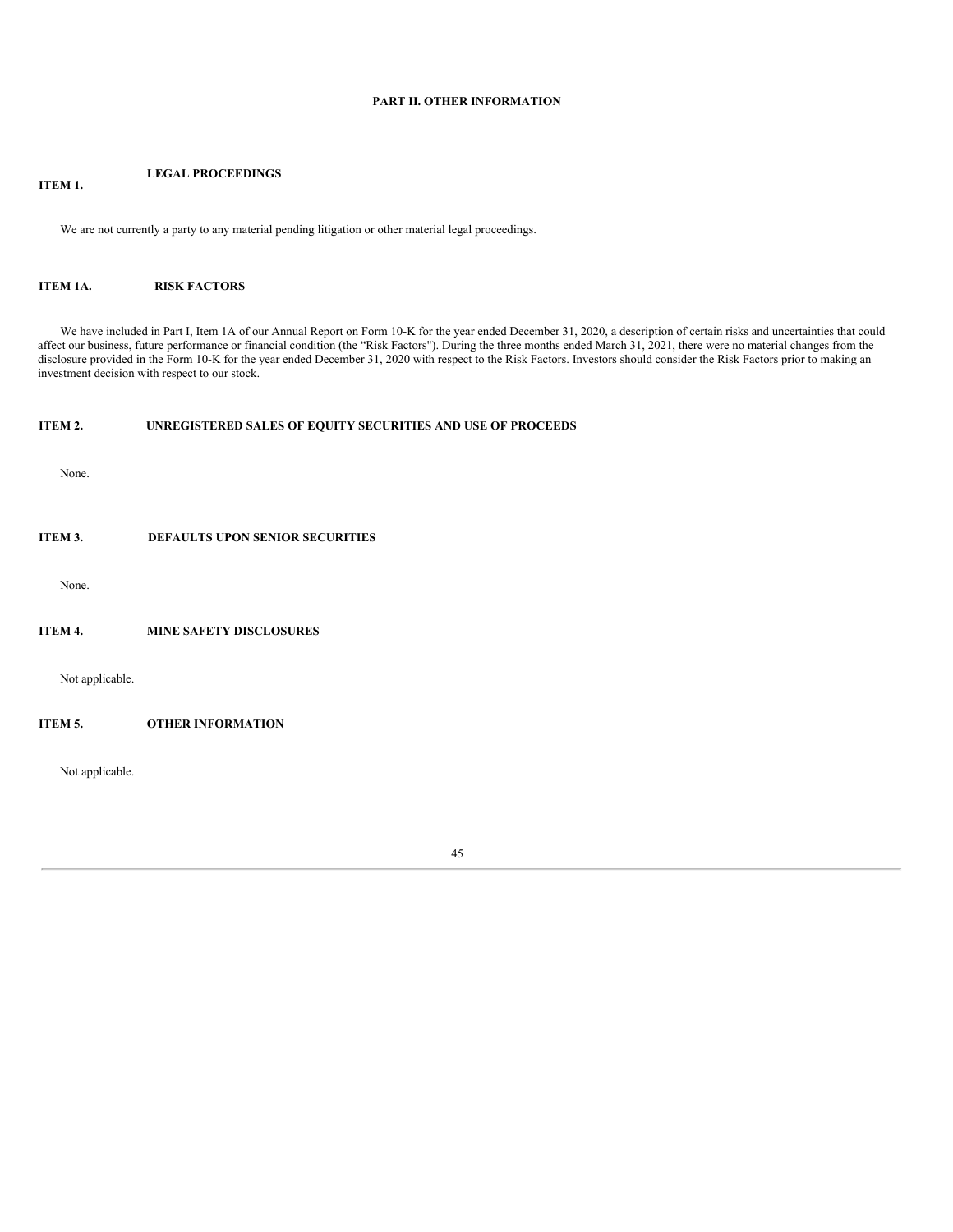# **PART II. OTHER INFORMATION**

#### **ITEM 1. LEGAL PROCEEDINGS**

We are not currently a party to any material pending litigation or other material legal proceedings.

# **ITEM 1A. RISK FACTORS**

We have included in Part I, Item 1A of our Annual Report on Form 10-K for the year ended December 31, 2020, a description of certain risks and uncertainties that could affect our business, future performance or financial condition (the "Risk Factors"). During the three months ended March 31, 2021, there were no material changes from the disclosure provided in the Form 10-K for the year ended December 31, 2020 with respect to the Risk Factors. Investors should consider the Risk Factors prior to making an investment decision with respect to our stock.

# **ITEM 2. UNREGISTERED SALES OF EQUITY SECURITIES AND USE OF PROCEEDS**

None.

## **ITEM 3. DEFAULTS UPON SENIOR SECURITIES**

None.

# **ITEM 4. MINE SAFETY DISCLOSURES**

Not applicable.

## **ITEM 5. OTHER INFORMATION**

Not applicable.

45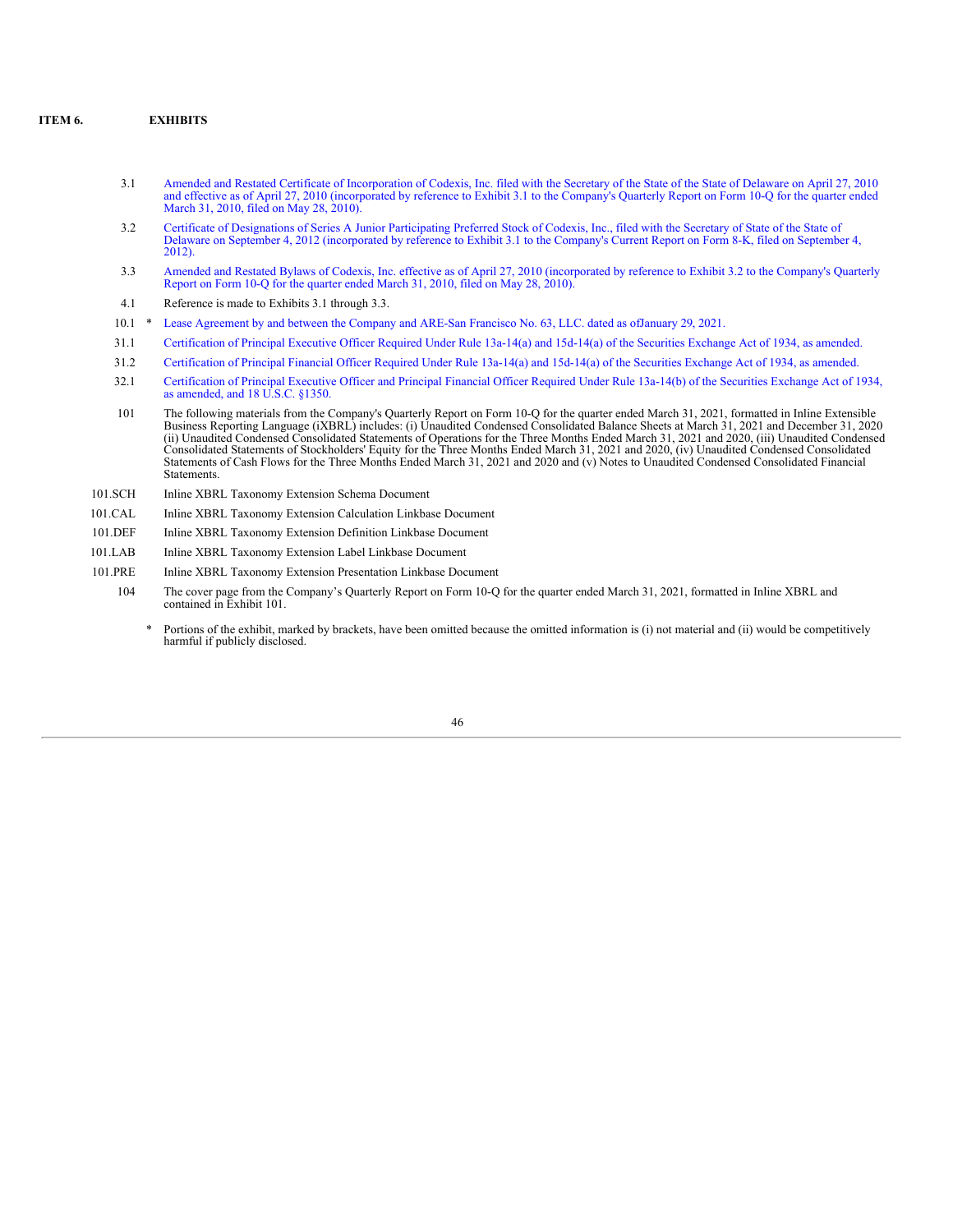**ITEM 6. EXHIBITS**

- 3.1 Amended and Restated Certificate of [Incorporation](http://www.sec.gov/Archives/edgar/data/1200375/000095013010000138/dex31.htm) of Codexis, Inc. filed with the Secretary of the State of the State of Delaware on April 27, 2010 and effective as of April 27, 2010 (incorporated by reference to Exhibit 3.1 to the Company's Quarterly Report on Form 10-Q for the quarter ended March 31, 2010, filed on May 28, 2010).
- 3.2 Certificate of Designations of Series A Junior Participating Preferred Stock of Codexis, Inc., filed with the Secretary of State of the State of Delaware on September 4, 2012 [\(incorporated](http://www.sec.gov/Archives/edgar/data/1200375/000119312512378221/d405085dex31.htm) by reference to Exhibit 3.1 to the Company's Current Report on Form 8-K, filed on September 4, 2012).
- 3.3 Amended and Restated Bylaws of Codexis, Inc. effective as of April 27, 2010 [\(incorporated](http://www.sec.gov/Archives/edgar/data/1200375/000095013010000138/dex32.htm) by reference to Exhibit 3.2 to the Company's Quarterly Report on Form 10-Q for the quarter ended March 31, 2010, filed on May 28, 2010).
- 4.1 Reference is made to Exhibits 3.1 through 3.3.
- 10.1 \* Lease [Agreement](#page-74-0) by and between the Company and ARE-San Francisco No. 63, LLC. dated as o[fJanuary](#page-74-0) 29, [2021.](#page-74-0)
- 31.1 [Certification](#page-103-0) of Principal Executive Officer Required Under Rule 13a-14(a) and 15d-14(a) of the Securities Exchange Act of 1934, as amended.
- 31.2 [Certification](#page-104-0) of Principal Financial Officer Required Under Rule 13a-14(a) and 15d-14(a) of the Securities Exchange Act of 1934, as amended.
- 32.1 [Certification](#page-105-0) of Principal Executive Officer and Principal Financial Officer Required Under Rule 13a-14(b) of the Securities Exchange Act of 1934, as amended, and 18 U.S.C. §1350.
- 101 The following materials from the Company's Quarterly Report on Form 10-Q for the quarter ended March 31, 2021, formatted in Inline Extensible<br>Business Reporting Language (iXBRL) includes: (i) Unaudited Condensed Consol (ii) Unaudited Condensed Consolidated Statements of Operations for the Three Months Ended March 31, 2021 and 2020, (iii) Unaudited Condensed<br>Consolidated Statements of Stockholders' Equity for the Three Months Ended March Statements of Cash Flows for the Three Months Ended March 31, 2021 and 2020 and (v) Notes to Unaudited Condensed Consolidated Financial Statements.
- 101.SCH Inline XBRL Taxonomy Extension Schema Document
- 101.CAL Inline XBRL Taxonomy Extension Calculation Linkbase Document
- 101.DEF Inline XBRL Taxonomy Extension Definition Linkbase Document
- 101.LAB Inline XBRL Taxonomy Extension Label Linkbase Document
- 101.PRE Inline XBRL Taxonomy Extension Presentation Linkbase Document
	- 104 The cover page from the Company's Quarterly Report on Form 10-Q for the quarter ended March 31, 2021, formatted in Inline XBRL and contained in Exhibit 101.
		- Portions of the exhibit, marked by brackets, have been omitted because the omitted information is (i) not material and (ii) would be competitively harmful if publicly disclosed.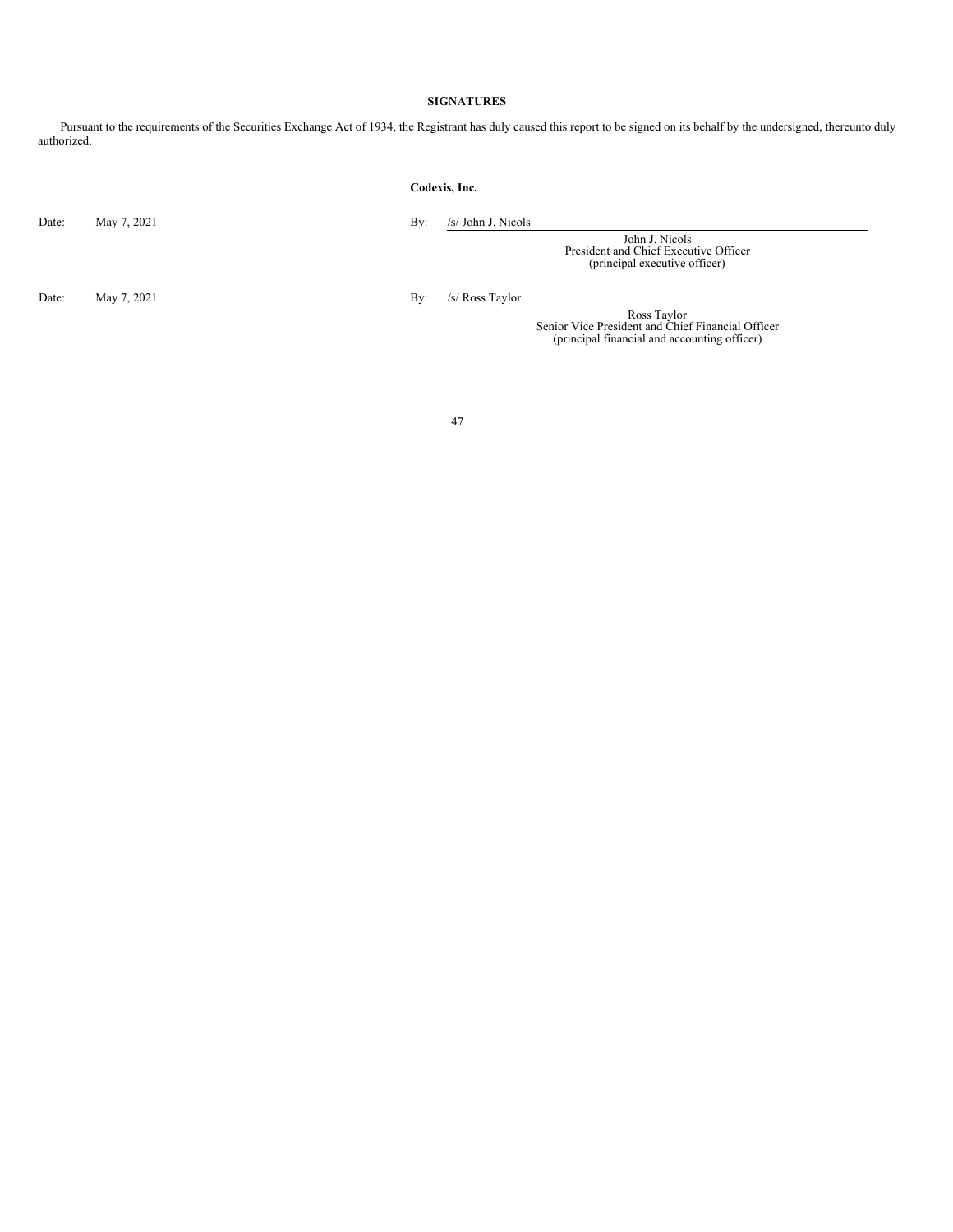# **SIGNATURES**

Pursuant to the requirements of the Securities Exchange Act of 1934, the Registrant has duly caused this report to be signed on its behalf by the undersigned, thereunto duly authorized.

# **Codexis, Inc.**

Date: May 7, 2021 By: /s/ John J. Nicols

John J. Nicols President and Chief Executive Officer (principal executive officer)

Date: May 7, 2021 By: /s/ Ross Taylor

Ross Taylor Senior Vice President and Chief Financial Officer (principal financial and accounting officer)

47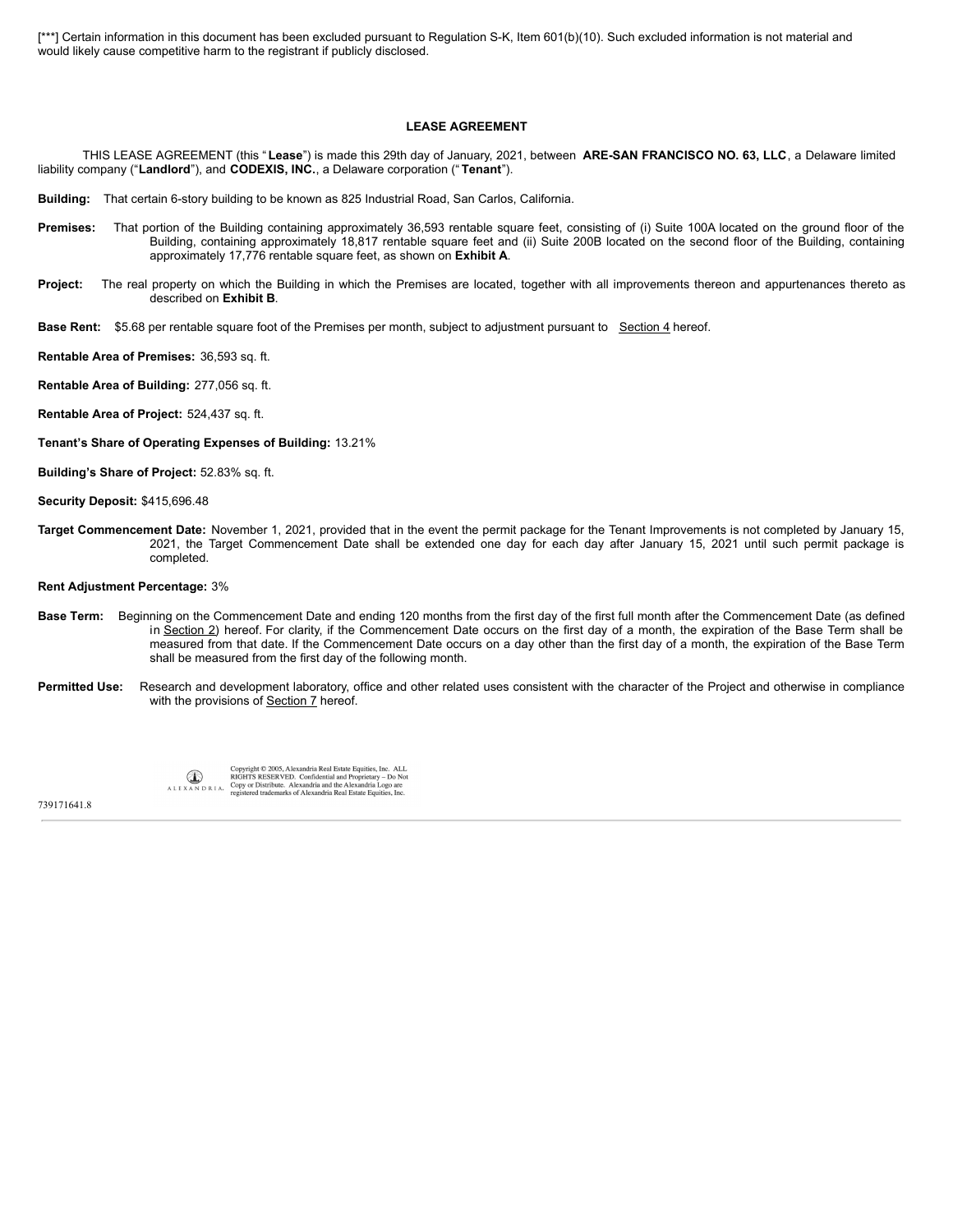[\*\*\*] Certain information in this document has been excluded pursuant to Regulation S-K, Item 601(b)(10). Such excluded information is not material and would likely cause competitive harm to the registrant if publicly disclosed.

### **LEASE AGREEMENT**

THIS LEASE AGREEMENT (this " **Lease**") is made this 29th day of January, 2021, between **ARE-SAN FRANCISCO NO. 63, LLC**, a Delaware limited liability company ("**Landlord**"), and **CODEXIS, INC.**, a Delaware corporation (" **Tenant**").

**Building:** That certain 6-story building to be known as 825 Industrial Road, San Carlos, California.

- **Premises:** That portion of the Building containing approximately 36,593 rentable square feet, consisting of (i) Suite 100A located on the ground floor of the Building, containing approximately 18,817 rentable square feet and (ii) Suite 200B located on the second floor of the Building, containing approximately 17,776 rentable square feet, as shown on **Exhibit A**.
- Project: The real property on which the Building in which the Premises are located, together with all improvements thereon and appurtenances thereto as described on **Exhibit B**.
- **Base Rent:** \$5.68 per rentable square foot of the Premises per month, subject to adjustment pursuant to Section 4 hereof.

**Rentable Area of Premises:** 36,593 sq. ft.

**Rentable Area of Building:** 277,056 sq. ft.

**Rentable Area of Project:** 524,437 sq. ft.

**Tenant's Share of Operating Expenses of Building:** 13.21%

**Building's Share of Project:** 52.83% sq. ft.

**Security Deposit:** \$415,696.48

**Target Commencement Date:** November 1, 2021, provided that in the event the permit package for the Tenant Improvements is not completed by January 15, 2021, the Target Commencement Date shall be extended one day for each day after January 15, 2021 until such permit package is completed.

### **Rent Adjustment Percentage:** 3%

- **Base Term:** Beginning on the Commencement Date and ending 120 months from the first day of the first full month after the Commencement Date (as defined in Section 2) hereof. For clarity, if the Commencement Date occurs on the first day of a month, the expiration of the Base Term shall be measured from that date. If the Commencement Date occurs on a day other than the first day of a month, the expiration of the Base Term shall be measured from the first day of the following month.
- **Permitted Use:** Research and development laboratory, office and other related uses consistent with the character of the Project and otherwise in compliance with the provisions of Section 7 hereof.

| Copyright © 2005, Alexandria Real Estate Equities, Inc. ALL<br>$^\circledR$<br>RIGHTS RESERVED. Confidential and Proprietary - Do Not<br>Copy or Distribute. Alexandria and the Alexandria Logo are<br>ALEXANDRIA.<br>registered trademarks of Alexandria Real Estate Equities, Inc. |  |
|--------------------------------------------------------------------------------------------------------------------------------------------------------------------------------------------------------------------------------------------------------------------------------------|--|
|                                                                                                                                                                                                                                                                                      |  |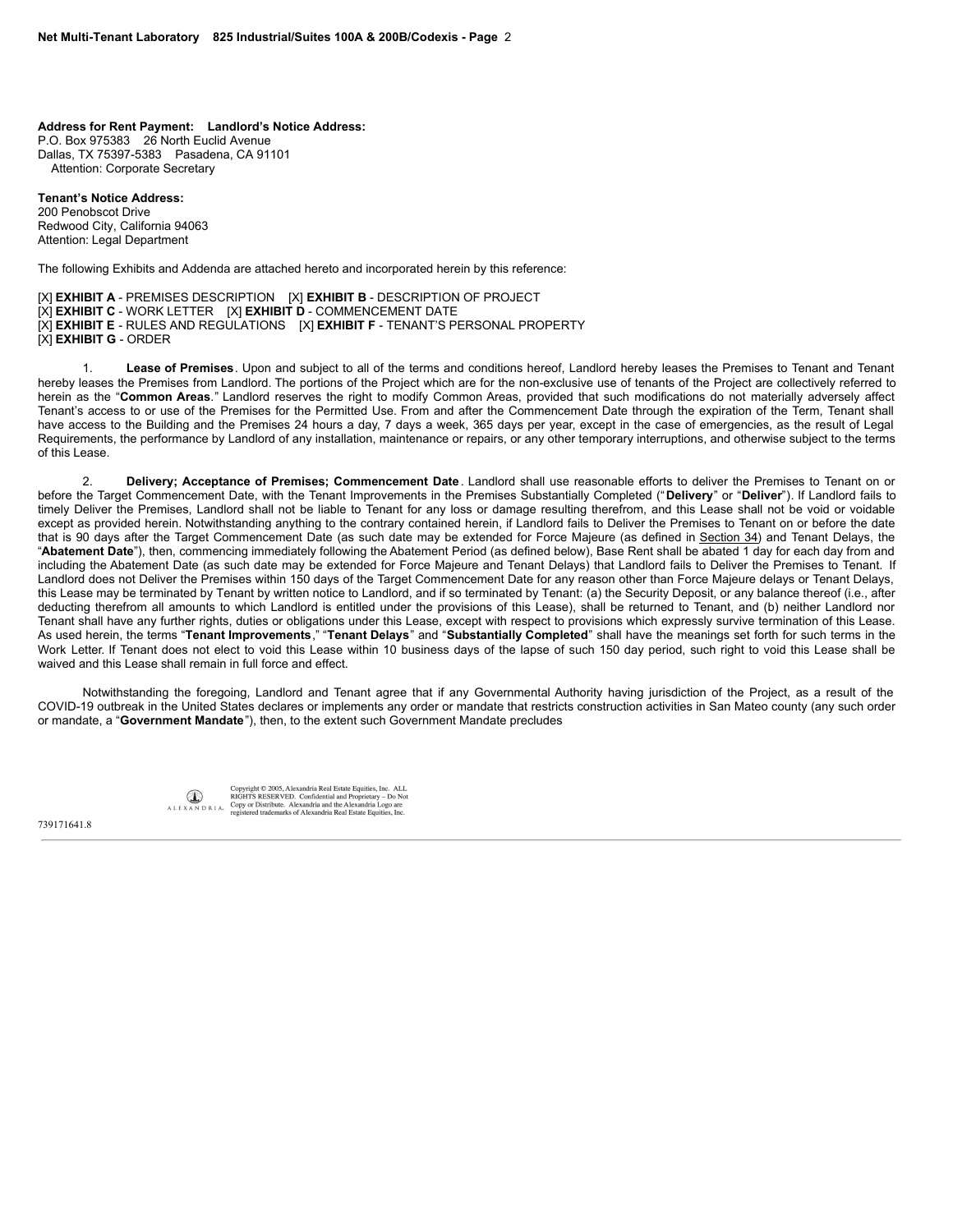**Address for Rent Payment: Landlord's Notice Address:** P.O. Box 975383 26 North Euclid Avenue Dallas, TX 75397-5383 Pasadena, CA 91101 Attention: Corporate Secretary

**Tenant's Notice Address:** 200 Penobscot Drive Redwood City, California 94063 Attention: Legal Department

The following Exhibits and Addenda are attached hereto and incorporated herein by this reference:

[X] **EXHIBIT A** - PREMISES DESCRIPTION [X] **EXHIBIT B** - DESCRIPTION OF PROJECT [X] **EXHIBIT C** - WORK LETTER [X] **EXHIBIT D** - COMMENCEMENT DATE [X] **EXHIBIT E** - RULES AND REGULATIONS [X] **EXHIBIT F** - TENANT'S PERSONAL PROPERTY [X] **EXHIBIT G** - ORDER

1. **Lease of Premises**. Upon and subject to all of the terms and conditions hereof, Landlord hereby leases the Premises to Tenant and Tenant hereby leases the Premises from Landlord. The portions of the Project which are for the non-exclusive use of tenants of the Project are collectively referred to herein as the "**Common Areas**." Landlord reserves the right to modify Common Areas, provided that such modifications do not materially adversely affect Tenant's access to or use of the Premises for the Permitted Use. From and after the Commencement Date through the expiration of the Term, Tenant shall have access to the Building and the Premises 24 hours a day, 7 days a week, 365 days per year, except in the case of emergencies, as the result of Legal Requirements, the performance by Landlord of any installation, maintenance or repairs, or any other temporary interruptions, and otherwise subject to the terms of this Lease.

2. **Delivery; Acceptance of Premises; Commencement Date**. Landlord shall use reasonable efforts to deliver the Premises to Tenant on or before the Target Commencement Date, with the Tenant Improvements in the Premises Substantially Completed ("**Delivery**" or "**Deliver**"). If Landlord fails to timely Deliver the Premises, Landlord shall not be liable to Tenant for any loss or damage resulting therefrom, and this Lease shall not be void or voidable except as provided herein. Notwithstanding anything to the contrary contained herein, if Landlord fails to Deliver the Premises to Tenant on or before the date that is 90 days after the Target Commencement Date (as such date may be extended for Force Majeure (as defined in Section 34) and Tenant Delays, the "**Abatement Date**"), then, commencing immediately following the Abatement Period (as defined below), Base Rent shall be abated 1 day for each day from and including the Abatement Date (as such date may be extended for Force Majeure and Tenant Delays) that Landlord fails to Deliver the Premises to Tenant. If Landlord does not Deliver the Premises within 150 days of the Target Commencement Date for any reason other than Force Majeure delays or Tenant Delays, this Lease may be terminated by Tenant by written notice to Landlord, and if so terminated by Tenant: (a) the Security Deposit, or any balance thereof (i.e., after deducting therefrom all amounts to which Landlord is entitled under the provisions of this Lease), shall be returned to Tenant, and (b) neither Landlord nor Tenant shall have any further rights, duties or obligations under this Lease, except with respect to provisions which expressly survive termination of this Lease. As used herein, the terms "**Tenant Improvements**," "**Tenant Delays**" and "**Substantially Completed**" shall have the meanings set forth for such terms in the Work Letter. If Tenant does not elect to void this Lease within 10 business days of the lapse of such 150 day period, such right to void this Lease shall be waived and this Lease shall remain in full force and effect.

Notwithstanding the foregoing, Landlord and Tenant agree that if any Governmental Authority having jurisdiction of the Project, as a result of the COVID-19 outbreak in the United States declares or implements any order or mandate that restricts construction activities in San Mateo county (any such order or mandate, a "**Government Mandate**"), then, to the extent such Government Mandate precludes

> Copyright © 2005, Alexandria Real Estate Equities, Inc. ALL<br>RIGHTS RESERVED. Confidential and Proprietary – Do No<br>Copy or Distribute. Alexandria and the Alexandria Logo are<br>registered trademarks of Alexandria Real Estate Œ NDRIA.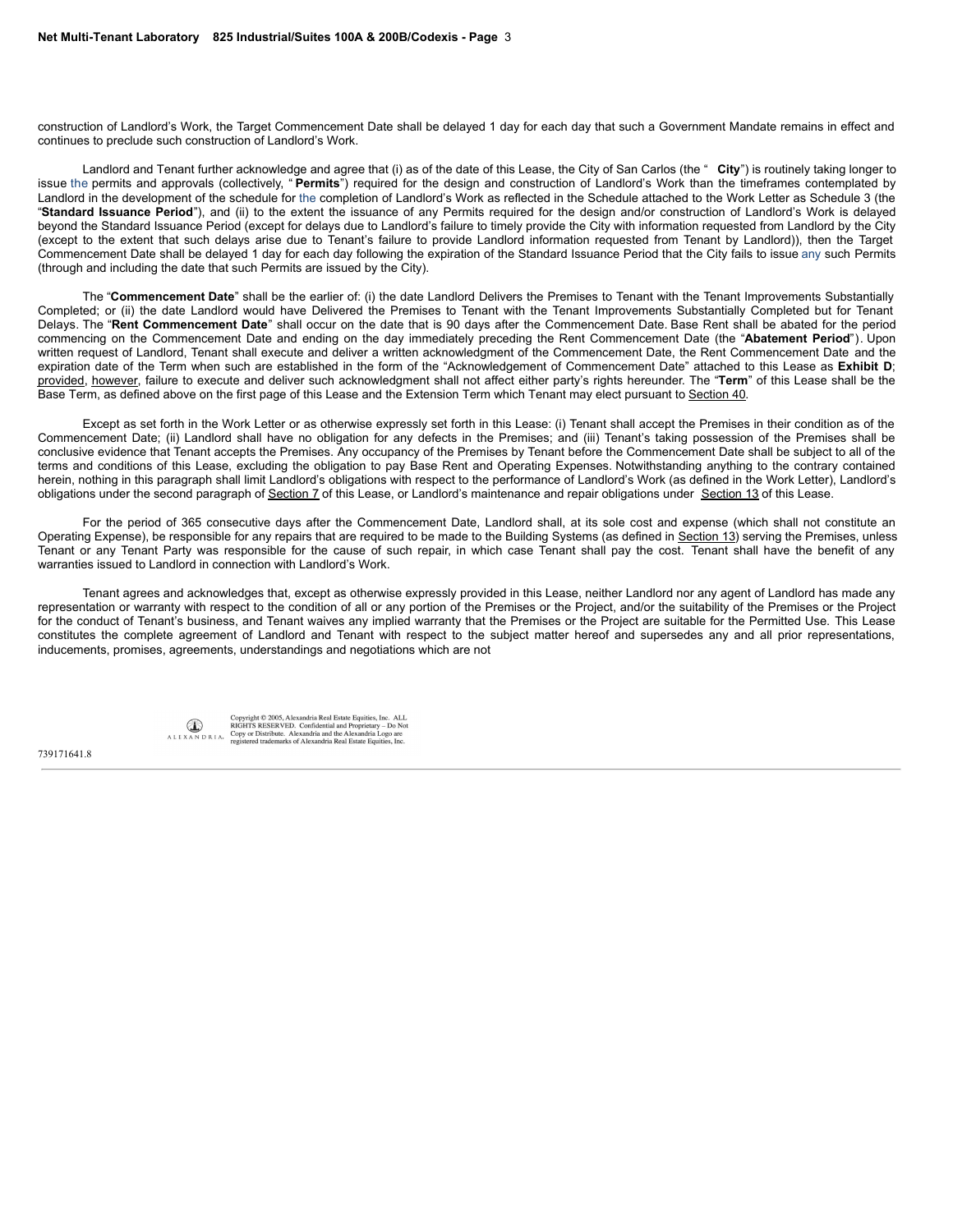construction of Landlord's Work, the Target Commencement Date shall be delayed 1 day for each day that such a Government Mandate remains in effect and continues to preclude such construction of Landlord's Work.

Landlord and Tenant further acknowledge and agree that (i) as of the date of this Lease, the City of San Carlos (the " **City**") is routinely taking longer to issue the permits and approvals (collectively, " **Permits**") required for the design and construction of Landlord's Work than the timeframes contemplated by Landlord in the development of the schedule for the completion of Landlord's Work as reflected in the Schedule attached to the Work Letter as Schedule 3 (the "**Standard Issuance Period**"), and (ii) to the extent the issuance of any Permits required for the design and/or construction of Landlord's Work is delayed beyond the Standard Issuance Period (except for delays due to Landlord's failure to timely provide the City with information requested from Landlord by the City (except to the extent that such delays arise due to Tenant's failure to provide Landlord information requested from Tenant by Landlord)), then the Target Commencement Date shall be delayed 1 day for each day following the expiration of the Standard Issuance Period that the City fails to issue any such Permits (through and including the date that such Permits are issued by the City).

The "**Commencement Date**" shall be the earlier of: (i) the date Landlord Delivers the Premises to Tenant with the Tenant Improvements Substantially Completed; or (ii) the date Landlord would have Delivered the Premises to Tenant with the Tenant Improvements Substantially Completed but for Tenant Delays. The "**Rent Commencement Date**" shall occur on the date that is 90 days after the Commencement Date. Base Rent shall be abated for the period commencing on the Commencement Date and ending on the day immediately preceding the Rent Commencement Date (the "**Abatement Period**"). Upon written request of Landlord, Tenant shall execute and deliver a written acknowledgment of the Commencement Date, the Rent Commencement Date and the expiration date of the Term when such are established in the form of the "Acknowledgement of Commencement Date" attached to this Lease as **Exhibit D**; provided, however, failure to execute and deliver such acknowledgment shall not affect either party's rights hereunder. The "**Term**" of this Lease shall be the Base Term, as defined above on the first page of this Lease and the Extension Term which Tenant may elect pursuant to Section 40.

Except as set forth in the Work Letter or as otherwise expressly set forth in this Lease: (i) Tenant shall accept the Premises in their condition as of the Commencement Date; (ii) Landlord shall have no obligation for any defects in the Premises; and (iii) Tenant's taking possession of the Premises shall be conclusive evidence that Tenant accepts the Premises. Any occupancy of the Premises by Tenant before the Commencement Date shall be subject to all of the terms and conditions of this Lease, excluding the obligation to pay Base Rent and Operating Expenses. Notwithstanding anything to the contrary contained herein, nothing in this paragraph shall limit Landlord's obligations with respect to the performance of Landlord's Work (as defined in the Work Letter), Landlord's obligations under the second paragraph of Section 7 of this Lease, or Landlord's maintenance and repair obligations under Section 13 of this Lease.

For the period of 365 consecutive days after the Commencement Date, Landlord shall, at its sole cost and expense (which shall not constitute an Operating Expense), be responsible for any repairs that are required to be made to the Building Systems (as defined in Section 13) serving the Premises, unless Tenant or any Tenant Party was responsible for the cause of such repair, in which case Tenant shall pay the cost. Tenant shall have the benefit of any warranties issued to Landlord in connection with Landlord's Work.

Tenant agrees and acknowledges that, except as otherwise expressly provided in this Lease, neither Landlord nor any agent of Landlord has made any representation or warranty with respect to the condition of all or any portion of the Premises or the Project, and/or the suitability of the Premises or the Project for the conduct of Tenant's business, and Tenant waives any implied warranty that the Premises or the Project are suitable for the Permitted Use. This Lease constitutes the complete agreement of Landlord and Tenant with respect to the subject matter hereof and supersedes any and all prior representations, inducements, promises, agreements, understandings and negotiations which are not

> Copyright © 2005, Alexandria Real Estate Equities, Inc. ALL<br>RIGHTS RESERVED. Confidential and Proprietary – Do Not<br>Copy or Distribute. Alexandria and the Alexandria Logo are<br>registered trademarks of Alexandria Real Estate  $^{\circledR}$ ALEXANDRIA.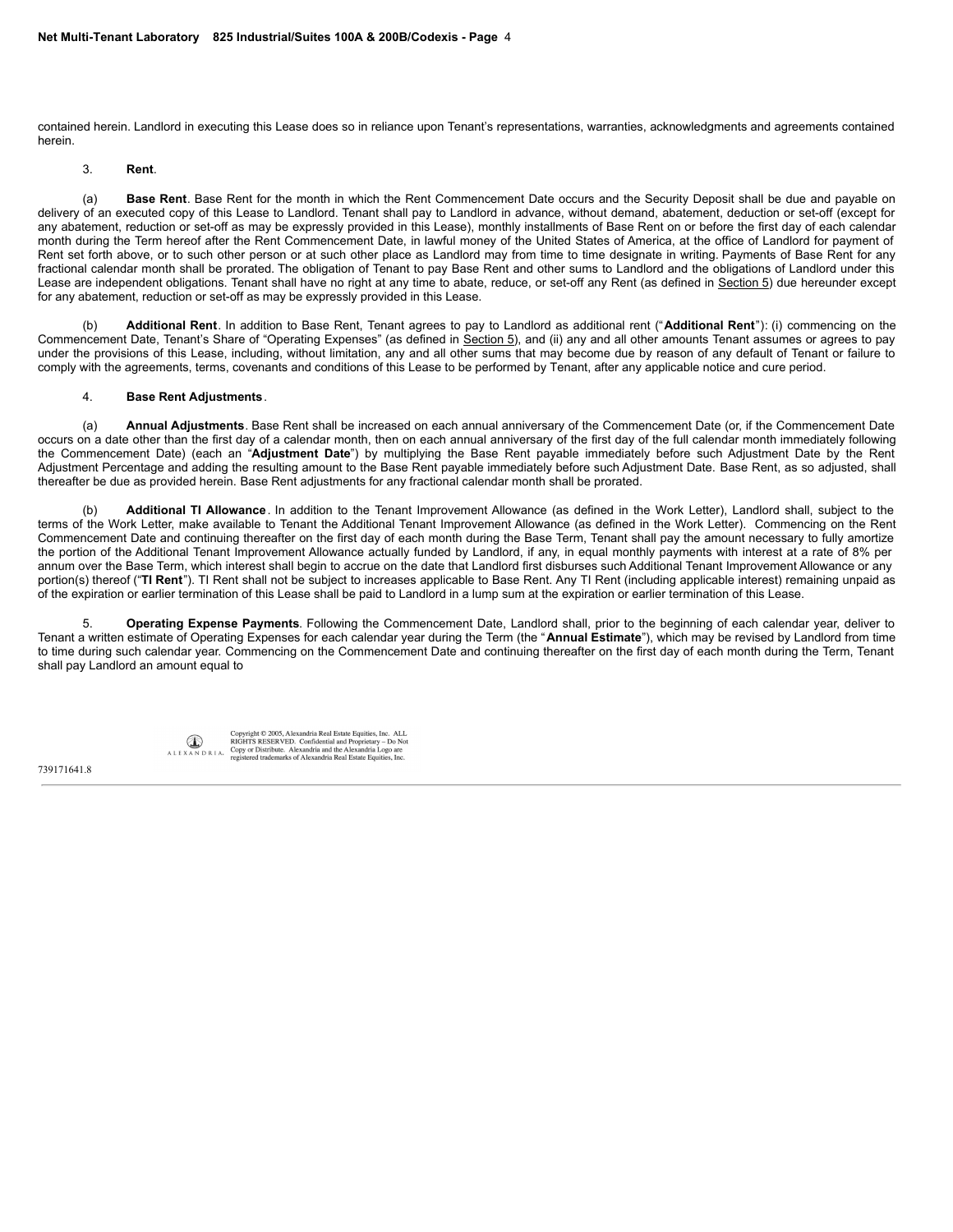contained herein. Landlord in executing this Lease does so in reliance upon Tenant's representations, warranties, acknowledgments and agreements contained herein.

# 3. **Rent**.

(a) **Base Rent**. Base Rent for the month in which the Rent Commencement Date occurs and the Security Deposit shall be due and payable on delivery of an executed copy of this Lease to Landlord. Tenant shall pay to Landlord in advance, without demand, abatement, deduction or set-off (except for any abatement, reduction or set-off as may be expressly provided in this Lease), monthly installments of Base Rent on or before the first day of each calendar month during the Term hereof after the Rent Commencement Date, in lawful money of the United States of America, at the office of Landlord for payment of Rent set forth above, or to such other person or at such other place as Landlord may from time to time designate in writing. Payments of Base Rent for any fractional calendar month shall be prorated. The obligation of Tenant to pay Base Rent and other sums to Landlord and the obligations of Landlord under this Lease are independent obligations. Tenant shall have no right at any time to abate, reduce, or set-off any Rent (as defined in Section 5) due hereunder except for any abatement, reduction or set-off as may be expressly provided in this Lease.

(b) **Additional Rent**. In addition to Base Rent, Tenant agrees to pay to Landlord as additional rent ("**Additional Rent**"): (i) commencing on the Commencement Date, Tenant's Share of "Operating Expenses" (as defined in Section 5), and (ii) any and all other amounts Tenant assumes or agrees to pay under the provisions of this Lease, including, without limitation, any and all other sums that may become due by reason of any default of Tenant or failure to comply with the agreements, terms, covenants and conditions of this Lease to be performed by Tenant, after any applicable notice and cure period.

#### 4. **Base Rent Adjustments**.

(a) **Annual Adjustments**. Base Rent shall be increased on each annual anniversary of the Commencement Date (or, if the Commencement Date occurs on a date other than the first day of a calendar month, then on each annual anniversary of the first day of the full calendar month immediately following the Commencement Date) (each an "**Adjustment Date**") by multiplying the Base Rent payable immediately before such Adjustment Date by the Rent Adjustment Percentage and adding the resulting amount to the Base Rent payable immediately before such Adjustment Date. Base Rent, as so adjusted, shall thereafter be due as provided herein. Base Rent adjustments for any fractional calendar month shall be prorated.

(b) **Additional TI Allowance**. In addition to the Tenant Improvement Allowance (as defined in the Work Letter), Landlord shall, subject to the terms of the Work Letter, make available to Tenant the Additional Tenant Improvement Allowance (as defined in the Work Letter). Commencing on the Rent Commencement Date and continuing thereafter on the first day of each month during the Base Term, Tenant shall pay the amount necessary to fully amortize the portion of the Additional Tenant Improvement Allowance actually funded by Landlord, if any, in equal monthly payments with interest at a rate of 8% per annum over the Base Term, which interest shall begin to accrue on the date that Landlord first disburses such Additional Tenant Improvement Allowance or any portion(s) thereof ("**TI Rent**"). TI Rent shall not be subject to increases applicable to Base Rent. Any TI Rent (including applicable interest) remaining unpaid as of the expiration or earlier termination of this Lease shall be paid to Landlord in a lump sum at the expiration or earlier termination of this Lease.

5. **Operating Expense Payments**. Following the Commencement Date, Landlord shall, prior to the beginning of each calendar year, deliver to Tenant a written estimate of Operating Expenses for each calendar year during the Term (the "**Annual Estimate**"), which may be revised by Landlord from time to time during such calendar year. Commencing on the Commencement Date and continuing thereafter on the first day of each month during the Term, Tenant shall pay Landlord an amount equal to

 $\label{eq:Corp} \begin{minipage}{0.9\textwidth} Copyright @ 2005, Alexanderia Real State Equities, Inc. ALL RIGHTS RESERVED. Conditional and Property-Do Not Copy or Distribute. Alexander and the Alexander Logator registered trademarks of Alexandria Real Estate Equities, Inc. \end{minipage}$ 企 ALEXANDRIA.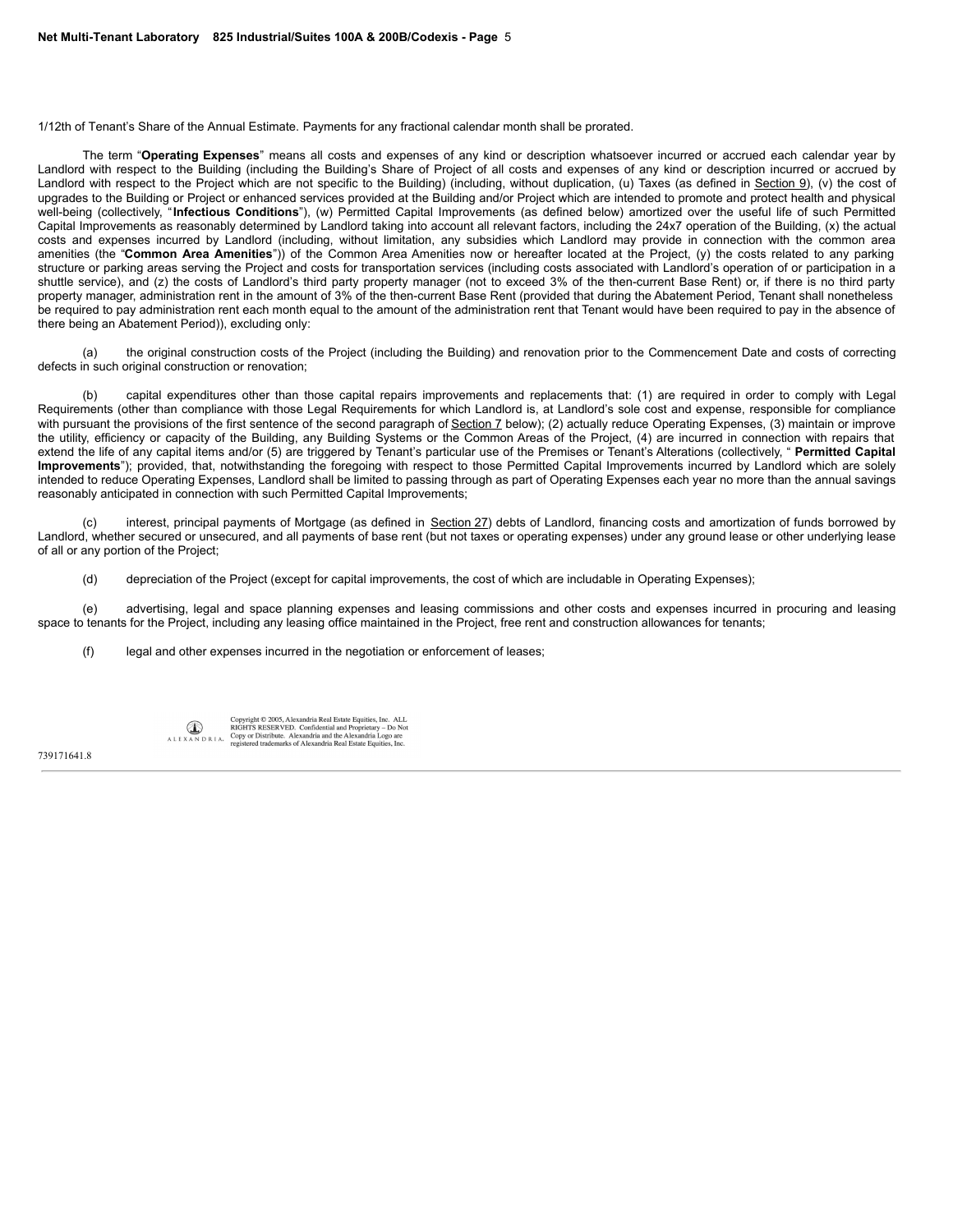1/12th of Tenant's Share of the Annual Estimate. Payments for any fractional calendar month shall be prorated.

The term "**Operating Expenses**" means all costs and expenses of any kind or description whatsoever incurred or accrued each calendar year by Landlord with respect to the Building (including the Building's Share of Project of all costs and expenses of any kind or description incurred or accrued by Landlord with respect to the Project which are not specific to the Building) (including, without duplication, (u) Taxes (as defined in Section 9), (v) the cost of upgrades to the Building or Project or enhanced services provided at the Building and/or Project which are intended to promote and protect health and physical well-being (collectively, "**Infectious Conditions**"), (w) Permitted Capital Improvements (as defined below) amortized over the useful life of such Permitted Capital Improvements as reasonably determined by Landlord taking into account all relevant factors, including the 24x7 operation of the Building, (x) the actual costs and expenses incurred by Landlord (including, without limitation, any subsidies which Landlord may provide in connection with the common area amenities (the "**Common Area Amenities**")) of the Common Area Amenities now or hereafter located at the Project, (y) the costs related to any parking structure or parking areas serving the Project and costs for transportation services (including costs associated with Landlord's operation of or participation in a shuttle service), and (z) the costs of Landlord's third party property manager (not to exceed 3% of the then-current Base Rent) or, if there is no third party property manager, administration rent in the amount of 3% of the then-current Base Rent (provided that during the Abatement Period, Tenant shall nonetheless be required to pay administration rent each month equal to the amount of the administration rent that Tenant would have been required to pay in the absence of there being an Abatement Period)), excluding only:

(a) the original construction costs of the Project (including the Building) and renovation prior to the Commencement Date and costs of correcting defects in such original construction or renovation;

(b) capital expenditures other than those capital repairs improvements and replacements that: (1) are required in order to comply with Legal Requirements (other than compliance with those Legal Requirements for which Landlord is, at Landlord's sole cost and expense, responsible for compliance with pursuant the provisions of the first sentence of the second paragraph of Section 7 below); (2) actually reduce Operating Expenses, (3) maintain or improve the utility, efficiency or capacity of the Building, any Building Systems or the Common Areas of the Project, (4) are incurred in connection with repairs that extend the life of any capital items and/or (5) are triggered by Tenant's particular use of the Premises or Tenant's Alterations (collectively, " **Permitted Capital Improvements**"); provided, that, notwithstanding the foregoing with respect to those Permitted Capital Improvements incurred by Landlord which are solely intended to reduce Operating Expenses, Landlord shall be limited to passing through as part of Operating Expenses each year no more than the annual savings reasonably anticipated in connection with such Permitted Capital Improvements;

(c) interest, principal payments of Mortgage (as defined in Section 27) debts of Landlord, financing costs and amortization of funds borrowed by Landlord, whether secured or unsecured, and all payments of base rent (but not taxes or operating expenses) under any ground lease or other underlying lease of all or any portion of the Project;

(d) depreciation of the Project (except for capital improvements, the cost of which are includable in Operating Expenses);

(e) advertising, legal and space planning expenses and leasing commissions and other costs and expenses incurred in procuring and leasing space to tenants for the Project, including any leasing office maintained in the Project, free rent and construction allowances for tenants;

(f) legal and other expenses incurred in the negotiation or enforcement of leases;

 $\label{eq:correlator} \begin{minipage}{0.9\textwidth} \textbf{Copyright} \otimes 2005, \textbf{Alexandria Real State Equities, Inc. ALL} \\ \textbf{RIGHTS RESERVED} \quad \textbf{Confidential and Property} - \textbf{Do Not} \\ \textbf{Copy or Distribute. Alexandria and the Alexander algebraic logic and transkso if Alexandria Real Estimate, Inc.} \end{minipage}$ ALEXANDRIA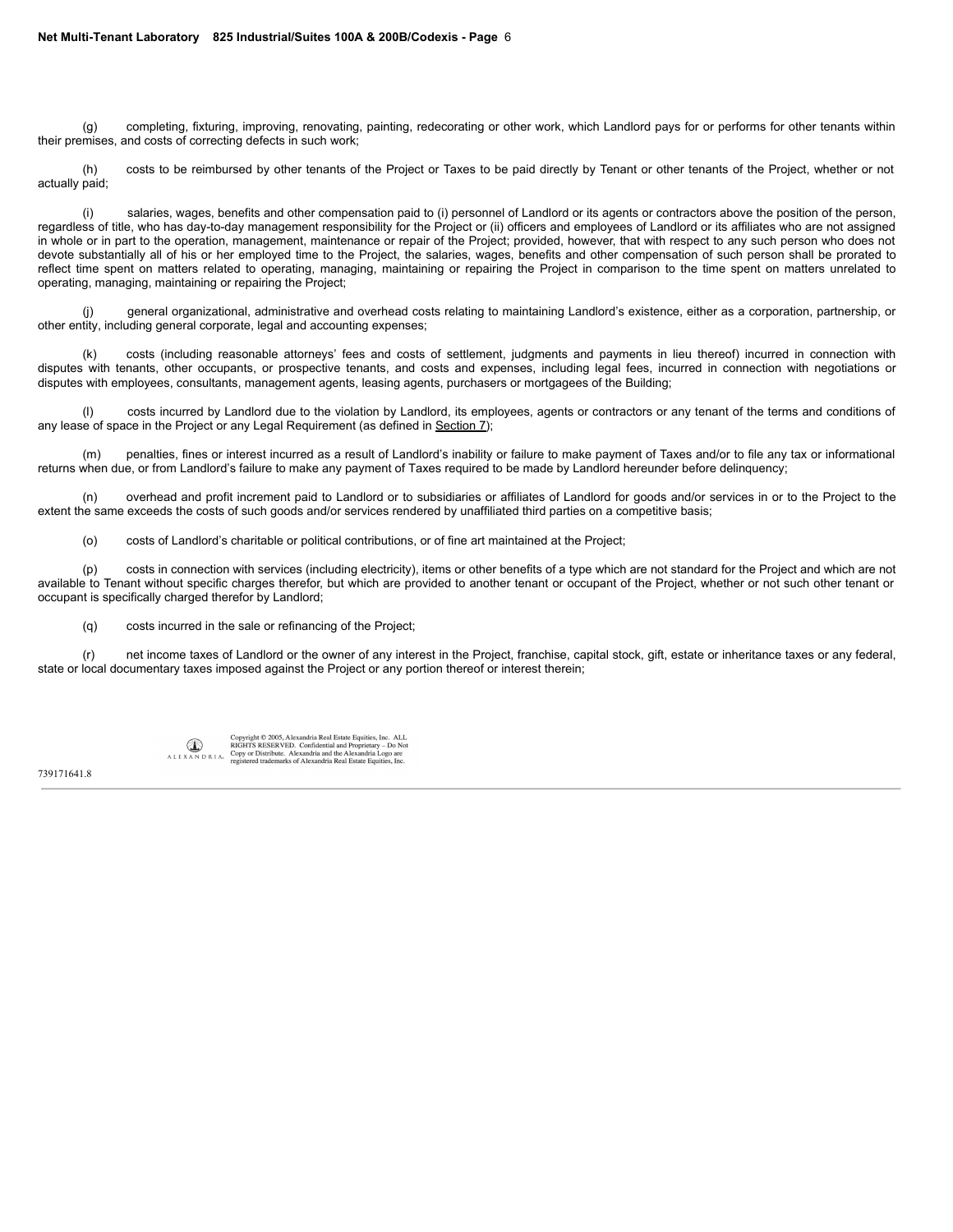(g) completing, fixturing, improving, renovating, painting, redecorating or other work, which Landlord pays for or performs for other tenants within their premises, and costs of correcting defects in such work;

(h) costs to be reimbursed by other tenants of the Project or Taxes to be paid directly by Tenant or other tenants of the Project, whether or not actually paid;

(i) salaries, wages, benefits and other compensation paid to (i) personnel of Landlord or its agents or contractors above the position of the person, regardless of title, who has day-to-day management responsibility for the Project or (ii) officers and employees of Landlord or its affiliates who are not assigned in whole or in part to the operation, management, maintenance or repair of the Project; provided, however, that with respect to any such person who does not devote substantially all of his or her employed time to the Project, the salaries, wages, benefits and other compensation of such person shall be prorated to reflect time spent on matters related to operating, managing, maintaining or repairing the Project in comparison to the time spent on matters unrelated to operating, managing, maintaining or repairing the Project;

(j) general organizational, administrative and overhead costs relating to maintaining Landlord's existence, either as a corporation, partnership, or other entity, including general corporate, legal and accounting expenses;

costs (including reasonable attorneys' fees and costs of settlement, judgments and payments in lieu thereof) incurred in connection with disputes with tenants, other occupants, or prospective tenants, and costs and expenses, including legal fees, incurred in connection with negotiations or disputes with employees, consultants, management agents, leasing agents, purchasers or mortgagees of the Building;

(l) costs incurred by Landlord due to the violation by Landlord, its employees, agents or contractors or any tenant of the terms and conditions of any lease of space in the Project or any Legal Requirement (as defined in Section 7);

(m) penalties, fines or interest incurred as a result of Landlord's inability or failure to make payment of Taxes and/or to file any tax or informational returns when due, or from Landlord's failure to make any payment of Taxes required to be made by Landlord hereunder before delinquency;

(n) overhead and profit increment paid to Landlord or to subsidiaries or affiliates of Landlord for goods and/or services in or to the Project to the extent the same exceeds the costs of such goods and/or services rendered by unaffiliated third parties on a competitive basis;

(o) costs of Landlord's charitable or political contributions, or of fine art maintained at the Project;

(p) costs in connection with services (including electricity), items or other benefits of a type which are not standard for the Project and which are not available to Tenant without specific charges therefor, but which are provided to another tenant or occupant of the Project, whether or not such other tenant or occupant is specifically charged therefor by Landlord;

(q) costs incurred in the sale or refinancing of the Project;

(r) net income taxes of Landlord or the owner of any interest in the Project, franchise, capital stock, gift, estate or inheritance taxes or any federal, state or local documentary taxes imposed against the Project or any portion thereof or interest therein;

 $\mbox{Copyright} \otimes$  2005, Alexandria Real Estate Equities, Inc. ALL RIGHTS RESERVED. Confidential and Proprietary – Do Not Copy or Distribute. Alexandria and the Alexandria Logo are registered trademarks of Alexandria Real Estate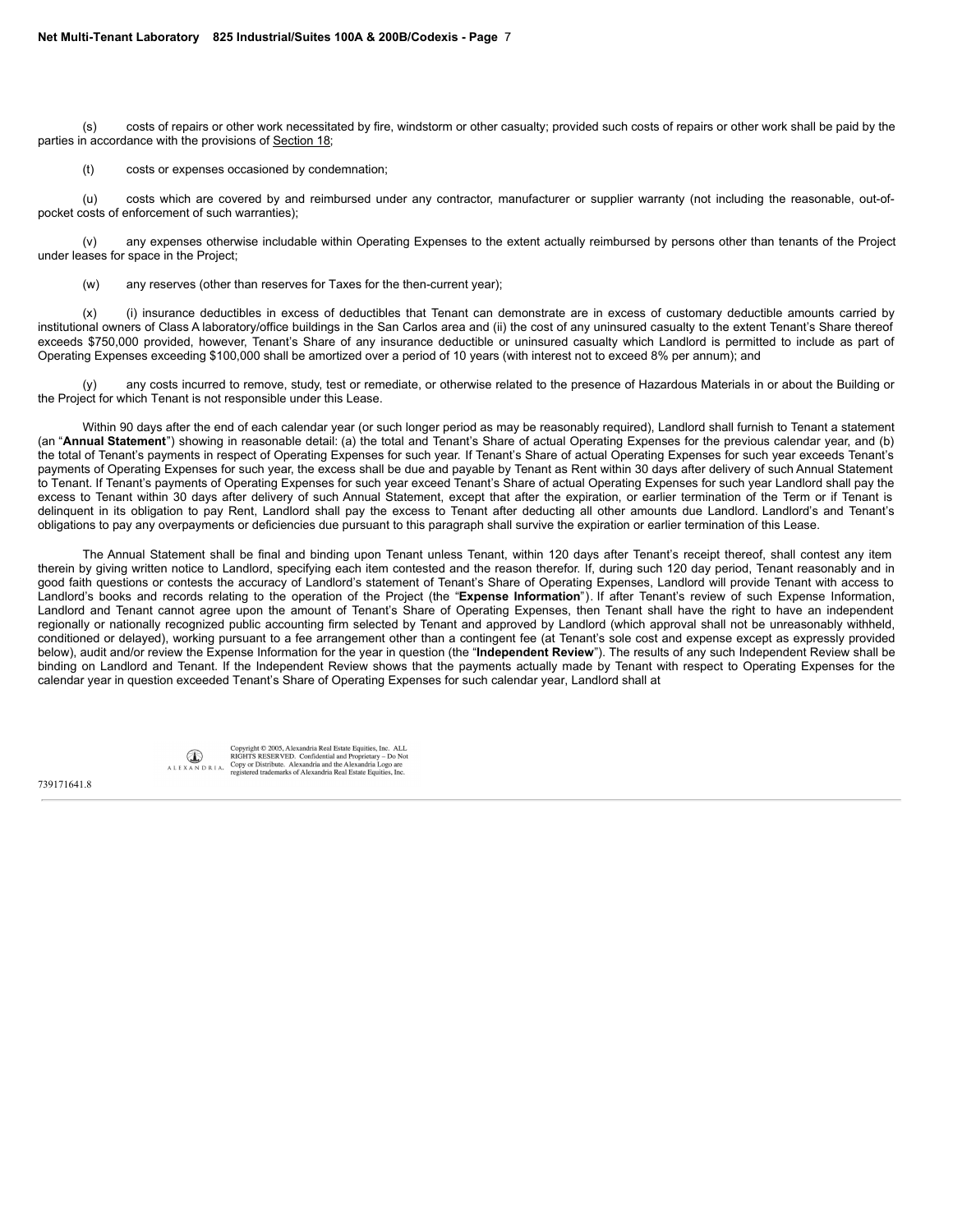(s) costs of repairs or other work necessitated by fire, windstorm or other casualty; provided such costs of repairs or other work shall be paid by the parties in accordance with the provisions of Section 18;

(t) costs or expenses occasioned by condemnation;

(u) costs which are covered by and reimbursed under any contractor, manufacturer or supplier warranty (not including the reasonable, out-ofpocket costs of enforcement of such warranties);

(v) any expenses otherwise includable within Operating Expenses to the extent actually reimbursed by persons other than tenants of the Project under leases for space in the Project;

(w) any reserves (other than reserves for Taxes for the then-current year);

(x) (i) insurance deductibles in excess of deductibles that Tenant can demonstrate are in excess of customary deductible amounts carried by institutional owners of Class A laboratory/office buildings in the San Carlos area and (ii) the cost of any uninsured casualty to the extent Tenant's Share thereof exceeds \$750,000 provided, however, Tenant's Share of any insurance deductible or uninsured casualty which Landlord is permitted to include as part of Operating Expenses exceeding \$100,000 shall be amortized over a period of 10 years (with interest not to exceed 8% per annum); and

(y) any costs incurred to remove, study, test or remediate, or otherwise related to the presence of Hazardous Materials in or about the Building or the Project for which Tenant is not responsible under this Lease.

Within 90 days after the end of each calendar year (or such longer period as may be reasonably required), Landlord shall furnish to Tenant a statement (an "**Annual Statement**") showing in reasonable detail: (a) the total and Tenant's Share of actual Operating Expenses for the previous calendar year, and (b) the total of Tenant's payments in respect of Operating Expenses for such year. If Tenant's Share of actual Operating Expenses for such year exceeds Tenant's payments of Operating Expenses for such year, the excess shall be due and payable by Tenant as Rent within 30 days after delivery of such Annual Statement to Tenant. If Tenant's payments of Operating Expenses for such year exceed Tenant's Share of actual Operating Expenses for such year Landlord shall pay the excess to Tenant within 30 days after delivery of such Annual Statement, except that after the expiration, or earlier termination of the Term or if Tenant is delinquent in its obligation to pay Rent, Landlord shall pay the excess to Tenant after deducting all other amounts due Landlord. Landlord's and Tenant's obligations to pay any overpayments or deficiencies due pursuant to this paragraph shall survive the expiration or earlier termination of this Lease.

The Annual Statement shall be final and binding upon Tenant unless Tenant, within 120 days after Tenant's receipt thereof, shall contest any item therein by giving written notice to Landlord, specifying each item contested and the reason therefor. If, during such 120 day period, Tenant reasonably and in good faith questions or contests the accuracy of Landlord's statement of Tenant's Share of Operating Expenses, Landlord will provide Tenant with access to Landlord's books and records relating to the operation of the Project (the "**Expense Information**"). If after Tenant's review of such Expense Information, Landlord and Tenant cannot agree upon the amount of Tenant's Share of Operating Expenses, then Tenant shall have the right to have an independent regionally or nationally recognized public accounting firm selected by Tenant and approved by Landlord (which approval shall not be unreasonably withheld, conditioned or delayed), working pursuant to a fee arrangement other than a contingent fee (at Tenant's sole cost and expense except as expressly provided below), audit and/or review the Expense Information for the year in question (the "**Independent Review**"). The results of any such Independent Review shall be binding on Landlord and Tenant. If the Independent Review shows that the payments actually made by Tenant with respect to Operating Expenses for the calendar year in question exceeded Tenant's Share of Operating Expenses for such calendar year, Landlord shall at

☎

 $\mbox{Copyright} \otimes$ 2005, Alexandria Real Estate Equities, Inc. ALL RIGHTS RESERVED. Confidential and Proprietary – Do Not Copy or Distribute. Alexandria and the Alexandria Logo are registered trademarks of Alexandria Real Estate NDRIA.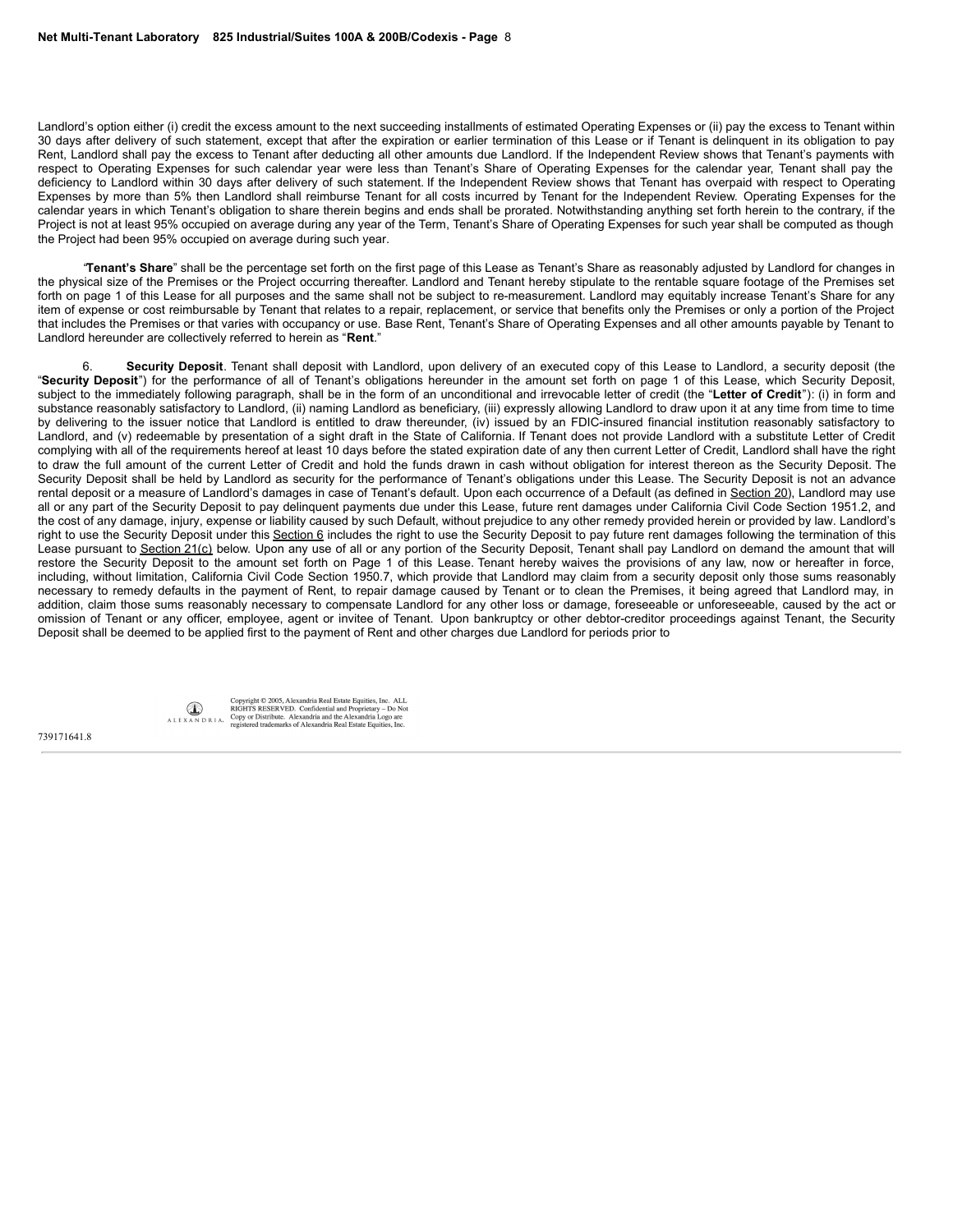Landlord's option either (i) credit the excess amount to the next succeeding installments of estimated Operating Expenses or (ii) pay the excess to Tenant within 30 days after delivery of such statement, except that after the expiration or earlier termination of this Lease or if Tenant is delinquent in its obligation to pay Rent, Landlord shall pay the excess to Tenant after deducting all other amounts due Landlord. If the Independent Review shows that Tenant's payments with respect to Operating Expenses for such calendar year were less than Tenant's Share of Operating Expenses for the calendar year, Tenant shall pay the deficiency to Landlord within 30 days after delivery of such statement. If the Independent Review shows that Tenant has overpaid with respect to Operating Expenses by more than 5% then Landlord shall reimburse Tenant for all costs incurred by Tenant for the Independent Review. Operating Expenses for the calendar years in which Tenant's obligation to share therein begins and ends shall be prorated. Notwithstanding anything set forth herein to the contrary, if the Project is not at least 95% occupied on average during any year of the Term, Tenant's Share of Operating Expenses for such year shall be computed as though the Project had been 95% occupied on average during such year.

*"***Tenant's Share**" shall be the percentage set forth on the first page of this Lease as Tenant's Share as reasonably adjusted by Landlord for changes in the physical size of the Premises or the Project occurring thereafter. Landlord and Tenant hereby stipulate to the rentable square footage of the Premises set forth on page 1 of this Lease for all purposes and the same shall not be subject to re-measurement. Landlord may equitably increase Tenant's Share for any item of expense or cost reimbursable by Tenant that relates to a repair, replacement, or service that benefits only the Premises or only a portion of the Project that includes the Premises or that varies with occupancy or use. Base Rent, Tenant's Share of Operating Expenses and all other amounts payable by Tenant to Landlord hereunder are collectively referred to herein as "**Rent**."

6. **Security Deposit**. Tenant shall deposit with Landlord, upon delivery of an executed copy of this Lease to Landlord, a security deposit (the "**Security Deposit**") for the performance of all of Tenant's obligations hereunder in the amount set forth on page 1 of this Lease, which Security Deposit, subject to the immediately following paragraph, shall be in the form of an unconditional and irrevocable letter of credit (the "**Letter of Credit**"): (i) in form and substance reasonably satisfactory to Landlord, (ii) naming Landlord as beneficiary, (iii) expressly allowing Landlord to draw upon it at any time from time to time by delivering to the issuer notice that Landlord is entitled to draw thereunder, (iv) issued by an FDIC-insured financial institution reasonably satisfactory to Landlord, and (v) redeemable by presentation of a sight draft in the State of California. If Tenant does not provide Landlord with a substitute Letter of Credit complying with all of the requirements hereof at least 10 days before the stated expiration date of any then current Letter of Credit, Landlord shall have the right to draw the full amount of the current Letter of Credit and hold the funds drawn in cash without obligation for interest thereon as the Security Deposit. The Security Deposit shall be held by Landlord as security for the performance of Tenant's obligations under this Lease. The Security Deposit is not an advance rental deposit or a measure of Landlord's damages in case of Tenant's default. Upon each occurrence of a Default (as defined in Section 20), Landlord may use all or any part of the Security Deposit to pay delinquent payments due under this Lease, future rent damages under California Civil Code Section 1951.2, and the cost of any damage, injury, expense or liability caused by such Default, without prejudice to any other remedy provided herein or provided by law. Landlord's right to use the Security Deposit under this Section 6 includes the right to use the Security Deposit to pay future rent damages following the termination of this Lease pursuant to Section 21(c) below. Upon any use of all or any portion of the Security Deposit, Tenant shall pay Landlord on demand the amount that will restore the Security Deposit to the amount set forth on Page 1 of this Lease. Tenant hereby waives the provisions of any law, now or hereafter in force, including, without limitation, California Civil Code Section 1950.7, which provide that Landlord may claim from a security deposit only those sums reasonably necessary to remedy defaults in the payment of Rent, to repair damage caused by Tenant or to clean the Premises, it being agreed that Landlord may, in addition, claim those sums reasonably necessary to compensate Landlord for any other loss or damage, foreseeable or unforeseeable, caused by the act or omission of Tenant or any officer, employee, agent or invitee of Tenant. Upon bankruptcy or other debtor-creditor proceedings against Tenant, the Security Deposit shall be deemed to be applied first to the payment of Rent and other charges due Landlord for periods prior to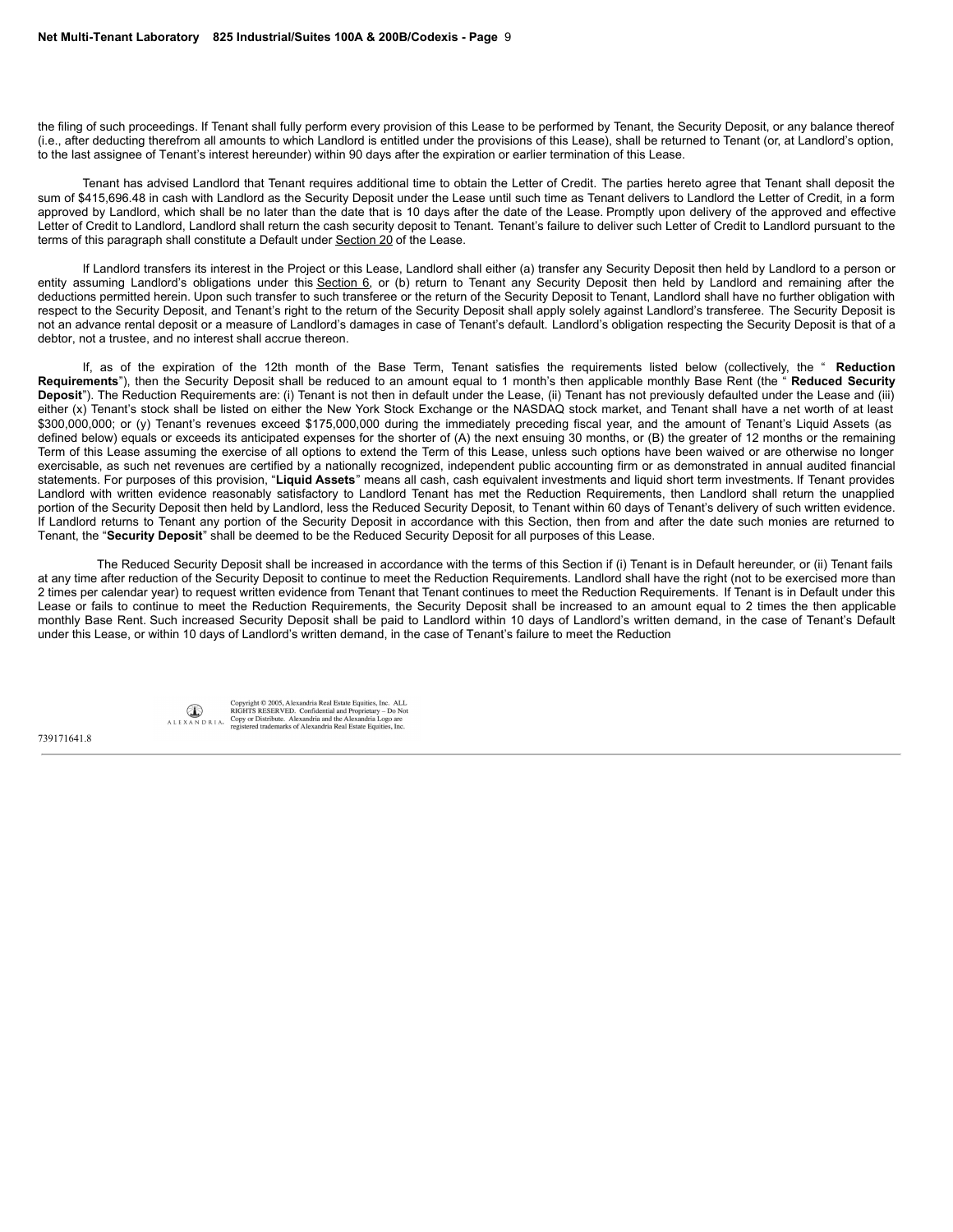the filing of such proceedings. If Tenant shall fully perform every provision of this Lease to be performed by Tenant, the Security Deposit, or any balance thereof (i.e., after deducting therefrom all amounts to which Landlord is entitled under the provisions of this Lease), shall be returned to Tenant (or, at Landlord's option, to the last assignee of Tenant's interest hereunder) within 90 days after the expiration or earlier termination of this Lease.

Tenant has advised Landlord that Tenant requires additional time to obtain the Letter of Credit. The parties hereto agree that Tenant shall deposit the sum of \$415,696.48 in cash with Landlord as the Security Deposit under the Lease until such time as Tenant delivers to Landlord the Letter of Credit, in a form approved by Landlord, which shall be no later than the date that is 10 days after the date of the Lease. Promptly upon delivery of the approved and effective Letter of Credit to Landlord, Landlord shall return the cash security deposit to Tenant. Tenant's failure to deliver such Letter of Credit to Landlord pursuant to the terms of this paragraph shall constitute a Default under Section 20 of the Lease.

If Landlord transfers its interest in the Project or this Lease, Landlord shall either (a) transfer any Security Deposit then held by Landlord to a person or entity assuming Landlord's obligations under this Section 6, or (b) return to Tenant any Security Deposit then held by Landlord and remaining after the deductions permitted herein. Upon such transfer to such transferee or the return of the Security Deposit to Tenant, Landlord shall have no further obligation with respect to the Security Deposit, and Tenant's right to the return of the Security Deposit shall apply solely against Landlord's transferee. The Security Deposit is not an advance rental deposit or a measure of Landlord's damages in case of Tenant's default. Landlord's obligation respecting the Security Deposit is that of a debtor, not a trustee, and no interest shall accrue thereon.

If, as of the expiration of the 12th month of the Base Term, Tenant satisfies the requirements listed below (collectively, the " **Reduction Requirements**"), then the Security Deposit shall be reduced to an amount equal to 1 month's then applicable monthly Base Rent (the " **Reduced Security Deposit**"). The Reduction Requirements are: (i) Tenant is not then in default under the Lease, (ii) Tenant has not previously defaulted under the Lease and (iii) either (x) Tenant's stock shall be listed on either the New York Stock Exchange or the NASDAQ stock market, and Tenant shall have a net worth of at least \$300,000,000; or (y) Tenant's revenues exceed \$175,000,000 during the immediately preceding fiscal year, and the amount of Tenant's Liquid Assets (as defined below) equals or exceeds its anticipated expenses for the shorter of (A) the next ensuing 30 months, or (B) the greater of 12 months or the remaining Term of this Lease assuming the exercise of all options to extend the Term of this Lease, unless such options have been waived or are otherwise no longer exercisable, as such net revenues are certified by a nationally recognized, independent public accounting firm or as demonstrated in annual audited financial statements. For purposes of this provision, "**Liquid Assets**" means all cash, cash equivalent investments and liquid short term investments. If Tenant provides Landlord with written evidence reasonably satisfactory to Landlord Tenant has met the Reduction Requirements, then Landlord shall return the unapplied portion of the Security Deposit then held by Landlord, less the Reduced Security Deposit, to Tenant within 60 days of Tenant's delivery of such written evidence. If Landlord returns to Tenant any portion of the Security Deposit in accordance with this Section, then from and after the date such monies are returned to Tenant, the "**Security Deposit**" shall be deemed to be the Reduced Security Deposit for all purposes of this Lease.

The Reduced Security Deposit shall be increased in accordance with the terms of this Section if (i) Tenant is in Default hereunder, or (ii) Tenant fails at any time after reduction of the Security Deposit to continue to meet the Reduction Requirements. Landlord shall have the right (not to be exercised more than 2 times per calendar year) to request written evidence from Tenant that Tenant continues to meet the Reduction Requirements. If Tenant is in Default under this Lease or fails to continue to meet the Reduction Requirements, the Security Deposit shall be increased to an amount equal to 2 times the then applicable monthly Base Rent. Such increased Security Deposit shall be paid to Landlord within 10 days of Landlord's written demand, in the case of Tenant's Default under this Lease, or within 10 days of Landlord's written demand, in the case of Tenant's failure to meet the Reduction

A.L.E.X.

739171641.8

 $\begin{tabular}{l} Copyright \textcircled{$2005$,} Alexandria Real State Equities, Inc. ALL, RIGHTS RESIER VED. Confidence 1 and Property - Do No Copy or District. Alexandria and Alexandria Logo are registered trademarks of Alexandria Real Estimate. In. \end{tabular}$ ◑ NDRIA.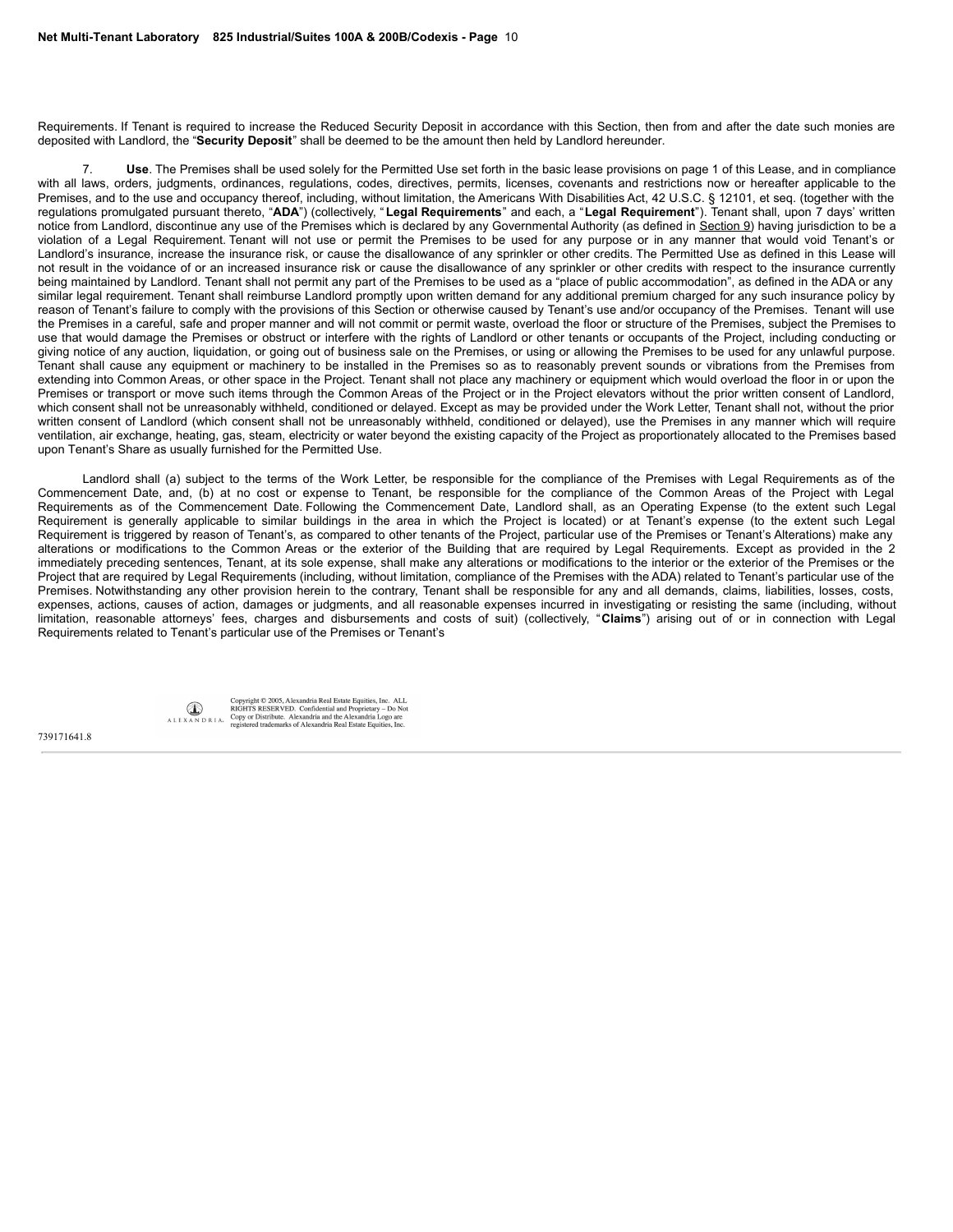Requirements. If Tenant is required to increase the Reduced Security Deposit in accordance with this Section, then from and after the date such monies are deposited with Landlord, the "**Security Deposit**" shall be deemed to be the amount then held by Landlord hereunder.

7. **Use**. The Premises shall be used solely for the Permitted Use set forth in the basic lease provisions on page 1 of this Lease, and in compliance with all laws, orders, judgments, ordinances, regulations, codes, directives, permits, licenses, covenants and restrictions now or hereafter applicable to the Premises, and to the use and occupancy thereof, including, without limitation, the Americans With Disabilities Act, 42 U.S.C. § 12101, et seq. (together with the regulations promulgated pursuant thereto, "**ADA**") (collectively, " **Legal Requirements**" and each, a "**Legal Requirement**"). Tenant shall, upon 7 days' written notice from Landlord, discontinue any use of the Premises which is declared by any Governmental Authority (as defined in Section 9) having jurisdiction to be a violation of a Legal Requirement. Tenant will not use or permit the Premises to be used for any purpose or in any manner that would void Tenant's or Landlord's insurance, increase the insurance risk, or cause the disallowance of any sprinkler or other credits. The Permitted Use as defined in this Lease will not result in the voidance of or an increased insurance risk or cause the disallowance of any sprinkler or other credits with respect to the insurance currently being maintained by Landlord. Tenant shall not permit any part of the Premises to be used as a "place of public accommodation", as defined in the ADA or any similar legal requirement. Tenant shall reimburse Landlord promptly upon written demand for any additional premium charged for any such insurance policy by reason of Tenant's failure to comply with the provisions of this Section or otherwise caused by Tenant's use and/or occupancy of the Premises. Tenant will use the Premises in a careful, safe and proper manner and will not commit or permit waste, overload the floor or structure of the Premises, subject the Premises to use that would damage the Premises or obstruct or interfere with the rights of Landlord or other tenants or occupants of the Project, including conducting or giving notice of any auction, liquidation, or going out of business sale on the Premises, or using or allowing the Premises to be used for any unlawful purpose. Tenant shall cause any equipment or machinery to be installed in the Premises so as to reasonably prevent sounds or vibrations from the Premises from extending into Common Areas, or other space in the Project. Tenant shall not place any machinery or equipment which would overload the floor in or upon the Premises or transport or move such items through the Common Areas of the Project or in the Project elevators without the prior written consent of Landlord, which consent shall not be unreasonably withheld, conditioned or delayed. Except as may be provided under the Work Letter, Tenant shall not, without the prior written consent of Landlord (which consent shall not be unreasonably withheld, conditioned or delayed), use the Premises in any manner which will require ventilation, air exchange, heating, gas, steam, electricity or water beyond the existing capacity of the Project as proportionately allocated to the Premises based upon Tenant's Share as usually furnished for the Permitted Use.

Landlord shall (a) subject to the terms of the Work Letter, be responsible for the compliance of the Premises with Legal Requirements as of the Commencement Date, and, (b) at no cost or expense to Tenant, be responsible for the compliance of the Common Areas of the Project with Legal Requirements as of the Commencement Date. Following the Commencement Date, Landlord shall, as an Operating Expense (to the extent such Legal Requirement is generally applicable to similar buildings in the area in which the Project is located) or at Tenant's expense (to the extent such Legal Requirement is triggered by reason of Tenant's, as compared to other tenants of the Project, particular use of the Premises or Tenant's Alterations) make any alterations or modifications to the Common Areas or the exterior of the Building that are required by Legal Requirements. Except as provided in the 2 immediately preceding sentences, Tenant, at its sole expense, shall make any alterations or modifications to the interior or the exterior of the Premises or the Project that are required by Legal Requirements (including, without limitation, compliance of the Premises with the ADA) related to Tenant's particular use of the Premises. Notwithstanding any other provision herein to the contrary, Tenant shall be responsible for any and all demands, claims, liabilities, losses, costs, expenses, actions, causes of action, damages or judgments, and all reasonable expenses incurred in investigating or resisting the same (including, without limitation, reasonable attorneys' fees, charges and disbursements and costs of suit) (collectively, "**Claims**") arising out of or in connection with Legal Requirements related to Tenant's particular use of the Premises or Tenant's

企

Copyright © 2005, Alexandria Real Estate Equities, Inc. ALL<br>RIGHTS RESERVED. Confidential and Proprietary – Do Not<br>Copy or Distribute. Alexandria and the Alexandria Logo are<br>registered trademarks of Alexandria Real Estate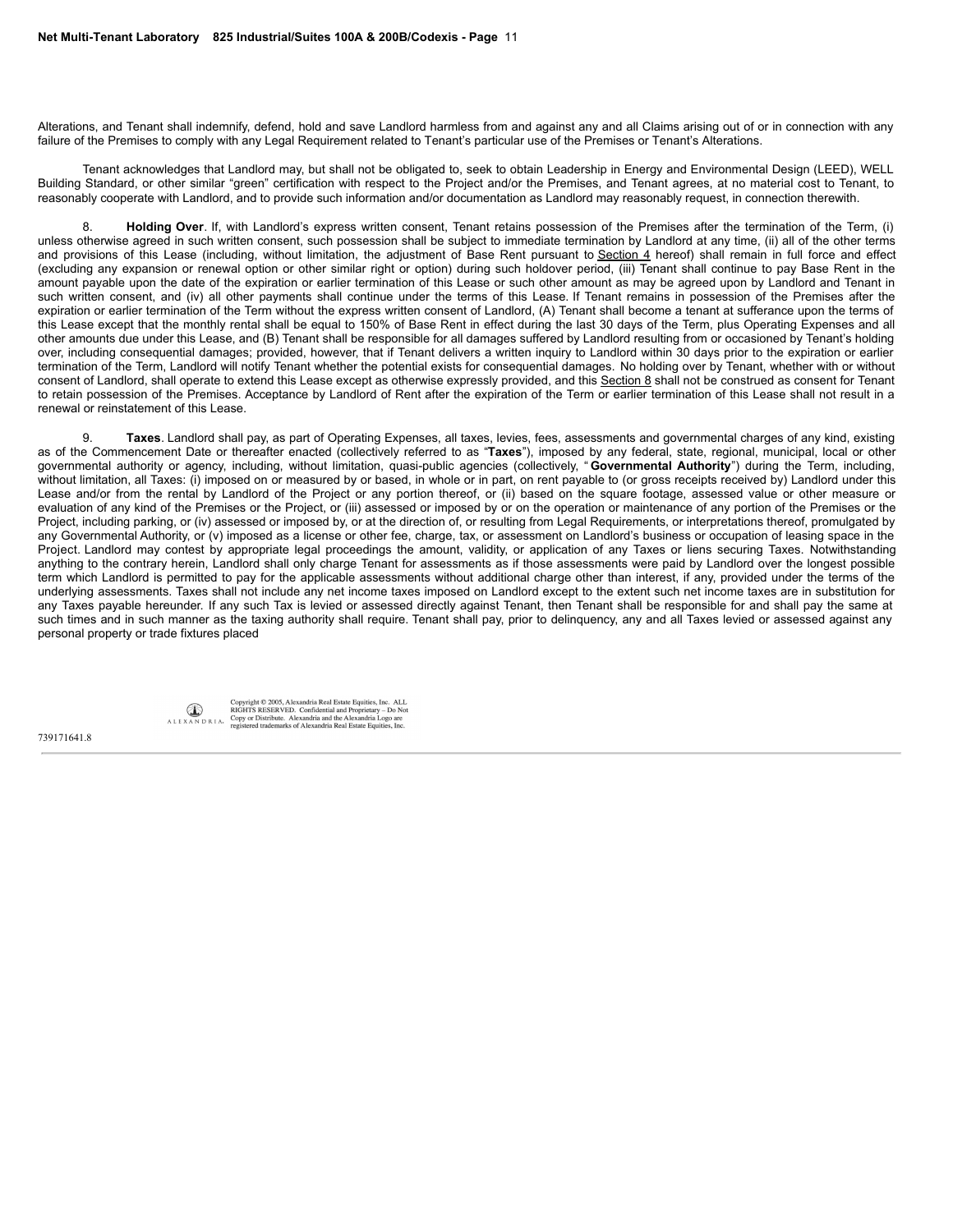Alterations, and Tenant shall indemnify, defend, hold and save Landlord harmless from and against any and all Claims arising out of or in connection with any failure of the Premises to comply with any Legal Requirement related to Tenant's particular use of the Premises or Tenant's Alterations.

Tenant acknowledges that Landlord may, but shall not be obligated to, seek to obtain Leadership in Energy and Environmental Design (LEED), WELL Building Standard, or other similar "green" certification with respect to the Project and/or the Premises, and Tenant agrees, at no material cost to Tenant, to reasonably cooperate with Landlord, and to provide such information and/or documentation as Landlord may reasonably request, in connection therewith.

8. **Holding Over**. If, with Landlord's express written consent, Tenant retains possession of the Premises after the termination of the Term, (i) unless otherwise agreed in such written consent, such possession shall be subject to immediate termination by Landlord at any time, (ii) all of the other terms and provisions of this Lease (including, without limitation, the adjustment of Base Rent pursuant to Section 4 hereof) shall remain in full force and effect (excluding any expansion or renewal option or other similar right or option) during such holdover period, (iii) Tenant shall continue to pay Base Rent in the amount payable upon the date of the expiration or earlier termination of this Lease or such other amount as may be agreed upon by Landlord and Tenant in such written consent, and (iv) all other payments shall continue under the terms of this Lease. If Tenant remains in possession of the Premises after the expiration or earlier termination of the Term without the express written consent of Landlord, (A) Tenant shall become a tenant at sufferance upon the terms of this Lease except that the monthly rental shall be equal to 150% of Base Rent in effect during the last 30 days of the Term, plus Operating Expenses and all other amounts due under this Lease, and (B) Tenant shall be responsible for all damages suffered by Landlord resulting from or occasioned by Tenant's holding over, including consequential damages; provided, however, that if Tenant delivers a written inquiry to Landlord within 30 days prior to the expiration or earlier termination of the Term, Landlord will notify Tenant whether the potential exists for consequential damages. No holding over by Tenant, whether with or without consent of Landlord, shall operate to extend this Lease except as otherwise expressly provided, and this Section 8 shall not be construed as consent for Tenant to retain possession of the Premises. Acceptance by Landlord of Rent after the expiration of the Term or earlier termination of this Lease shall not result in a renewal or reinstatement of this Lease.

9. **Taxes**. Landlord shall pay, as part of Operating Expenses, all taxes, levies, fees, assessments and governmental charges of any kind, existing as of the Commencement Date or thereafter enacted (collectively referred to as "**Taxes**"), imposed by any federal, state, regional, municipal, local or other governmental authority or agency, including, without limitation, quasi-public agencies (collectively, " **Governmental Authority**") during the Term, including, without limitation, all Taxes: (i) imposed on or measured by or based, in whole or in part, on rent payable to (or gross receipts received by) Landlord under this Lease and/or from the rental by Landlord of the Project or any portion thereof, or (ii) based on the square footage, assessed value or other measure or evaluation of any kind of the Premises or the Project, or (iii) assessed or imposed by or on the operation or maintenance of any portion of the Premises or the Project, including parking, or (iv) assessed or imposed by, or at the direction of, or resulting from Legal Requirements, or interpretations thereof, promulgated by any Governmental Authority, or (v) imposed as a license or other fee, charge, tax, or assessment on Landlord's business or occupation of leasing space in the Project. Landlord may contest by appropriate legal proceedings the amount, validity, or application of any Taxes or liens securing Taxes. Notwithstanding anything to the contrary herein, Landlord shall only charge Tenant for assessments as if those assessments were paid by Landlord over the longest possible term which Landlord is permitted to pay for the applicable assessments without additional charge other than interest, if any, provided under the terms of the underlying assessments. Taxes shall not include any net income taxes imposed on Landlord except to the extent such net income taxes are in substitution for any Taxes payable hereunder. If any such Tax is levied or assessed directly against Tenant, then Tenant shall be responsible for and shall pay the same at such times and in such manner as the taxing authority shall require. Tenant shall pay, prior to delinquency, any and all Taxes levied or assessed against any personal property or trade fixtures placed

> 企 ALEXANDRIA.

Copyright © 2005, Alexandria Real Estate Equities, Inc. ALL<br>RIGHTS RESERVED. Confidential and Proprietary – Do Not<br>Copy or Distribute. Alexandria and the Alexandria Logo are<br>registered trademarks of Alexandria Real Estate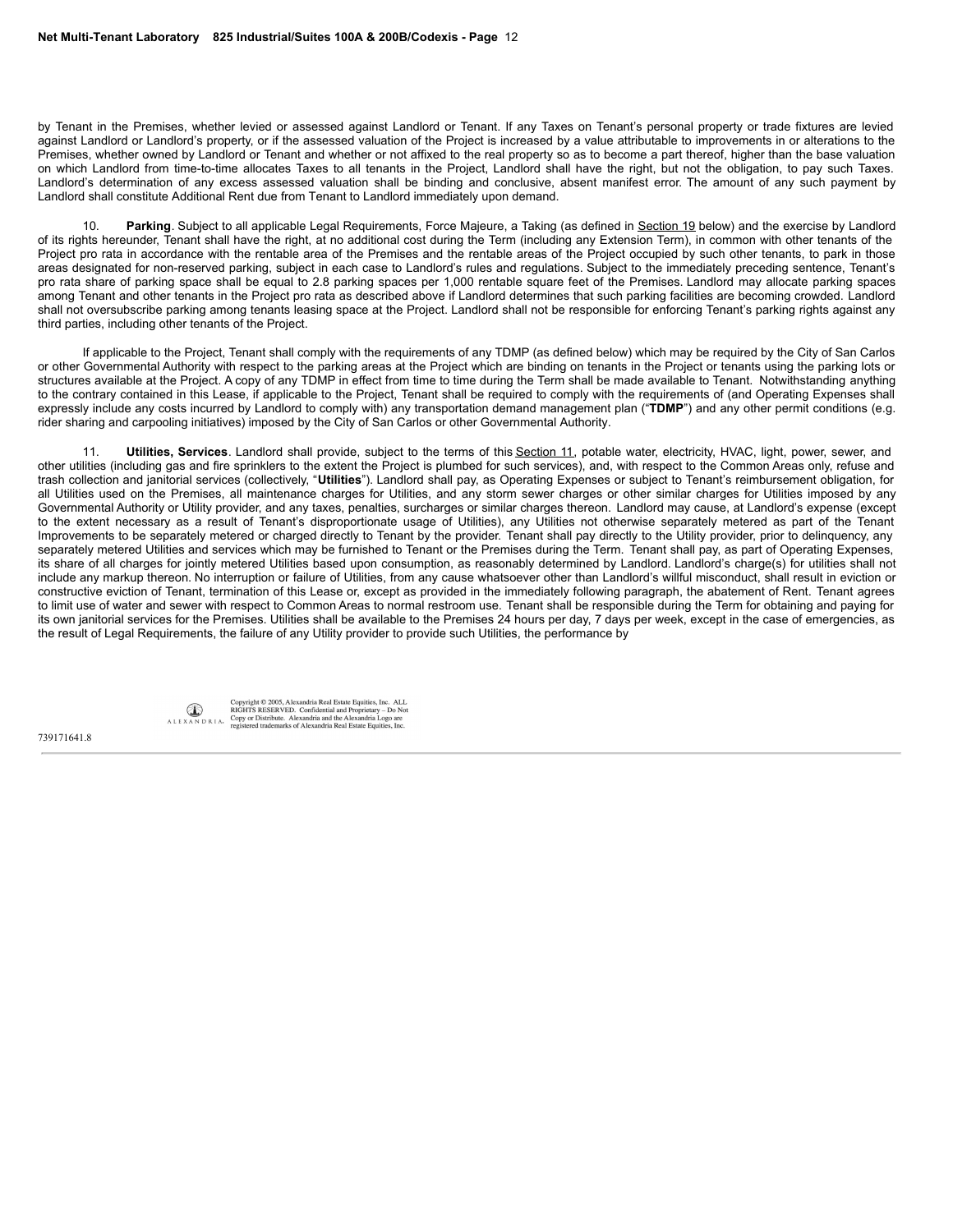by Tenant in the Premises, whether levied or assessed against Landlord or Tenant. If any Taxes on Tenant's personal property or trade fixtures are levied against Landlord or Landlord's property, or if the assessed valuation of the Project is increased by a value attributable to improvements in or alterations to the Premises, whether owned by Landlord or Tenant and whether or not affixed to the real property so as to become a part thereof, higher than the base valuation on which Landlord from time-to-time allocates Taxes to all tenants in the Project, Landlord shall have the right, but not the obligation, to pay such Taxes. Landlord's determination of any excess assessed valuation shall be binding and conclusive, absent manifest error. The amount of any such payment by Landlord shall constitute Additional Rent due from Tenant to Landlord immediately upon demand.

Parking. Subject to all applicable Legal Requirements, Force Majeure, a Taking (as defined in Section 19 below) and the exercise by Landlord of its rights hereunder, Tenant shall have the right, at no additional cost during the Term (including any Extension Term), in common with other tenants of the Project pro rata in accordance with the rentable area of the Premises and the rentable areas of the Project occupied by such other tenants, to park in those areas designated for non-reserved parking, subject in each case to Landlord's rules and regulations. Subject to the immediately preceding sentence, Tenant's pro rata share of parking space shall be equal to 2.8 parking spaces per 1,000 rentable square feet of the Premises. Landlord may allocate parking spaces among Tenant and other tenants in the Project pro rata as described above if Landlord determines that such parking facilities are becoming crowded. Landlord shall not oversubscribe parking among tenants leasing space at the Project. Landlord shall not be responsible for enforcing Tenant's parking rights against any third parties, including other tenants of the Project.

If applicable to the Project, Tenant shall comply with the requirements of any TDMP (as defined below) which may be required by the City of San Carlos or other Governmental Authority with respect to the parking areas at the Project which are binding on tenants in the Project or tenants using the parking lots or structures available at the Project. A copy of any TDMP in effect from time to time during the Term shall be made available to Tenant. Notwithstanding anything to the contrary contained in this Lease, if applicable to the Project, Tenant shall be required to comply with the requirements of (and Operating Expenses shall expressly include any costs incurred by Landlord to comply with) any transportation demand management plan ("**TDMP**") and any other permit conditions (e.g. rider sharing and carpooling initiatives) imposed by the City of San Carlos or other Governmental Authority.

11. **Utilities, Services**. Landlord shall provide, subject to the terms of this Section 11, potable water, electricity, HVAC, light, power, sewer, and other utilities (including gas and fire sprinklers to the extent the Project is plumbed for such services), and, with respect to the Common Areas only, refuse and trash collection and janitorial services (collectively, "**Utilities**"). Landlord shall pay, as Operating Expenses or subject to Tenant's reimbursement obligation, for all Utilities used on the Premises, all maintenance charges for Utilities, and any storm sewer charges or other similar charges for Utilities imposed by any Governmental Authority or Utility provider, and any taxes, penalties, surcharges or similar charges thereon. Landlord may cause, at Landlord's expense (except to the extent necessary as a result of Tenant's disproportionate usage of Utilities), any Utilities not otherwise separately metered as part of the Tenant Improvements to be separately metered or charged directly to Tenant by the provider. Tenant shall pay directly to the Utility provider, prior to delinquency, any separately metered Utilities and services which may be furnished to Tenant or the Premises during the Term. Tenant shall pay, as part of Operating Expenses, its share of all charges for jointly metered Utilities based upon consumption, as reasonably determined by Landlord. Landlord's charge(s) for utilities shall not include any markup thereon. No interruption or failure of Utilities, from any cause whatsoever other than Landlord's willful misconduct, shall result in eviction or constructive eviction of Tenant, termination of this Lease or, except as provided in the immediately following paragraph, the abatement of Rent. Tenant agrees to limit use of water and sewer with respect to Common Areas to normal restroom use. Tenant shall be responsible during the Term for obtaining and paying for its own janitorial services for the Premises. Utilities shall be available to the Premises 24 hours per day, 7 days per week, except in the case of emergencies, as the result of Legal Requirements, the failure of any Utility provider to provide such Utilities, the performance by

 $\begin{tabular}{ll} \multicolumn{2}{l} \textbf{Copyright} @ 2005, Alexandria Real Easter Equities, Inc. ALL RIGHTS RESERVED. Confidence ALE X AN D R1 A. \end{tabular} \begin{tabular}{ll} \textbf{ROV} \\ \multicolumn{2}{l} \textbf{RIGHTS RESLEVEDE.} \\ \multicolumn{2}{l} \textbf{A LE X AN D R1 A.} \end{tabular} \begin{tabular}{ll} \textbf{C} \\ \textbf{D} \\ \textbf{C} \\ \textbf{D} \\ \textbf{D} \\ \textbf{D} \\ \end{tabular} \end{tabular} \begin{tabular}{ll} \textbf{C} \\ \textbf{D} \\ \textbf{D$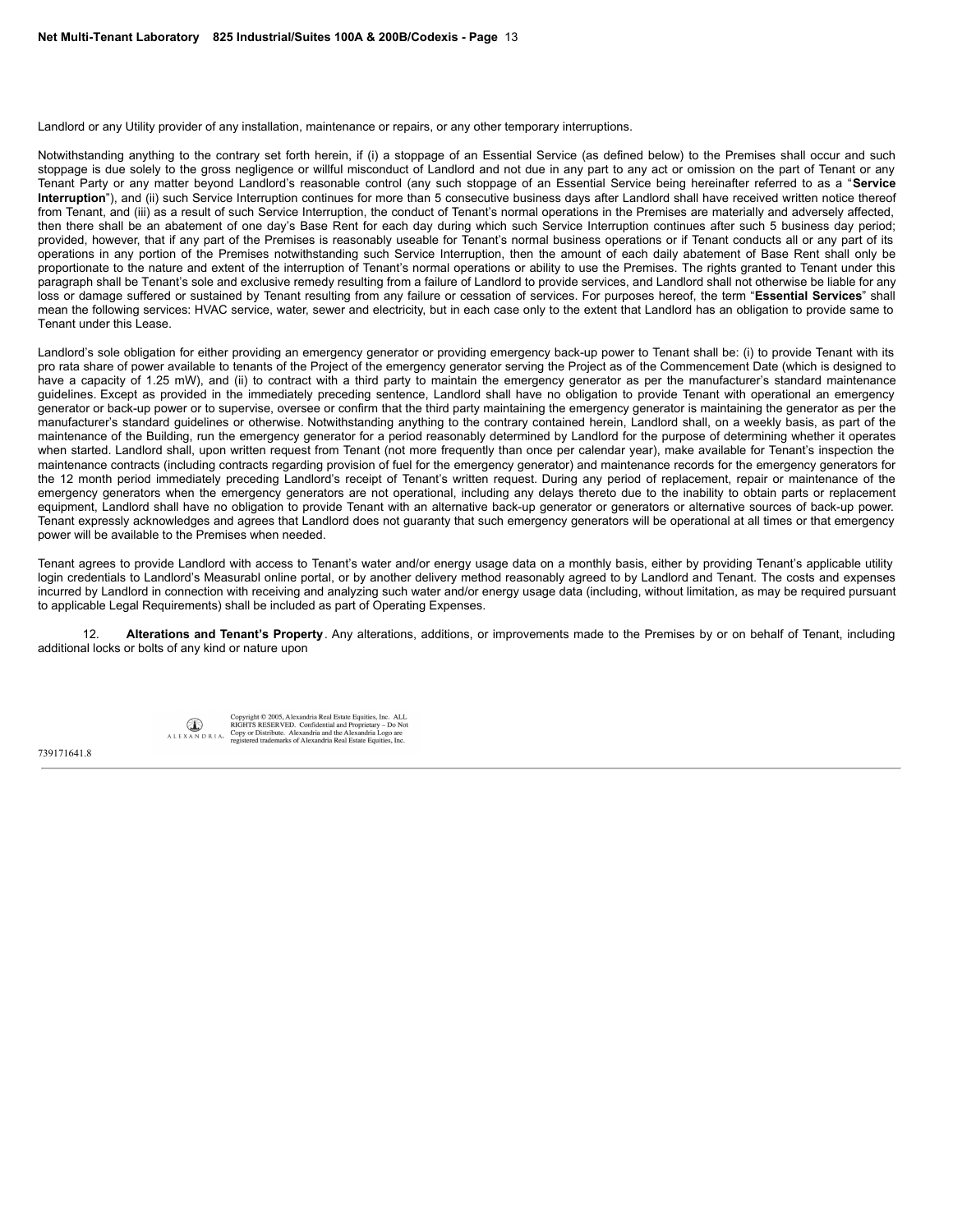Landlord or any Utility provider of any installation, maintenance or repairs, or any other temporary interruptions.

Notwithstanding anything to the contrary set forth herein, if (i) a stoppage of an Essential Service (as defined below) to the Premises shall occur and such stoppage is due solely to the gross negligence or willful misconduct of Landlord and not due in any part to any act or omission on the part of Tenant or any Tenant Party or any matter beyond Landlord's reasonable control (any such stoppage of an Essential Service being hereinafter referred to as a "**Service Interruption**"), and (ii) such Service Interruption continues for more than 5 consecutive business days after Landlord shall have received written notice thereof from Tenant, and (iii) as a result of such Service Interruption, the conduct of Tenant's normal operations in the Premises are materially and adversely affected, then there shall be an abatement of one day's Base Rent for each day during which such Service Interruption continues after such 5 business day period; provided, however, that if any part of the Premises is reasonably useable for Tenant's normal business operations or if Tenant conducts all or any part of its operations in any portion of the Premises notwithstanding such Service Interruption, then the amount of each daily abatement of Base Rent shall only be proportionate to the nature and extent of the interruption of Tenant's normal operations or ability to use the Premises. The rights granted to Tenant under this paragraph shall be Tenant's sole and exclusive remedy resulting from a failure of Landlord to provide services, and Landlord shall not otherwise be liable for any loss or damage suffered or sustained by Tenant resulting from any failure or cessation of services. For purposes hereof, the term "**Essential Services**" shall mean the following services: HVAC service, water, sewer and electricity, but in each case only to the extent that Landlord has an obligation to provide same to Tenant under this Lease.

Landlord's sole obligation for either providing an emergency generator or providing emergency back-up power to Tenant shall be: (i) to provide Tenant with its pro rata share of power available to tenants of the Project of the emergency generator serving the Project as of the Commencement Date (which is designed to have a capacity of 1.25 mW), and (ii) to contract with a third party to maintain the emergency generator as per the manufacturer's standard maintenance guidelines. Except as provided in the immediately preceding sentence, Landlord shall have no obligation to provide Tenant with operational an emergency generator or back-up power or to supervise, oversee or confirm that the third party maintaining the emergency generator is maintaining the generator as per the manufacturer's standard guidelines or otherwise. Notwithstanding anything to the contrary contained herein, Landlord shall, on a weekly basis, as part of the maintenance of the Building, run the emergency generator for a period reasonably determined by Landlord for the purpose of determining whether it operates when started. Landlord shall, upon written request from Tenant (not more frequently than once per calendar year), make available for Tenant's inspection the maintenance contracts (including contracts regarding provision of fuel for the emergency generator) and maintenance records for the emergency generators for the 12 month period immediately preceding Landlord's receipt of Tenant's written request. During any period of replacement, repair or maintenance of the emergency generators when the emergency generators are not operational, including any delays thereto due to the inability to obtain parts or replacement equipment, Landlord shall have no obligation to provide Tenant with an alternative back-up generator or generators or alternative sources of back-up power. Tenant expressly acknowledges and agrees that Landlord does not guaranty that such emergency generators will be operational at all times or that emergency power will be available to the Premises when needed.

Tenant agrees to provide Landlord with access to Tenant's water and/or energy usage data on a monthly basis, either by providing Tenant's applicable utility login credentials to Landlord's Measurabl online portal, or by another delivery method reasonably agreed to by Landlord and Tenant. The costs and expenses incurred by Landlord in connection with receiving and analyzing such water and/or energy usage data (including, without limitation, as may be required pursuant to applicable Legal Requirements) shall be included as part of Operating Expenses.

12. **Alterations and Tenant's Property**. Any alterations, additions, or improvements made to the Premises by or on behalf of Tenant, including additional locks or bolts of any kind or nature upon

> $\label{eq:Corp} \begin{minipage}{0.9\textwidth} \begin{minipage}{0.9\textwidth} \begin{minipage}{0.9\textwidth} \begin{minipage}{0.9\textwidth} \begin{minipage}{0.9\textwidth} \begin{minipage}{0.9\textwidth} \begin{minipage}{0.9\textwidth} \begin{minipage}{0.9\textwidth} \begin{minipage}{0.9\textwidth} \begin{minipage}{0.9\textwidth} \begin{minipage}{0.9\textwidth} \begin{minipage}{0.9\textwidth} \begin{minipage}{0.9\textwidth} \begin{minipage}{0.9\textwidth} \begin{minipage}{0.9\textwidth} \begin$  $^{\circledR}$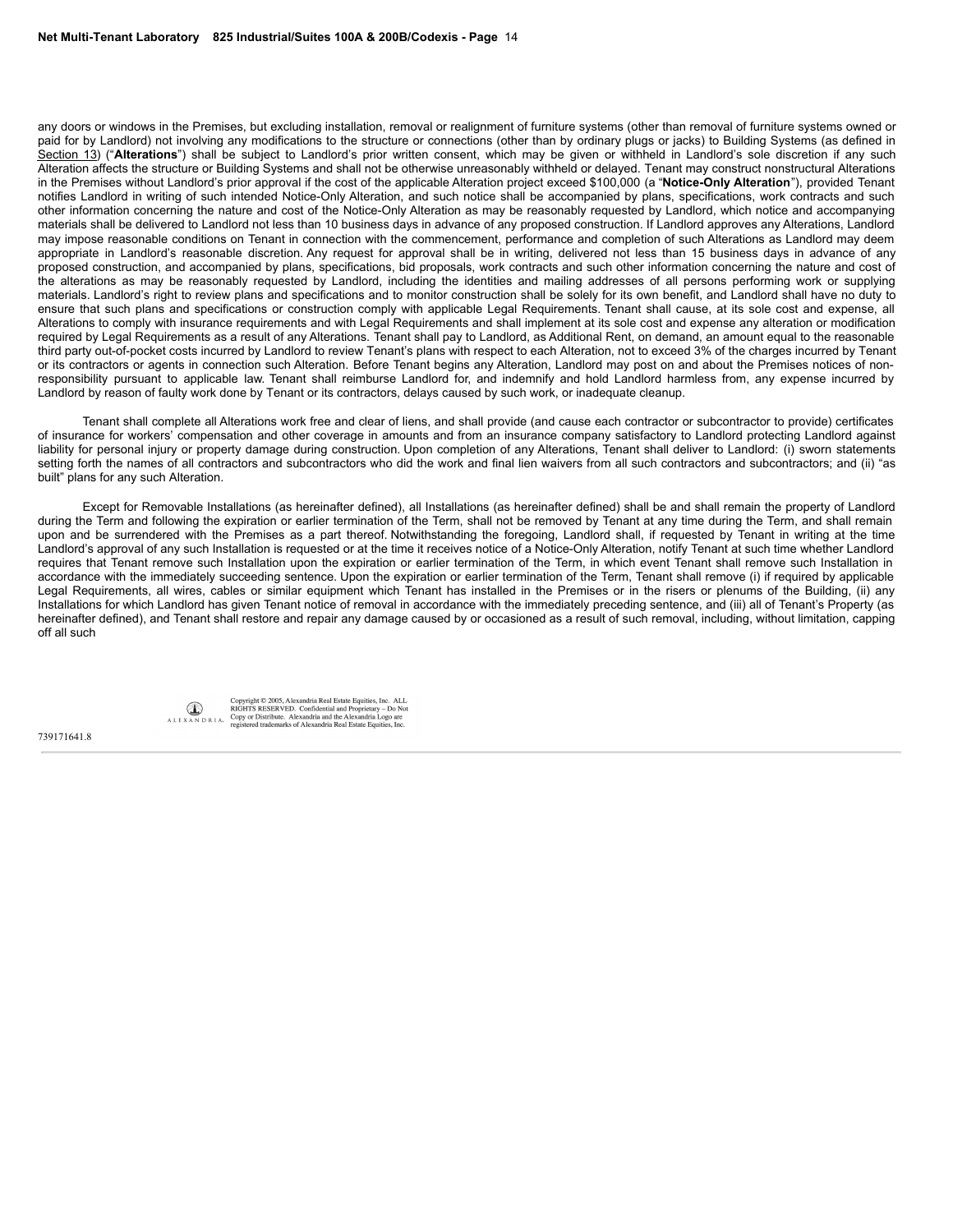any doors or windows in the Premises, but excluding installation, removal or realignment of furniture systems (other than removal of furniture systems owned or paid for by Landlord) not involving any modifications to the structure or connections (other than by ordinary plugs or jacks) to Building Systems (as defined in Section 13) ("**Alterations**") shall be subject to Landlord's prior written consent, which may be given or withheld in Landlord's sole discretion if any such Alteration affects the structure or Building Systems and shall not be otherwise unreasonably withheld or delayed. Tenant may construct nonstructural Alterations in the Premises without Landlord's prior approval if the cost of the applicable Alteration project exceed \$100,000 (a "**Notice-Only Alteration**"), provided Tenant notifies Landlord in writing of such intended Notice-Only Alteration, and such notice shall be accompanied by plans, specifications, work contracts and such other information concerning the nature and cost of the Notice-Only Alteration as may be reasonably requested by Landlord, which notice and accompanying materials shall be delivered to Landlord not less than 10 business days in advance of any proposed construction. If Landlord approves any Alterations, Landlord may impose reasonable conditions on Tenant in connection with the commencement, performance and completion of such Alterations as Landlord may deem appropriate in Landlord's reasonable discretion. Any request for approval shall be in writing, delivered not less than 15 business days in advance of any proposed construction, and accompanied by plans, specifications, bid proposals, work contracts and such other information concerning the nature and cost of the alterations as may be reasonably requested by Landlord, including the identities and mailing addresses of all persons performing work or supplying materials. Landlord's right to review plans and specifications and to monitor construction shall be solely for its own benefit, and Landlord shall have no duty to ensure that such plans and specifications or construction comply with applicable Legal Requirements. Tenant shall cause, at its sole cost and expense, all Alterations to comply with insurance requirements and with Legal Requirements and shall implement at its sole cost and expense any alteration or modification required by Legal Requirements as a result of any Alterations. Tenant shall pay to Landlord, as Additional Rent, on demand, an amount equal to the reasonable third party out-of-pocket costs incurred by Landlord to review Tenant's plans with respect to each Alteration, not to exceed 3% of the charges incurred by Tenant or its contractors or agents in connection such Alteration. Before Tenant begins any Alteration, Landlord may post on and about the Premises notices of nonresponsibility pursuant to applicable law. Tenant shall reimburse Landlord for, and indemnify and hold Landlord harmless from, any expense incurred by Landlord by reason of faulty work done by Tenant or its contractors, delays caused by such work, or inadequate cleanup.

Tenant shall complete all Alterations work free and clear of liens, and shall provide (and cause each contractor or subcontractor to provide) certificates of insurance for workers' compensation and other coverage in amounts and from an insurance company satisfactory to Landlord protecting Landlord against liability for personal injury or property damage during construction. Upon completion of any Alterations, Tenant shall deliver to Landlord: (i) sworn statements setting forth the names of all contractors and subcontractors who did the work and final lien waivers from all such contractors and subcontractors; and (ii) "as built" plans for any such Alteration.

Except for Removable Installations (as hereinafter defined), all Installations (as hereinafter defined) shall be and shall remain the property of Landlord during the Term and following the expiration or earlier termination of the Term, shall not be removed by Tenant at any time during the Term, and shall remain upon and be surrendered with the Premises as a part thereof. Notwithstanding the foregoing, Landlord shall, if requested by Tenant in writing at the time Landlord's approval of any such Installation is requested or at the time it receives notice of a Notice-Only Alteration, notify Tenant at such time whether Landlord requires that Tenant remove such Installation upon the expiration or earlier termination of the Term, in which event Tenant shall remove such Installation in accordance with the immediately succeeding sentence. Upon the expiration or earlier termination of the Term, Tenant shall remove (i) if required by applicable Legal Requirements, all wires, cables or similar equipment which Tenant has installed in the Premises or in the risers or plenums of the Building, (ii) any Installations for which Landlord has given Tenant notice of removal in accordance with the immediately preceding sentence, and (iii) all of Tenant's Property (as hereinafter defined), and Tenant shall restore and repair any damage caused by or occasioned as a result of such removal, including, without limitation, capping off all such

企 ALEXANDRIA.

Copyright © 2005, Alexandria Real Estate Equities, Inc. ALL<br>RIGHTS RESERVED. Confidential and Proprietary – Do Not<br>Copy or Distribute. Alexandria and the Alexandria Logo are<br>registered trademarks of Alexandria Real Estate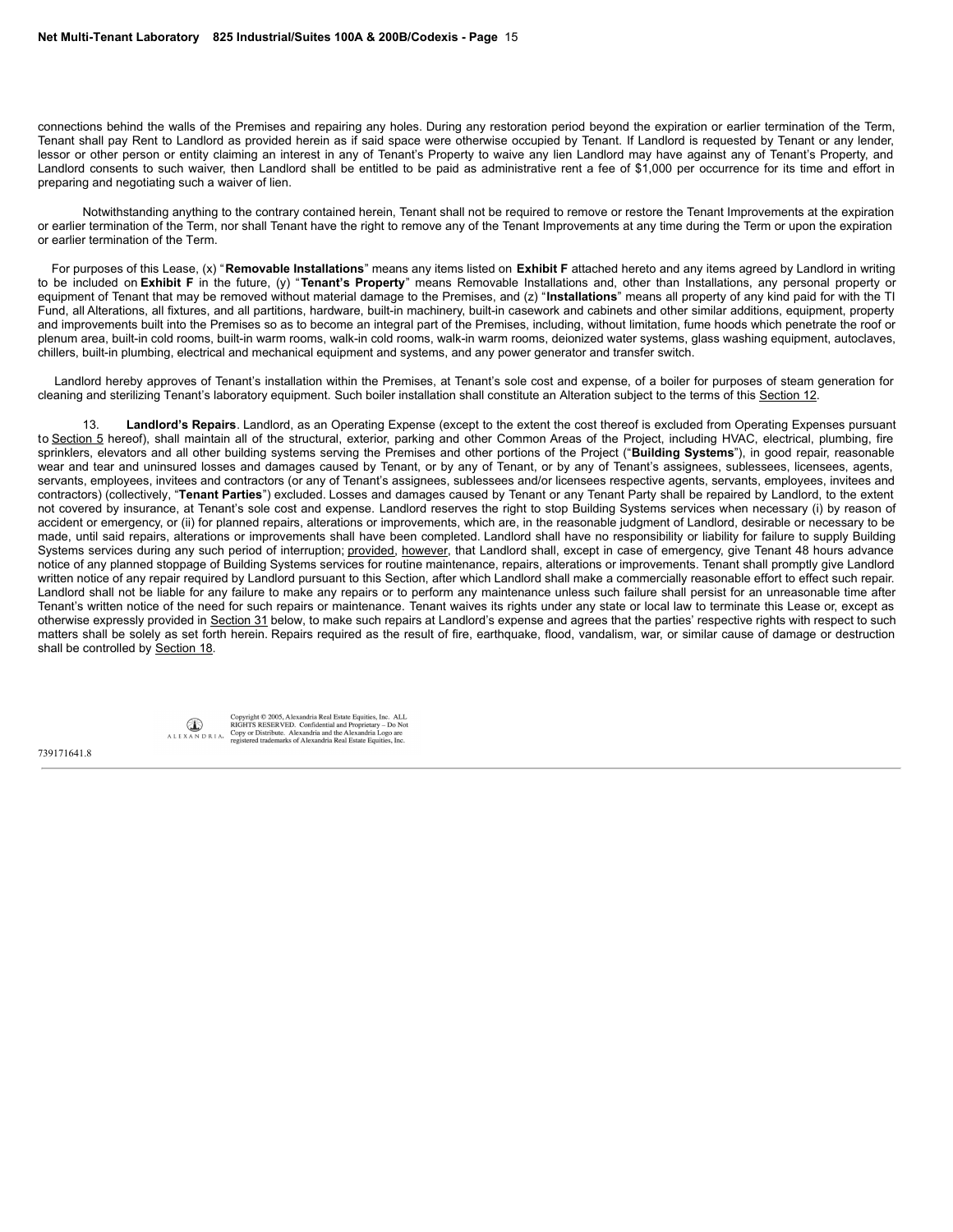connections behind the walls of the Premises and repairing any holes. During any restoration period beyond the expiration or earlier termination of the Term, Tenant shall pay Rent to Landlord as provided herein as if said space were otherwise occupied by Tenant. If Landlord is requested by Tenant or any lender, lessor or other person or entity claiming an interest in any of Tenant's Property to waive any lien Landlord may have against any of Tenant's Property, and Landlord consents to such waiver, then Landlord shall be entitled to be paid as administrative rent a fee of \$1,000 per occurrence for its time and effort in preparing and negotiating such a waiver of lien.

Notwithstanding anything to the contrary contained herein, Tenant shall not be required to remove or restore the Tenant Improvements at the expiration or earlier termination of the Term, nor shall Tenant have the right to remove any of the Tenant Improvements at any time during the Term or upon the expiration or earlier termination of the Term.

For purposes of this Lease, (x) "**Removable Installations**" means any items listed on **Exhibit F** attached hereto and any items agreed by Landlord in writing to be included on **Exhibit F** in the future, (y) "**Tenant's Property**" means Removable Installations and, other than Installations, any personal property or equipment of Tenant that may be removed without material damage to the Premises, and (z) "**Installations**" means all property of any kind paid for with the TI Fund, all Alterations, all fixtures, and all partitions, hardware, built-in machinery, built-in casework and cabinets and other similar additions, equipment, property and improvements built into the Premises so as to become an integral part of the Premises, including, without limitation, fume hoods which penetrate the roof or plenum area, built-in cold rooms, built-in warm rooms, walk-in cold rooms, walk-in warm rooms, deionized water systems, glass washing equipment, autoclaves, chillers, built-in plumbing, electrical and mechanical equipment and systems, and any power generator and transfer switch.

Landlord hereby approves of Tenant's installation within the Premises, at Tenant's sole cost and expense, of a boiler for purposes of steam generation for cleaning and sterilizing Tenant's laboratory equipment. Such boiler installation shall constitute an Alteration subject to the terms of this Section 12.

Landlord's Repairs. Landlord, as an Operating Expense (except to the extent the cost thereof is excluded from Operating Expenses pursuant to Section 5 hereof), shall maintain all of the structural, exterior, parking and other Common Areas of the Project, including HVAC, electrical, plumbing, fire sprinklers, elevators and all other building systems serving the Premises and other portions of the Project ("**Building Systems**"), in good repair, reasonable wear and tear and uninsured losses and damages caused by Tenant, or by any of Tenant, or by any of Tenant's assignees, sublessees, licensees, agents, servants, employees, invitees and contractors (or any of Tenant's assignees, sublessees and/or licensees respective agents, servants, employees, invitees and contractors) (collectively, "**Tenant Parties**") excluded. Losses and damages caused by Tenant or any Tenant Party shall be repaired by Landlord, to the extent not covered by insurance, at Tenant's sole cost and expense. Landlord reserves the right to stop Building Systems services when necessary (i) by reason of accident or emergency, or (ii) for planned repairs, alterations or improvements, which are, in the reasonable judgment of Landlord, desirable or necessary to be made, until said repairs, alterations or improvements shall have been completed. Landlord shall have no responsibility or liability for failure to supply Building Systems services during any such period of interruption; provided, however, that Landlord shall, except in case of emergency, give Tenant 48 hours advance notice of any planned stoppage of Building Systems services for routine maintenance, repairs, alterations or improvements. Tenant shall promptly give Landlord written notice of any repair required by Landlord pursuant to this Section, after which Landlord shall make a commercially reasonable effort to effect such repair. Landlord shall not be liable for any failure to make any repairs or to perform any maintenance unless such failure shall persist for an unreasonable time after Tenant's written notice of the need for such repairs or maintenance. Tenant waives its rights under any state or local law to terminate this Lease or, except as otherwise expressly provided in Section 31 below, to make such repairs at Landlord's expense and agrees that the parties' respective rights with respect to such matters shall be solely as set forth herein. Repairs required as the result of fire, earthquake, flood, vandalism, war, or similar cause of damage or destruction shall be controlled by Section 18.

 $^{\circledR}$ 

 $\label{eq:Corp} \begin{minipage}{0.9\textwidth} \begin{minipage}{0.9\textwidth} \begin{minipage}{0.9\textwidth} \begin{minipage}{0.9\textwidth} \begin{minipage}{0.9\textwidth} \begin{minipage}{0.9\textwidth} \begin{minipage}{0.9\textwidth} \begin{minipage}{0.9\textwidth} \begin{minipage}{0.9\textwidth} \begin{minipage}{0.9\textwidth} \begin{minipage}{0.9\textwidth} \begin{minipage}{0.9\textwidth} \begin{minipage}{0.9\textwidth} \begin{minipage}{0.9\textwidth} \begin{minipage}{0.9\textwidth} \begin$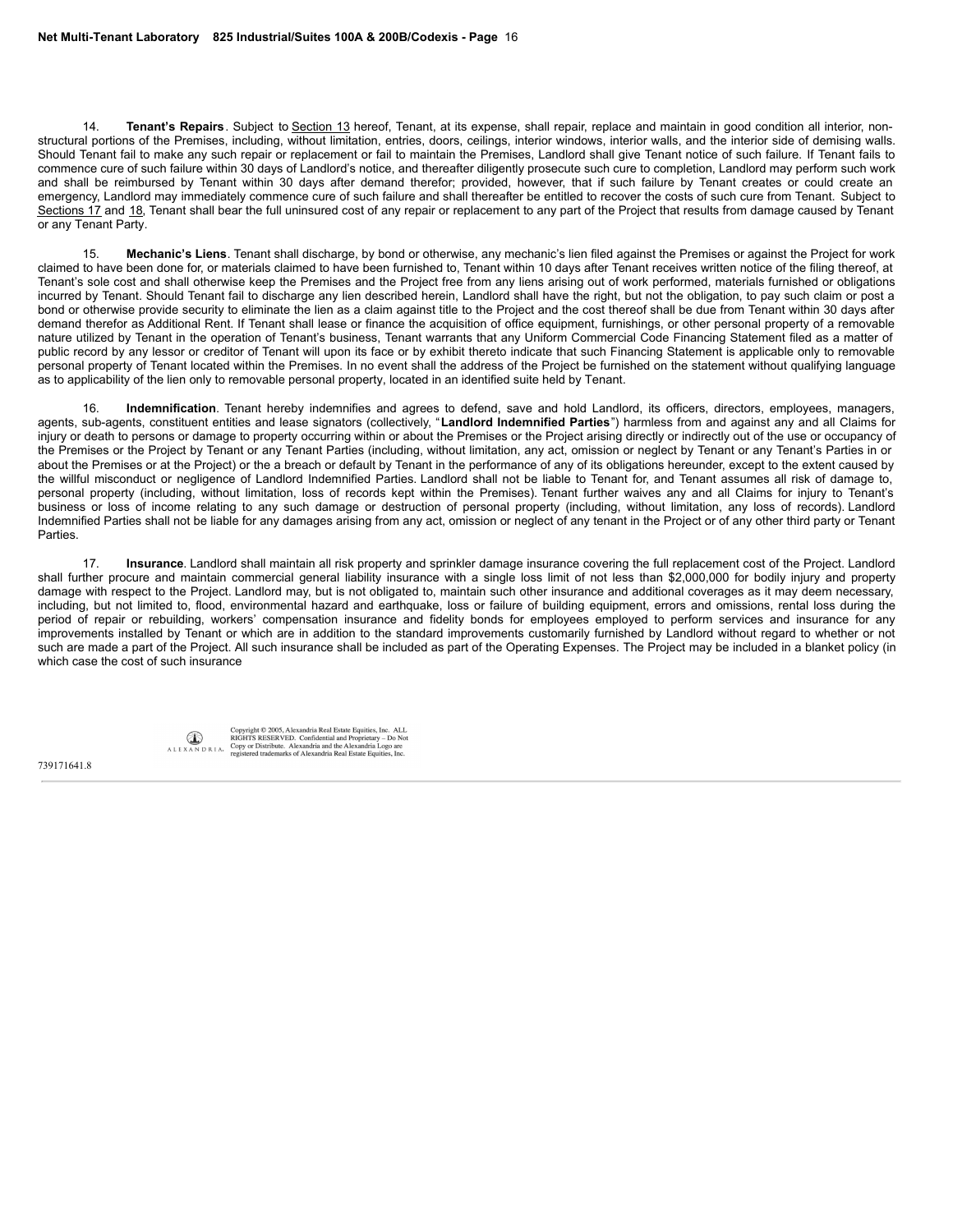14. **Tenant's Repairs**. Subject to Section 13 hereof, Tenant, at its expense, shall repair, replace and maintain in good condition all interior, nonstructural portions of the Premises, including, without limitation, entries, doors, ceilings, interior windows, interior walls, and the interior side of demising walls. Should Tenant fail to make any such repair or replacement or fail to maintain the Premises, Landlord shall give Tenant notice of such failure. If Tenant fails to commence cure of such failure within 30 days of Landlord's notice, and thereafter diligently prosecute such cure to completion, Landlord may perform such work and shall be reimbursed by Tenant within 30 days after demand therefor; provided, however, that if such failure by Tenant creates or could create an emergency, Landlord may immediately commence cure of such failure and shall thereafter be entitled to recover the costs of such cure from Tenant. Subject to Sections 17 and 18, Tenant shall bear the full uninsured cost of any repair or replacement to any part of the Project that results from damage caused by Tenant or any Tenant Party.

15. **Mechanic's Liens**. Tenant shall discharge, by bond or otherwise, any mechanic's lien filed against the Premises or against the Project for work claimed to have been done for, or materials claimed to have been furnished to, Tenant within 10 days after Tenant receives written notice of the filing thereof, at Tenant's sole cost and shall otherwise keep the Premises and the Project free from any liens arising out of work performed, materials furnished or obligations incurred by Tenant. Should Tenant fail to discharge any lien described herein, Landlord shall have the right, but not the obligation, to pay such claim or post a bond or otherwise provide security to eliminate the lien as a claim against title to the Project and the cost thereof shall be due from Tenant within 30 days after demand therefor as Additional Rent. If Tenant shall lease or finance the acquisition of office equipment, furnishings, or other personal property of a removable nature utilized by Tenant in the operation of Tenant's business, Tenant warrants that any Uniform Commercial Code Financing Statement filed as a matter of public record by any lessor or creditor of Tenant will upon its face or by exhibit thereto indicate that such Financing Statement is applicable only to removable personal property of Tenant located within the Premises. In no event shall the address of the Project be furnished on the statement without qualifying language as to applicability of the lien only to removable personal property, located in an identified suite held by Tenant.

16. **Indemnification**. Tenant hereby indemnifies and agrees to defend, save and hold Landlord, its officers, directors, employees, managers, agents, sub-agents, constituent entities and lease signators (collectively, "**Landlord Indemnified Parties**") harmless from and against any and all Claims for injury or death to persons or damage to property occurring within or about the Premises or the Project arising directly or indirectly out of the use or occupancy of the Premises or the Project by Tenant or any Tenant Parties (including, without limitation, any act, omission or neglect by Tenant or any Tenant's Parties in or about the Premises or at the Project) or the a breach or default by Tenant in the performance of any of its obligations hereunder, except to the extent caused by the willful misconduct or negligence of Landlord Indemnified Parties. Landlord shall not be liable to Tenant for, and Tenant assumes all risk of damage to, personal property (including, without limitation, loss of records kept within the Premises). Tenant further waives any and all Claims for injury to Tenant's business or loss of income relating to any such damage or destruction of personal property (including, without limitation, any loss of records). Landlord Indemnified Parties shall not be liable for any damages arising from any act, omission or neglect of any tenant in the Project or of any other third party or Tenant Parties.

17. **Insurance**. Landlord shall maintain all risk property and sprinkler damage insurance covering the full replacement cost of the Project. Landlord shall further procure and maintain commercial general liability insurance with a single loss limit of not less than \$2,000,000 for bodily injury and property damage with respect to the Project. Landlord may, but is not obligated to, maintain such other insurance and additional coverages as it may deem necessary, including, but not limited to, flood, environmental hazard and earthquake, loss or failure of building equipment, errors and omissions, rental loss during the period of repair or rebuilding, workers' compensation insurance and fidelity bonds for employees employed to perform services and insurance for any improvements installed by Tenant or which are in addition to the standard improvements customarily furnished by Landlord without regard to whether or not such are made a part of the Project. All such insurance shall be included as part of the Operating Expenses. The Project may be included in a blanket policy (in which case the cost of such insurance

 $\begin{minipage}{0.9\textwidth} \begin{minipage}{0.9\textwidth} \begin{minipage}{0.9\textwidth} \begin{minipage}{0.9\textwidth} \begin{minipage}{0.9\textwidth} \begin{minipage}{0.9\textwidth} \begin{minipage}{0.9\textwidth} \begin{minipage}{0.9\textwidth} \begin{minipage}{0.9\textwidth} \begin{minipage}{0.9\textwidth} \begin{minipage}{0.9\textwidth} \begin{minipage}{0.9\textwidth} \begin{minipage}{0.9\textwidth} \begin{minipage}{0.9\textwidth} \begin{minipage}{0.9\textwidth} \begin{minipage}{0.9$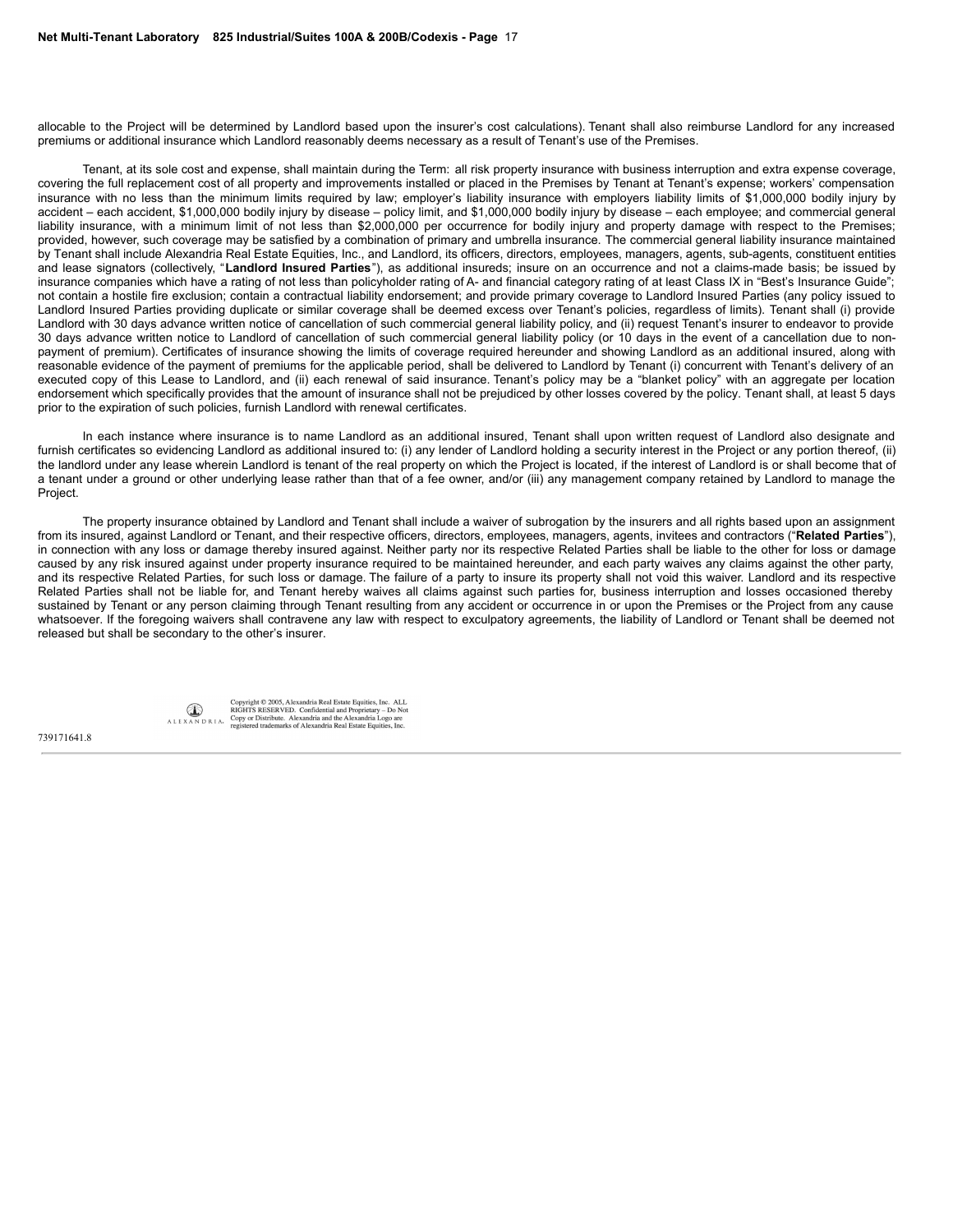allocable to the Project will be determined by Landlord based upon the insurer's cost calculations). Tenant shall also reimburse Landlord for any increased premiums or additional insurance which Landlord reasonably deems necessary as a result of Tenant's use of the Premises.

Tenant, at its sole cost and expense, shall maintain during the Term: all risk property insurance with business interruption and extra expense coverage, covering the full replacement cost of all property and improvements installed or placed in the Premises by Tenant at Tenant's expense; workers' compensation insurance with no less than the minimum limits required by law; employer's liability insurance with employers liability limits of \$1,000,000 bodily injury by accident – each accident, \$1,000,000 bodily injury by disease – policy limit, and \$1,000,000 bodily injury by disease – each employee; and commercial general liability insurance, with a minimum limit of not less than \$2,000,000 per occurrence for bodily injury and property damage with respect to the Premises; provided, however, such coverage may be satisfied by a combination of primary and umbrella insurance. The commercial general liability insurance maintained by Tenant shall include Alexandria Real Estate Equities, Inc., and Landlord, its officers, directors, employees, managers, agents, sub-agents, constituent entities and lease signators (collectively, "**Landlord Insured Parties**"), as additional insureds; insure on an occurrence and not a claims-made basis; be issued by insurance companies which have a rating of not less than policyholder rating of A- and financial category rating of at least Class IX in "Best's Insurance Guide"; not contain a hostile fire exclusion; contain a contractual liability endorsement; and provide primary coverage to Landlord Insured Parties (any policy issued to Landlord Insured Parties providing duplicate or similar coverage shall be deemed excess over Tenant's policies, regardless of limits). Tenant shall (i) provide Landlord with 30 days advance written notice of cancellation of such commercial general liability policy, and (ii) request Tenant's insurer to endeavor to provide 30 days advance written notice to Landlord of cancellation of such commercial general liability policy (or 10 days in the event of a cancellation due to nonpayment of premium). Certificates of insurance showing the limits of coverage required hereunder and showing Landlord as an additional insured, along with reasonable evidence of the payment of premiums for the applicable period, shall be delivered to Landlord by Tenant (i) concurrent with Tenant's delivery of an executed copy of this Lease to Landlord, and (ii) each renewal of said insurance. Tenant's policy may be a "blanket policy" with an aggregate per location endorsement which specifically provides that the amount of insurance shall not be prejudiced by other losses covered by the policy. Tenant shall, at least 5 days prior to the expiration of such policies, furnish Landlord with renewal certificates.

In each instance where insurance is to name Landlord as an additional insured, Tenant shall upon written request of Landlord also designate and furnish certificates so evidencing Landlord as additional insured to: (i) any lender of Landlord holding a security interest in the Project or any portion thereof, (ii) the landlord under any lease wherein Landlord is tenant of the real property on which the Project is located, if the interest of Landlord is or shall become that of a tenant under a ground or other underlying lease rather than that of a fee owner, and/or (iii) any management company retained by Landlord to manage the Project.

The property insurance obtained by Landlord and Tenant shall include a waiver of subrogation by the insurers and all rights based upon an assignment from its insured, against Landlord or Tenant, and their respective officers, directors, employees, managers, agents, invitees and contractors ("**Related Parties**"), in connection with any loss or damage thereby insured against. Neither party nor its respective Related Parties shall be liable to the other for loss or damage caused by any risk insured against under property insurance required to be maintained hereunder, and each party waives any claims against the other party, and its respective Related Parties, for such loss or damage. The failure of a party to insure its property shall not void this waiver. Landlord and its respective Related Parties shall not be liable for, and Tenant hereby waives all claims against such parties for, business interruption and losses occasioned thereby sustained by Tenant or any person claiming through Tenant resulting from any accident or occurrence in or upon the Premises or the Project from any cause whatsoever. If the foregoing waivers shall contravene any law with respect to exculpatory agreements, the liability of Landlord or Tenant shall be deemed not released but shall be secondary to the other's insurer.

 $\begin{minipage}{0.9\textwidth} \begin{minipage}{0.9\textwidth} \begin{minipage}{0.9\textwidth} \begin{minipage}{0.9\textwidth} \begin{minipage}{0.9\textwidth} \begin{minipage}{0.9\textwidth} \begin{minipage}{0.9\textwidth} \begin{minipage}{0.9\textwidth} \begin{minipage}{0.9\textwidth} \begin{minipage}{0.9\textwidth} \begin{minipage}{0.9\textwidth} \begin{minipage}{0.9\textwidth} \begin{minipage}{0.9\textwidth} \begin{minipage}{0.9\textwidth} \begin{minipage}{0.9\textwidth} \begin{minipage}{0.9$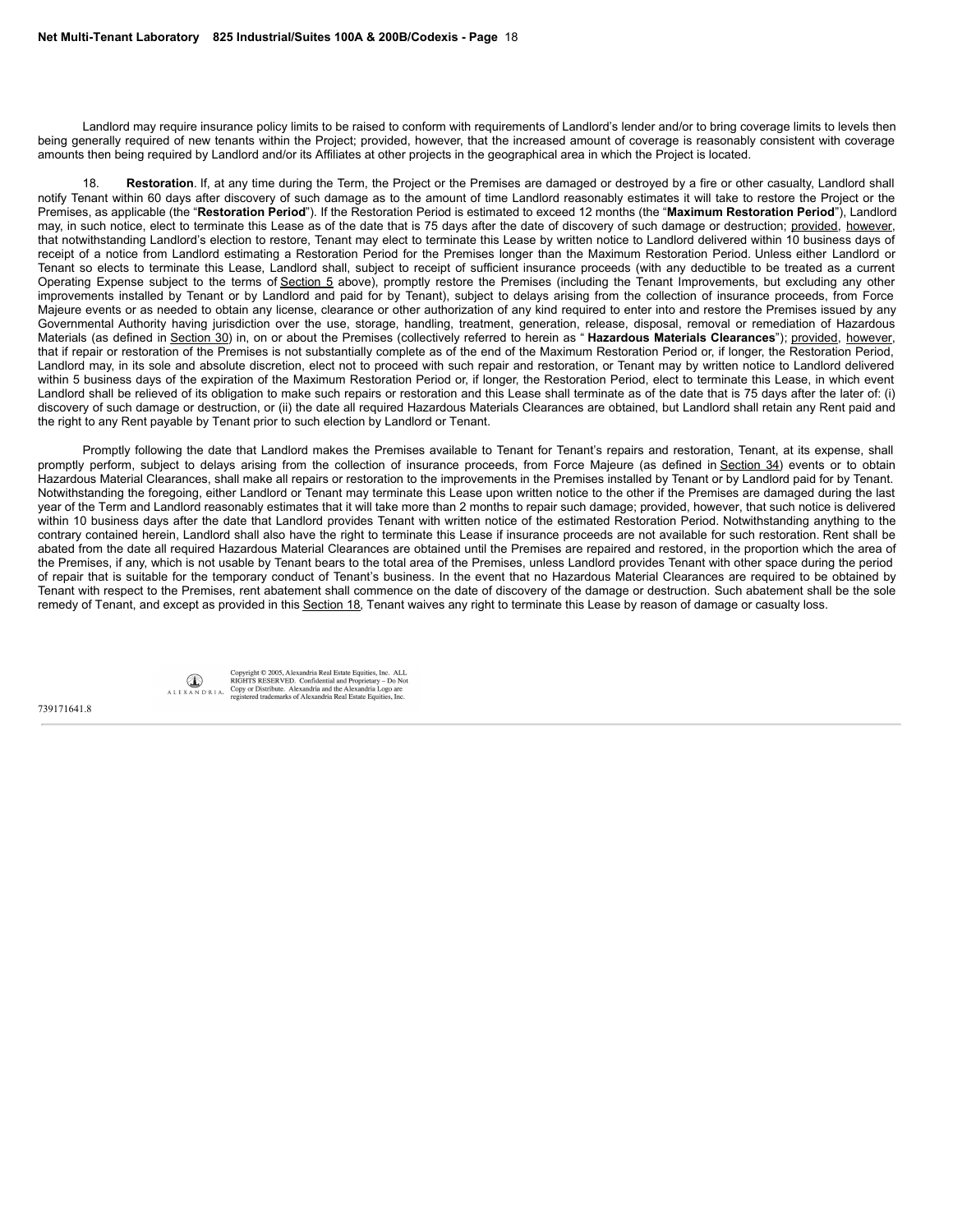Landlord may require insurance policy limits to be raised to conform with requirements of Landlord's lender and/or to bring coverage limits to levels then being generally required of new tenants within the Project; provided, however, that the increased amount of coverage is reasonably consistent with coverage amounts then being required by Landlord and/or its Affiliates at other projects in the geographical area in which the Project is located.

18. **Restoration**. If, at any time during the Term, the Project or the Premises are damaged or destroyed by a fire or other casualty, Landlord shall notify Tenant within 60 days after discovery of such damage as to the amount of time Landlord reasonably estimates it will take to restore the Project or the Premises, as applicable (the "**Restoration Period**"). If the Restoration Period is estimated to exceed 12 months (the "**Maximum Restoration Period**"), Landlord may, in such notice, elect to terminate this Lease as of the date that is 75 days after the date of discovery of such damage or destruction; provided, however, that notwithstanding Landlord's election to restore, Tenant may elect to terminate this Lease by written notice to Landlord delivered within 10 business days of receipt of a notice from Landlord estimating a Restoration Period for the Premises longer than the Maximum Restoration Period. Unless either Landlord or Tenant so elects to terminate this Lease, Landlord shall, subject to receipt of sufficient insurance proceeds (with any deductible to be treated as a current Operating Expense subject to the terms of Section 5 above), promptly restore the Premises (including the Tenant Improvements, but excluding any other improvements installed by Tenant or by Landlord and paid for by Tenant), subject to delays arising from the collection of insurance proceeds, from Force Majeure events or as needed to obtain any license, clearance or other authorization of any kind required to enter into and restore the Premises issued by any Governmental Authority having jurisdiction over the use, storage, handling, treatment, generation, release, disposal, removal or remediation of Hazardous Materials (as defined in Section 30) in, on or about the Premises (collectively referred to herein as " **Hazardous Materials Clearances**"); provided, however, that if repair or restoration of the Premises is not substantially complete as of the end of the Maximum Restoration Period or, if longer, the Restoration Period, Landlord may, in its sole and absolute discretion, elect not to proceed with such repair and restoration, or Tenant may by written notice to Landlord delivered within 5 business days of the expiration of the Maximum Restoration Period or, if longer, the Restoration Period, elect to terminate this Lease, in which event Landlord shall be relieved of its obligation to make such repairs or restoration and this Lease shall terminate as of the date that is 75 days after the later of: (i) discovery of such damage or destruction, or (ii) the date all required Hazardous Materials Clearances are obtained, but Landlord shall retain any Rent paid and the right to any Rent payable by Tenant prior to such election by Landlord or Tenant.

Promptly following the date that Landlord makes the Premises available to Tenant for Tenant's repairs and restoration, Tenant, at its expense, shall promptly perform, subject to delays arising from the collection of insurance proceeds, from Force Majeure (as defined in Section 34) events or to obtain Hazardous Material Clearances, shall make all repairs or restoration to the improvements in the Premises installed by Tenant or by Landlord paid for by Tenant. Notwithstanding the foregoing, either Landlord or Tenant may terminate this Lease upon written notice to the other if the Premises are damaged during the last year of the Term and Landlord reasonably estimates that it will take more than 2 months to repair such damage; provided, however, that such notice is delivered within 10 business days after the date that Landlord provides Tenant with written notice of the estimated Restoration Period. Notwithstanding anything to the contrary contained herein, Landlord shall also have the right to terminate this Lease if insurance proceeds are not available for such restoration. Rent shall be abated from the date all required Hazardous Material Clearances are obtained until the Premises are repaired and restored, in the proportion which the area of the Premises, if any, which is not usable by Tenant bears to the total area of the Premises, unless Landlord provides Tenant with other space during the period of repair that is suitable for the temporary conduct of Tenant's business. In the event that no Hazardous Material Clearances are required to be obtained by Tenant with respect to the Premises, rent abatement shall commence on the date of discovery of the damage or destruction. Such abatement shall be the sole remedy of Tenant, and except as provided in this Section 18, Tenant waives any right to terminate this Lease by reason of damage or casualty loss.

 $\bigotimes \text{Copyright 6 2005, Alexandria Real Estimate Equities, Inc. ALL RIGHTS RESERVED. Conditional and Proprietary – Do Not  
  $\lambda$  L EX AN D R1 A. Copy or Disation and the Alexandria Logic and  
emarks of Alexandria and Estatdiag. In.$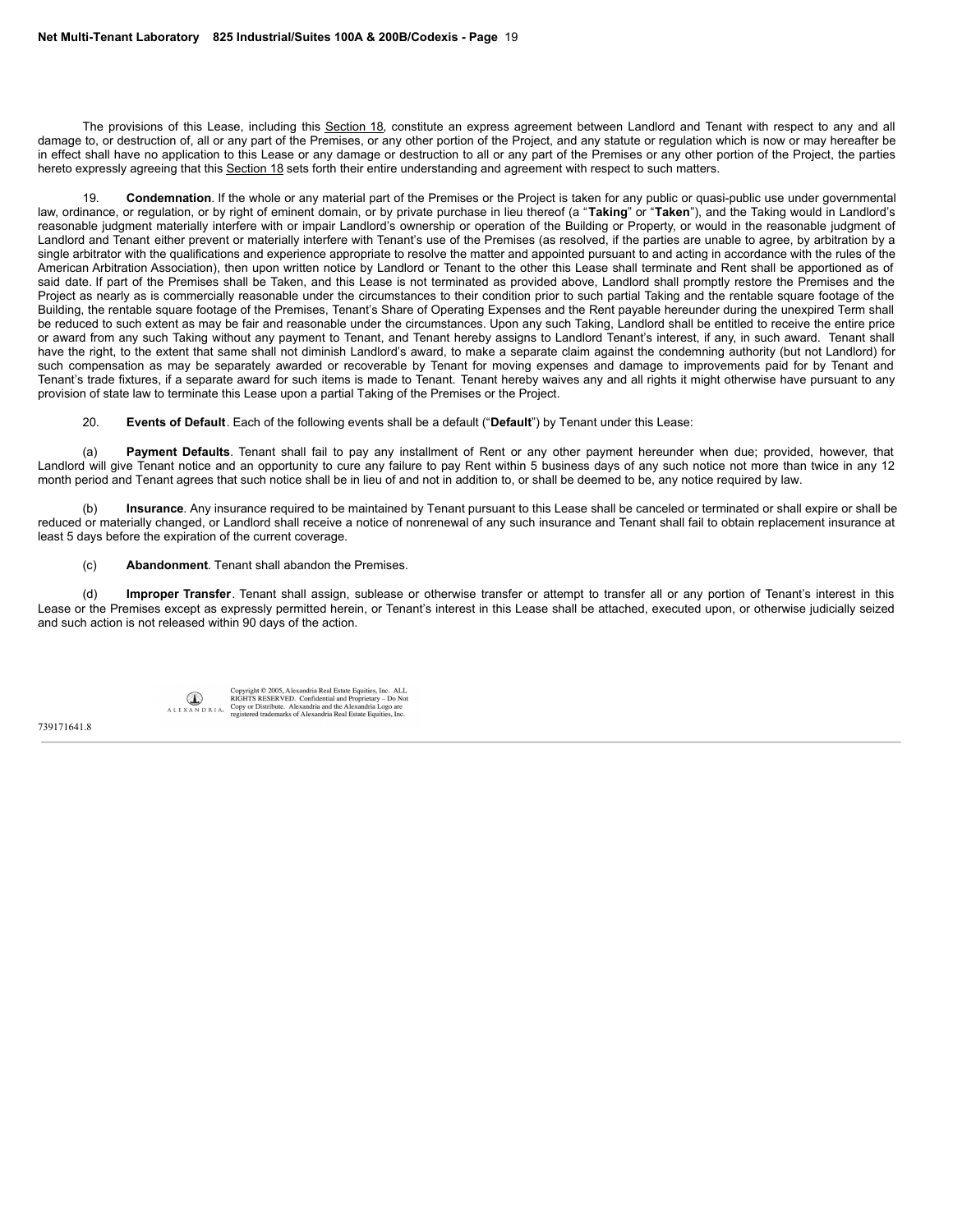The provisions of this Lease, including this Section 18, constitute an express agreement between Landlord and Tenant with respect to any and all damage to, or destruction of, all or any part of the Premises, or any other portion of the Project, and any statute or regulation which is now or may hereafter be in effect shall have no application to this Lease or any damage or destruction to all or any part of the Premises or any other portion of the Project, the parties hereto expressly agreeing that this Section 18 sets forth their entire understanding and agreement with respect to such matters.

19. **Condemnation**. If the whole or any material part of the Premises or the Project is taken for any public or quasi-public use under governmental law, ordinance, or regulation, or by right of eminent domain, or by private purchase in lieu thereof (a "**Taking**" or "**Taken**"), and the Taking would in Landlord's reasonable judgment materially interfere with or impair Landlord's ownership or operation of the Building or Property, or would in the reasonable judgment of Landlord and Tenant either prevent or materially interfere with Tenant's use of the Premises (as resolved, if the parties are unable to agree, by arbitration by a single arbitrator with the qualifications and experience appropriate to resolve the matter and appointed pursuant to and acting in accordance with the rules of the American Arbitration Association), then upon written notice by Landlord or Tenant to the other this Lease shall terminate and Rent shall be apportioned as of said date. If part of the Premises shall be Taken, and this Lease is not terminated as provided above, Landlord shall promptly restore the Premises and the Project as nearly as is commercially reasonable under the circumstances to their condition prior to such partial Taking and the rentable square footage of the Building, the rentable square footage of the Premises, Tenant's Share of Operating Expenses and the Rent payable hereunder during the unexpired Term shall be reduced to such extent as may be fair and reasonable under the circumstances. Upon any such Taking, Landlord shall be entitled to receive the entire price or award from any such Taking without any payment to Tenant, and Tenant hereby assigns to Landlord Tenant's interest, if any, in such award. Tenant shall have the right, to the extent that same shall not diminish Landlord's award, to make a separate claim against the condemning authority (but not Landlord) for such compensation as may be separately awarded or recoverable by Tenant for moving expenses and damage to improvements paid for by Tenant and Tenant's trade fixtures, if a separate award for such items is made to Tenant. Tenant hereby waives any and all rights it might otherwise have pursuant to any provision of state law to terminate this Lease upon a partial Taking of the Premises or the Project.

20. **Events of Default**. Each of the following events shall be a default ("**Default**") by Tenant under this Lease:

(a) **Payment Defaults**. Tenant shall fail to pay any installment of Rent or any other payment hereunder when due; provided, however, that Landlord will give Tenant notice and an opportunity to cure any failure to pay Rent within 5 business days of any such notice not more than twice in any 12 month period and Tenant agrees that such notice shall be in lieu of and not in addition to, or shall be deemed to be, any notice required by law.

(b) **Insurance**. Any insurance required to be maintained by Tenant pursuant to this Lease shall be canceled or terminated or shall expire or shall be reduced or materially changed, or Landlord shall receive a notice of nonrenewal of any such insurance and Tenant shall fail to obtain replacement insurance at least 5 days before the expiration of the current coverage.

(c) **Abandonment**. Tenant shall abandon the Premises.

(d) **Improper Transfer**. Tenant shall assign, sublease or otherwise transfer or attempt to transfer all or any portion of Tenant's interest in this Lease or the Premises except as expressly permitted herein, or Tenant's interest in this Lease shall be attached, executed upon, or otherwise judicially seized and such action is not released within 90 days of the action.

|             | Copyright © 2005, Alexandria Real Estate Equities, Inc. ALL    |
|-------------|----------------------------------------------------------------|
| $\circledR$ | RIGHTS RESERVED. Confidential and Proprietary - Do Not         |
| ALEXANDRIA. | Copy or Distribute. Alexandria and the Alexandria Logo are     |
|             | registered trademarks of Alexandria Real Estate Equities, Inc. |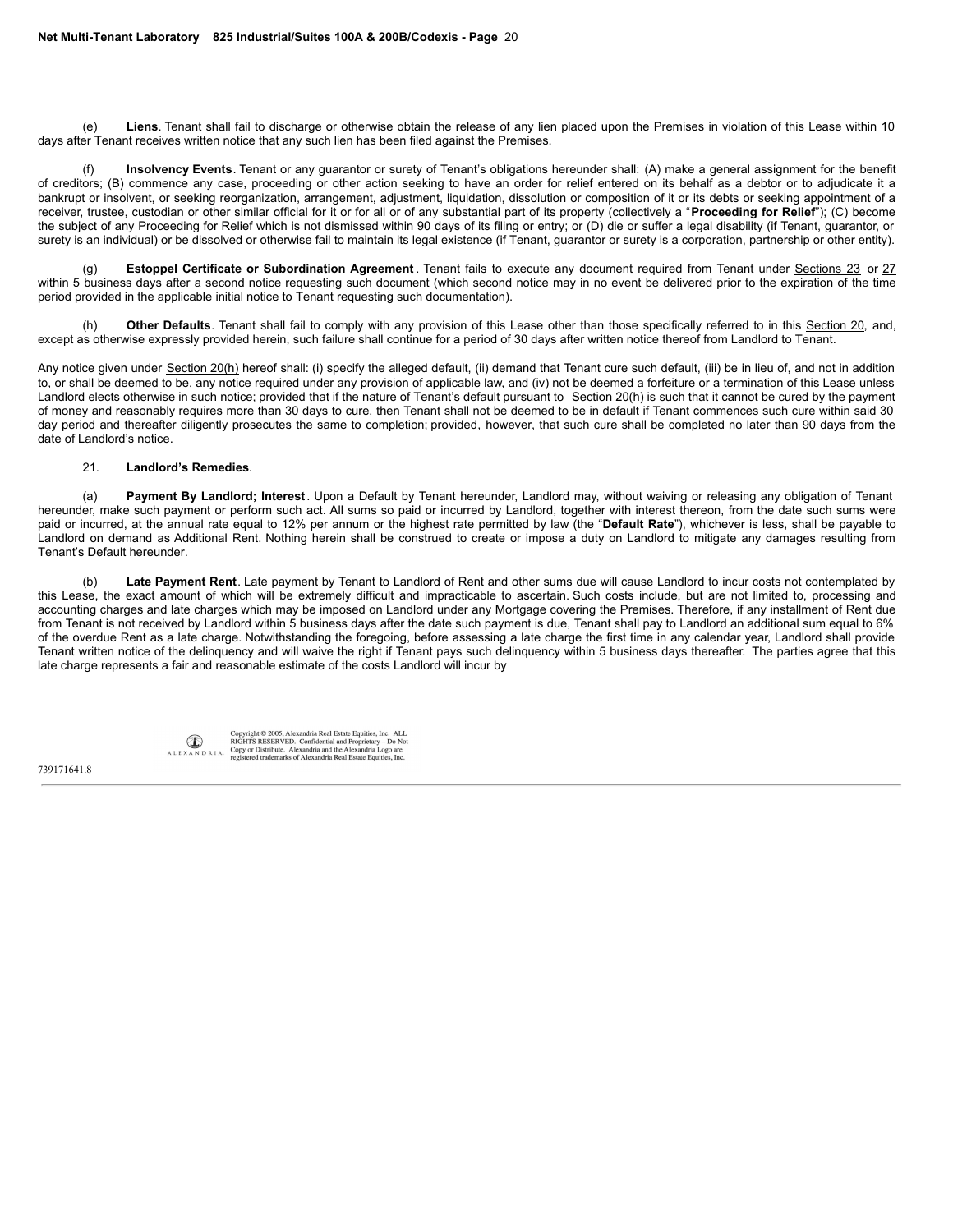(e) **Liens**. Tenant shall fail to discharge or otherwise obtain the release of any lien placed upon the Premises in violation of this Lease within 10 days after Tenant receives written notice that any such lien has been filed against the Premises.

(f) **Insolvency Events**. Tenant or any guarantor or surety of Tenant's obligations hereunder shall: (A) make a general assignment for the benefit of creditors; (B) commence any case, proceeding or other action seeking to have an order for relief entered on its behalf as a debtor or to adjudicate it a bankrupt or insolvent, or seeking reorganization, arrangement, adjustment, liquidation, dissolution or composition of it or its debts or seeking appointment of a receiver, trustee, custodian or other similar official for it or for all or of any substantial part of its property (collectively a "**Proceeding for Relief**"); (C) become the subject of any Proceeding for Relief which is not dismissed within 90 days of its filing or entry; or (D) die or suffer a legal disability (if Tenant, guarantor, or surety is an individual) or be dissolved or otherwise fail to maintain its legal existence (if Tenant, guarantor or surety is a corporation, partnership or other entity).

(g) **Estoppel Certificate or Subordination Agreement** . Tenant fails to execute any document required from Tenant under Sections 23 or 27 within 5 business days after a second notice requesting such document (which second notice may in no event be delivered prior to the expiration of the time period provided in the applicable initial notice to Tenant requesting such documentation).

(h) **Other Defaults**. Tenant shall fail to comply with any provision of this Lease other than those specifically referred to in this Section 20, and, except as otherwise expressly provided herein, such failure shall continue for a period of 30 days after written notice thereof from Landlord to Tenant.

Any notice given under Section 20(h) hereof shall: (i) specify the alleged default, (ii) demand that Tenant cure such default, (iii) be in lieu of, and not in addition to, or shall be deemed to be, any notice required under any provision of applicable law, and (iv) not be deemed a forfeiture or a termination of this Lease unless Landlord elects otherwise in such notice; provided that if the nature of Tenant's default pursuant to Section 20(h) is such that it cannot be cured by the payment of money and reasonably requires more than 30 days to cure, then Tenant shall not be deemed to be in default if Tenant commences such cure within said 30 day period and thereafter diligently prosecutes the same to completion; provided, however, that such cure shall be completed no later than 90 days from the date of Landlord's notice.

### 21. **Landlord's Remedies**.

(a) **Payment By Landlord; Interest**. Upon a Default by Tenant hereunder, Landlord may, without waiving or releasing any obligation of Tenant hereunder, make such payment or perform such act. All sums so paid or incurred by Landlord, together with interest thereon, from the date such sums were paid or incurred, at the annual rate equal to 12% per annum or the highest rate permitted by law (the "**Default Rate**"), whichever is less, shall be payable to Landlord on demand as Additional Rent. Nothing herein shall be construed to create or impose a duty on Landlord to mitigate any damages resulting from Tenant's Default hereunder.

(b) **Late Payment Rent**. Late payment by Tenant to Landlord of Rent and other sums due will cause Landlord to incur costs not contemplated by this Lease, the exact amount of which will be extremely difficult and impracticable to ascertain. Such costs include, but are not limited to, processing and accounting charges and late charges which may be imposed on Landlord under any Mortgage covering the Premises. Therefore, if any installment of Rent due from Tenant is not received by Landlord within 5 business days after the date such payment is due, Tenant shall pay to Landlord an additional sum equal to 6% of the overdue Rent as a late charge. Notwithstanding the foregoing, before assessing a late charge the first time in any calendar year, Landlord shall provide Tenant written notice of the delinquency and will waive the right if Tenant pays such delinquency within 5 business days thereafter. The parties agree that this late charge represents a fair and reasonable estimate of the costs Landlord will incur by

 $\begin{tabular}{l} Copyright \textcircled{$2005$, Alexanderal Estate Equities, Inc. ALL}\\ RIGHTS RESERVED. \text{Confidental and Property-Do Not} \\ Copy testFUNE. \text{Alexander and the Alexander Loda (cgo or Districutance) model \\ registered trademarks of Alexander Real Estate Equities, Inc. \end{tabular}$ 企 ALEXANDRIA.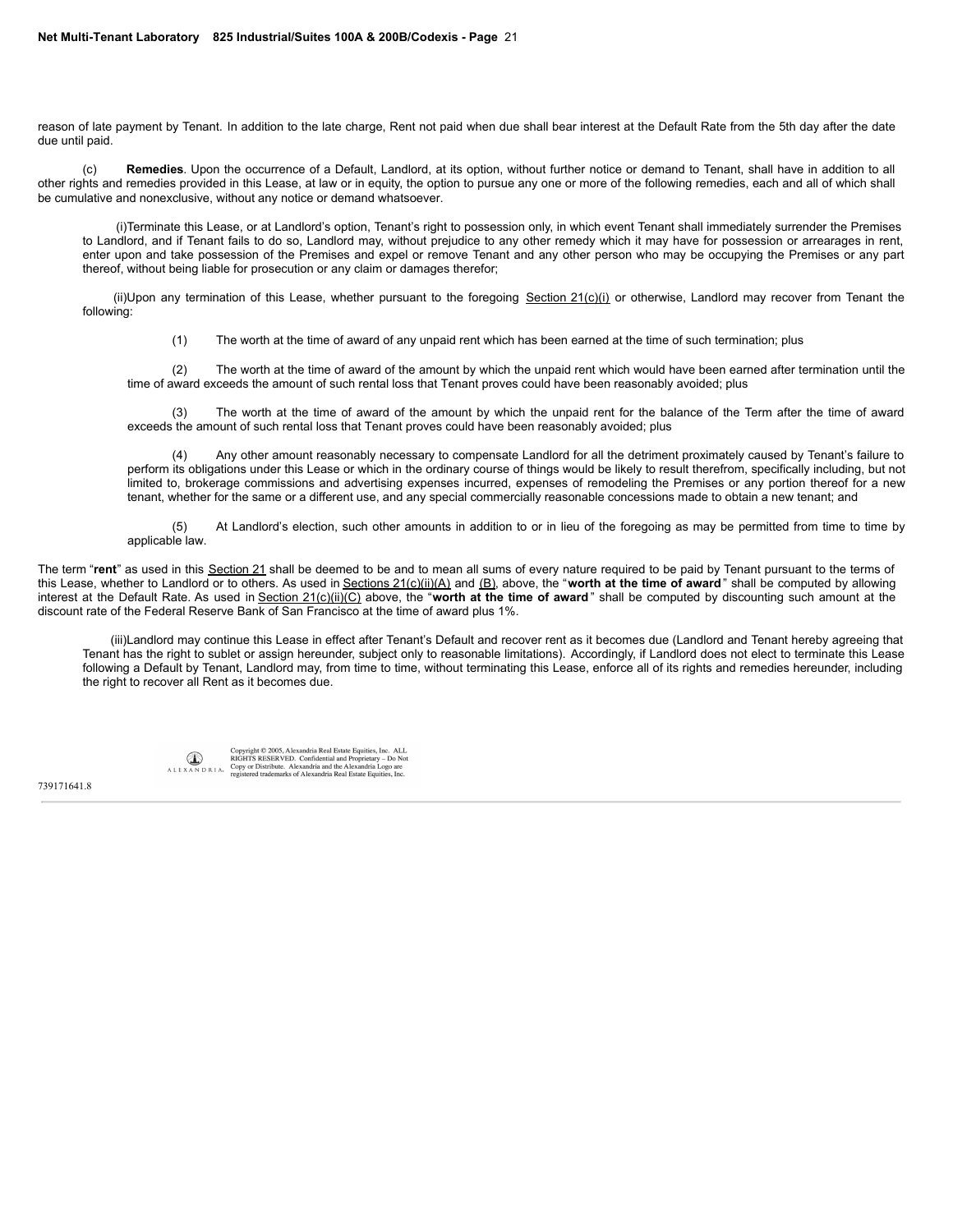reason of late payment by Tenant. In addition to the late charge, Rent not paid when due shall bear interest at the Default Rate from the 5th day after the date due until paid.

(c) **Remedies**. Upon the occurrence of a Default, Landlord, at its option, without further notice or demand to Tenant, shall have in addition to all other rights and remedies provided in this Lease, at law or in equity, the option to pursue any one or more of the following remedies, each and all of which shall be cumulative and nonexclusive, without any notice or demand whatsoever.

(i)Terminate this Lease, or at Landlord's option, Tenant's right to possession only, in which event Tenant shall immediately surrender the Premises to Landlord, and if Tenant fails to do so, Landlord may, without prejudice to any other remedy which it may have for possession or arrearages in rent, enter upon and take possession of the Premises and expel or remove Tenant and any other person who may be occupying the Premises or any part thereof, without being liable for prosecution or any claim or damages therefor;

(ii)Upon any termination of this Lease, whether pursuant to the foregoing Section 21(c)(i) or otherwise, Landlord may recover from Tenant the following:

(1) The worth at the time of award of any unpaid rent which has been earned at the time of such termination; plus

(2) The worth at the time of award of the amount by which the unpaid rent which would have been earned after termination until the time of award exceeds the amount of such rental loss that Tenant proves could have been reasonably avoided; plus

(3) The worth at the time of award of the amount by which the unpaid rent for the balance of the Term after the time of award exceeds the amount of such rental loss that Tenant proves could have been reasonably avoided; plus

(4) Any other amount reasonably necessary to compensate Landlord for all the detriment proximately caused by Tenant's failure to perform its obligations under this Lease or which in the ordinary course of things would be likely to result therefrom, specifically including, but not limited to, brokerage commissions and advertising expenses incurred, expenses of remodeling the Premises or any portion thereof for a new tenant, whether for the same or a different use, and any special commercially reasonable concessions made to obtain a new tenant; and

(5) At Landlord's election, such other amounts in addition to or in lieu of the foregoing as may be permitted from time to time by applicable law.

The term "rent" as used in this Section 21 shall be deemed to be and to mean all sums of every nature required to be paid by Tenant pursuant to the terms of this Lease, whether to Landlord or to others. As used in Sections 21(c)(ii)(A) and (B), above, the "**worth at the time of award** " shall be computed by allowing interest at the Default Rate. As used in Section 21(c)(ii)(C) above, the "**worth at the time of award** " shall be computed by discounting such amount at the discount rate of the Federal Reserve Bank of San Francisco at the time of award plus 1%.

(iii)Landlord may continue this Lease in effect after Tenant's Default and recover rent as it becomes due (Landlord and Tenant hereby agreeing that Tenant has the right to sublet or assign hereunder, subject only to reasonable limitations). Accordingly, if Landlord does not elect to terminate this Lease following a Default by Tenant, Landlord may, from time to time, without terminating this Lease, enforce all of its rights and remedies hereunder, including the right to recover all Rent as it becomes due.

 $^{\circledR}$ 

 $\mbox{Copyright} \otimes$  2005, Alexandria Real Estate Equities, Inc. ALL RIGHTS RESERVED. Confidential and Proprietary – Do Not Copy or Distribute. Alexandria and the Alexandria Logo are registered trademarks of Alexandria Real Estate ALEXANDRIA.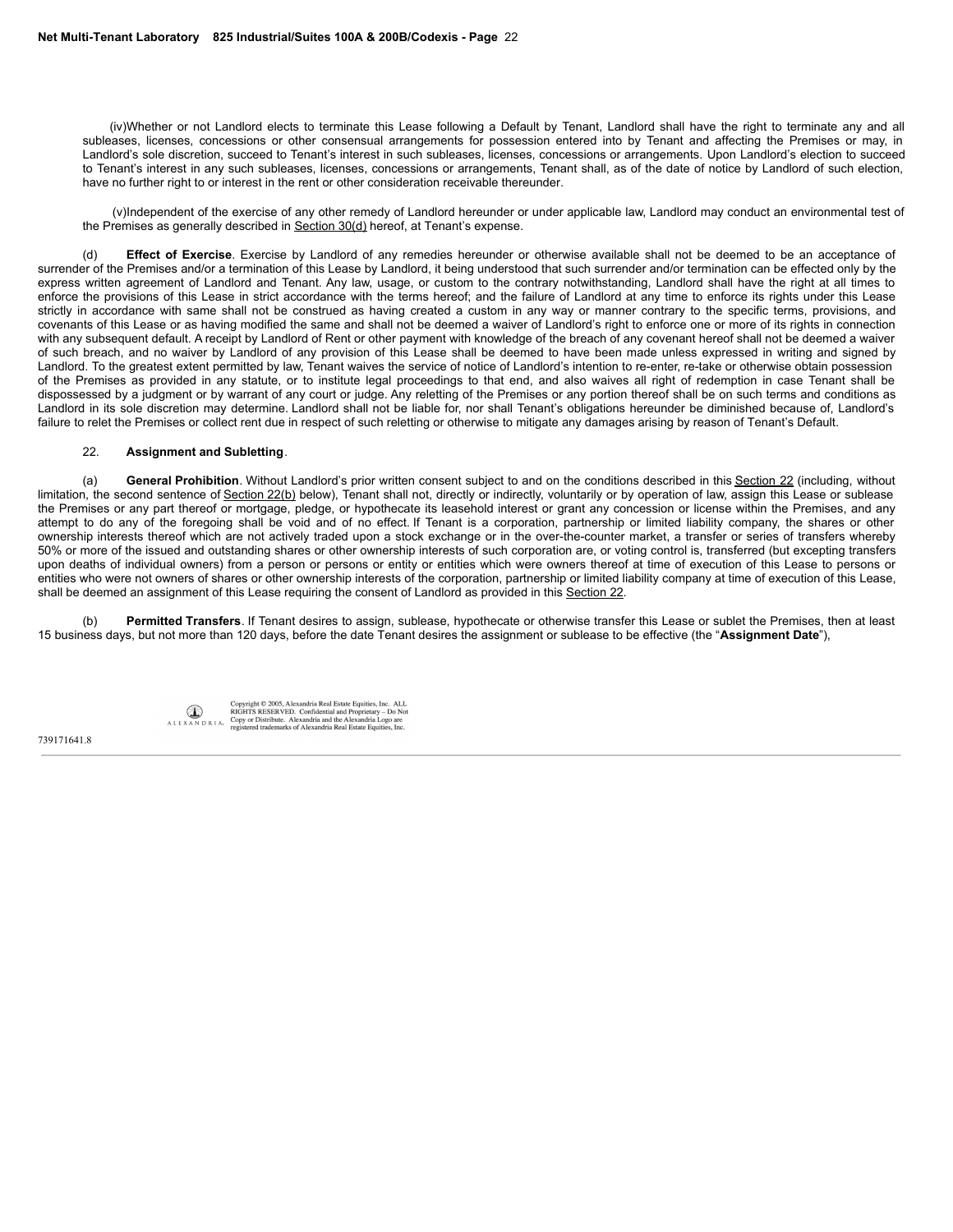(iv)Whether or not Landlord elects to terminate this Lease following a Default by Tenant, Landlord shall have the right to terminate any and all subleases, licenses, concessions or other consensual arrangements for possession entered into by Tenant and affecting the Premises or may, in Landlord's sole discretion, succeed to Tenant's interest in such subleases, licenses, concessions or arrangements. Upon Landlord's election to succeed to Tenant's interest in any such subleases, licenses, concessions or arrangements, Tenant shall, as of the date of notice by Landlord of such election, have no further right to or interest in the rent or other consideration receivable thereunder.

(v)Independent of the exercise of any other remedy of Landlord hereunder or under applicable law, Landlord may conduct an environmental test of the Premises as generally described in Section 30(d) hereof, at Tenant's expense.

(d) **Effect of Exercise**. Exercise by Landlord of any remedies hereunder or otherwise available shall not be deemed to be an acceptance of surrender of the Premises and/or a termination of this Lease by Landlord, it being understood that such surrender and/or termination can be effected only by the express written agreement of Landlord and Tenant. Any law, usage, or custom to the contrary notwithstanding, Landlord shall have the right at all times to enforce the provisions of this Lease in strict accordance with the terms hereof; and the failure of Landlord at any time to enforce its rights under this Lease strictly in accordance with same shall not be construed as having created a custom in any way or manner contrary to the specific terms, provisions, and covenants of this Lease or as having modified the same and shall not be deemed a waiver of Landlord's right to enforce one or more of its rights in connection with any subsequent default. A receipt by Landlord of Rent or other payment with knowledge of the breach of any covenant hereof shall not be deemed a waiver of such breach, and no waiver by Landlord of any provision of this Lease shall be deemed to have been made unless expressed in writing and signed by Landlord. To the greatest extent permitted by law, Tenant waives the service of notice of Landlord's intention to re-enter, re-take or otherwise obtain possession of the Premises as provided in any statute, or to institute legal proceedings to that end, and also waives all right of redemption in case Tenant shall be dispossessed by a judgment or by warrant of any court or judge. Any reletting of the Premises or any portion thereof shall be on such terms and conditions as Landlord in its sole discretion may determine. Landlord shall not be liable for, nor shall Tenant's obligations hereunder be diminished because of, Landlord's failure to relet the Premises or collect rent due in respect of such reletting or otherwise to mitigate any damages arising by reason of Tenant's Default.

## 22. **Assignment and Subletting**.

(a) **General Prohibition**. Without Landlord's prior written consent subject to and on the conditions described in this Section 22 (including, without limitation, the second sentence of Section 22(b) below), Tenant shall not, directly or indirectly, voluntarily or by operation of law, assign this Lease or sublease the Premises or any part thereof or mortgage, pledge, or hypothecate its leasehold interest or grant any concession or license within the Premises, and any attempt to do any of the foregoing shall be void and of no effect. If Tenant is a corporation, partnership or limited liability company, the shares or other ownership interests thereof which are not actively traded upon a stock exchange or in the over-the-counter market, a transfer or series of transfers whereby 50% or more of the issued and outstanding shares or other ownership interests of such corporation are, or voting control is, transferred (but excepting transfers upon deaths of individual owners) from a person or persons or entity or entities which were owners thereof at time of execution of this Lease to persons or entities who were not owners of shares or other ownership interests of the corporation, partnership or limited liability company at time of execution of this Lease, shall be deemed an assignment of this Lease requiring the consent of Landlord as provided in this Section 22.

(b) **Permitted Transfers**. If Tenant desires to assign, sublease, hypothecate or otherwise transfer this Lease or sublet the Premises, then at least 15 business days, but not more than 120 days, before the date Tenant desires the assignment or sublease to be effective (the "**Assignment Date**"),

 $\begin{tabular}{ll} \multicolumn{2}{l}{ \begin{tabular}{l} \includegraphics{~\small{G}M1} \end{tabular}} & \multicolumn{2}{l}{\begin{tabular}{l} \includegraphics{~\small{G}M1} \end{tabular}} & \multicolumn{2}{l}{\begin{tabular}{l} \includegraphics{~\small{G}M1} \end{tabular}} & \multicolumn{2}{l}{\begin{tabular}{l} \includegraphics{~\small{G}M1} \end{tabular}} & \multicolumn{2}{l}{\begin{tabular}{l} \includegraphics{~\small{G}M1} \end{tabular}} & \multicolumn{2}{l}{\begin{tabular}{l} \includegraphics{~\small{G}$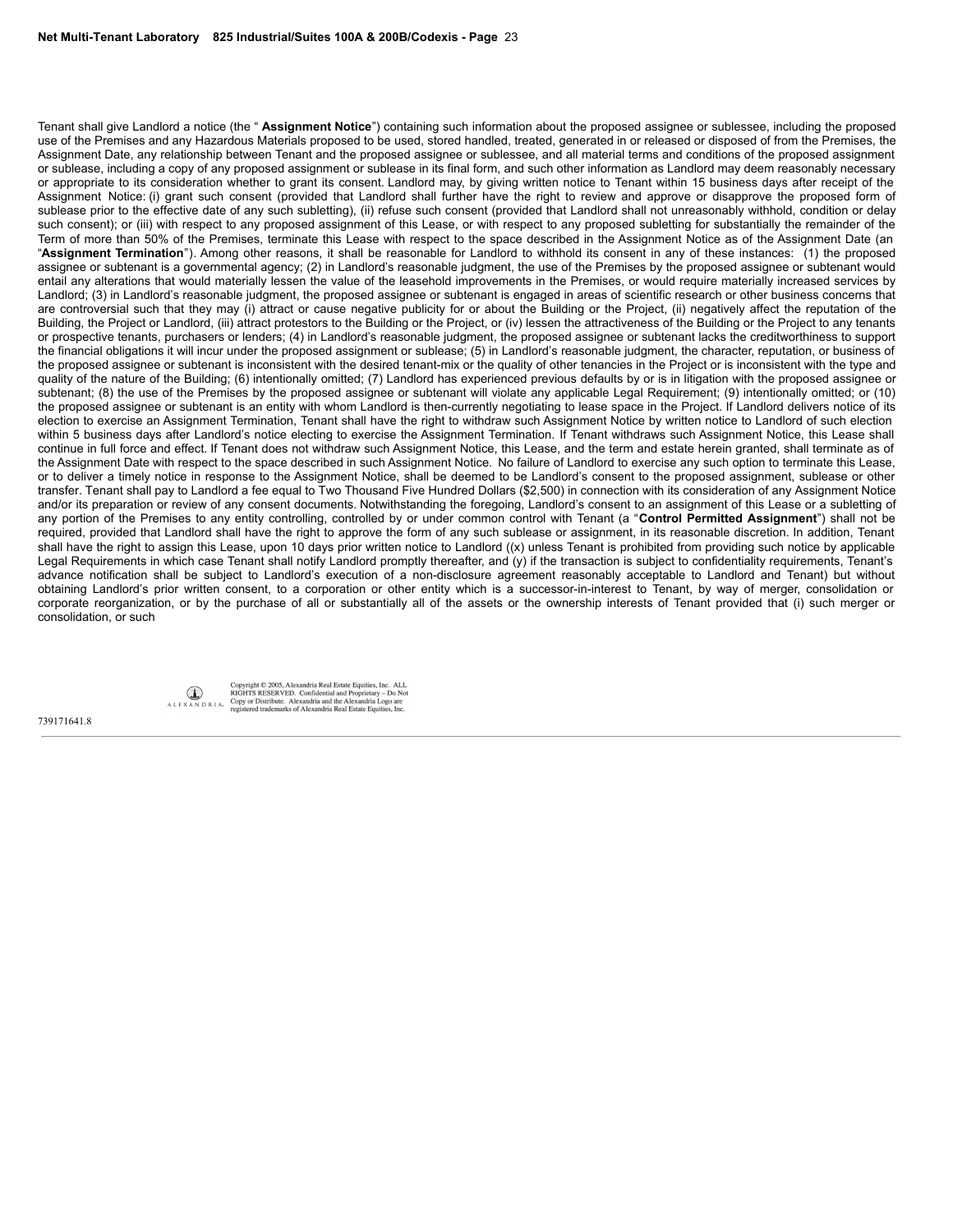Tenant shall give Landlord a notice (the " **Assignment Notice**") containing such information about the proposed assignee or sublessee, including the proposed use of the Premises and any Hazardous Materials proposed to be used, stored handled, treated, generated in or released or disposed of from the Premises, the Assignment Date, any relationship between Tenant and the proposed assignee or sublessee, and all material terms and conditions of the proposed assignment or sublease, including a copy of any proposed assignment or sublease in its final form, and such other information as Landlord may deem reasonably necessary or appropriate to its consideration whether to grant its consent. Landlord may, by giving written notice to Tenant within 15 business days after receipt of the Assignment Notice: (i) grant such consent (provided that Landlord shall further have the right to review and approve or disapprove the proposed form of sublease prior to the effective date of any such subletting), (ii) refuse such consent (provided that Landlord shall not unreasonably withhold, condition or delay such consent); or (iii) with respect to any proposed assignment of this Lease, or with respect to any proposed subletting for substantially the remainder of the Term of more than 50% of the Premises, terminate this Lease with respect to the space described in the Assignment Notice as of the Assignment Date (an "**Assignment Termination**"). Among other reasons, it shall be reasonable for Landlord to withhold its consent in any of these instances: (1) the proposed assignee or subtenant is a governmental agency; (2) in Landlord's reasonable judgment, the use of the Premises by the proposed assignee or subtenant would entail any alterations that would materially lessen the value of the leasehold improvements in the Premises, or would require materially increased services by Landlord; (3) in Landlord's reasonable judgment, the proposed assignee or subtenant is engaged in areas of scientific research or other business concerns that are controversial such that they may (i) attract or cause negative publicity for or about the Building or the Project, (ii) negatively affect the reputation of the Building, the Project or Landlord, (iii) attract protestors to the Building or the Project, or (iv) lessen the attractiveness of the Building or the Project to any tenants or prospective tenants, purchasers or lenders; (4) in Landlord's reasonable judgment, the proposed assignee or subtenant lacks the creditworthiness to support the financial obligations it will incur under the proposed assignment or sublease; (5) in Landlord's reasonable judgment, the character, reputation, or business of the proposed assignee or subtenant is inconsistent with the desired tenant-mix or the quality of other tenancies in the Project or is inconsistent with the type and quality of the nature of the Building; (6) intentionally omitted; (7) Landlord has experienced previous defaults by or is in litigation with the proposed assignee or subtenant; (8) the use of the Premises by the proposed assignee or subtenant will violate any applicable Legal Requirement; (9) intentionally omitted; or (10) the proposed assignee or subtenant is an entity with whom Landlord is then-currently negotiating to lease space in the Project. If Landlord delivers notice of its election to exercise an Assignment Termination, Tenant shall have the right to withdraw such Assignment Notice by written notice to Landlord of such election within 5 business days after Landlord's notice electing to exercise the Assignment Termination. If Tenant withdraws such Assignment Notice, this Lease shall continue in full force and effect. If Tenant does not withdraw such Assignment Notice, this Lease, and the term and estate herein granted, shall terminate as of the Assignment Date with respect to the space described in such Assignment Notice. No failure of Landlord to exercise any such option to terminate this Lease, or to deliver a timely notice in response to the Assignment Notice, shall be deemed to be Landlord's consent to the proposed assignment, sublease or other transfer. Tenant shall pay to Landlord a fee equal to Two Thousand Five Hundred Dollars (\$2,500) in connection with its consideration of any Assignment Notice and/or its preparation or review of any consent documents. Notwithstanding the foregoing, Landlord's consent to an assignment of this Lease or a subletting of any portion of the Premises to any entity controlling, controlled by or under common control with Tenant (a "**Control Permitted Assignment**") shall not be required, provided that Landlord shall have the right to approve the form of any such sublease or assignment, in its reasonable discretion. In addition, Tenant shall have the right to assign this Lease, upon 10 days prior written notice to Landlord ((x) unless Tenant is prohibited from providing such notice by applicable Legal Requirements in which case Tenant shall notify Landlord promptly thereafter, and (y) if the transaction is subject to confidentiality requirements, Tenant's advance notification shall be subject to Landlord's execution of a non-disclosure agreement reasonably acceptable to Landlord and Tenant) but without obtaining Landlord's prior written consent, to a corporation or other entity which is a successor-in-interest to Tenant, by way of merger, consolidation or corporate reorganization, or by the purchase of all or substantially all of the assets or the ownership interests of Tenant provided that (i) such merger or consolidation, or such

739171641.8

 $\mbox{Copyright} \otimes$  2005, Alexandria Real Estate Equities, Inc. ALL RIGHTS RESERVED. Confidential and Proprietary – Do Not Copy or Distribute. Alexandria and the Alexandria Logo are registered trademarks of Alexandria Real Estate ALEXANDRIA.

 $^{\circledR}$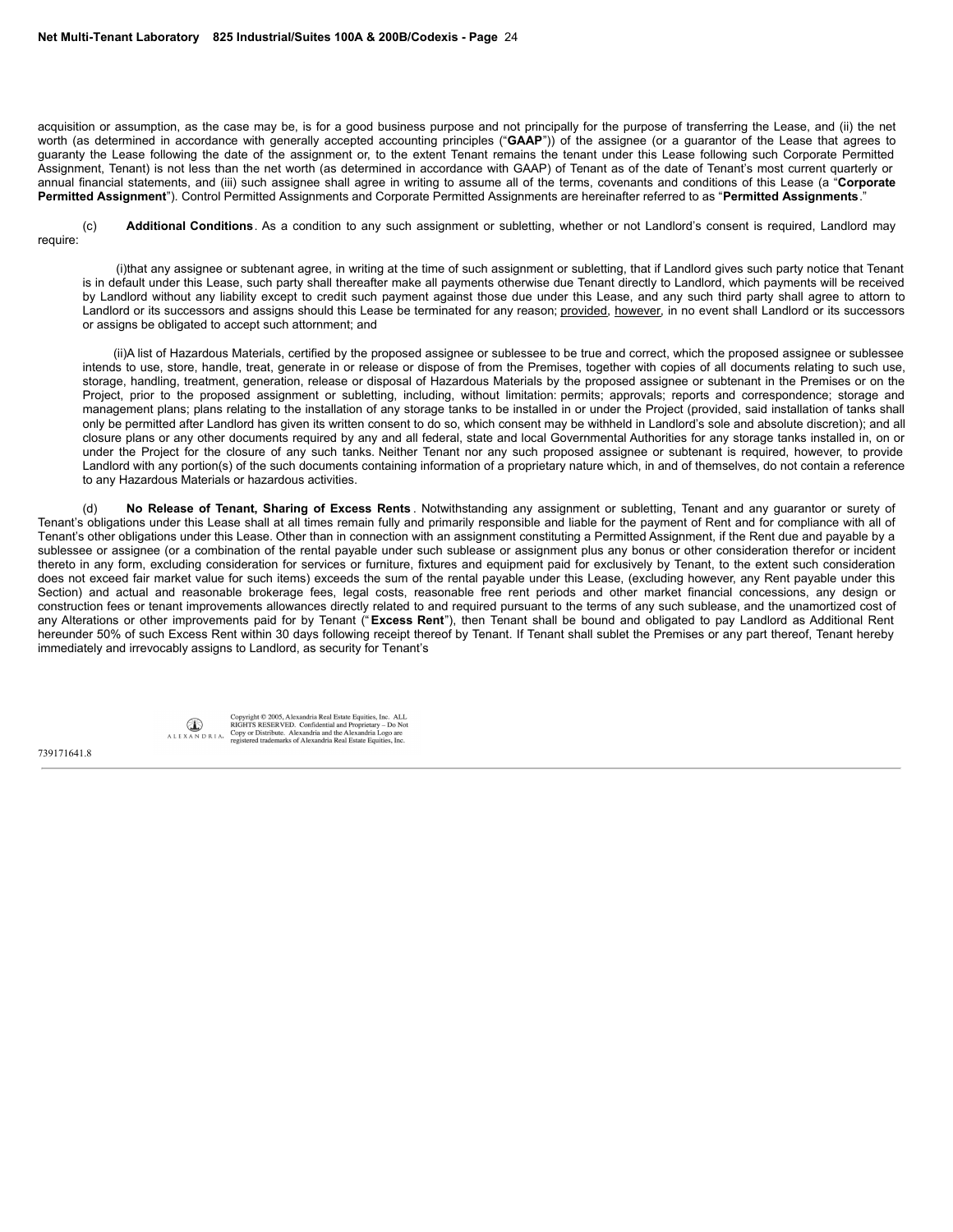acquisition or assumption, as the case may be, is for a good business purpose and not principally for the purpose of transferring the Lease, and (ii) the net worth (as determined in accordance with generally accepted accounting principles ("**GAAP**")) of the assignee (or a guarantor of the Lease that agrees to guaranty the Lease following the date of the assignment or, to the extent Tenant remains the tenant under this Lease following such Corporate Permitted Assignment, Tenant) is not less than the net worth (as determined in accordance with GAAP) of Tenant as of the date of Tenant's most current quarterly or annual financial statements, and (iii) such assignee shall agree in writing to assume all of the terms, covenants and conditions of this Lease (a "**Corporate Permitted Assignment**"). Control Permitted Assignments and Corporate Permitted Assignments are hereinafter referred to as "**Permitted Assignments**."

(c) **Additional Conditions**. As a condition to any such assignment or subletting, whether or not Landlord's consent is required, Landlord may require:

(i)that any assignee or subtenant agree, in writing at the time of such assignment or subletting, that if Landlord gives such party notice that Tenant is in default under this Lease, such party shall thereafter make all payments otherwise due Tenant directly to Landlord, which payments will be received by Landlord without any liability except to credit such payment against those due under this Lease, and any such third party shall agree to attorn to Landlord or its successors and assigns should this Lease be terminated for any reason; provided, however, in no event shall Landlord or its successors or assigns be obligated to accept such attornment; and

(ii)A list of Hazardous Materials, certified by the proposed assignee or sublessee to be true and correct, which the proposed assignee or sublessee intends to use, store, handle, treat, generate in or release or dispose of from the Premises, together with copies of all documents relating to such use, storage, handling, treatment, generation, release or disposal of Hazardous Materials by the proposed assignee or subtenant in the Premises or on the Project, prior to the proposed assignment or subletting, including, without limitation: permits; approvals; reports and correspondence; storage and management plans; plans relating to the installation of any storage tanks to be installed in or under the Project (provided, said installation of tanks shall only be permitted after Landlord has given its written consent to do so, which consent may be withheld in Landlord's sole and absolute discretion); and all closure plans or any other documents required by any and all federal, state and local Governmental Authorities for any storage tanks installed in, on or under the Project for the closure of any such tanks. Neither Tenant nor any such proposed assignee or subtenant is required, however, to provide Landlord with any portion(s) of the such documents containing information of a proprietary nature which, in and of themselves, do not contain a reference to any Hazardous Materials or hazardous activities.

(d) **No Release of Tenant, Sharing of Excess Rents** . Notwithstanding any assignment or subletting, Tenant and any guarantor or surety of Tenant's obligations under this Lease shall at all times remain fully and primarily responsible and liable for the payment of Rent and for compliance with all of Tenant's other obligations under this Lease. Other than in connection with an assignment constituting a Permitted Assignment, if the Rent due and payable by a sublessee or assignee (or a combination of the rental payable under such sublease or assignment plus any bonus or other consideration therefor or incident thereto in any form, excluding consideration for services or furniture, fixtures and equipment paid for exclusively by Tenant, to the extent such consideration does not exceed fair market value for such items) exceeds the sum of the rental payable under this Lease, (excluding however, any Rent payable under this Section) and actual and reasonable brokerage fees, legal costs, reasonable free rent periods and other market financial concessions, any design or construction fees or tenant improvements allowances directly related to and required pursuant to the terms of any such sublease, and the unamortized cost of any Alterations or other improvements paid for by Tenant ("**Excess Rent**"), then Tenant shall be bound and obligated to pay Landlord as Additional Rent hereunder 50% of such Excess Rent within 30 days following receipt thereof by Tenant. If Tenant shall sublet the Premises or any part thereof, Tenant hereby immediately and irrevocably assigns to Landlord, as security for Tenant's

 $^{\circledR}$ 

Copyright © 2005, Alexandria Real Estate Equities, Inc. ALL<br>RIGHTS RESERVED. Confidential and Proprietary – Do Not<br>Copy or Distribute. Alexandria and the Alexandria Logo are<br>registered trademarks of Alexandria Real Estate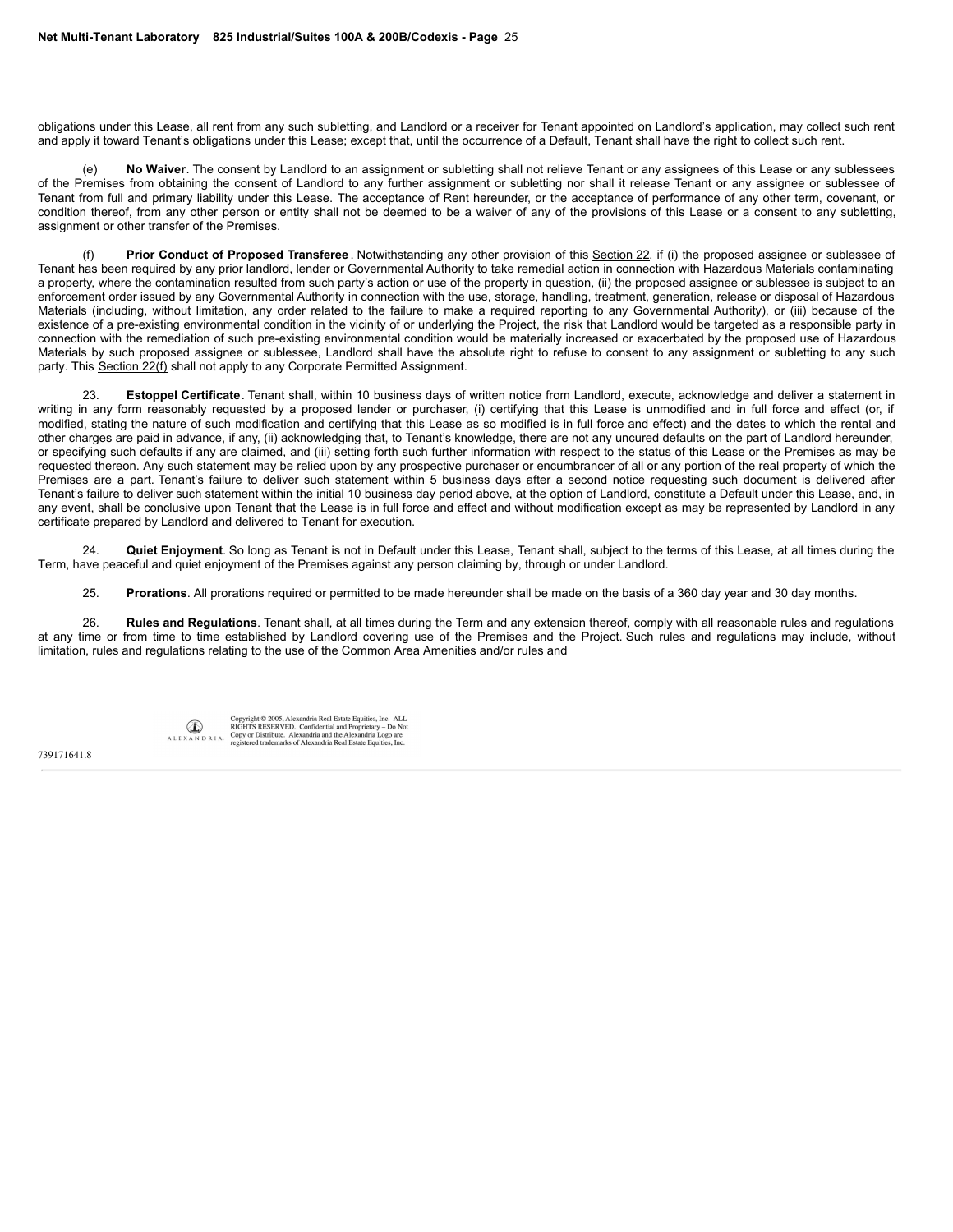obligations under this Lease, all rent from any such subletting, and Landlord or a receiver for Tenant appointed on Landlord's application, may collect such rent and apply it toward Tenant's obligations under this Lease; except that, until the occurrence of a Default, Tenant shall have the right to collect such rent.

(e) **No Waiver**. The consent by Landlord to an assignment or subletting shall not relieve Tenant or any assignees of this Lease or any sublessees of the Premises from obtaining the consent of Landlord to any further assignment or subletting nor shall it release Tenant or any assignee or sublessee of Tenant from full and primary liability under this Lease. The acceptance of Rent hereunder, or the acceptance of performance of any other term, covenant, or condition thereof, from any other person or entity shall not be deemed to be a waiver of any of the provisions of this Lease or a consent to any subletting, assignment or other transfer of the Premises.

(f) **Prior Conduct of Proposed Transferee** . Notwithstanding any other provision of this Section 22, if (i) the proposed assignee or sublessee of Tenant has been required by any prior landlord, lender or Governmental Authority to take remedial action in connection with Hazardous Materials contaminating a property, where the contamination resulted from such party's action or use of the property in question, (ii) the proposed assignee or sublessee is subject to an enforcement order issued by any Governmental Authority in connection with the use, storage, handling, treatment, generation, release or disposal of Hazardous Materials (including, without limitation, any order related to the failure to make a required reporting to any Governmental Authority), or (iii) because of the existence of a pre-existing environmental condition in the vicinity of or underlying the Project, the risk that Landlord would be targeted as a responsible party in connection with the remediation of such pre-existing environmental condition would be materially increased or exacerbated by the proposed use of Hazardous Materials by such proposed assignee or sublessee, Landlord shall have the absolute right to refuse to consent to any assignment or subletting to any such party. This Section 22(f) shall not apply to any Corporate Permitted Assignment.

23. **Estoppel Certificate**. Tenant shall, within 10 business days of written notice from Landlord, execute, acknowledge and deliver a statement in writing in any form reasonably requested by a proposed lender or purchaser, (i) certifying that this Lease is unmodified and in full force and effect (or, if modified, stating the nature of such modification and certifying that this Lease as so modified is in full force and effect) and the dates to which the rental and other charges are paid in advance, if any, (ii) acknowledging that, to Tenant's knowledge, there are not any uncured defaults on the part of Landlord hereunder, or specifying such defaults if any are claimed, and (iii) setting forth such further information with respect to the status of this Lease or the Premises as may be requested thereon. Any such statement may be relied upon by any prospective purchaser or encumbrancer of all or any portion of the real property of which the Premises are a part. Tenant's failure to deliver such statement within 5 business days after a second notice requesting such document is delivered after Tenant's failure to deliver such statement within the initial 10 business day period above, at the option of Landlord, constitute a Default under this Lease, and, in any event, shall be conclusive upon Tenant that the Lease is in full force and effect and without modification except as may be represented by Landlord in any certificate prepared by Landlord and delivered to Tenant for execution.

24. **Quiet Enjoyment**. So long as Tenant is not in Default under this Lease, Tenant shall, subject to the terms of this Lease, at all times during the Term, have peaceful and quiet enjoyment of the Premises against any person claiming by, through or under Landlord.

25. **Prorations**. All prorations required or permitted to be made hereunder shall be made on the basis of a 360 day year and 30 day months.

26. **Rules and Regulations**. Tenant shall, at all times during the Term and any extension thereof, comply with all reasonable rules and regulations at any time or from time to time established by Landlord covering use of the Premises and the Project. Such rules and regulations may include, without limitation, rules and regulations relating to the use of the Common Area Amenities and/or rules and

|             | Copyright © 2005, Alexandria Real Estate Equities, Inc. Al   |
|-------------|--------------------------------------------------------------|
| ☎           | RIGHTS RESERVED. Confidential and Proprietary - Do N         |
| ALEXANDRIA. | Copy or Distribute. Alexandria and the Alexandria Logo are   |
|             | registered trademarks of Alexandria Real Estate Equities. In |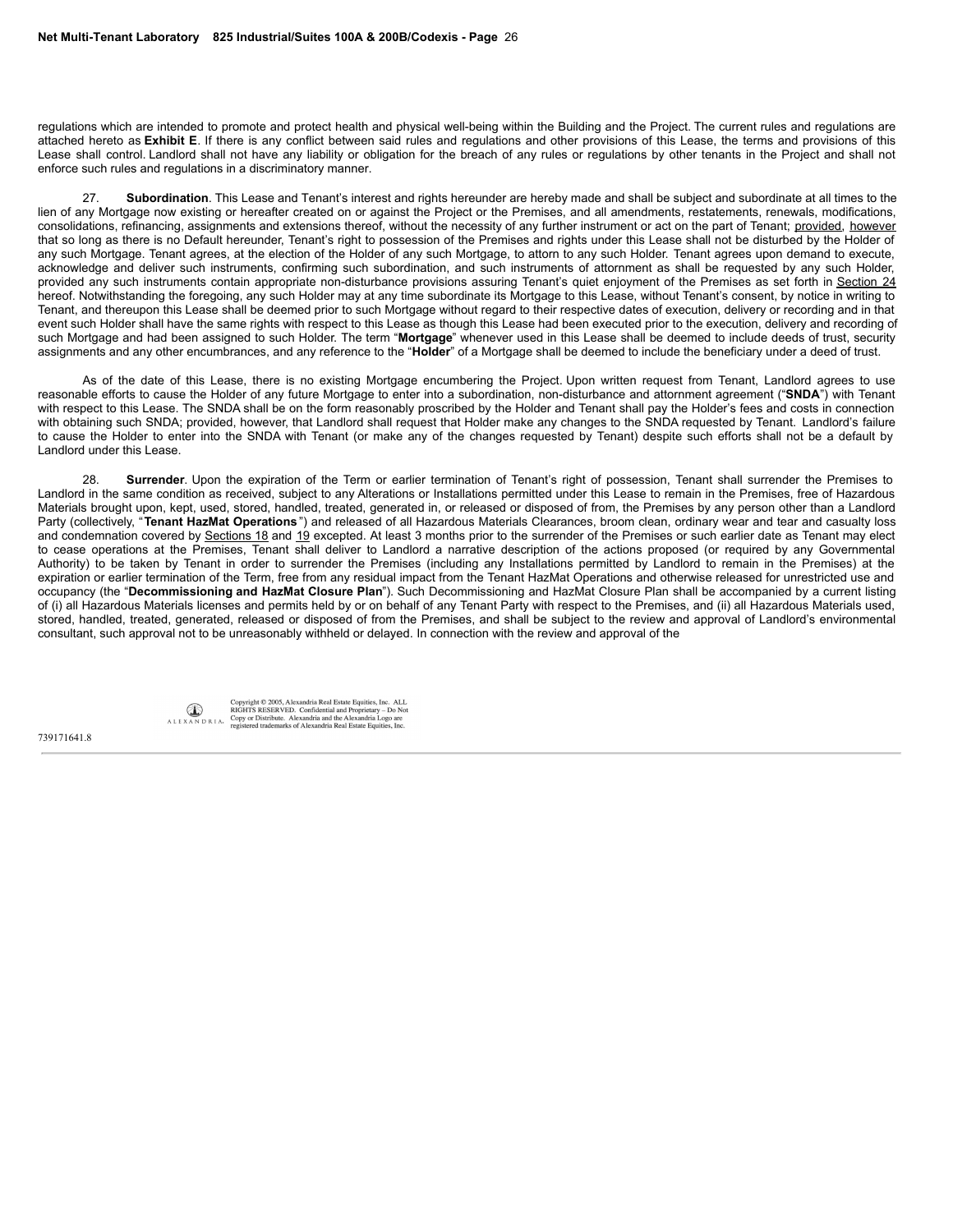regulations which are intended to promote and protect health and physical well-being within the Building and the Project. The current rules and regulations are attached hereto as **Exhibit E**. If there is any conflict between said rules and regulations and other provisions of this Lease, the terms and provisions of this Lease shall control. Landlord shall not have any liability or obligation for the breach of any rules or regulations by other tenants in the Project and shall not enforce such rules and regulations in a discriminatory manner.

27. **Subordination**. This Lease and Tenant's interest and rights hereunder are hereby made and shall be subject and subordinate at all times to the lien of any Mortgage now existing or hereafter created on or against the Project or the Premises, and all amendments, restatements, renewals, modifications, consolidations, refinancing, assignments and extensions thereof, without the necessity of any further instrument or act on the part of Tenant; provided, however that so long as there is no Default hereunder, Tenant's right to possession of the Premises and rights under this Lease shall not be disturbed by the Holder of any such Mortgage. Tenant agrees, at the election of the Holder of any such Mortgage, to attorn to any such Holder. Tenant agrees upon demand to execute, acknowledge and deliver such instruments, confirming such subordination, and such instruments of attornment as shall be requested by any such Holder, provided any such instruments contain appropriate non-disturbance provisions assuring Tenant's quiet enjoyment of the Premises as set forth in Section 24 hereof. Notwithstanding the foregoing, any such Holder may at any time subordinate its Mortgage to this Lease, without Tenant's consent, by notice in writing to Tenant, and thereupon this Lease shall be deemed prior to such Mortgage without regard to their respective dates of execution, delivery or recording and in that event such Holder shall have the same rights with respect to this Lease as though this Lease had been executed prior to the execution, delivery and recording of such Mortgage and had been assigned to such Holder. The term "**Mortgage**" whenever used in this Lease shall be deemed to include deeds of trust, security assignments and any other encumbrances, and any reference to the "**Holder**" of a Mortgage shall be deemed to include the beneficiary under a deed of trust.

As of the date of this Lease, there is no existing Mortgage encumbering the Project. Upon written request from Tenant, Landlord agrees to use reasonable efforts to cause the Holder of any future Mortgage to enter into a subordination, non-disturbance and attornment agreement ("**SNDA**") with Tenant with respect to this Lease. The SNDA shall be on the form reasonably proscribed by the Holder and Tenant shall pay the Holder's fees and costs in connection with obtaining such SNDA; provided, however, that Landlord shall request that Holder make any changes to the SNDA requested by Tenant. Landlord's failure to cause the Holder to enter into the SNDA with Tenant (or make any of the changes requested by Tenant) despite such efforts shall not be a default by Landlord under this Lease.

28. **Surrender**. Upon the expiration of the Term or earlier termination of Tenant's right of possession, Tenant shall surrender the Premises to Landlord in the same condition as received, subject to any Alterations or Installations permitted under this Lease to remain in the Premises, free of Hazardous Materials brought upon, kept, used, stored, handled, treated, generated in, or released or disposed of from, the Premises by any person other than a Landlord Party (collectively, "**Tenant HazMat Operations** ") and released of all Hazardous Materials Clearances, broom clean, ordinary wear and tear and casualty loss and condemnation covered by Sections 18 and 19 excepted. At least 3 months prior to the surrender of the Premises or such earlier date as Tenant may elect to cease operations at the Premises, Tenant shall deliver to Landlord a narrative description of the actions proposed (or required by any Governmental Authority) to be taken by Tenant in order to surrender the Premises (including any Installations permitted by Landlord to remain in the Premises) at the expiration or earlier termination of the Term, free from any residual impact from the Tenant HazMat Operations and otherwise released for unrestricted use and occupancy (the "**Decommissioning and HazMat Closure Plan**"). Such Decommissioning and HazMat Closure Plan shall be accompanied by a current listing of (i) all Hazardous Materials licenses and permits held by or on behalf of any Tenant Party with respect to the Premises, and (ii) all Hazardous Materials used, stored, handled, treated, generated, released or disposed of from the Premises, and shall be subject to the review and approval of Landlord's environmental consultant, such approval not to be unreasonably withheld or delayed. In connection with the review and approval of the

 $\begin{minipage}{0.9\textwidth} \begin{minipage}{0.9\textwidth} \begin{minipage}{0.9\textwidth} \begin{minipage}{0.9\textwidth} \begin{minipage}{0.9\textwidth} \begin{minipage}{0.9\textwidth} \begin{minipage}{0.9\textwidth} \begin{minipage}{0.9\textwidth} \begin{minipage}{0.9\textwidth} \begin{minipage}{0.9\textwidth} \begin{minipage}{0.9\textwidth} \begin{minipage}{0.9\textwidth} \begin{minipage}{0.9\textwidth} \begin{minipage}{0.9\textwidth} \begin{minipage}{0.9\textwidth} \begin{minipage}{0.9$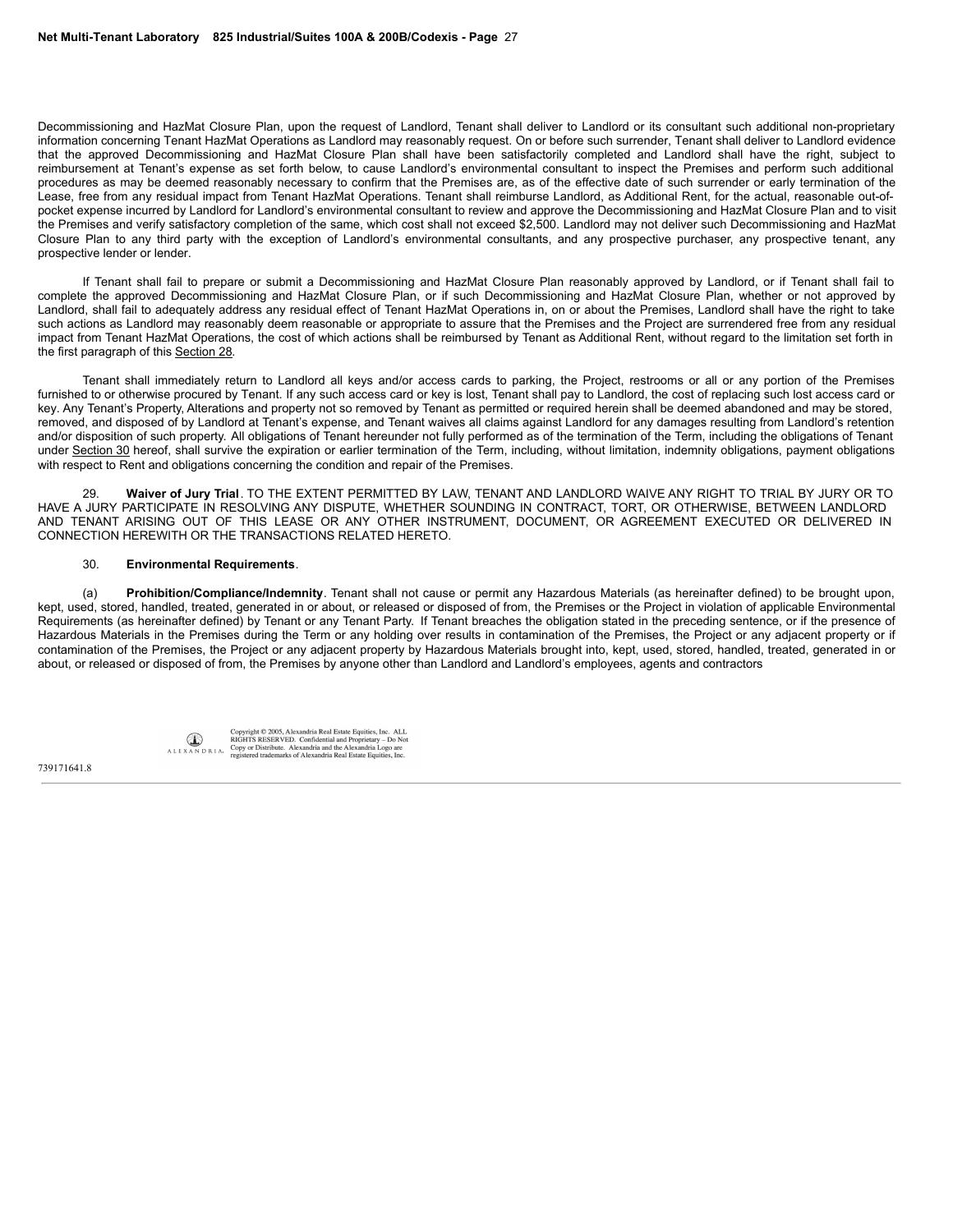Decommissioning and HazMat Closure Plan, upon the request of Landlord, Tenant shall deliver to Landlord or its consultant such additional non-proprietary information concerning Tenant HazMat Operations as Landlord may reasonably request. On or before such surrender, Tenant shall deliver to Landlord evidence that the approved Decommissioning and HazMat Closure Plan shall have been satisfactorily completed and Landlord shall have the right, subject to reimbursement at Tenant's expense as set forth below, to cause Landlord's environmental consultant to inspect the Premises and perform such additional procedures as may be deemed reasonably necessary to confirm that the Premises are, as of the effective date of such surrender or early termination of the Lease, free from any residual impact from Tenant HazMat Operations. Tenant shall reimburse Landlord, as Additional Rent, for the actual, reasonable out-ofpocket expense incurred by Landlord for Landlord's environmental consultant to review and approve the Decommissioning and HazMat Closure Plan and to visit the Premises and verify satisfactory completion of the same, which cost shall not exceed \$2,500. Landlord may not deliver such Decommissioning and HazMat Closure Plan to any third party with the exception of Landlord's environmental consultants, and any prospective purchaser, any prospective tenant, any prospective lender or lender.

If Tenant shall fail to prepare or submit a Decommissioning and HazMat Closure Plan reasonably approved by Landlord, or if Tenant shall fail to complete the approved Decommissioning and HazMat Closure Plan, or if such Decommissioning and HazMat Closure Plan, whether or not approved by Landlord, shall fail to adequately address any residual effect of Tenant HazMat Operations in, on or about the Premises, Landlord shall have the right to take such actions as Landlord may reasonably deem reasonable or appropriate to assure that the Premises and the Project are surrendered free from any residual impact from Tenant HazMat Operations, the cost of which actions shall be reimbursed by Tenant as Additional Rent, without regard to the limitation set forth in the first paragraph of this Section 28.

Tenant shall immediately return to Landlord all keys and/or access cards to parking, the Project, restrooms or all or any portion of the Premises furnished to or otherwise procured by Tenant. If any such access card or key is lost, Tenant shall pay to Landlord, the cost of replacing such lost access card or key. Any Tenant's Property, Alterations and property not so removed by Tenant as permitted or required herein shall be deemed abandoned and may be stored, removed, and disposed of by Landlord at Tenant's expense, and Tenant waives all claims against Landlord for any damages resulting from Landlord's retention and/or disposition of such property. All obligations of Tenant hereunder not fully performed as of the termination of the Term, including the obligations of Tenant under Section 30 hereof, shall survive the expiration or earlier termination of the Term, including, without limitation, indemnity obligations, payment obligations with respect to Rent and obligations concerning the condition and repair of the Premises.

29. **Waiver of Jury Trial**. TO THE EXTENT PERMITTED BY LAW, TENANT AND LANDLORD WAIVE ANY RIGHT TO TRIAL BY JURY OR TO HAVE A JURY PARTICIPATE IN RESOLVING ANY DISPUTE, WHETHER SOUNDING IN CONTRACT, TORT, OR OTHERWISE, BETWEEN LANDLORD AND TENANT ARISING OUT OF THIS LEASE OR ANY OTHER INSTRUMENT, DOCUMENT, OR AGREEMENT EXECUTED OR DELIVERED IN CONNECTION HEREWITH OR THE TRANSACTIONS RELATED HERETO.

### 30. **Environmental Requirements**.

(a) **Prohibition/Compliance/Indemnity**. Tenant shall not cause or permit any Hazardous Materials (as hereinafter defined) to be brought upon, kept, used, stored, handled, treated, generated in or about, or released or disposed of from, the Premises or the Project in violation of applicable Environmental Requirements (as hereinafter defined) by Tenant or any Tenant Party. If Tenant breaches the obligation stated in the preceding sentence, or if the presence of Hazardous Materials in the Premises during the Term or any holding over results in contamination of the Premises, the Project or any adjacent property or if contamination of the Premises, the Project or any adjacent property by Hazardous Materials brought into, kept, used, stored, handled, treated, generated in or about, or released or disposed of from, the Premises by anyone other than Landlord and Landlord's employees, agents and contractors

A.L.E.X

 $\bigotimes \text{Copyright © } 2005, \text{ Alexandria Real State Equities, Inc. ALL R.}$  RIGHTS RESERVED. Confideritial and Proprietary – Do Not Copy or Distribute. Alexandria and the Alexandria Logo are relatively respectively.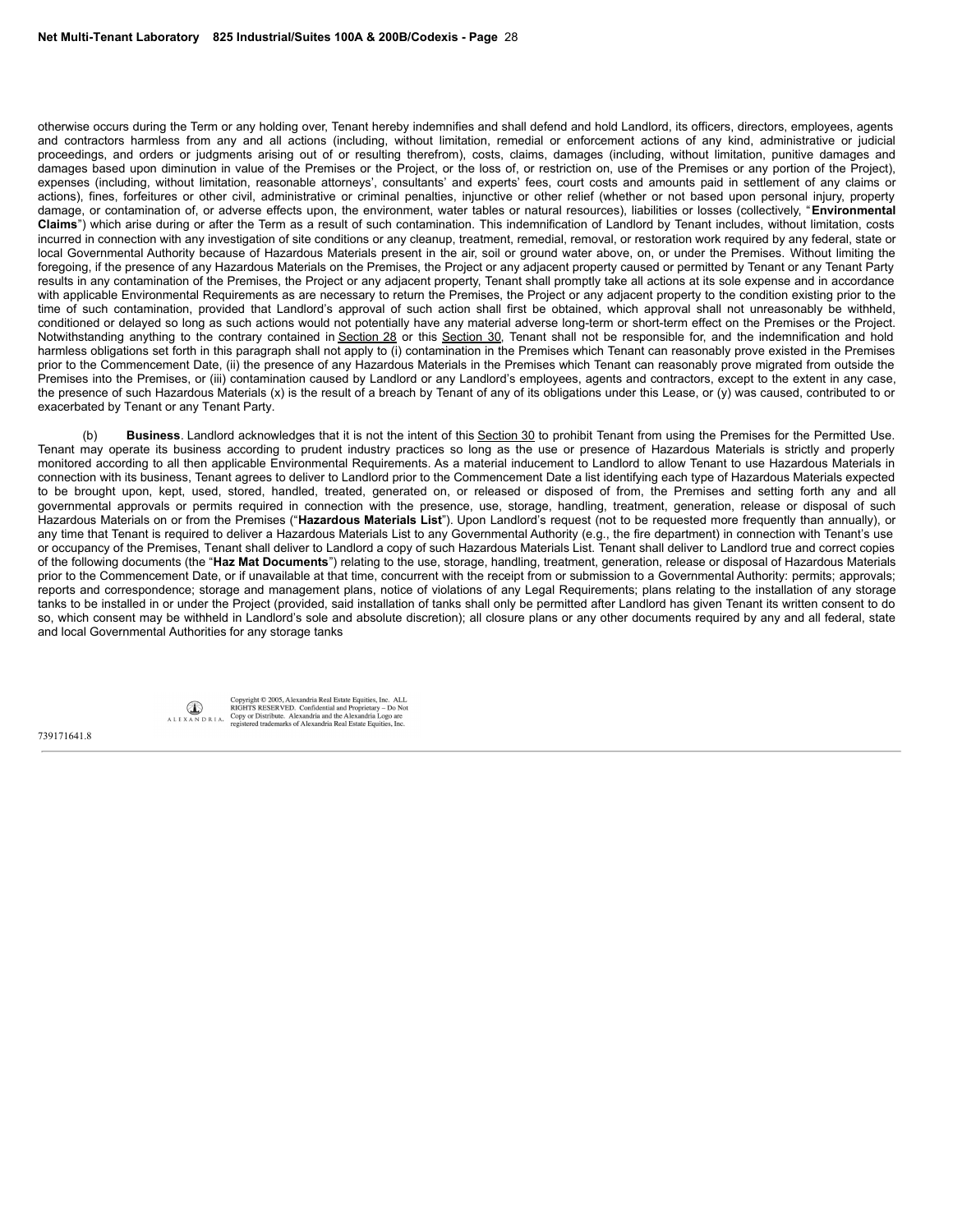otherwise occurs during the Term or any holding over, Tenant hereby indemnifies and shall defend and hold Landlord, its officers, directors, employees, agents and contractors harmless from any and all actions (including, without limitation, remedial or enforcement actions of any kind, administrative or judicial proceedings, and orders or judgments arising out of or resulting therefrom), costs, claims, damages (including, without limitation, punitive damages and damages based upon diminution in value of the Premises or the Project, or the loss of, or restriction on, use of the Premises or any portion of the Project), expenses (including, without limitation, reasonable attorneys', consultants' and experts' fees, court costs and amounts paid in settlement of any claims or actions), fines, forfeitures or other civil, administrative or criminal penalties, injunctive or other relief (whether or not based upon personal injury, property damage, or contamination of, or adverse effects upon, the environment, water tables or natural resources), liabilities or losses (collectively, "**Environmental Claims**") which arise during or after the Term as a result of such contamination. This indemnification of Landlord by Tenant includes, without limitation, costs incurred in connection with any investigation of site conditions or any cleanup, treatment, remedial, removal, or restoration work required by any federal, state or local Governmental Authority because of Hazardous Materials present in the air, soil or ground water above, on, or under the Premises. Without limiting the foregoing, if the presence of any Hazardous Materials on the Premises, the Project or any adjacent property caused or permitted by Tenant or any Tenant Party results in any contamination of the Premises, the Project or any adjacent property, Tenant shall promptly take all actions at its sole expense and in accordance with applicable Environmental Requirements as are necessary to return the Premises, the Project or any adjacent property to the condition existing prior to the time of such contamination, provided that Landlord's approval of such action shall first be obtained, which approval shall not unreasonably be withheld, conditioned or delayed so long as such actions would not potentially have any material adverse long-term or short-term effect on the Premises or the Project. Notwithstanding anything to the contrary contained in Section 28 or this Section 30, Tenant shall not be responsible for, and the indemnification and hold harmless obligations set forth in this paragraph shall not apply to (i) contamination in the Premises which Tenant can reasonably prove existed in the Premises prior to the Commencement Date, (ii) the presence of any Hazardous Materials in the Premises which Tenant can reasonably prove migrated from outside the Premises into the Premises, or (iii) contamination caused by Landlord or any Landlord's employees, agents and contractors, except to the extent in any case, the presence of such Hazardous Materials (x) is the result of a breach by Tenant of any of its obligations under this Lease, or (y) was caused, contributed to or exacerbated by Tenant or any Tenant Party.

(b) **Business**. Landlord acknowledges that it is not the intent of this Section 30 to prohibit Tenant from using the Premises for the Permitted Use. Tenant may operate its business according to prudent industry practices so long as the use or presence of Hazardous Materials is strictly and properly monitored according to all then applicable Environmental Requirements. As a material inducement to Landlord to allow Tenant to use Hazardous Materials in connection with its business, Tenant agrees to deliver to Landlord prior to the Commencement Date a list identifying each type of Hazardous Materials expected to be brought upon, kept, used, stored, handled, treated, generated on, or released or disposed of from, the Premises and setting forth any and all governmental approvals or permits required in connection with the presence, use, storage, handling, treatment, generation, release or disposal of such Hazardous Materials on or from the Premises ("**Hazardous Materials List**"). Upon Landlord's request (not to be requested more frequently than annually), or any time that Tenant is required to deliver a Hazardous Materials List to any Governmental Authority (e.g., the fire department) in connection with Tenant's use or occupancy of the Premises, Tenant shall deliver to Landlord a copy of such Hazardous Materials List. Tenant shall deliver to Landlord true and correct copies of the following documents (the "**Haz Mat Documents**") relating to the use, storage, handling, treatment, generation, release or disposal of Hazardous Materials prior to the Commencement Date, or if unavailable at that time, concurrent with the receipt from or submission to a Governmental Authority: permits; approvals; reports and correspondence; storage and management plans, notice of violations of any Legal Requirements; plans relating to the installation of any storage tanks to be installed in or under the Project (provided, said installation of tanks shall only be permitted after Landlord has given Tenant its written consent to do so, which consent may be withheld in Landlord's sole and absolute discretion); all closure plans or any other documents required by any and all federal, state and local Governmental Authorities for any storage tanks

 $\bigotimes \text{Copyright} @ 2005, Alexandria Real Estate Equities, Inc. ALL RIGHTS RESERVED. Confiderital and Propricary – Do Not AL EXAND R1 A. Copy or Distribution: Alexander A deAxandria Lequlet, A. LEXAND R1 A. registered tradements of Alexandria.$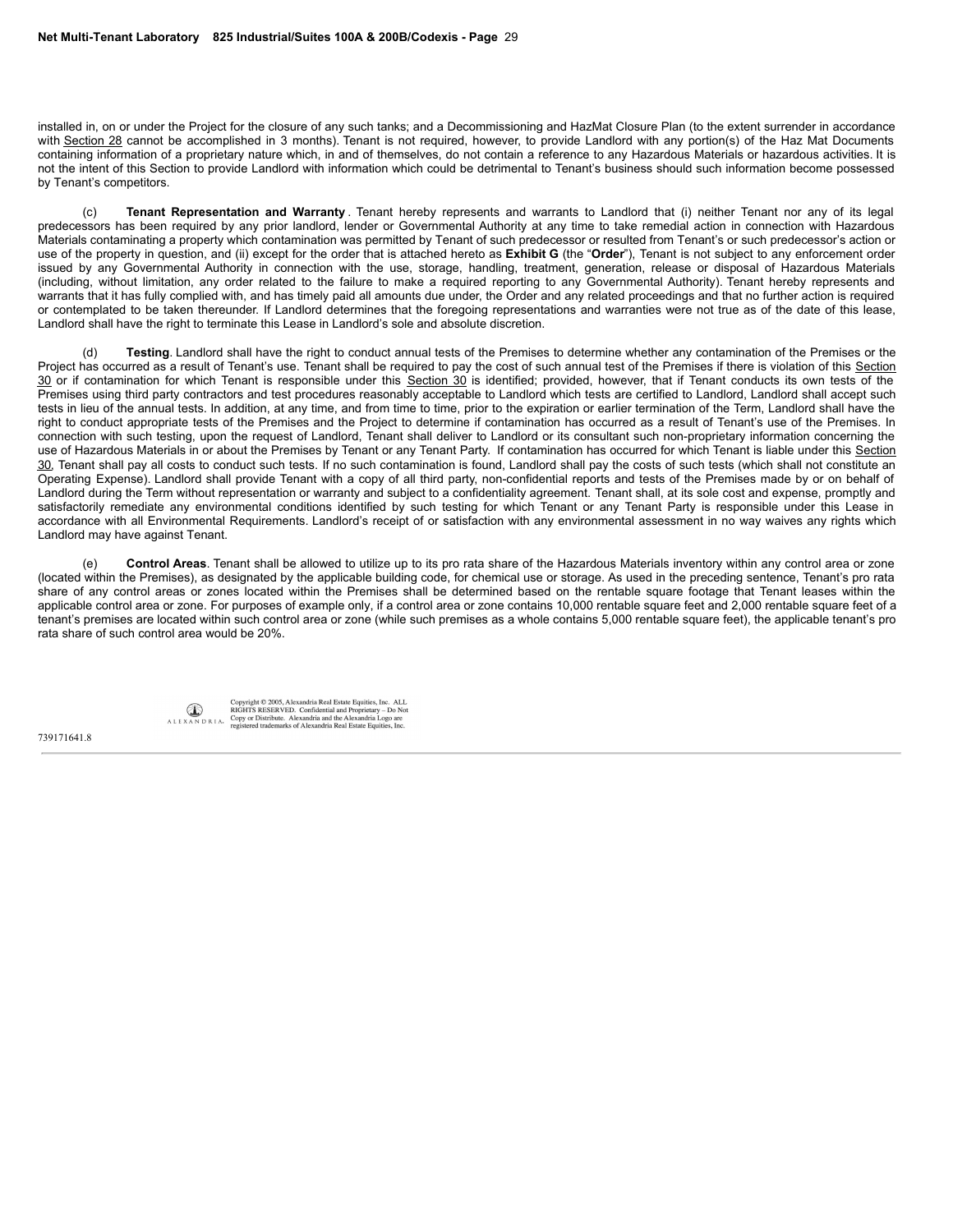installed in, on or under the Project for the closure of any such tanks; and a Decommissioning and HazMat Closure Plan (to the extent surrender in accordance with Section 28 cannot be accomplished in 3 months). Tenant is not required, however, to provide Landlord with any portion(s) of the Haz Mat Documents containing information of a proprietary nature which, in and of themselves, do not contain a reference to any Hazardous Materials or hazardous activities. It is not the intent of this Section to provide Landlord with information which could be detrimental to Tenant's business should such information become possessed by Tenant's competitors.

(c) **Tenant Representation and Warranty** . Tenant hereby represents and warrants to Landlord that (i) neither Tenant nor any of its legal predecessors has been required by any prior landlord, lender or Governmental Authority at any time to take remedial action in connection with Hazardous Materials contaminating a property which contamination was permitted by Tenant of such predecessor or resulted from Tenant's or such predecessor's action or use of the property in question, and (ii) except for the order that is attached hereto as **Exhibit G** (the "**Order**"), Tenant is not subject to any enforcement order issued by any Governmental Authority in connection with the use, storage, handling, treatment, generation, release or disposal of Hazardous Materials (including, without limitation, any order related to the failure to make a required reporting to any Governmental Authority). Tenant hereby represents and warrants that it has fully complied with, and has timely paid all amounts due under, the Order and any related proceedings and that no further action is required or contemplated to be taken thereunder. If Landlord determines that the foregoing representations and warranties were not true as of the date of this lease, Landlord shall have the right to terminate this Lease in Landlord's sole and absolute discretion.

Testing. Landlord shall have the right to conduct annual tests of the Premises to determine whether any contamination of the Premises or the Project has occurred as a result of Tenant's use. Tenant shall be required to pay the cost of such annual test of the Premises if there is violation of this Section 30 or if contamination for which Tenant is responsible under this Section 30 is identified; provided, however, that if Tenant conducts its own tests of the Premises using third party contractors and test procedures reasonably acceptable to Landlord which tests are certified to Landlord, Landlord shall accept such tests in lieu of the annual tests. In addition, at any time, and from time to time, prior to the expiration or earlier termination of the Term, Landlord shall have the right to conduct appropriate tests of the Premises and the Project to determine if contamination has occurred as a result of Tenant's use of the Premises. In connection with such testing, upon the request of Landlord, Tenant shall deliver to Landlord or its consultant such non-proprietary information concerning the use of Hazardous Materials in or about the Premises by Tenant or any Tenant Party. If contamination has occurred for which Tenant is liable under this Section 30, Tenant shall pay all costs to conduct such tests. If no such contamination is found, Landlord shall pay the costs of such tests (which shall not constitute an Operating Expense). Landlord shall provide Tenant with a copy of all third party, non-confidential reports and tests of the Premises made by or on behalf of Landlord during the Term without representation or warranty and subject to a confidentiality agreement. Tenant shall, at its sole cost and expense, promptly and satisfactorily remediate any environmental conditions identified by such testing for which Tenant or any Tenant Party is responsible under this Lease in accordance with all Environmental Requirements. Landlord's receipt of or satisfaction with any environmental assessment in no way waives any rights which Landlord may have against Tenant.

(e) **Control Areas**. Tenant shall be allowed to utilize up to its pro rata share of the Hazardous Materials inventory within any control area or zone (located within the Premises), as designated by the applicable building code, for chemical use or storage. As used in the preceding sentence, Tenant's pro rata share of any control areas or zones located within the Premises shall be determined based on the rentable square footage that Tenant leases within the applicable control area or zone. For purposes of example only, if a control area or zone contains 10,000 rentable square feet and 2,000 rentable square feet of a tenant's premises are located within such control area or zone (while such premises as a whole contains 5,000 rentable square feet), the applicable tenant's pro rata share of such control area would be 20%.

 $\begin{minipage}{0.9\textwidth} \begin{minipage}{0.9\textwidth} \begin{minipage}{0.9\textwidth} \begin{minipage}{0.9\textwidth} \begin{minipage}{0.9\textwidth} \begin{minipage}{0.9\textwidth} \begin{minipage}{0.9\textwidth} \begin{minipage}{0.9\textwidth} \begin{minipage}{0.9\textwidth} \begin{minipage}{0.9\textwidth} \begin{minipage}{0.9\textwidth} \begin{minipage}{0.9\textwidth} \begin{minipage}{0.9\textwidth} \begin{minipage}{0.9\textwidth} \begin{minipage}{0.9\textwidth} \begin{minipage}{0.9$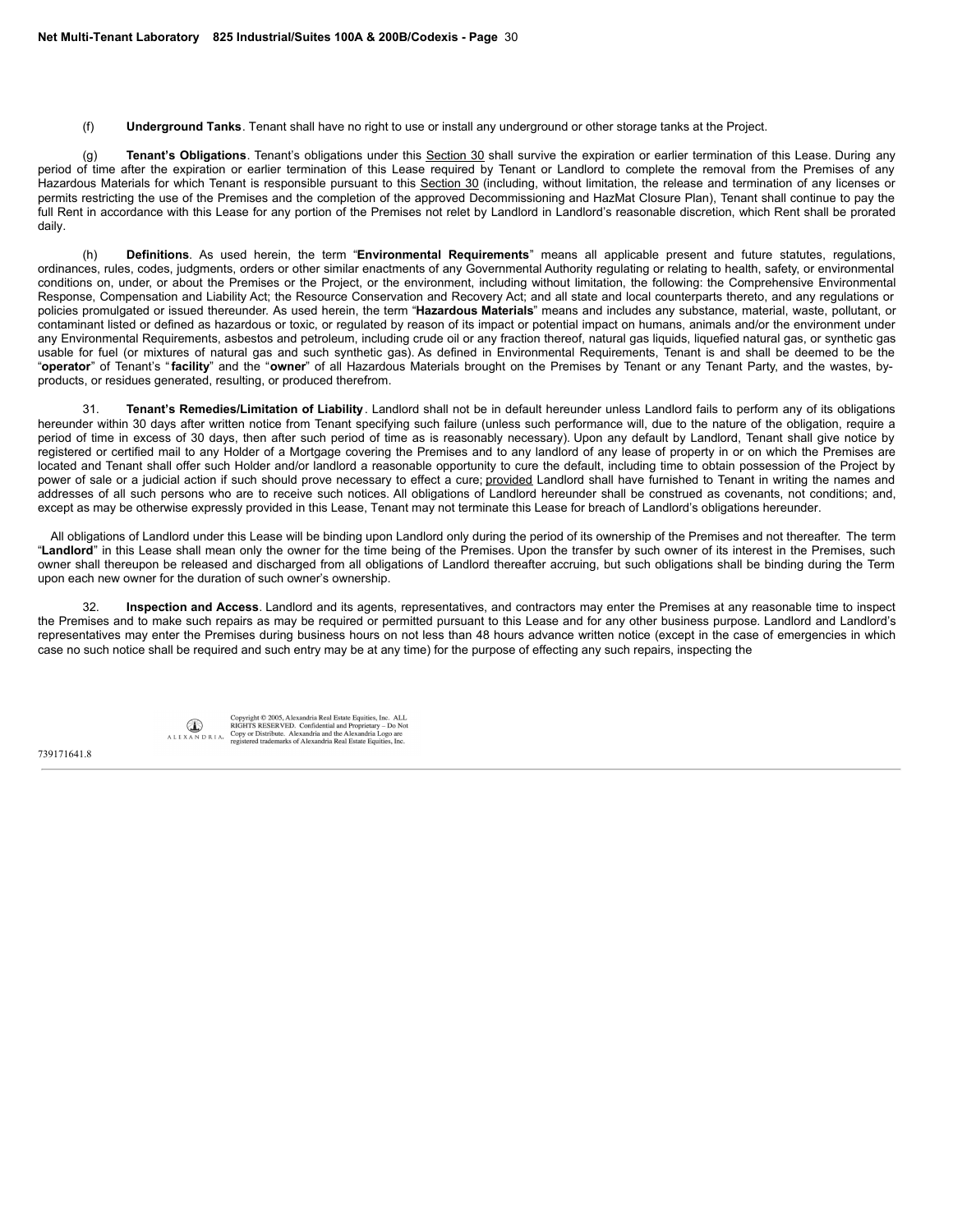(f) **Underground Tanks**. Tenant shall have no right to use or install any underground or other storage tanks at the Project.

(g) **Tenant's Obligations**. Tenant's obligations under this Section 30 shall survive the expiration or earlier termination of this Lease. During any period of time after the expiration or earlier termination of this Lease required by Tenant or Landlord to complete the removal from the Premises of any Hazardous Materials for which Tenant is responsible pursuant to this Section 30 (including, without limitation, the release and termination of any licenses or permits restricting the use of the Premises and the completion of the approved Decommissioning and HazMat Closure Plan), Tenant shall continue to pay the full Rent in accordance with this Lease for any portion of the Premises not relet by Landlord in Landlord's reasonable discretion, which Rent shall be prorated daily.

(h) **Definitions**. As used herein, the term "**Environmental Requirements**" means all applicable present and future statutes, regulations, ordinances, rules, codes, judgments, orders or other similar enactments of any Governmental Authority regulating or relating to health, safety, or environmental conditions on, under, or about the Premises or the Project, or the environment, including without limitation, the following: the Comprehensive Environmental Response, Compensation and Liability Act; the Resource Conservation and Recovery Act; and all state and local counterparts thereto, and any regulations or policies promulgated or issued thereunder. As used herein, the term "**Hazardous Materials**" means and includes any substance, material, waste, pollutant, or contaminant listed or defined as hazardous or toxic, or regulated by reason of its impact or potential impact on humans, animals and/or the environment under any Environmental Requirements, asbestos and petroleum, including crude oil or any fraction thereof, natural gas liquids, liquefied natural gas, or synthetic gas usable for fuel (or mixtures of natural gas and such synthetic gas). As defined in Environmental Requirements, Tenant is and shall be deemed to be the "**operator**" of Tenant's "**facility**" and the "**owner**" of all Hazardous Materials brought on the Premises by Tenant or any Tenant Party, and the wastes, byproducts, or residues generated, resulting, or produced therefrom.

31. **Tenant's Remedies/Limitation of Liability**. Landlord shall not be in default hereunder unless Landlord fails to perform any of its obligations hereunder within 30 days after written notice from Tenant specifying such failure (unless such performance will, due to the nature of the obligation, require a period of time in excess of 30 days, then after such period of time as is reasonably necessary). Upon any default by Landlord, Tenant shall give notice by registered or certified mail to any Holder of a Mortgage covering the Premises and to any landlord of any lease of property in or on which the Premises are located and Tenant shall offer such Holder and/or landlord a reasonable opportunity to cure the default, including time to obtain possession of the Project by power of sale or a judicial action if such should prove necessary to effect a cure; provided Landlord shall have furnished to Tenant in writing the names and addresses of all such persons who are to receive such notices. All obligations of Landlord hereunder shall be construed as covenants, not conditions; and, except as may be otherwise expressly provided in this Lease, Tenant may not terminate this Lease for breach of Landlord's obligations hereunder.

All obligations of Landlord under this Lease will be binding upon Landlord only during the period of its ownership of the Premises and not thereafter. The term "**Landlord**" in this Lease shall mean only the owner for the time being of the Premises. Upon the transfer by such owner of its interest in the Premises, such owner shall thereupon be released and discharged from all obligations of Landlord thereafter accruing, but such obligations shall be binding during the Term upon each new owner for the duration of such owner's ownership.

32. **Inspection and Access**. Landlord and its agents, representatives, and contractors may enter the Premises at any reasonable time to inspect the Premises and to make such repairs as may be required or permitted pursuant to this Lease and for any other business purpose. Landlord and Landlord's representatives may enter the Premises during business hours on not less than 48 hours advance written notice (except in the case of emergencies in which case no such notice shall be required and such entry may be at any time) for the purpose of effecting any such repairs, inspecting the

> Copyright © 2005, Alexandria Real Estate Equities, Inc. ALL<br>RIGHTS RESERVED. Confidential and Proprietary – Do Not<br>Copy or Distribute. Alexandria and the Alexandria Logo are<br>registered trademarks of Alexandria Real Estate  $^{\circledR}$ ALEXANDRIA.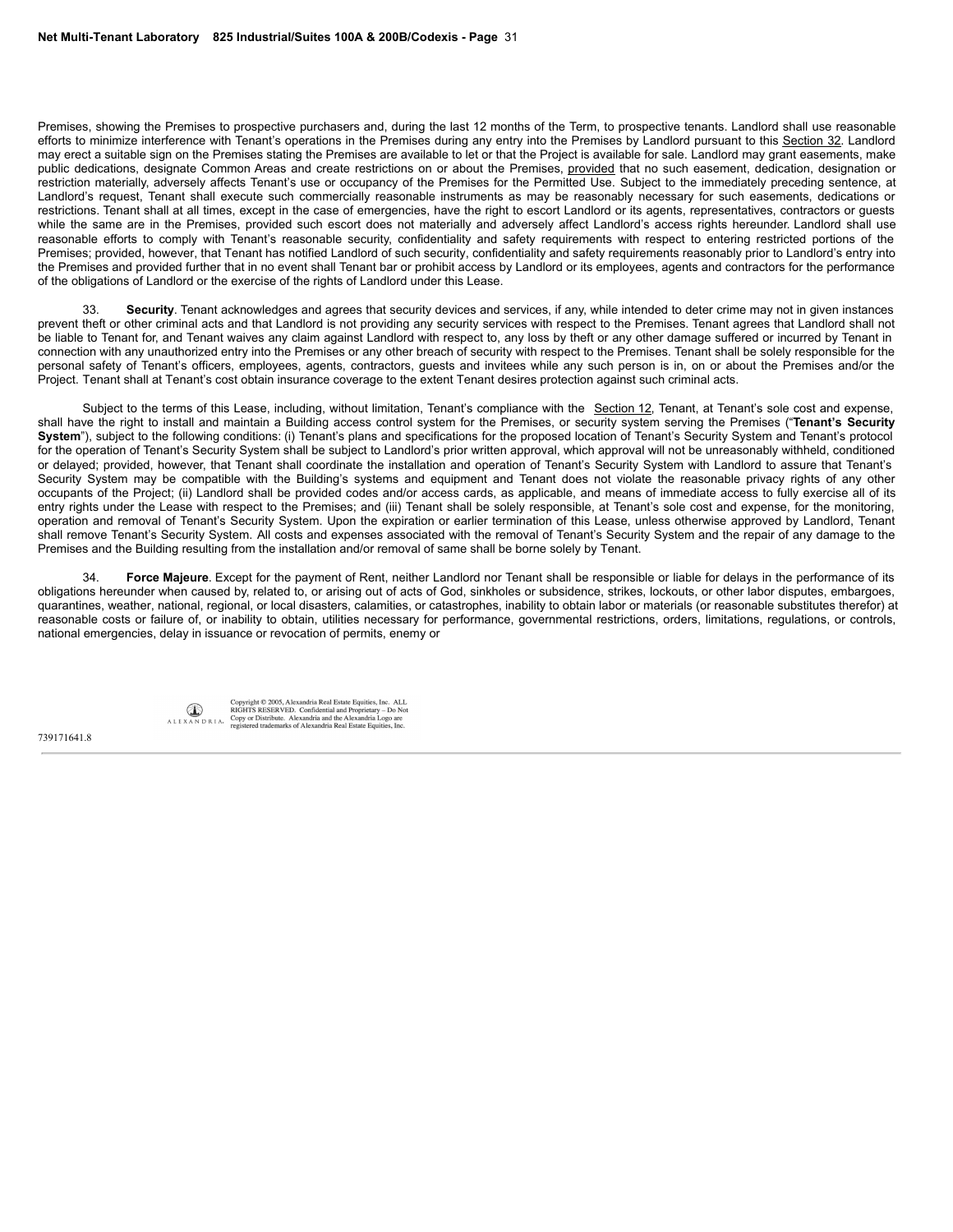Premises, showing the Premises to prospective purchasers and, during the last 12 months of the Term, to prospective tenants. Landlord shall use reasonable efforts to minimize interference with Tenant's operations in the Premises during any entry into the Premises by Landlord pursuant to this Section 32. Landlord may erect a suitable sign on the Premises stating the Premises are available to let or that the Project is available for sale. Landlord may grant easements, make public dedications, designate Common Areas and create restrictions on or about the Premises, provided that no such easement, dedication, designation or restriction materially, adversely affects Tenant's use or occupancy of the Premises for the Permitted Use. Subject to the immediately preceding sentence, at Landlord's request, Tenant shall execute such commercially reasonable instruments as may be reasonably necessary for such easements, dedications or restrictions. Tenant shall at all times, except in the case of emergencies, have the right to escort Landlord or its agents, representatives, contractors or guests while the same are in the Premises, provided such escort does not materially and adversely affect Landlord's access rights hereunder. Landlord shall use reasonable efforts to comply with Tenant's reasonable security, confidentiality and safety requirements with respect to entering restricted portions of the Premises; provided, however, that Tenant has notified Landlord of such security, confidentiality and safety requirements reasonably prior to Landlord's entry into the Premises and provided further that in no event shall Tenant bar or prohibit access by Landlord or its employees, agents and contractors for the performance of the obligations of Landlord or the exercise of the rights of Landlord under this Lease.

33. **Security**. Tenant acknowledges and agrees that security devices and services, if any, while intended to deter crime may not in given instances prevent theft or other criminal acts and that Landlord is not providing any security services with respect to the Premises. Tenant agrees that Landlord shall not be liable to Tenant for, and Tenant waives any claim against Landlord with respect to, any loss by theft or any other damage suffered or incurred by Tenant in connection with any unauthorized entry into the Premises or any other breach of security with respect to the Premises. Tenant shall be solely responsible for the personal safety of Tenant's officers, employees, agents, contractors, guests and invitees while any such person is in, on or about the Premises and/or the Project. Tenant shall at Tenant's cost obtain insurance coverage to the extent Tenant desires protection against such criminal acts.

Subject to the terms of this Lease, including, without limitation, Tenant's compliance with the Section 12, Tenant, at Tenant's sole cost and expense, shall have the right to install and maintain a Building access control system for the Premises, or security system serving the Premises ("**Tenant's Security System**"), subject to the following conditions: (i) Tenant's plans and specifications for the proposed location of Tenant's Security System and Tenant's protocol for the operation of Tenant's Security System shall be subject to Landlord's prior written approval, which approval will not be unreasonably withheld, conditioned or delayed; provided, however, that Tenant shall coordinate the installation and operation of Tenant's Security System with Landlord to assure that Tenant's Security System may be compatible with the Building's systems and equipment and Tenant does not violate the reasonable privacy rights of any other occupants of the Project; (ii) Landlord shall be provided codes and/or access cards, as applicable, and means of immediate access to fully exercise all of its entry rights under the Lease with respect to the Premises; and (iii) Tenant shall be solely responsible, at Tenant's sole cost and expense, for the monitoring, operation and removal of Tenant's Security System. Upon the expiration or earlier termination of this Lease, unless otherwise approved by Landlord, Tenant shall remove Tenant's Security System. All costs and expenses associated with the removal of Tenant's Security System and the repair of any damage to the Premises and the Building resulting from the installation and/or removal of same shall be borne solely by Tenant.

34. **Force Majeure**. Except for the payment of Rent, neither Landlord nor Tenant shall be responsible or liable for delays in the performance of its obligations hereunder when caused by, related to, or arising out of acts of God, sinkholes or subsidence, strikes, lockouts, or other labor disputes, embargoes, quarantines, weather, national, regional, or local disasters, calamities, or catastrophes, inability to obtain labor or materials (or reasonable substitutes therefor) at reasonable costs or failure of, or inability to obtain, utilities necessary for performance, governmental restrictions, orders, limitations, regulations, or controls, national emergencies, delay in issuance or revocation of permits, enemy or

739171641.8

 $\begin{minipage}{0.9\textwidth} \begin{minipage}{0.9\textwidth} \begin{minipage}{0.9\textwidth} \begin{minipage}{0.9\textwidth} \begin{minipage}{0.9\textwidth} \begin{minipage}{0.9\textwidth} \begin{minipage}{0.9\textwidth} \begin{minipage}{0.9\textwidth} \begin{minipage}{0.9\textwidth} \begin{minipage}{0.9\textwidth} \begin{minipage}{0.9\textwidth} \begin{minipage}{0.9\textwidth} \begin{minipage}{0.9\textwidth} \begin{minipage}{0.9\textwidth} \begin{minipage}{0.9\textwidth} \begin{minipage}{0.9$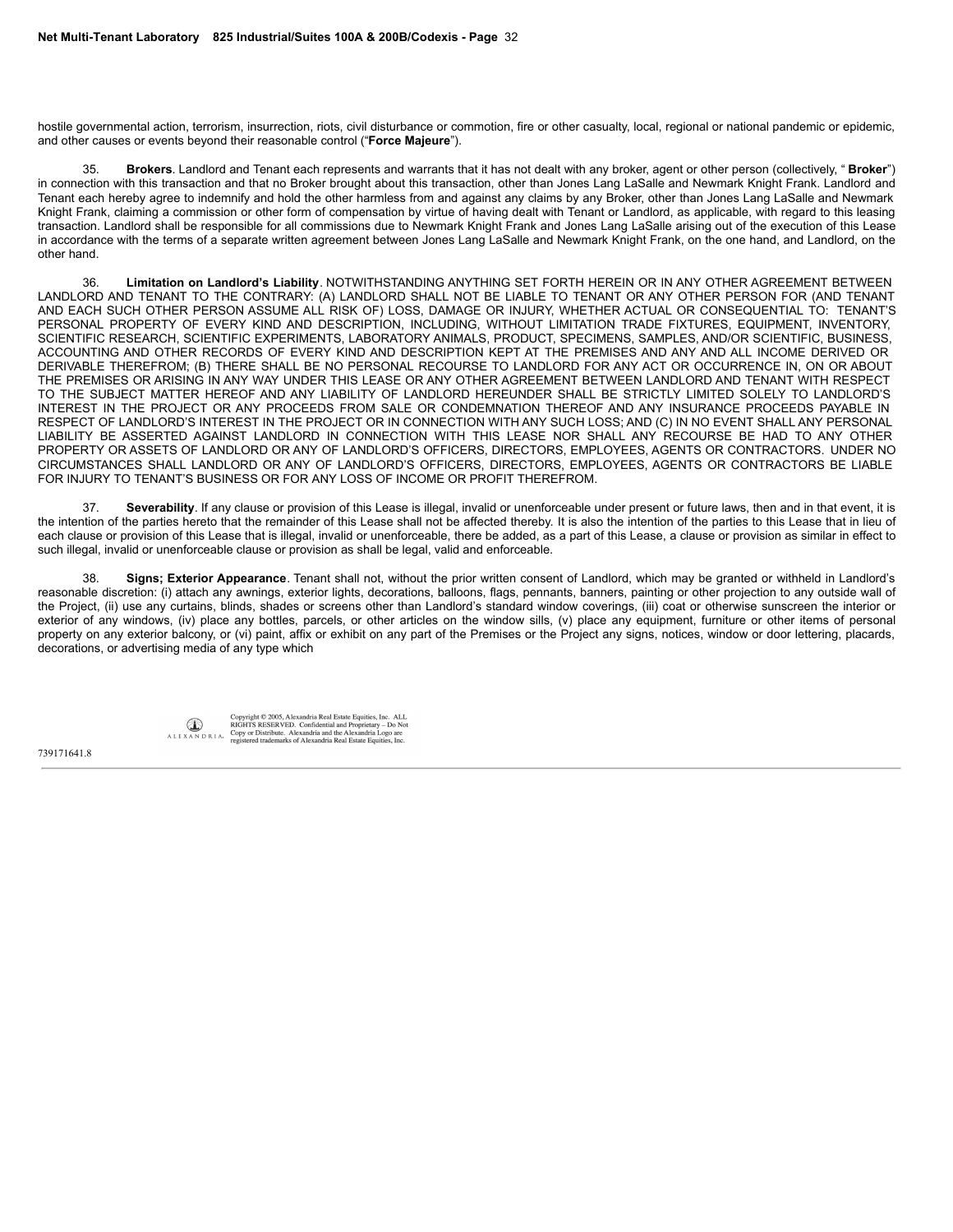hostile governmental action, terrorism, insurrection, riots, civil disturbance or commotion, fire or other casualty, local, regional or national pandemic or epidemic, and other causes or events beyond their reasonable control ("**Force Majeure**").

35. **Brokers**. Landlord and Tenant each represents and warrants that it has not dealt with any broker, agent or other person (collectively, " **Broker**") in connection with this transaction and that no Broker brought about this transaction, other than Jones Lang LaSalle and Newmark Knight Frank. Landlord and Tenant each hereby agree to indemnify and hold the other harmless from and against any claims by any Broker, other than Jones Lang LaSalle and Newmark Knight Frank, claiming a commission or other form of compensation by virtue of having dealt with Tenant or Landlord, as applicable, with regard to this leasing transaction. Landlord shall be responsible for all commissions due to Newmark Knight Frank and Jones Lang LaSalle arising out of the execution of this Lease in accordance with the terms of a separate written agreement between Jones Lang LaSalle and Newmark Knight Frank, on the one hand, and Landlord, on the other hand.

36. **Limitation on Landlord's Liability**. NOTWITHSTANDING ANYTHING SET FORTH HEREIN OR IN ANY OTHER AGREEMENT BETWEEN LANDLORD AND TENANT TO THE CONTRARY: (A) LANDLORD SHALL NOT BE LIABLE TO TENANT OR ANY OTHER PERSON FOR (AND TENANT AND EACH SUCH OTHER PERSON ASSUME ALL RISK OF) LOSS, DAMAGE OR INJURY, WHETHER ACTUAL OR CONSEQUENTIAL TO: TENANT'S PERSONAL PROPERTY OF EVERY KIND AND DESCRIPTION, INCLUDING, WITHOUT LIMITATION TRADE FIXTURES, EQUIPMENT, INVENTORY, SCIENTIFIC RESEARCH, SCIENTIFIC EXPERIMENTS, LABORATORY ANIMALS, PRODUCT, SPECIMENS, SAMPLES, AND/OR SCIENTIFIC, BUSINESS, ACCOUNTING AND OTHER RECORDS OF EVERY KIND AND DESCRIPTION KEPT AT THE PREMISES AND ANY AND ALL INCOME DERIVED OR DERIVABLE THEREFROM; (B) THERE SHALL BE NO PERSONAL RECOURSE TO LANDLORD FOR ANY ACT OR OCCURRENCE IN, ON OR ABOUT THE PREMISES OR ARISING IN ANY WAY UNDER THIS LEASE OR ANY OTHER AGREEMENT BETWEEN LANDLORD AND TENANT WITH RESPECT TO THE SUBJECT MATTER HEREOF AND ANY LIABILITY OF LANDLORD HEREUNDER SHALL BE STRICTLY LIMITED SOLELY TO LANDLORD'S INTEREST IN THE PROJECT OR ANY PROCEEDS FROM SALE OR CONDEMNATION THEREOF AND ANY INSURANCE PROCEEDS PAYABLE IN RESPECT OF LANDLORD'S INTEREST IN THE PROJECT OR IN CONNECTION WITH ANY SUCH LOSS; AND (C) IN NO EVENT SHALL ANY PERSONAL LIABILITY BE ASSERTED AGAINST LANDLORD IN CONNECTION WITH THIS LEASE NOR SHALL ANY RECOURSE BE HAD TO ANY OTHER PROPERTY OR ASSETS OF LANDLORD OR ANY OF LANDLORD'S OFFICERS, DIRECTORS, EMPLOYEES, AGENTS OR CONTRACTORS. UNDER NO CIRCUMSTANCES SHALL LANDLORD OR ANY OF LANDLORD'S OFFICERS, DIRECTORS, EMPLOYEES, AGENTS OR CONTRACTORS BE LIABLE FOR INJURY TO TENANT'S BUSINESS OR FOR ANY LOSS OF INCOME OR PROFIT THEREFROM.

37. **Severability**. If any clause or provision of this Lease is illegal, invalid or unenforceable under present or future laws, then and in that event, it is the intention of the parties hereto that the remainder of this Lease shall not be affected thereby. It is also the intention of the parties to this Lease that in lieu of each clause or provision of this Lease that is illegal, invalid or unenforceable, there be added, as a part of this Lease, a clause or provision as similar in effect to such illegal, invalid or unenforceable clause or provision as shall be legal, valid and enforceable.

38. **Signs; Exterior Appearance**. Tenant shall not, without the prior written consent of Landlord, which may be granted or withheld in Landlord's reasonable discretion: (i) attach any awnings, exterior lights, decorations, balloons, flags, pennants, banners, painting or other projection to any outside wall of the Project, (ii) use any curtains, blinds, shades or screens other than Landlord's standard window coverings, (iii) coat or otherwise sunscreen the interior or exterior of any windows, (iv) place any bottles, parcels, or other articles on the window sills, (v) place any equipment, furniture or other items of personal property on any exterior balcony, or (vi) paint, affix or exhibit on any part of the Premises or the Project any signs, notices, window or door lettering, placards, decorations, or advertising media of any type which

> $\label{eq:Corp} \begin{minipage}{0.9\textwidth} \begin{minipage}{0.9\textwidth} \begin{minipage}{0.9\textwidth} \begin{minipage}{0.9\textwidth} \begin{minipage}{0.9\textwidth} \begin{minipage}{0.9\textwidth} \begin{minipage}{0.9\textwidth} \begin{minipage}{0.9\textwidth} \begin{minipage}{0.9\textwidth} \begin{minipage}{0.9\textwidth} \begin{minipage}{0.9\textwidth} \begin{minipage}{0.9\textwidth} \begin{minipage}{0.9\textwidth} \begin{minipage}{0.9\textwidth} \begin{minipage}{0.9\textwidth} \begin$  $^{\circledR}$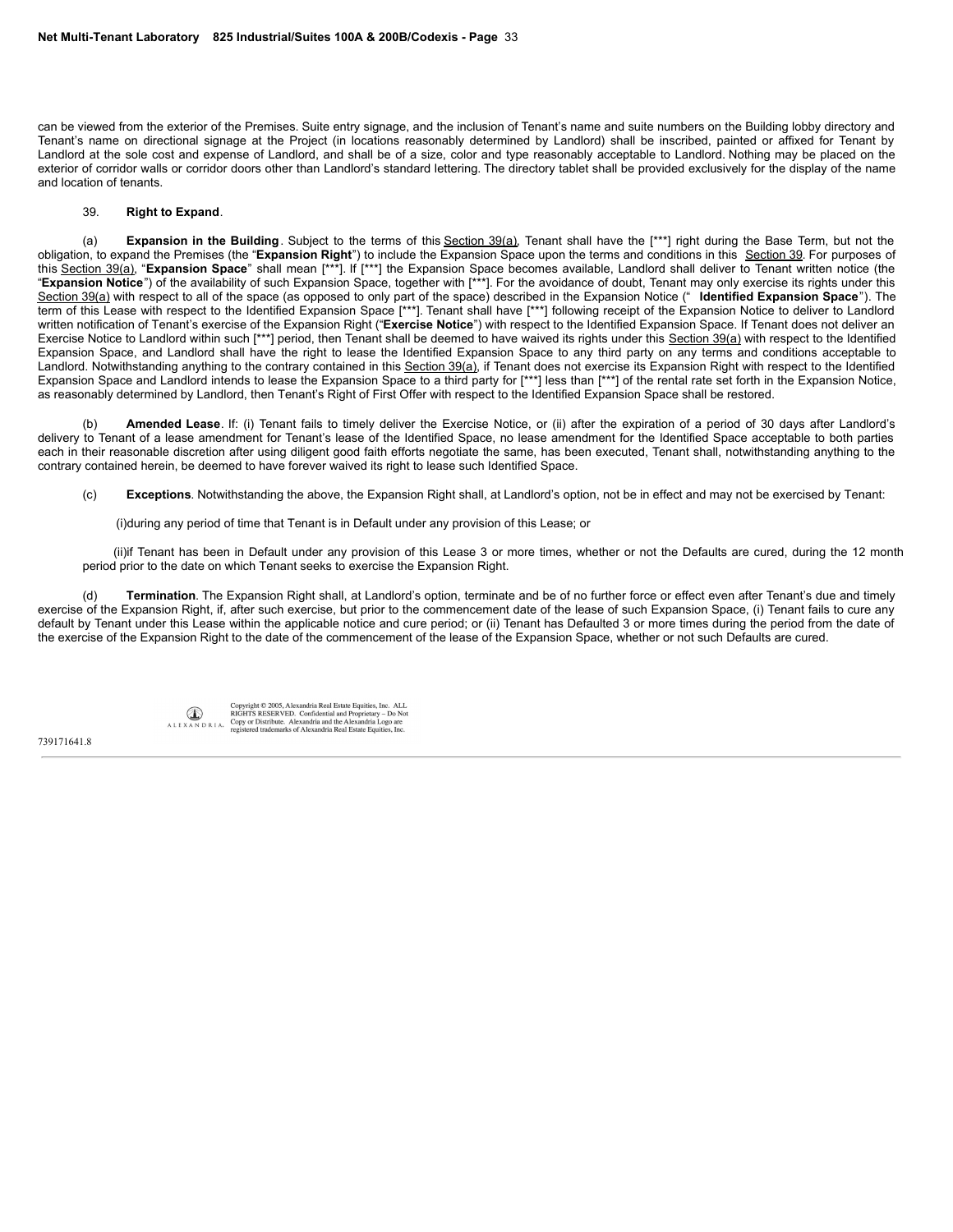can be viewed from the exterior of the Premises. Suite entry signage, and the inclusion of Tenant's name and suite numbers on the Building lobby directory and Tenant's name on directional signage at the Project (in locations reasonably determined by Landlord) shall be inscribed, painted or affixed for Tenant by Landlord at the sole cost and expense of Landlord, and shall be of a size, color and type reasonably acceptable to Landlord. Nothing may be placed on the exterior of corridor walls or corridor doors other than Landlord's standard lettering. The directory tablet shall be provided exclusively for the display of the name and location of tenants.

#### 39. **Right to Expand**.

(a) **Expansion in the Building**. Subject to the terms of this Section 39(a), Tenant shall have the [\*\*\*] right during the Base Term, but not the obligation, to expand the Premises (the "**Expansion Right**") to include the Expansion Space upon the terms and conditions in this Section 39. For purposes of this Section 39(a), "**Expansion Space**" shall mean [\*\*\*]. If [\*\*\*] the Expansion Space becomes available, Landlord shall deliver to Tenant written notice (the "**Expansion Notice**") of the availability of such Expansion Space, together with [\*\*\*]. For the avoidance of doubt, Tenant may only exercise its rights under this Section 39(a) with respect to all of the space (as opposed to only part of the space) described in the Expansion Notice (" **Identified Expansion Space**"). The term of this Lease with respect to the Identified Expansion Space [\*\*\*]. Tenant shall have [\*\*\*] following receipt of the Expansion Notice to deliver to Landlord written notification of Tenant's exercise of the Expansion Right ("**Exercise Notice**") with respect to the Identified Expansion Space. If Tenant does not deliver an Exercise Notice to Landlord within such [\*\*\*] period, then Tenant shall be deemed to have waived its rights under this Section 39(a) with respect to the Identified Expansion Space, and Landlord shall have the right to lease the Identified Expansion Space to any third party on any terms and conditions acceptable to Landlord. Notwithstanding anything to the contrary contained in this Section 39(a), if Tenant does not exercise its Expansion Right with respect to the Identified Expansion Space and Landlord intends to lease the Expansion Space to a third party for [\*\*\*] less than [\*\*\*] of the rental rate set forth in the Expansion Notice, as reasonably determined by Landlord, then Tenant's Right of First Offer with respect to the Identified Expansion Space shall be restored.

(b) **Amended Lease**. If: (i) Tenant fails to timely deliver the Exercise Notice, or (ii) after the expiration of a period of 30 days after Landlord's delivery to Tenant of a lease amendment for Tenant's lease of the Identified Space, no lease amendment for the Identified Space acceptable to both parties each in their reasonable discretion after using diligent good faith efforts negotiate the same, has been executed, Tenant shall, notwithstanding anything to the contrary contained herein, be deemed to have forever waived its right to lease such Identified Space.

(c) **Exceptions**. Notwithstanding the above, the Expansion Right shall, at Landlord's option, not be in effect and may not be exercised by Tenant:

(i)during any period of time that Tenant is in Default under any provision of this Lease; or

(ii)if Tenant has been in Default under any provision of this Lease 3 or more times, whether or not the Defaults are cured, during the 12 month period prior to the date on which Tenant seeks to exercise the Expansion Right.

(d) **Termination**. The Expansion Right shall, at Landlord's option, terminate and be of no further force or effect even after Tenant's due and timely exercise of the Expansion Right, if, after such exercise, but prior to the commencement date of the lease of such Expansion Space, (i) Tenant fails to cure any default by Tenant under this Lease within the applicable notice and cure period; or (ii) Tenant has Defaulted 3 or more times during the period from the date of the exercise of the Expansion Right to the date of the commencement of the lease of the Expansion Space, whether or not such Defaults are cured.

> 企 ALEXANDRIA.

 $\begin{tabular}{l} Copyright \textbf{\textit{Q-2005}}, Alexander and real Estate Equities, Inc. ALL, RIGHTS RESERVED. Conditional and Property – Do Not Copy or Distribute. Alexander and the Alexander algebraic logic and resistance distances (RIS are the first derivative) and the first derivative of the set of the set. In. \end{tabular}$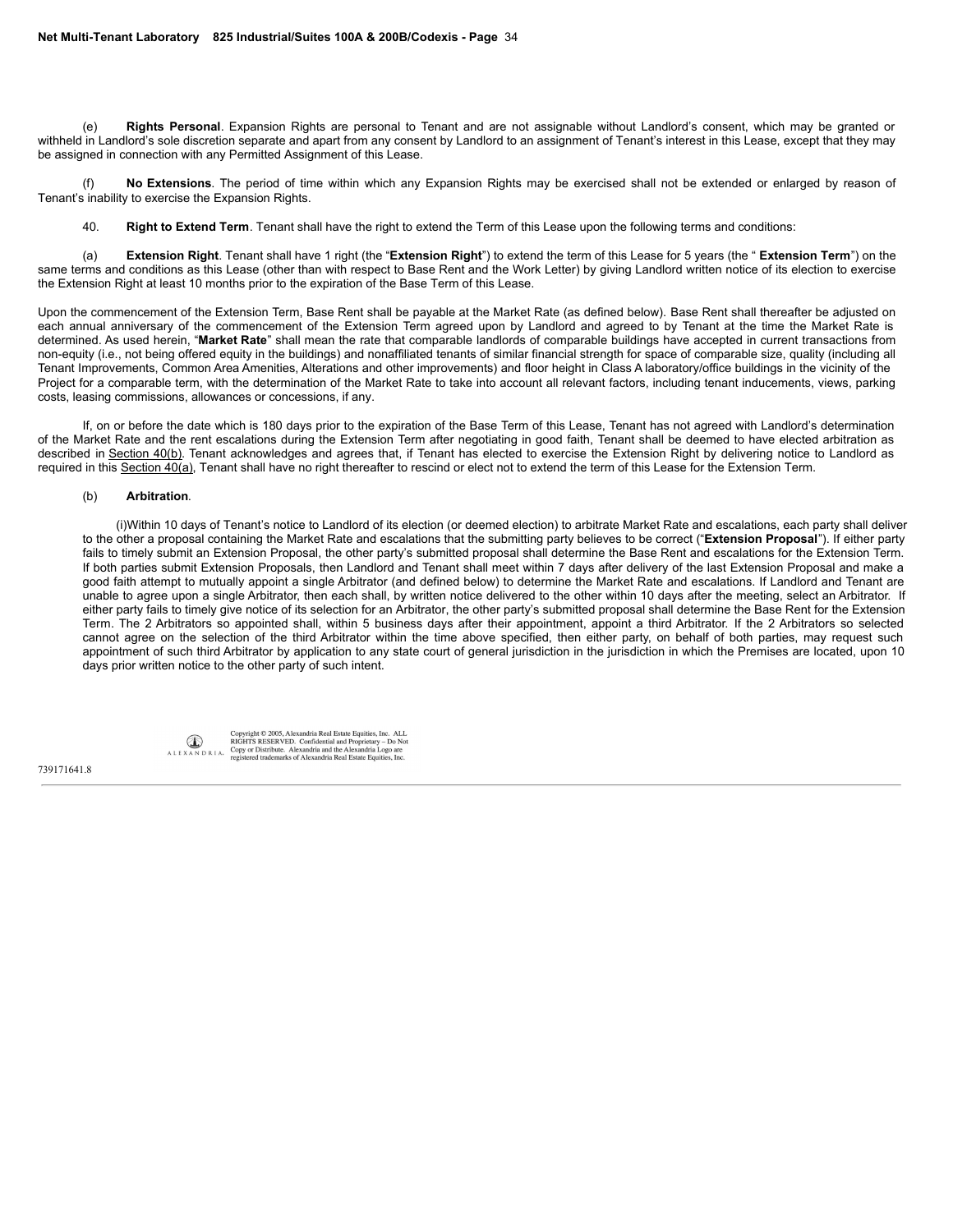(e) **Rights Personal**. Expansion Rights are personal to Tenant and are not assignable without Landlord's consent, which may be granted or withheld in Landlord's sole discretion separate and apart from any consent by Landlord to an assignment of Tenant's interest in this Lease, except that they may be assigned in connection with any Permitted Assignment of this Lease.

No **Extensions**. The period of time within which any Expansion Rights may be exercised shall not be extended or enlarged by reason of Tenant's inability to exercise the Expansion Rights.

40. **Right to Extend Term**. Tenant shall have the right to extend the Term of this Lease upon the following terms and conditions:

(a) **Extension Right**. Tenant shall have 1 right (the "**Extension Right**") to extend the term of this Lease for 5 years (the " **Extension Term**") on the same terms and conditions as this Lease (other than with respect to Base Rent and the Work Letter) by giving Landlord written notice of its election to exercise the Extension Right at least 10 months prior to the expiration of the Base Term of this Lease.

Upon the commencement of the Extension Term, Base Rent shall be payable at the Market Rate (as defined below). Base Rent shall thereafter be adjusted on each annual anniversary of the commencement of the Extension Term agreed upon by Landlord and agreed to by Tenant at the time the Market Rate is determined. As used herein, "**Market Rate**" shall mean the rate that comparable landlords of comparable buildings have accepted in current transactions from non-equity (i.e., not being offered equity in the buildings) and nonaffiliated tenants of similar financial strength for space of comparable size, quality (including all Tenant Improvements, Common Area Amenities, Alterations and other improvements) and floor height in Class A laboratory/office buildings in the vicinity of the Project for a comparable term, with the determination of the Market Rate to take into account all relevant factors, including tenant inducements, views, parking costs, leasing commissions, allowances or concessions, if any.

If, on or before the date which is 180 days prior to the expiration of the Base Term of this Lease, Tenant has not agreed with Landlord's determination of the Market Rate and the rent escalations during the Extension Term after negotiating in good faith, Tenant shall be deemed to have elected arbitration as described in Section 40(b). Tenant acknowledges and agrees that, if Tenant has elected to exercise the Extension Right by delivering notice to Landlord as required in this Section 40(a), Tenant shall have no right thereafter to rescind or elect not to extend the term of this Lease for the Extension Term.

### (b) **Arbitration**.

(i)Within 10 days of Tenant's notice to Landlord of its election (or deemed election) to arbitrate Market Rate and escalations, each party shall deliver to the other a proposal containing the Market Rate and escalations that the submitting party believes to be correct ("**Extension Proposal**"). If either party fails to timely submit an Extension Proposal, the other party's submitted proposal shall determine the Base Rent and escalations for the Extension Term. If both parties submit Extension Proposals, then Landlord and Tenant shall meet within 7 days after delivery of the last Extension Proposal and make a good faith attempt to mutually appoint a single Arbitrator (and defined below) to determine the Market Rate and escalations. If Landlord and Tenant are unable to agree upon a single Arbitrator, then each shall, by written notice delivered to the other within 10 days after the meeting, select an Arbitrator. If either party fails to timely give notice of its selection for an Arbitrator, the other party's submitted proposal shall determine the Base Rent for the Extension Term. The 2 Arbitrators so appointed shall, within 5 business days after their appointment, appoint a third Arbitrator. If the 2 Arbitrators so selected cannot agree on the selection of the third Arbitrator within the time above specified, then either party, on behalf of both parties, may request such appointment of such third Arbitrator by application to any state court of general jurisdiction in the jurisdiction in which the Premises are located, upon 10 days prior written notice to the other party of such intent.

 $\label{eq:Corp} \begin{minipage}{0.9\textwidth} Copyright @ 2005, Alexanderia Real State Equities, Inc. ALL RIGHTS RESERVED. Conditional and Property-Do Not Copy or Distribute. Alexander and the Alexander Logator of registered trademarks of Alexandria Real Estate Equities, Inc. \end{minipage}$ 企 ALEXANDRIA.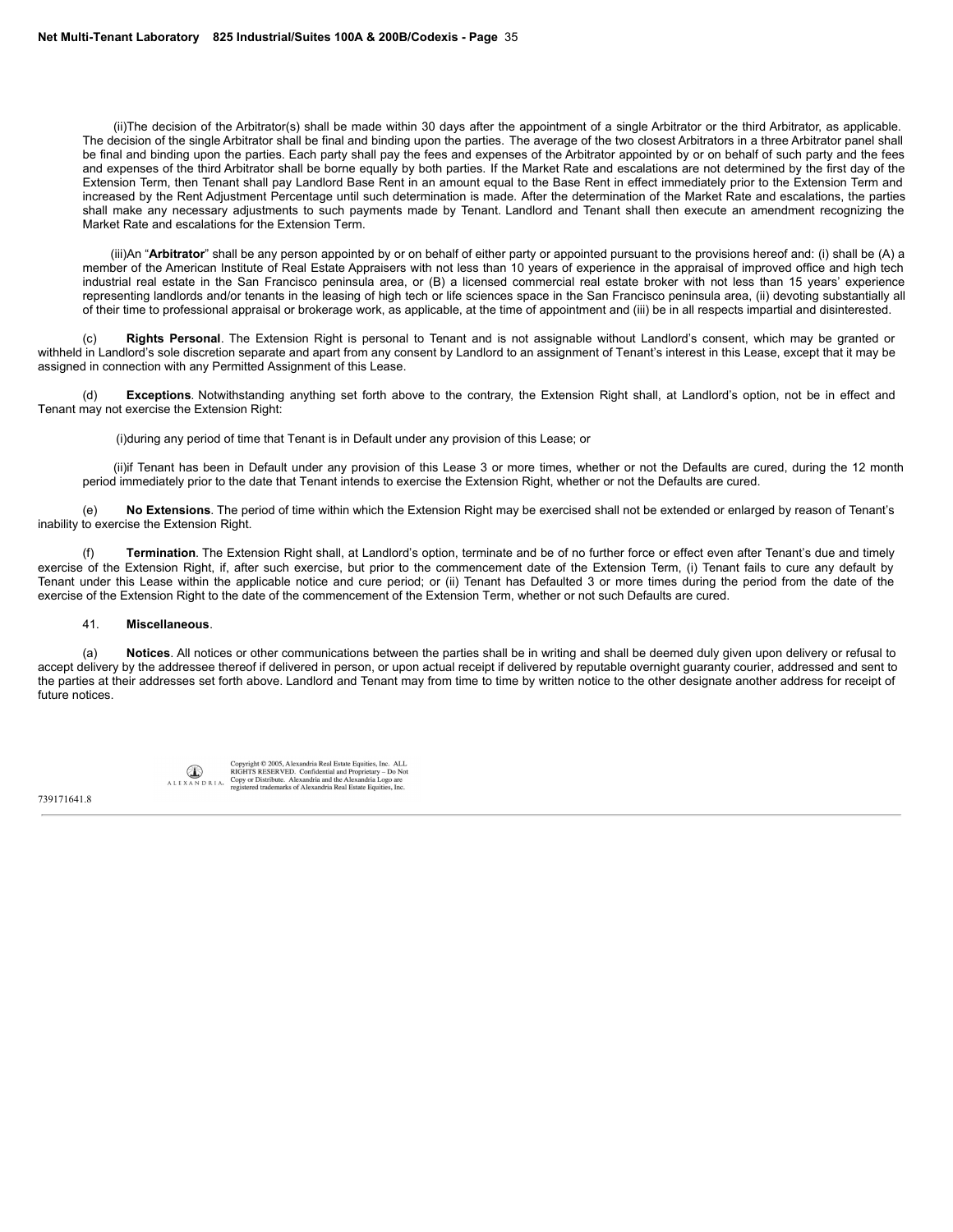(ii)The decision of the Arbitrator(s) shall be made within 30 days after the appointment of a single Arbitrator or the third Arbitrator, as applicable. The decision of the single Arbitrator shall be final and binding upon the parties. The average of the two closest Arbitrators in a three Arbitrator panel shall be final and binding upon the parties. Each party shall pay the fees and expenses of the Arbitrator appointed by or on behalf of such party and the fees and expenses of the third Arbitrator shall be borne equally by both parties. If the Market Rate and escalations are not determined by the first day of the Extension Term, then Tenant shall pay Landlord Base Rent in an amount equal to the Base Rent in effect immediately prior to the Extension Term and increased by the Rent Adjustment Percentage until such determination is made. After the determination of the Market Rate and escalations, the parties shall make any necessary adjustments to such payments made by Tenant. Landlord and Tenant shall then execute an amendment recognizing the Market Rate and escalations for the Extension Term.

(iii)An "**Arbitrator**" shall be any person appointed by or on behalf of either party or appointed pursuant to the provisions hereof and: (i) shall be (A) a member of the American Institute of Real Estate Appraisers with not less than 10 years of experience in the appraisal of improved office and high tech industrial real estate in the San Francisco peninsula area, or (B) a licensed commercial real estate broker with not less than 15 years' experience representing landlords and/or tenants in the leasing of high tech or life sciences space in the San Francisco peninsula area, (ii) devoting substantially all of their time to professional appraisal or brokerage work, as applicable, at the time of appointment and (iii) be in all respects impartial and disinterested.

(c) **Rights Personal**. The Extension Right is personal to Tenant and is not assignable without Landlord's consent, which may be granted or withheld in Landlord's sole discretion separate and apart from any consent by Landlord to an assignment of Tenant's interest in this Lease, except that it may be assigned in connection with any Permitted Assignment of this Lease.

(d) **Exceptions**. Notwithstanding anything set forth above to the contrary, the Extension Right shall, at Landlord's option, not be in effect and Tenant may not exercise the Extension Right:

(i)during any period of time that Tenant is in Default under any provision of this Lease; or

(ii)if Tenant has been in Default under any provision of this Lease 3 or more times, whether or not the Defaults are cured, during the 12 month period immediately prior to the date that Tenant intends to exercise the Extension Right, whether or not the Defaults are cured.

(e) **No Extensions**. The period of time within which the Extension Right may be exercised shall not be extended or enlarged by reason of Tenant's inability to exercise the Extension Right.

Termination. The Extension Right shall, at Landlord's option, terminate and be of no further force or effect even after Tenant's due and timely exercise of the Extension Right, if, after such exercise, but prior to the commencement date of the Extension Term, (i) Tenant fails to cure any default by Tenant under this Lease within the applicable notice and cure period; or (ii) Tenant has Defaulted 3 or more times during the period from the date of the exercise of the Extension Right to the date of the commencement of the Extension Term, whether or not such Defaults are cured.

#### 41. **Miscellaneous**.

 $^{\circledR}$ 

(a) **Notices**. All notices or other communications between the parties shall be in writing and shall be deemed duly given upon delivery or refusal to accept delivery by the addressee thereof if delivered in person, or upon actual receipt if delivered by reputable overnight guaranty courier, addressed and sent to the parties at their addresses set forth above. Landlord and Tenant may from time to time by written notice to the other designate another address for receipt of future notices.

 $\label{eq:Corp} \begin{minipage}{0.9\textwidth} Copy right @ 2005, Alexander ALE and Estatite Equities, Inc. ALL RIGHTS RESERVED. \textit{Confidental} and Property - Do No Copy or District Alexandria Log are discrete. Alexandria Rega rates (In the AExandries), Inc. \end{minipage}$ ALEXANDRIA.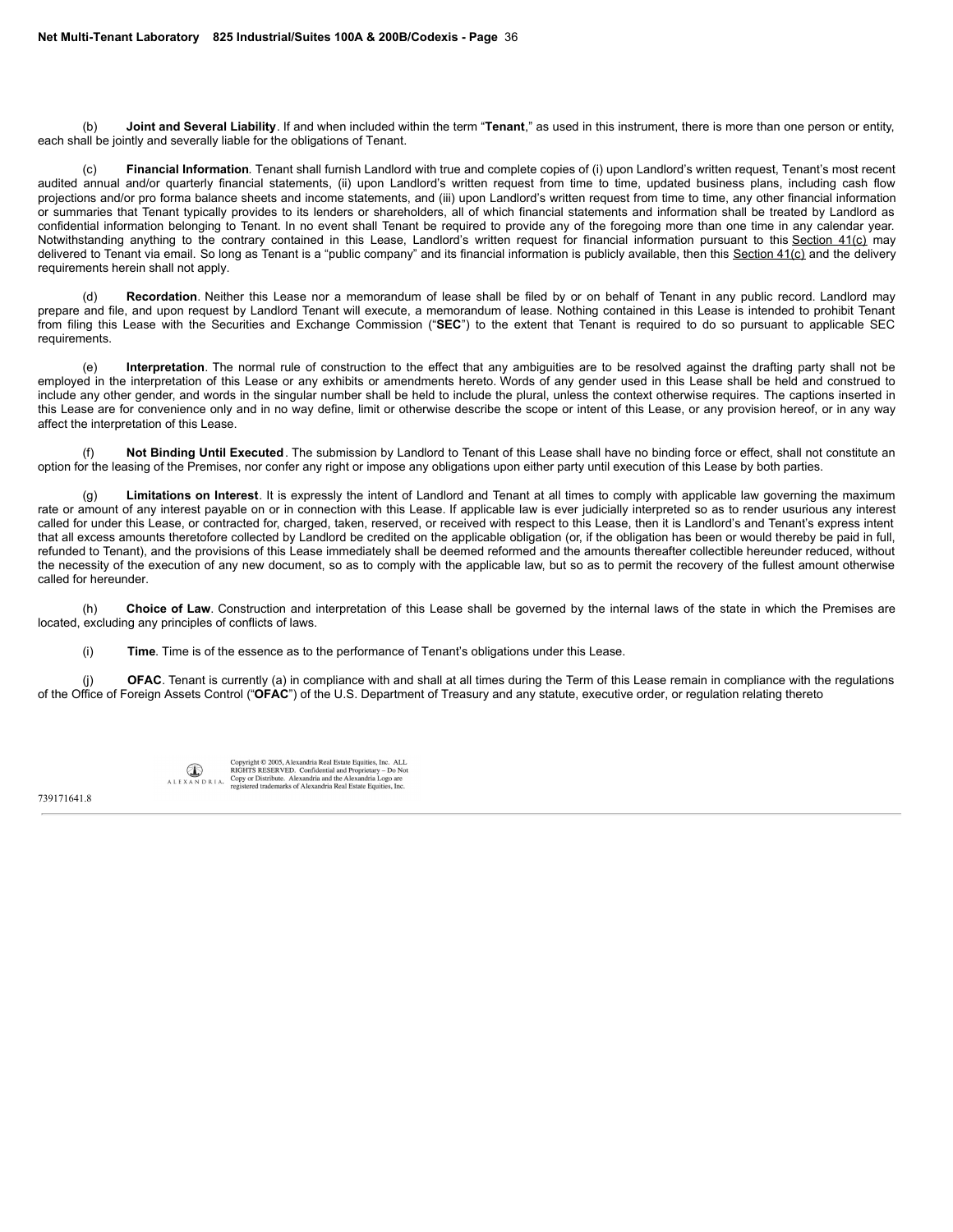(b) **Joint and Several Liability**. If and when included within the term "**Tenant**," as used in this instrument, there is more than one person or entity, each shall be jointly and severally liable for the obligations of Tenant.

(c) **Financial Information***.* Tenant shall furnish Landlord with true and complete copies of (i) upon Landlord's written request, Tenant's most recent audited annual and/or quarterly financial statements, (ii) upon Landlord's written request from time to time, updated business plans, including cash flow projections and/or pro forma balance sheets and income statements, and (iii) upon Landlord's written request from time to time, any other financial information or summaries that Tenant typically provides to its lenders or shareholders, all of which financial statements and information shall be treated by Landlord as confidential information belonging to Tenant. In no event shall Tenant be required to provide any of the foregoing more than one time in any calendar year. Notwithstanding anything to the contrary contained in this Lease, Landlord's written request for financial information pursuant to this Section 41(c) may delivered to Tenant via email. So long as Tenant is a "public company" and its financial information is publicly available, then this Section 41(c) and the delivery requirements herein shall not apply.

(d) **Recordation**. Neither this Lease nor a memorandum of lease shall be filed by or on behalf of Tenant in any public record. Landlord may prepare and file, and upon request by Landlord Tenant will execute, a memorandum of lease. Nothing contained in this Lease is intended to prohibit Tenant from filing this Lease with the Securities and Exchange Commission ("**SEC**") to the extent that Tenant is required to do so pursuant to applicable SEC requirements.

(e) **Interpretation**. The normal rule of construction to the effect that any ambiguities are to be resolved against the drafting party shall not be employed in the interpretation of this Lease or any exhibits or amendments hereto. Words of any gender used in this Lease shall be held and construed to include any other gender, and words in the singular number shall be held to include the plural, unless the context otherwise requires. The captions inserted in this Lease are for convenience only and in no way define, limit or otherwise describe the scope or intent of this Lease, or any provision hereof, or in any way affect the interpretation of this Lease.

(f) **Not Binding Until Executed**. The submission by Landlord to Tenant of this Lease shall have no binding force or effect, shall not constitute an option for the leasing of the Premises, nor confer any right or impose any obligations upon either party until execution of this Lease by both parties.

(g) **Limitations on Interest**. It is expressly the intent of Landlord and Tenant at all times to comply with applicable law governing the maximum rate or amount of any interest payable on or in connection with this Lease. If applicable law is ever judicially interpreted so as to render usurious any interest called for under this Lease, or contracted for, charged, taken, reserved, or received with respect to this Lease, then it is Landlord's and Tenant's express intent that all excess amounts theretofore collected by Landlord be credited on the applicable obligation (or, if the obligation has been or would thereby be paid in full, refunded to Tenant), and the provisions of this Lease immediately shall be deemed reformed and the amounts thereafter collectible hereunder reduced, without the necessity of the execution of any new document, so as to comply with the applicable law, but so as to permit the recovery of the fullest amount otherwise called for hereunder.

(h) **Choice of Law**. Construction and interpretation of this Lease shall be governed by the internal laws of the state in which the Premises are located, excluding any principles of conflicts of laws.

(i) **Time**. Time is of the essence as to the performance of Tenant's obligations under this Lease.

 $\mbox{Copyright} \otimes$  2005, Alexandria Real Estate Equities, Inc. ALL RIGHTS RESERVED. Confidential and Proprietary – Do Not Copy or Distribute. Alexandria and the Alexandria Logo are registered trademarks of Alexandria Real Estate

(j) **OFAC**. Tenant is currently (a) in compliance with and shall at all times during the Term of this Lease remain in compliance with the regulations of the Office of Foreign Assets Control ("**OFAC**") of the U.S. Department of Treasury and any statute, executive order, or regulation relating thereto

ALEXANDRIA.

 $^{\circledR}$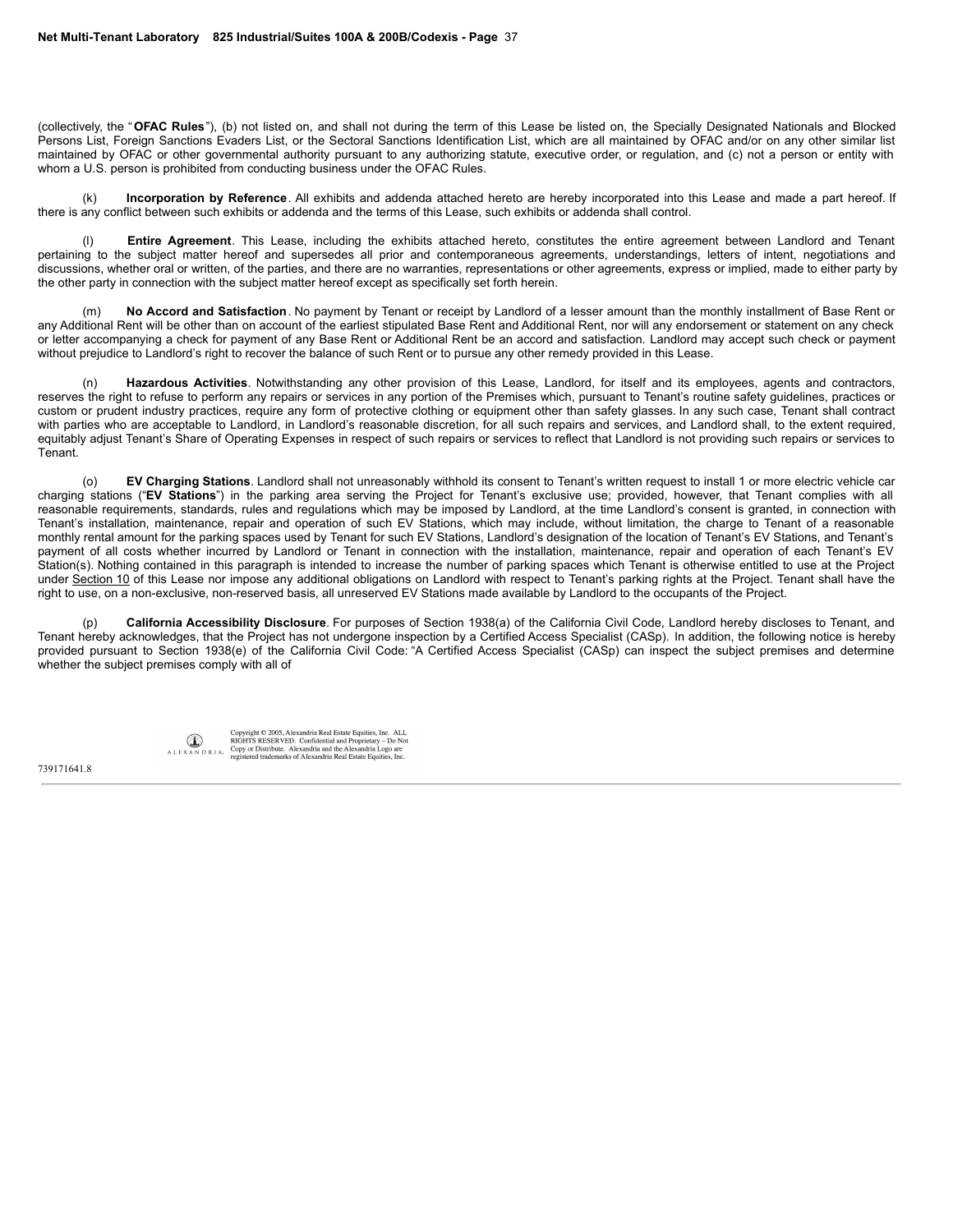(collectively, the "**OFAC Rules**"), (b) not listed on, and shall not during the term of this Lease be listed on, the Specially Designated Nationals and Blocked Persons List, Foreign Sanctions Evaders List, or the Sectoral Sanctions Identification List, which are all maintained by OFAC and/or on any other similar list maintained by OFAC or other governmental authority pursuant to any authorizing statute, executive order, or regulation, and (c) not a person or entity with whom a U.S. person is prohibited from conducting business under the OFAC Rules.

(k) **Incorporation by Reference**. All exhibits and addenda attached hereto are hereby incorporated into this Lease and made a part hereof. If there is any conflict between such exhibits or addenda and the terms of this Lease, such exhibits or addenda shall control.

(l) **Entire Agreement**. This Lease, including the exhibits attached hereto, constitutes the entire agreement between Landlord and Tenant pertaining to the subject matter hereof and supersedes all prior and contemporaneous agreements, understandings, letters of intent, negotiations and discussions, whether oral or written, of the parties, and there are no warranties, representations or other agreements, express or implied, made to either party by the other party in connection with the subject matter hereof except as specifically set forth herein.

(m) **No Accord and Satisfaction**. No payment by Tenant or receipt by Landlord of a lesser amount than the monthly installment of Base Rent or any Additional Rent will be other than on account of the earliest stipulated Base Rent and Additional Rent, nor will any endorsement or statement on any check or letter accompanying a check for payment of any Base Rent or Additional Rent be an accord and satisfaction. Landlord may accept such check or payment without prejudice to Landlord's right to recover the balance of such Rent or to pursue any other remedy provided in this Lease.

(n) **Hazardous Activities**. Notwithstanding any other provision of this Lease, Landlord, for itself and its employees, agents and contractors, reserves the right to refuse to perform any repairs or services in any portion of the Premises which, pursuant to Tenant's routine safety guidelines, practices or custom or prudent industry practices, require any form of protective clothing or equipment other than safety glasses. In any such case, Tenant shall contract with parties who are acceptable to Landlord, in Landlord's reasonable discretion, for all such repairs and services, and Landlord shall, to the extent required, equitably adjust Tenant's Share of Operating Expenses in respect of such repairs or services to reflect that Landlord is not providing such repairs or services to Tenant.

(o) **EV Charging Stations**. Landlord shall not unreasonably withhold its consent to Tenant's written request to install 1 or more electric vehicle car charging stations ("**EV Stations**") in the parking area serving the Project for Tenant's exclusive use; provided, however, that Tenant complies with all reasonable requirements, standards, rules and regulations which may be imposed by Landlord, at the time Landlord's consent is granted, in connection with Tenant's installation, maintenance, repair and operation of such EV Stations, which may include, without limitation, the charge to Tenant of a reasonable monthly rental amount for the parking spaces used by Tenant for such EV Stations, Landlord's designation of the location of Tenant's EV Stations, and Tenant's payment of all costs whether incurred by Landlord or Tenant in connection with the installation, maintenance, repair and operation of each Tenant's EV Station(s). Nothing contained in this paragraph is intended to increase the number of parking spaces which Tenant is otherwise entitled to use at the Project under Section 10 of this Lease nor impose any additional obligations on Landlord with respect to Tenant's parking rights at the Project. Tenant shall have the right to use, on a non-exclusive, non-reserved basis, all unreserved EV Stations made available by Landlord to the occupants of the Project.

(p) **California Accessibility Disclosure**. For purposes of Section 1938(a) of the California Civil Code, Landlord hereby discloses to Tenant, and Tenant hereby acknowledges, that the Project has not undergone inspection by a Certified Access Specialist (CASp). In addition, the following notice is hereby provided pursuant to Section 1938(e) of the California Civil Code: "A Certified Access Specialist (CASp) can inspect the subject premises and determine whether the subject premises comply with all of

Copyright © 2005, Alexandria Real Estate Equities, Inc. ALL<br>RIGHTS RESERVED. Confidential and Proprietary – Do Not<br>Copy or Distribute. Alexandria and the Alexandria Logo are<br>registered trademarks of Alexandria Real Estate  $\bigoplus$  xandria.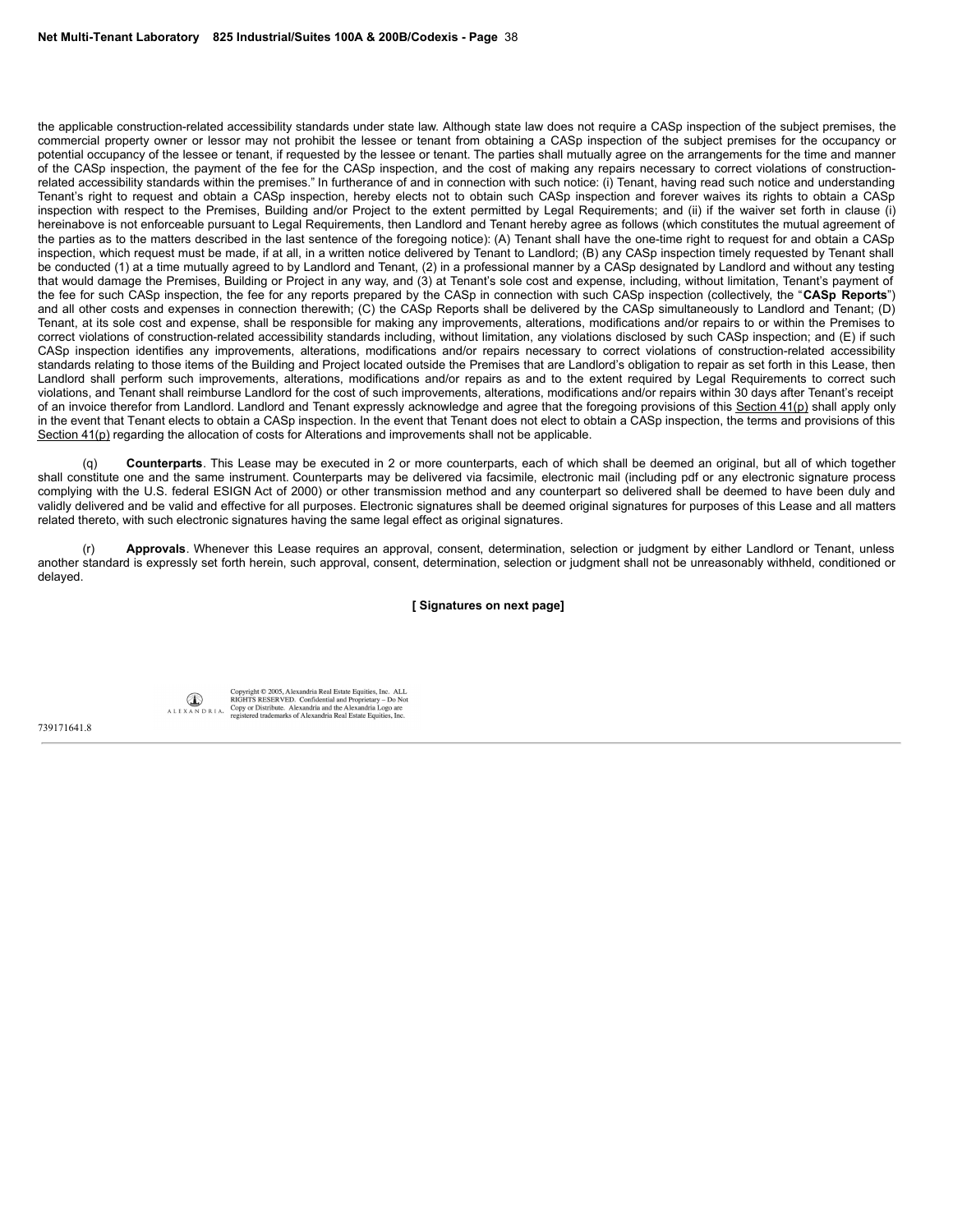the applicable construction-related accessibility standards under state law. Although state law does not require a CASp inspection of the subject premises, the commercial property owner or lessor may not prohibit the lessee or tenant from obtaining a CASp inspection of the subject premises for the occupancy or potential occupancy of the lessee or tenant, if requested by the lessee or tenant. The parties shall mutually agree on the arrangements for the time and manner of the CASp inspection, the payment of the fee for the CASp inspection, and the cost of making any repairs necessary to correct violations of constructionrelated accessibility standards within the premises." In furtherance of and in connection with such notice: (i) Tenant, having read such notice and understanding Tenant's right to request and obtain a CASp inspection, hereby elects not to obtain such CASp inspection and forever waives its rights to obtain a CASp inspection with respect to the Premises, Building and/or Project to the extent permitted by Legal Requirements; and (ii) if the waiver set forth in clause (i) hereinabove is not enforceable pursuant to Legal Requirements, then Landlord and Tenant hereby agree as follows (which constitutes the mutual agreement of the parties as to the matters described in the last sentence of the foregoing notice): (A) Tenant shall have the one-time right to request for and obtain a CASp inspection, which request must be made, if at all, in a written notice delivered by Tenant to Landlord; (B) any CASp inspection timely requested by Tenant shall be conducted (1) at a time mutually agreed to by Landlord and Tenant, (2) in a professional manner by a CASp designated by Landlord and without any testing that would damage the Premises, Building or Project in any way, and (3) at Tenant's sole cost and expense, including, without limitation, Tenant's payment of the fee for such CASp inspection, the fee for any reports prepared by the CASp in connection with such CASp inspection (collectively, the "**CASp Reports**") and all other costs and expenses in connection therewith; (C) the CASp Reports shall be delivered by the CASp simultaneously to Landlord and Tenant; (D) Tenant, at its sole cost and expense, shall be responsible for making any improvements, alterations, modifications and/or repairs to or within the Premises to correct violations of construction-related accessibility standards including, without limitation, any violations disclosed by such CASp inspection; and (E) if such CASp inspection identifies any improvements, alterations, modifications and/or repairs necessary to correct violations of construction-related accessibility standards relating to those items of the Building and Project located outside the Premises that are Landlord's obligation to repair as set forth in this Lease, then Landlord shall perform such improvements, alterations, modifications and/or repairs as and to the extent required by Legal Requirements to correct such violations, and Tenant shall reimburse Landlord for the cost of such improvements, alterations, modifications and/or repairs within 30 days after Tenant's receipt of an invoice therefor from Landlord. Landlord and Tenant expressly acknowledge and agree that the foregoing provisions of this Section 41(p) shall apply only in the event that Tenant elects to obtain a CASp inspection. In the event that Tenant does not elect to obtain a CASp inspection, the terms and provisions of this Section 41(p) regarding the allocation of costs for Alterations and improvements shall not be applicable.

(q) **Counterparts**. This Lease may be executed in 2 or more counterparts, each of which shall be deemed an original, but all of which together shall constitute one and the same instrument. Counterparts may be delivered via facsimile, electronic mail (including pdf or any electronic signature process complying with the U.S. federal ESIGN Act of 2000) or other transmission method and any counterpart so delivered shall be deemed to have been duly and validly delivered and be valid and effective for all purposes. Electronic signatures shall be deemed original signatures for purposes of this Lease and all matters related thereto, with such electronic signatures having the same legal effect as original signatures.

Approvals. Whenever this Lease requires an approval, consent, determination, selection or judgment by either Landlord or Tenant, unless another standard is expressly set forth herein, such approval, consent, determination, selection or judgment shall not be unreasonably withheld, conditioned or delayed.

### **[ Signatures on next page]**

739171641.8

 $\label{eq:Corp} \begin{minipage}{0.9\textwidth} Copyright @ 2005, Alexanderia Real State Equities, Inc. ALL RIGHTS RESERVED. Conditional and Property-Do Not Copy or Distribute. Alexander and the Alexander Logator of registered trademarks of Alexandria Real Estate Equities, Inc. \end{minipage}$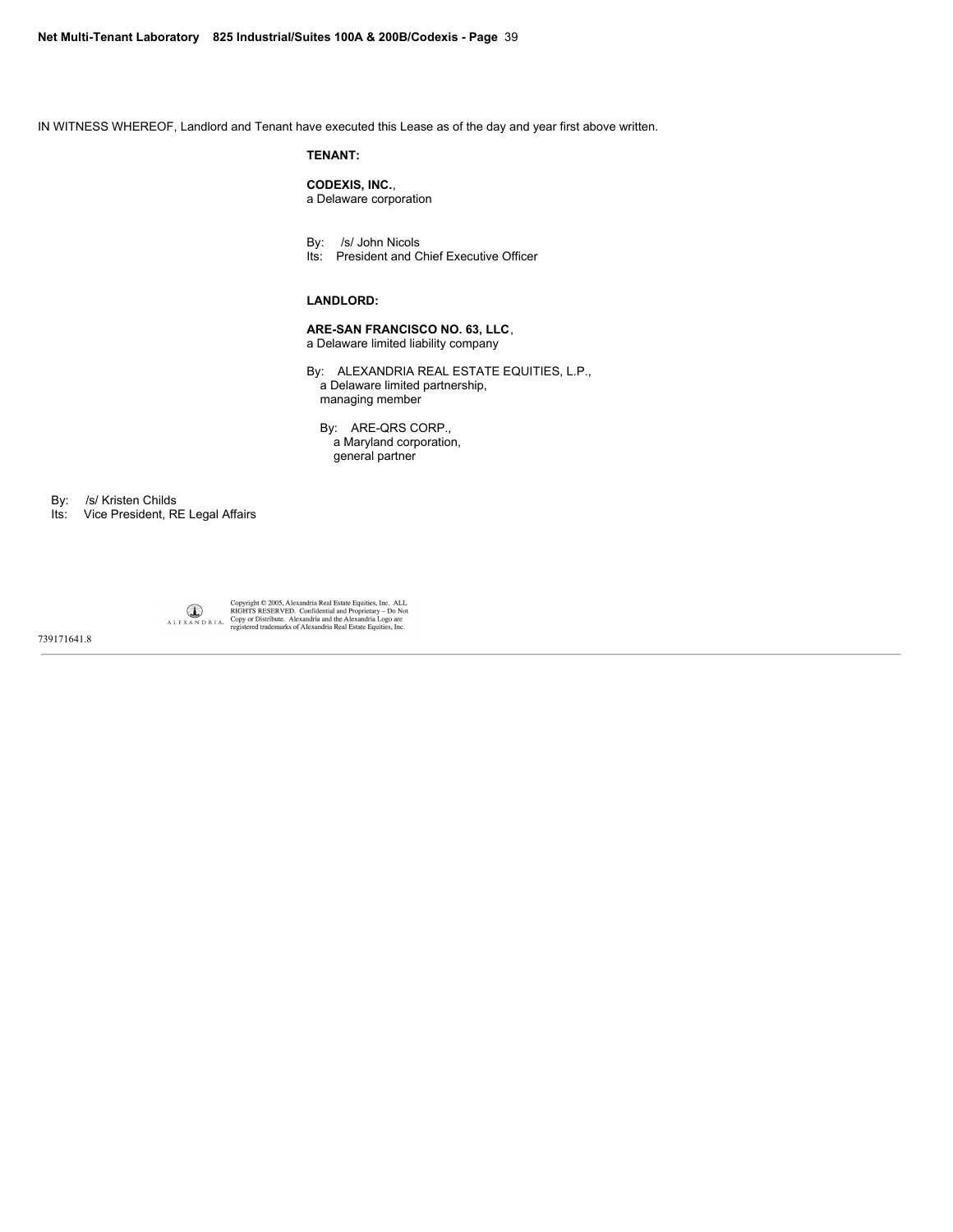IN WITNESS WHEREOF, Landlord and Tenant have executed this Lease as of the day and year first above written.

### **TENANT:**

**CODEXIS, INC.**, a Delaware corporation

By: /s/ John Nicols Its: President and Chief Executive Officer

### **LANDLORD:**

### **ARE-SAN FRANCISCO NO. 63, LLC**, a Delaware limited liability company

- By: ALEXANDRIA REAL ESTATE EQUITIES, L.P., a Delaware limited partnership, managing member
	- By: ARE-QRS CORP., a Maryland corporation, general partner

By: /s/ Kristen Childs<br>Its: Vice President, R

Vice President, RE Legal Affairs

 $\bigotimes \text{Copyright} @ 2005, {\sf Alexandria Real Existive Equities, Inc. ALL RCHITS RESIRVED. \textbf{Conficential and Proplicity-D. On Not } \text{Copyright} @ \textit{Copyright} @ \textit{Alexindria} \textit{Log} \textit{are} \textit{Alexindria} \textit{Log} \textit{are} \textit{Equities, Inc.}$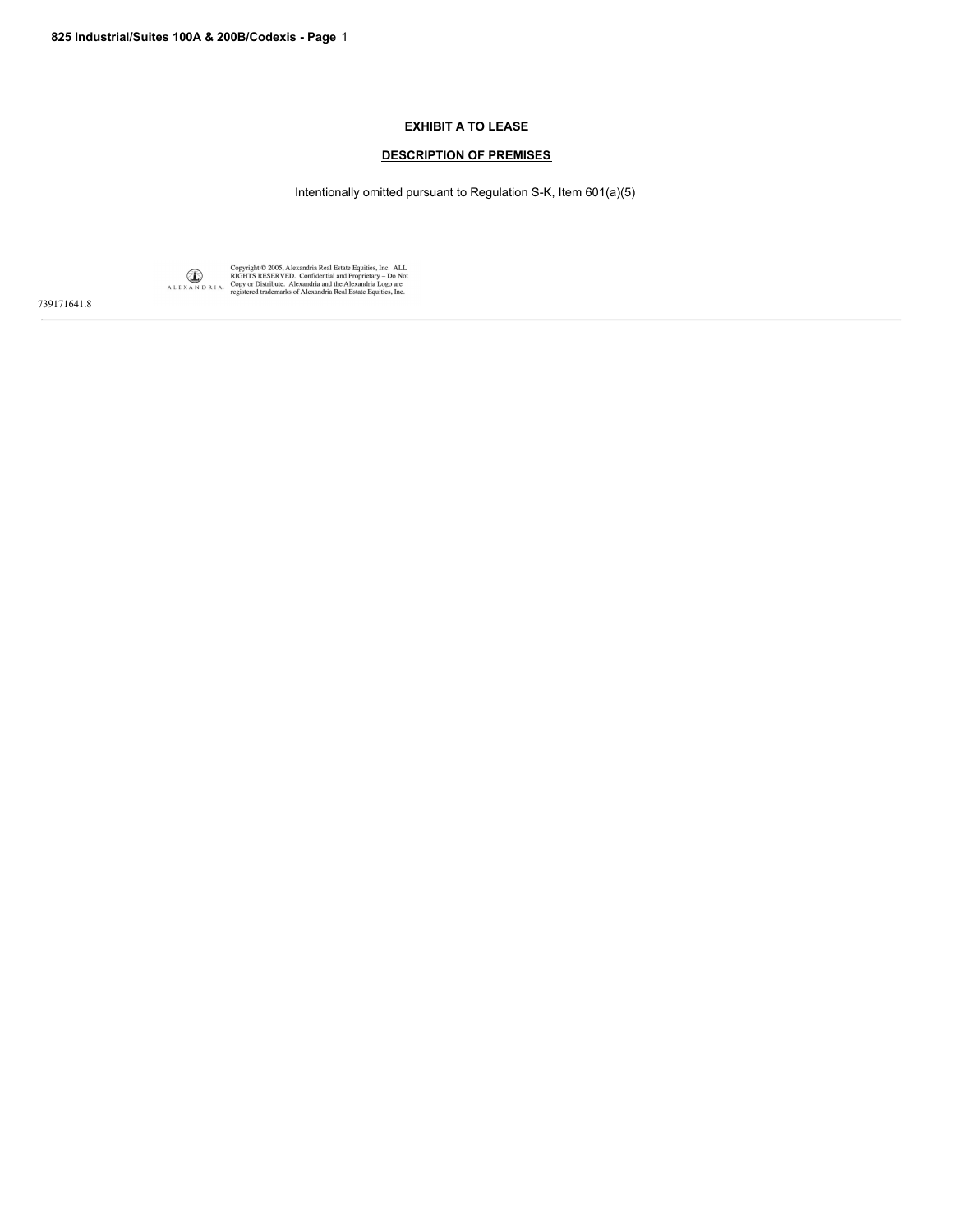# **EXHIBIT A TO LEASE**

### **DESCRIPTION OF PREMISES**

Intentionally omitted pursuant to Regulation S-K, Item 601(a)(5)

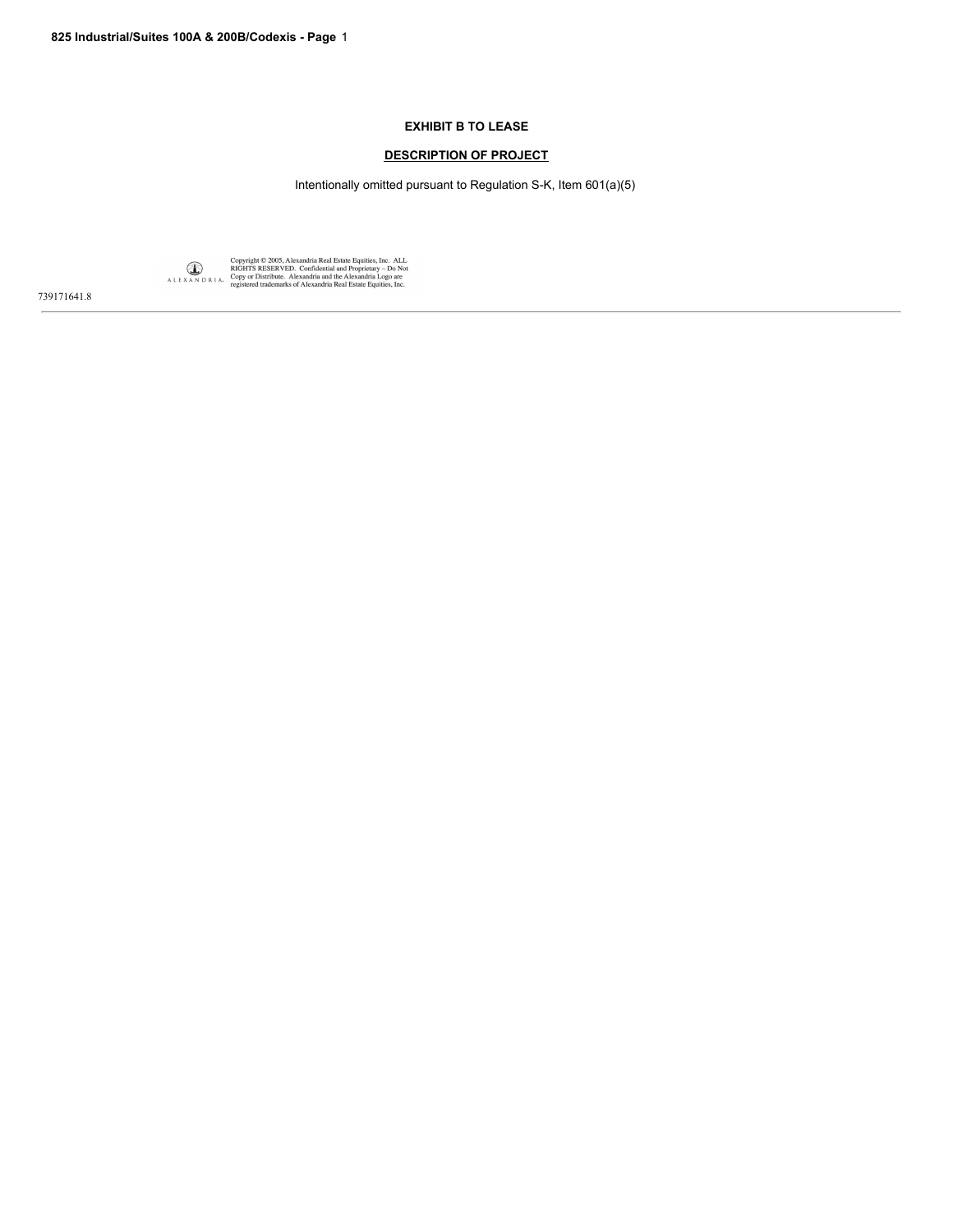# **EXHIBIT B TO LEASE**

# **DESCRIPTION OF PROJECT**

Intentionally omitted pursuant to Regulation S-K, Item 601(a)(5)

 $\bigotimes \text{Copyright} @ 2005, \text{Alexanderal State Equities, Inc. ALL} \\ \text{RCHHTS RESRYEDD. Configuration and Propertary- Do Not} \\ \text{Copyright} @ \text{Copyright} \\ \text{A L E X AND R1 A.} \\ \text{Copy or District} \\ \text{Abstract} \\ \text{Advanced trademarks of Alexandria Real State Equities, Inc.} \end{array}$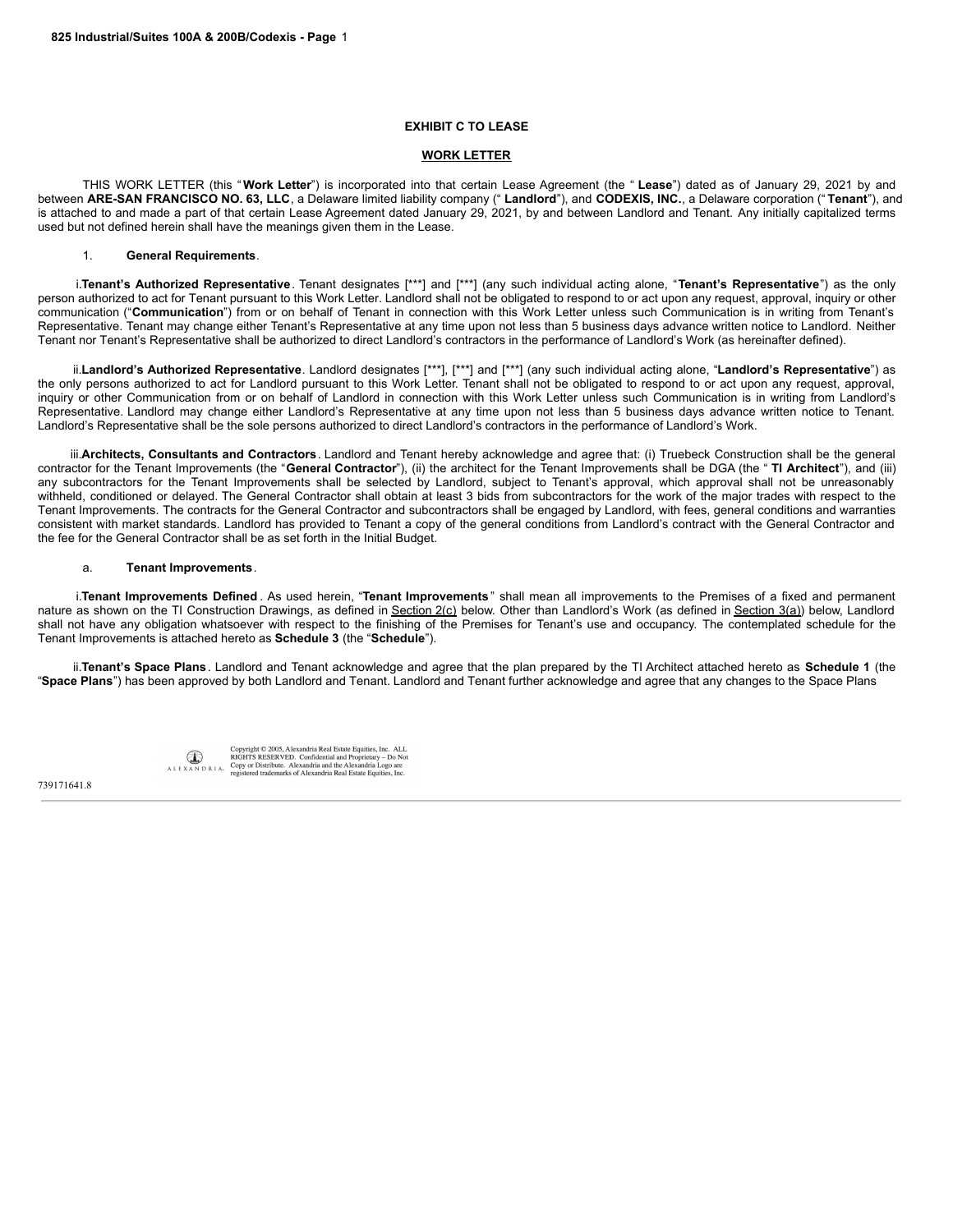### **EXHIBIT C TO LEASE**

### **WORK LETTER**

THIS WORK LETTER (this "**Work Letter**") is incorporated into that certain Lease Agreement (the " **Lease**") dated as of January 29, 2021 by and between **ARE-SAN FRANCISCO NO. 63, LLC**, a Delaware limited liability company (" **Landlord**"), and **CODEXIS, INC.**, a Delaware corporation (" **Tenant**"), and is attached to and made a part of that certain Lease Agreement dated January 29, 2021, by and between Landlord and Tenant. Any initially capitalized terms used but not defined herein shall have the meanings given them in the Lease.

#### 1. **General Requirements**.

i.**Tenant's Authorized Representative**. Tenant designates [\*\*\*] and [\*\*\*] (any such individual acting alone, "**Tenant's Representative**") as the only person authorized to act for Tenant pursuant to this Work Letter. Landlord shall not be obligated to respond to or act upon any request, approval, inquiry or other communication ("**Communication**") from or on behalf of Tenant in connection with this Work Letter unless such Communication is in writing from Tenant's Representative. Tenant may change either Tenant's Representative at any time upon not less than 5 business days advance written notice to Landlord. Neither Tenant nor Tenant's Representative shall be authorized to direct Landlord's contractors in the performance of Landlord's Work (as hereinafter defined).

ii.**Landlord's Authorized Representative**. Landlord designates [\*\*\*], [\*\*\*] and [\*\*\*] (any such individual acting alone, "**Landlord's Representative**") as the only persons authorized to act for Landlord pursuant to this Work Letter. Tenant shall not be obligated to respond to or act upon any request, approval, inquiry or other Communication from or on behalf of Landlord in connection with this Work Letter unless such Communication is in writing from Landlord's Representative. Landlord may change either Landlord's Representative at any time upon not less than 5 business days advance written notice to Tenant. Landlord's Representative shall be the sole persons authorized to direct Landlord's contractors in the performance of Landlord's Work.

iii.**Architects, Consultants and Contractors**. Landlord and Tenant hereby acknowledge and agree that: (i) Truebeck Construction shall be the general contractor for the Tenant Improvements (the "**General Contractor**"), (ii) the architect for the Tenant Improvements shall be DGA (the " **TI Architect**"), and (iii) any subcontractors for the Tenant Improvements shall be selected by Landlord, subject to Tenant's approval, which approval shall not be unreasonably withheld, conditioned or delayed. The General Contractor shall obtain at least 3 bids from subcontractors for the work of the major trades with respect to the Tenant Improvements. The contracts for the General Contractor and subcontractors shall be engaged by Landlord, with fees, general conditions and warranties consistent with market standards. Landlord has provided to Tenant a copy of the general conditions from Landlord's contract with the General Contractor and the fee for the General Contractor shall be as set forth in the Initial Budget.

### a. **Tenant Improvements**.

CI.

i.**Tenant Improvements Defined** . As used herein, "**Tenant Improvements** " shall mean all improvements to the Premises of a fixed and permanent nature as shown on the TI Construction Drawings, as defined in Section 2(c) below. Other than Landlord's Work (as defined in Section 3(a)) below, Landlord shall not have any obligation whatsoever with respect to the finishing of the Premises for Tenant's use and occupancy. The contemplated schedule for the Tenant Improvements is attached hereto as **Schedule 3** (the "**Schedule**").

ii.**Tenant's Space Plans**. Landlord and Tenant acknowledge and agree that the plan prepared by the TI Architect attached hereto as **Schedule 1** (the "**Space Plans**") has been approved by both Landlord and Tenant. Landlord and Tenant further acknowledge and agree that any changes to the Space Plans

 $\begin{array}{l} \mbox{Copyright} \textcircled{2005}, \mbox{Alexanderal Estate Equities, Inc. ALL}\\ \mbox{RIGHTS RESEWVED.} \textup{Confidental and Propreitary -- Do Not} \\ \mbox{Copy or Distribute. Alexander and the Alexanderia Logo or  
registered trademarks of Alexandria Real Estate Equities, Inc. \end{array}$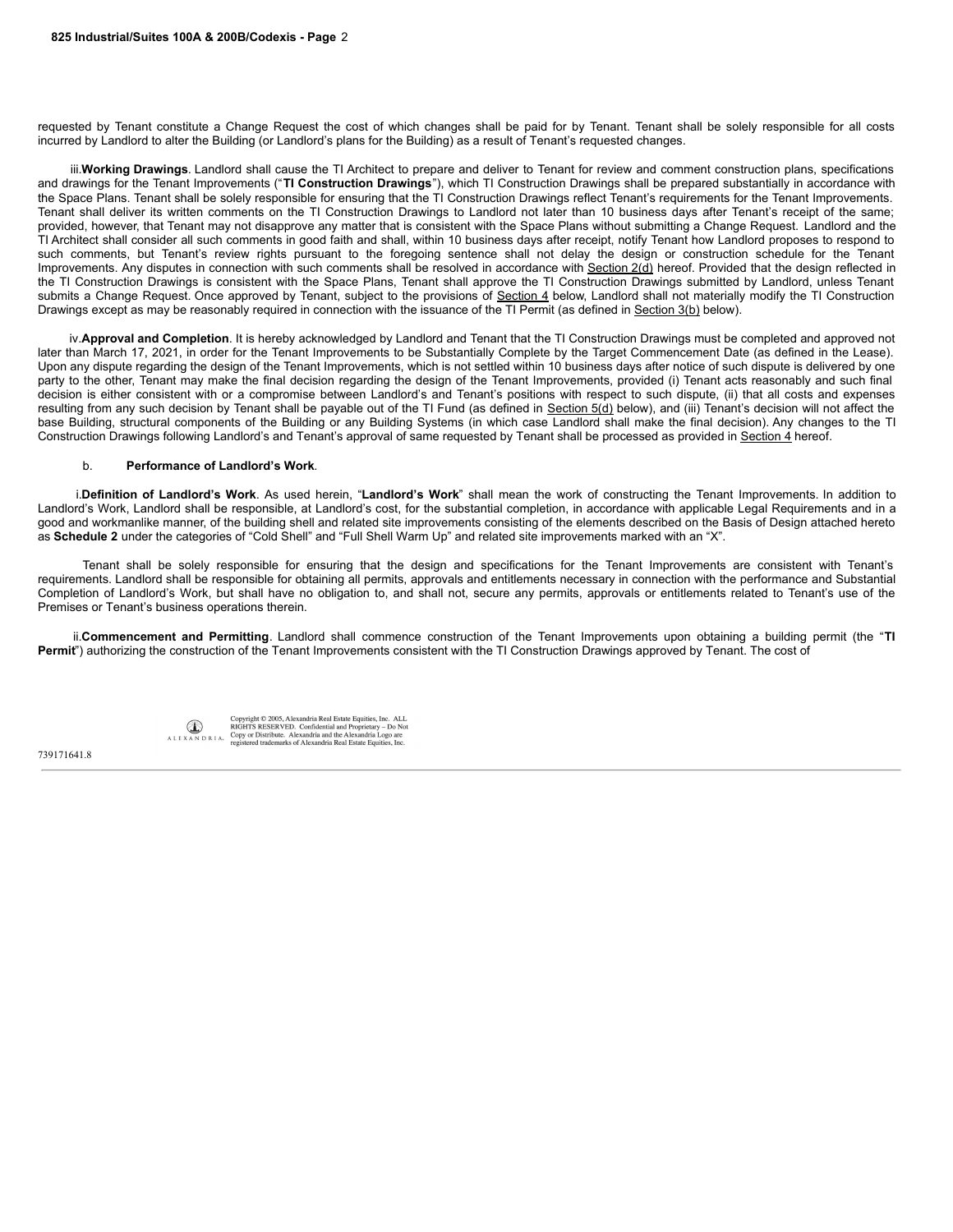requested by Tenant constitute a Change Request the cost of which changes shall be paid for by Tenant. Tenant shall be solely responsible for all costs incurred by Landlord to alter the Building (or Landlord's plans for the Building) as a result of Tenant's requested changes.

iii.**Working Drawings**. Landlord shall cause the TI Architect to prepare and deliver to Tenant for review and comment construction plans, specifications and drawings for the Tenant Improvements ("**TI Construction Drawings**"), which TI Construction Drawings shall be prepared substantially in accordance with the Space Plans. Tenant shall be solely responsible for ensuring that the TI Construction Drawings reflect Tenant's requirements for the Tenant Improvements. Tenant shall deliver its written comments on the TI Construction Drawings to Landlord not later than 10 business days after Tenant's receipt of the same; provided, however, that Tenant may not disapprove any matter that is consistent with the Space Plans without submitting a Change Request. Landlord and the TI Architect shall consider all such comments in good faith and shall, within 10 business days after receipt, notify Tenant how Landlord proposes to respond to such comments, but Tenant's review rights pursuant to the foregoing sentence shall not delay the design or construction schedule for the Tenant Improvements. Any disputes in connection with such comments shall be resolved in accordance with Section 2(d) hereof. Provided that the design reflected in the TI Construction Drawings is consistent with the Space Plans, Tenant shall approve the TI Construction Drawings submitted by Landlord, unless Tenant submits a Change Request. Once approved by Tenant, subject to the provisions of Section 4 below, Landlord shall not materially modify the TI Construction Drawings except as may be reasonably required in connection with the issuance of the TI Permit (as defined in Section 3(b) below).

iv.**Approval and Completion**. It is hereby acknowledged by Landlord and Tenant that the TI Construction Drawings must be completed and approved not later than March 17, 2021, in order for the Tenant Improvements to be Substantially Complete by the Target Commencement Date (as defined in the Lease). Upon any dispute regarding the design of the Tenant Improvements, which is not settled within 10 business days after notice of such dispute is delivered by one party to the other, Tenant may make the final decision regarding the design of the Tenant Improvements, provided (i) Tenant acts reasonably and such final decision is either consistent with or a compromise between Landlord's and Tenant's positions with respect to such dispute, (ii) that all costs and expenses resulting from any such decision by Tenant shall be payable out of the TI Fund (as defined in Section 5(d) below), and (iii) Tenant's decision will not affect the base Building, structural components of the Building or any Building Systems (in which case Landlord shall make the final decision). Any changes to the TI Construction Drawings following Landlord's and Tenant's approval of same requested by Tenant shall be processed as provided in Section 4 hereof.

#### b. **Performance of Landlord's Work**.

i.**Definition of Landlord's Work**. As used herein, "**Landlord's Work**" shall mean the work of constructing the Tenant Improvements. In addition to Landlord's Work, Landlord shall be responsible, at Landlord's cost, for the substantial completion, in accordance with applicable Legal Requirements and in a good and workmanlike manner, of the building shell and related site improvements consisting of the elements described on the Basis of Design attached hereto as **Schedule 2** under the categories of "Cold Shell" and "Full Shell Warm Up" and related site improvements marked with an "X".

Tenant shall be solely responsible for ensuring that the design and specifications for the Tenant Improvements are consistent with Tenant's requirements. Landlord shall be responsible for obtaining all permits, approvals and entitlements necessary in connection with the performance and Substantial Completion of Landlord's Work, but shall have no obligation to, and shall not, secure any permits, approvals or entitlements related to Tenant's use of the Premises or Tenant's business operations therein.

ii.**Commencement and Permitting**. Landlord shall commence construction of the Tenant Improvements upon obtaining a building permit (the "**TI Permit**") authorizing the construction of the Tenant Improvements consistent with the TI Construction Drawings approved by Tenant. The cost of

| ☎<br>ALEXANDRIA. | Copyright © 2005, Alexandria Real Estate Equities, Inc. ALL<br>RIGHTS RESERVED. Confidential and Proprietary - Do Not<br>Copy or Distribute. Alexandria and the Alexandria Logo are |
|------------------|-------------------------------------------------------------------------------------------------------------------------------------------------------------------------------------|
|                  | registered trademarks of Alexandria Real Estate Equities, Inc.                                                                                                                      |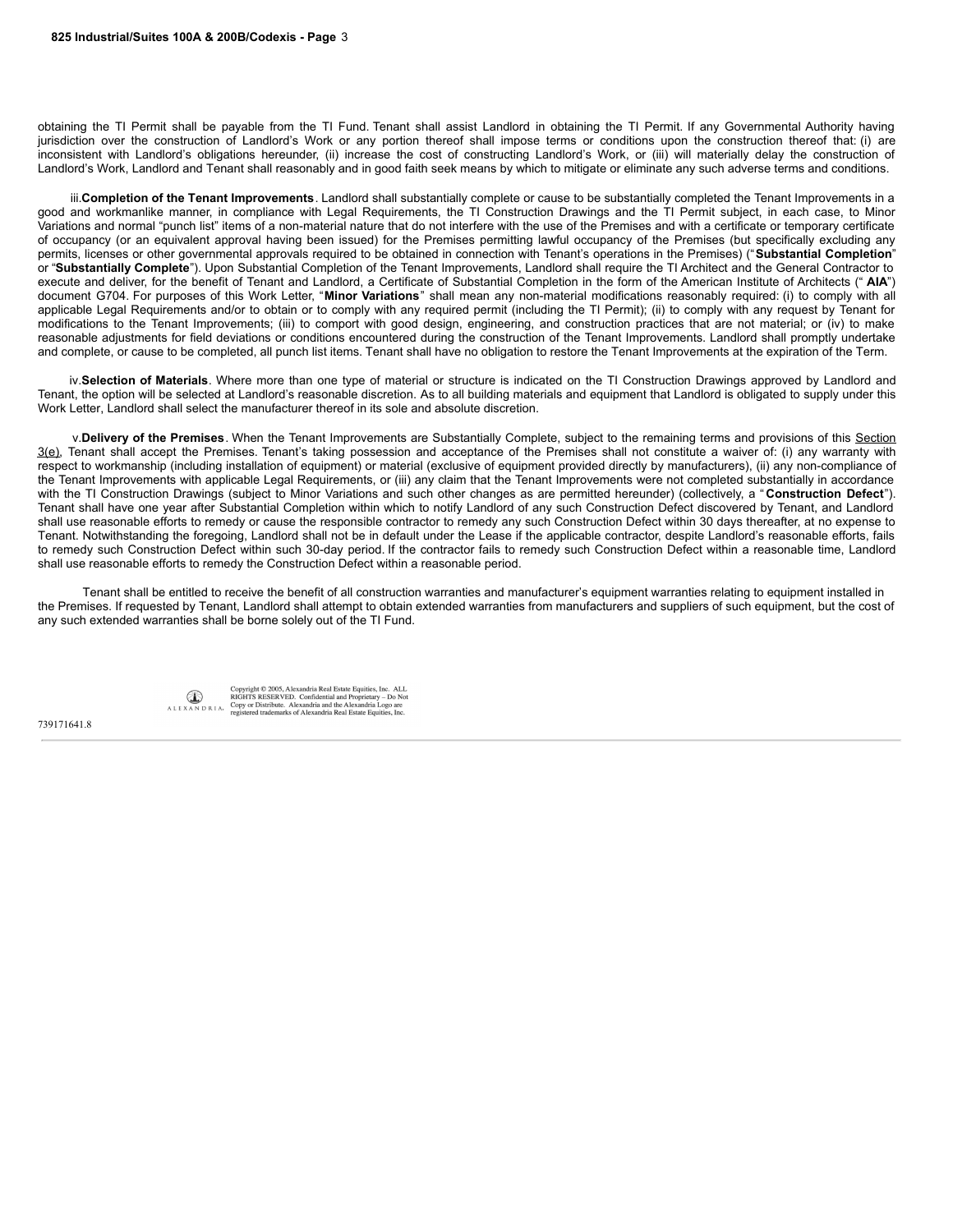obtaining the TI Permit shall be payable from the TI Fund. Tenant shall assist Landlord in obtaining the TI Permit. If any Governmental Authority having jurisdiction over the construction of Landlord's Work or any portion thereof shall impose terms or conditions upon the construction thereof that: (i) are inconsistent with Landlord's obligations hereunder, (ii) increase the cost of constructing Landlord's Work, or (iii) will materially delay the construction of Landlord's Work, Landlord and Tenant shall reasonably and in good faith seek means by which to mitigate or eliminate any such adverse terms and conditions.

iii.**Completion of the Tenant Improvements**. Landlord shall substantially complete or cause to be substantially completed the Tenant Improvements in a good and workmanlike manner, in compliance with Legal Requirements, the TI Construction Drawings and the TI Permit subject, in each case, to Minor Variations and normal "punch list" items of a non-material nature that do not interfere with the use of the Premises and with a certificate or temporary certificate of occupancy (or an equivalent approval having been issued) for the Premises permitting lawful occupancy of the Premises (but specifically excluding any permits, licenses or other governmental approvals required to be obtained in connection with Tenant's operations in the Premises) ("**Substantial Completion**" or "**Substantially Complete**"). Upon Substantial Completion of the Tenant Improvements, Landlord shall require the TI Architect and the General Contractor to execute and deliver, for the benefit of Tenant and Landlord, a Certificate of Substantial Completion in the form of the American Institute of Architects (" **AIA**") document G704. For purposes of this Work Letter, "**Minor Variations**" shall mean any non-material modifications reasonably required: (i) to comply with all applicable Legal Requirements and/or to obtain or to comply with any required permit (including the TI Permit); (ii) to comply with any request by Tenant for modifications to the Tenant Improvements; (iii) to comport with good design, engineering, and construction practices that are not material; or (iv) to make reasonable adjustments for field deviations or conditions encountered during the construction of the Tenant Improvements. Landlord shall promptly undertake and complete, or cause to be completed, all punch list items. Tenant shall have no obligation to restore the Tenant Improvements at the expiration of the Term.

iv.**Selection of Materials**. Where more than one type of material or structure is indicated on the TI Construction Drawings approved by Landlord and Tenant, the option will be selected at Landlord's reasonable discretion. As to all building materials and equipment that Landlord is obligated to supply under this Work Letter, Landlord shall select the manufacturer thereof in its sole and absolute discretion.

v.**Delivery of the Premises**. When the Tenant Improvements are Substantially Complete, subject to the remaining terms and provisions of this Section 3(e), Tenant shall accept the Premises. Tenant's taking possession and acceptance of the Premises shall not constitute a waiver of: (i) any warranty with respect to workmanship (including installation of equipment) or material (exclusive of equipment provided directly by manufacturers), (ii) any non-compliance of the Tenant Improvements with applicable Legal Requirements, or (iii) any claim that the Tenant Improvements were not completed substantially in accordance with the TI Construction Drawings (subject to Minor Variations and such other changes as are permitted hereunder) (collectively, a " **Construction Defect**"). Tenant shall have one year after Substantial Completion within which to notify Landlord of any such Construction Defect discovered by Tenant, and Landlord shall use reasonable efforts to remedy or cause the responsible contractor to remedy any such Construction Defect within 30 days thereafter, at no expense to Tenant. Notwithstanding the foregoing, Landlord shall not be in default under the Lease if the applicable contractor, despite Landlord's reasonable efforts, fails to remedy such Construction Defect within such 30-day period. If the contractor fails to remedy such Construction Defect within a reasonable time, Landlord shall use reasonable efforts to remedy the Construction Defect within a reasonable period.

Tenant shall be entitled to receive the benefit of all construction warranties and manufacturer's equipment warranties relating to equipment installed in the Premises. If requested by Tenant, Landlord shall attempt to obtain extended warranties from manufacturers and suppliers of such equipment, but the cost of any such extended warranties shall be borne solely out of the TI Fund.

> $\circledcirc$ ALEXANDRIA.

Copyright © 2005, Alexandria Real Estate Equities, Inc. ALL RIGHTS RESERVED. Confidential and Pr rietary  $-$  Do Not RIGHTS RESERVED. Confidential and Proprietary – Do No<br>Copy or Distribute. Alexandria and the Alexandria Logo are<br>registered trademarks of Alexandria Real Estate Equities, Inc.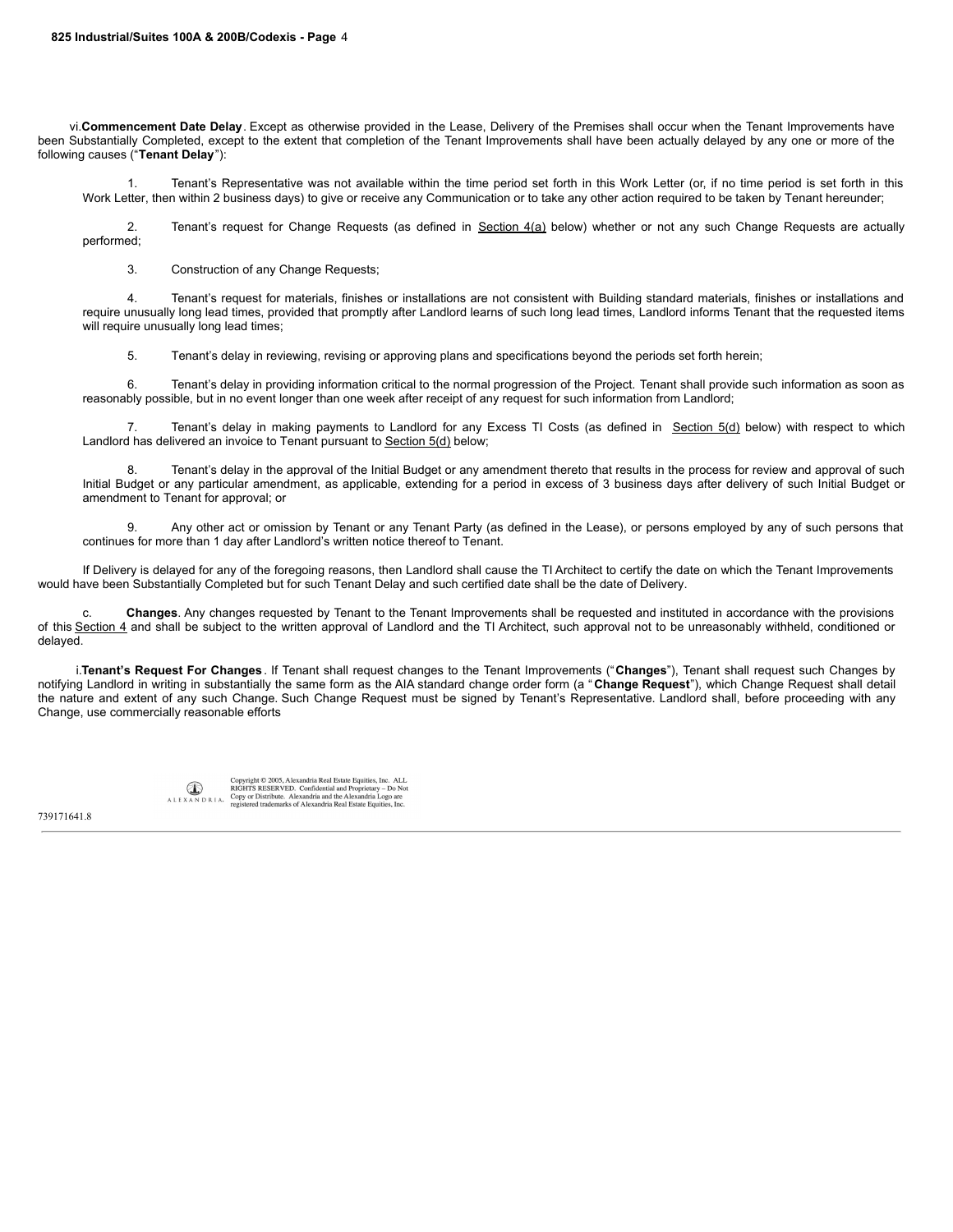vi.**Commencement Date Delay**. Except as otherwise provided in the Lease, Delivery of the Premises shall occur when the Tenant Improvements have been Substantially Completed, except to the extent that completion of the Tenant Improvements shall have been actually delayed by any one or more of the following causes ("**Tenant Delay**"):

1. Tenant's Representative was not available within the time period set forth in this Work Letter (or, if no time period is set forth in this Work Letter, then within 2 business days) to give or receive any Communication or to take any other action required to be taken by Tenant hereunder;

2. Tenant's request for Change Requests (as defined in Section 4(a) below) whether or not any such Change Requests are actually performed;

3. Construction of any Change Requests;

4. Tenant's request for materials, finishes or installations are not consistent with Building standard materials, finishes or installations and require unusually long lead times, provided that promptly after Landlord learns of such long lead times, Landlord informs Tenant that the requested items will require unusually long lead times;

5. Tenant's delay in reviewing, revising or approving plans and specifications beyond the periods set forth herein;

6. Tenant's delay in providing information critical to the normal progression of the Project. Tenant shall provide such information as soon as reasonably possible, but in no event longer than one week after receipt of any request for such information from Landlord;

7. Tenant's delay in making payments to Landlord for any Excess TI Costs (as defined in Section 5(d) below) with respect to which Landlord has delivered an invoice to Tenant pursuant to Section 5(d) below;

8. Tenant's delay in the approval of the Initial Budget or any amendment thereto that results in the process for review and approval of such Initial Budget or any particular amendment, as applicable, extending for a period in excess of 3 business days after delivery of such Initial Budget or amendment to Tenant for approval; or

9. Any other act or omission by Tenant or any Tenant Party (as defined in the Lease), or persons employed by any of such persons that continues for more than 1 day after Landlord's written notice thereof to Tenant.

If Delivery is delayed for any of the foregoing reasons, then Landlord shall cause the TI Architect to certify the date on which the Tenant Improvements would have been Substantially Completed but for such Tenant Delay and such certified date shall be the date of Delivery.

c. **Changes**. Any changes requested by Tenant to the Tenant Improvements shall be requested and instituted in accordance with the provisions of this Section 4 and shall be subject to the written approval of Landlord and the TI Architect, such approval not to be unreasonably withheld, conditioned or delayed.

i.**Tenant's Request For Changes** . If Tenant shall request changes to the Tenant Improvements ("**Changes**"), Tenant shall request such Changes by notifying Landlord in writing in substantially the same form as the AIA standard change order form (a " **Change Request**"), which Change Request shall detail the nature and extent of any such Change. Such Change Request must be signed by Tenant's Representative. Landlord shall, before proceeding with any Change, use commercially reasonable efforts

 $^{\circledR}$ 

Copyright © 2005, Alexandria Real Estate Equities, Inc. ALL RIGHTS RESERVED. Confidential and Proprietary – Do Not Copy or Distribute. Alexandria dat the Alexandria Logo are registered trademarks of Alexandria Real Estate ANDRIA.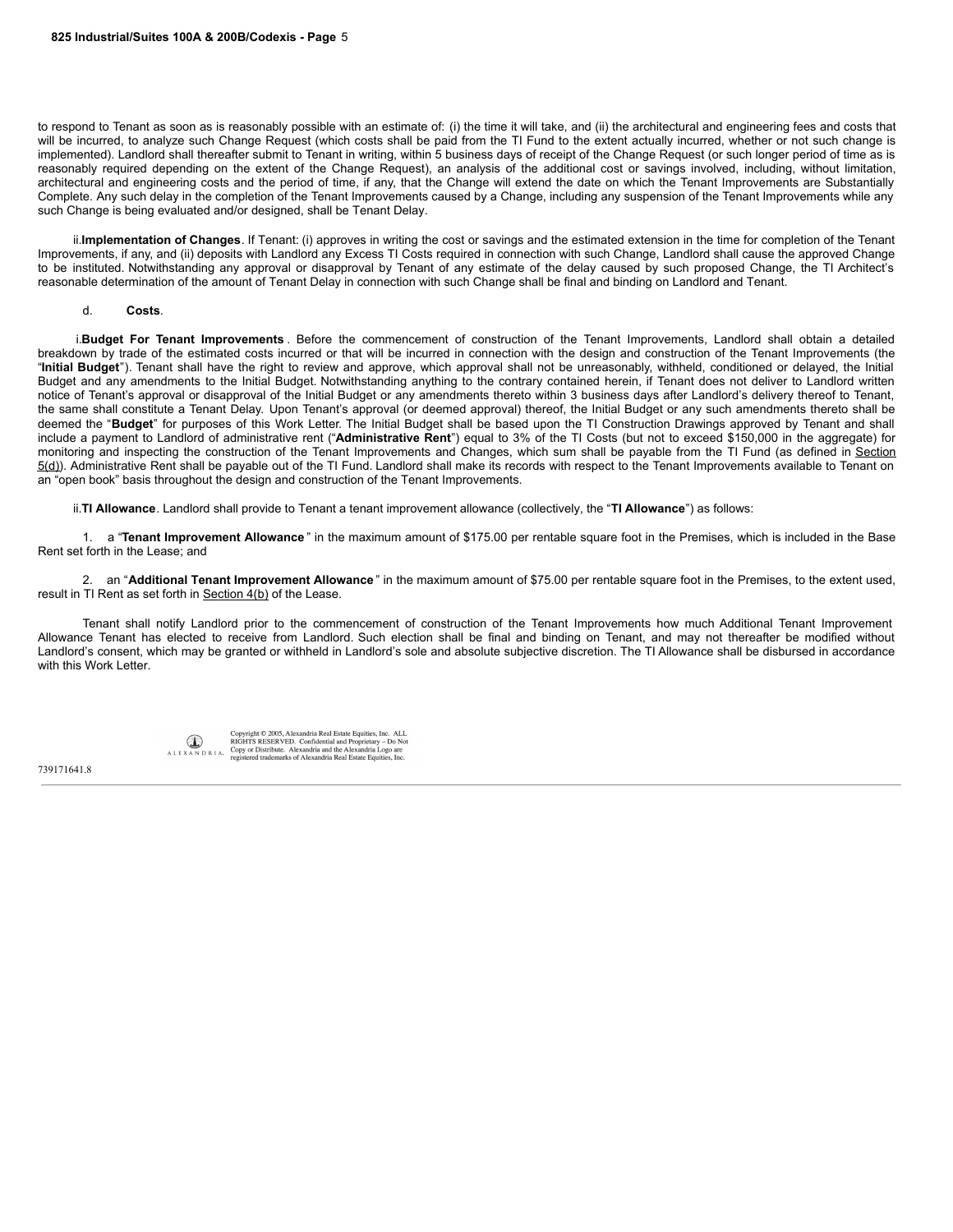to respond to Tenant as soon as is reasonably possible with an estimate of: (i) the time it will take, and (ii) the architectural and engineering fees and costs that will be incurred, to analyze such Change Request (which costs shall be paid from the TI Fund to the extent actually incurred, whether or not such change is implemented). Landlord shall thereafter submit to Tenant in writing, within 5 business days of receipt of the Change Request (or such longer period of time as is reasonably required depending on the extent of the Change Request), an analysis of the additional cost or savings involved, including, without limitation, architectural and engineering costs and the period of time, if any, that the Change will extend the date on which the Tenant Improvements are Substantially Complete. Any such delay in the completion of the Tenant Improvements caused by a Change, including any suspension of the Tenant Improvements while any such Change is being evaluated and/or designed, shall be Tenant Delay.

ii.**Implementation of Changes**. If Tenant: (i) approves in writing the cost or savings and the estimated extension in the time for completion of the Tenant Improvements, if any, and (ii) deposits with Landlord any Excess TI Costs required in connection with such Change, Landlord shall cause the approved Change to be instituted. Notwithstanding any approval or disapproval by Tenant of any estimate of the delay caused by such proposed Change, the TI Architect's reasonable determination of the amount of Tenant Delay in connection with such Change shall be final and binding on Landlord and Tenant.

d. **Costs**.

i.**Budget For Tenant Improvements** . Before the commencement of construction of the Tenant Improvements, Landlord shall obtain a detailed breakdown by trade of the estimated costs incurred or that will be incurred in connection with the design and construction of the Tenant Improvements (the "**Initial Budget**"). Tenant shall have the right to review and approve, which approval shall not be unreasonably, withheld, conditioned or delayed, the Initial Budget and any amendments to the Initial Budget. Notwithstanding anything to the contrary contained herein, if Tenant does not deliver to Landlord written notice of Tenant's approval or disapproval of the Initial Budget or any amendments thereto within 3 business days after Landlord's delivery thereof to Tenant, the same shall constitute a Tenant Delay. Upon Tenant's approval (or deemed approval) thereof, the Initial Budget or any such amendments thereto shall be deemed the "**Budget**" for purposes of this Work Letter. The Initial Budget shall be based upon the TI Construction Drawings approved by Tenant and shall include a payment to Landlord of administrative rent ("**Administrative Rent**") equal to 3% of the TI Costs (but not to exceed \$150,000 in the aggregate) for monitoring and inspecting the construction of the Tenant Improvements and Changes, which sum shall be payable from the TI Fund (as defined in Section  $5(d)$ ). Administrative Rent shall be payable out of the TI Fund. Landlord shall make its records with respect to the Tenant Improvements available to Tenant on an "open book" basis throughout the design and construction of the Tenant Improvements.

ii.**TI Allowance**. Landlord shall provide to Tenant a tenant improvement allowance (collectively, the "**TI Allowance**") as follows:

1. a "**Tenant Improvement Allowance** " in the maximum amount of \$175.00 per rentable square foot in the Premises, which is included in the Base Rent set forth in the Lease; and

2. an "**Additional Tenant Improvement Allowance** " in the maximum amount of \$75.00 per rentable square foot in the Premises, to the extent used, result in TI Rent as set forth in Section 4(b) of the Lease.

Tenant shall notify Landlord prior to the commencement of construction of the Tenant Improvements how much Additional Tenant Improvement Allowance Tenant has elected to receive from Landlord. Such election shall be final and binding on Tenant, and may not thereafter be modified without Landlord's consent, which may be granted or withheld in Landlord's sole and absolute subjective discretion. The TI Allowance shall be disbursed in accordance with this Work Letter.

 $\bigotimes \text{Copyright} \textcircled{\textbf{2005}}, \text{Alexanderi} \text{Real} \text{ State Equities, Inc. ALL RIGHTS RESREVED. \text{Confidential and Property} - DO Not \text{A L EX AND R1 A. \text{ Copyrighted } \text{Log over District} \text{ind } \text{Lagardria Logo are required to be a more good performance.}$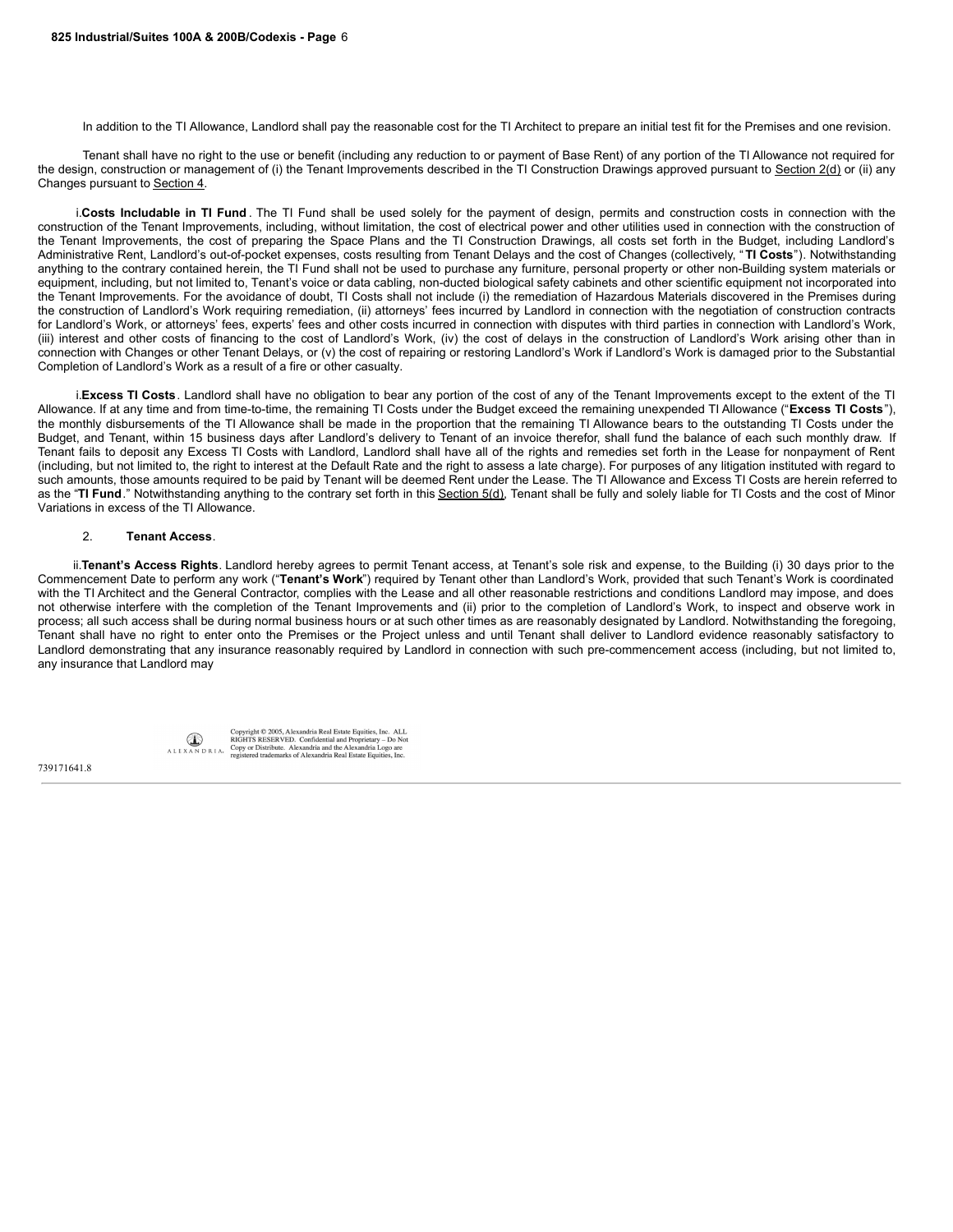In addition to the TI Allowance, Landlord shall pay the reasonable cost for the TI Architect to prepare an initial test fit for the Premises and one revision.

Tenant shall have no right to the use or benefit (including any reduction to or payment of Base Rent) of any portion of the TI Allowance not required for the design, construction or management of (i) the Tenant Improvements described in the TI Construction Drawings approved pursuant to Section 2(d) or (ii) any Changes pursuant to Section 4.

i.**Costs Includable in TI Fund** . The TI Fund shall be used solely for the payment of design, permits and construction costs in connection with the construction of the Tenant Improvements, including, without limitation, the cost of electrical power and other utilities used in connection with the construction of the Tenant Improvements, the cost of preparing the Space Plans and the TI Construction Drawings, all costs set forth in the Budget, including Landlord's Administrative Rent, Landlord's out-of-pocket expenses, costs resulting from Tenant Delays and the cost of Changes (collectively, " **TI Costs**"). Notwithstanding anything to the contrary contained herein, the TI Fund shall not be used to purchase any furniture, personal property or other non-Building system materials or equipment, including, but not limited to, Tenant's voice or data cabling, non-ducted biological safety cabinets and other scientific equipment not incorporated into the Tenant Improvements. For the avoidance of doubt, TI Costs shall not include (i) the remediation of Hazardous Materials discovered in the Premises during the construction of Landlord's Work requiring remediation, (ii) attorneys' fees incurred by Landlord in connection with the negotiation of construction contracts for Landlord's Work, or attorneys' fees, experts' fees and other costs incurred in connection with disputes with third parties in connection with Landlord's Work, (iii) interest and other costs of financing to the cost of Landlord's Work, (iv) the cost of delays in the construction of Landlord's Work arising other than in connection with Changes or other Tenant Delays, or (v) the cost of repairing or restoring Landlord's Work if Landlord's Work is damaged prior to the Substantial Completion of Landlord's Work as a result of a fire or other casualty.

i.**Excess TI Costs**. Landlord shall have no obligation to bear any portion of the cost of any of the Tenant Improvements except to the extent of the TI Allowance. If at any time and from time-to-time, the remaining TI Costs under the Budget exceed the remaining unexpended TI Allowance ("**Excess TI Costs**"), the monthly disbursements of the TI Allowance shall be made in the proportion that the remaining TI Allowance bears to the outstanding TI Costs under the Budget, and Tenant, within 15 business days after Landlord's delivery to Tenant of an invoice therefor, shall fund the balance of each such monthly draw. If Tenant fails to deposit any Excess TI Costs with Landlord, Landlord shall have all of the rights and remedies set forth in the Lease for nonpayment of Rent (including, but not limited to, the right to interest at the Default Rate and the right to assess a late charge). For purposes of any litigation instituted with regard to such amounts, those amounts required to be paid by Tenant will be deemed Rent under the Lease. The TI Allowance and Excess TI Costs are herein referred to as the "**TI Fund**." Notwithstanding anything to the contrary set forth in this Section 5(d), Tenant shall be fully and solely liable for TI Costs and the cost of Minor Variations in excess of the TI Allowance.

### 2. **Tenant Access**.

A L E X

ii.**Tenant's Access Rights**. Landlord hereby agrees to permit Tenant access, at Tenant's sole risk and expense, to the Building (i) 30 days prior to the Commencement Date to perform any work ("**Tenant's Work**") required by Tenant other than Landlord's Work, provided that such Tenant's Work is coordinated with the TI Architect and the General Contractor, complies with the Lease and all other reasonable restrictions and conditions Landlord may impose, and does not otherwise interfere with the completion of the Tenant Improvements and (ii) prior to the completion of Landlord's Work, to inspect and observe work in process; all such access shall be during normal business hours or at such other times as are reasonably designated by Landlord. Notwithstanding the foregoing, Tenant shall have no right to enter onto the Premises or the Project unless and until Tenant shall deliver to Landlord evidence reasonably satisfactory to Landlord demonstrating that any insurance reasonably required by Landlord in connection with such pre-commencement access (including, but not limited to, any insurance that Landlord may

 $\label{eq:200} \begin{minipage}{0.9\textwidth} \begin{minipage}{0.9\textwidth} \begin{tabular}{p{0.8cm}} \textbf{Copyright} @ 2005, Alexandre Real State Equities, Inc. ALL. \end{tabular} \end{minipage} \begin{minipage}{0.9\textwidth} \begin{tabular}{p{0.8cm}} \textbf{ReIDHTS RESRYED.} Consider a blue Alexandria Long order is a red and the Alexander Log of a red. \end{tabular} \end{minipage} \begin{minipage}{0.9\textwidth} \begin{tabular}{p{0.8cm}} \textbf{A.} & \textbf{1.} \\ \textbf{0.} & \textbf{0.} \\ \text$ ◑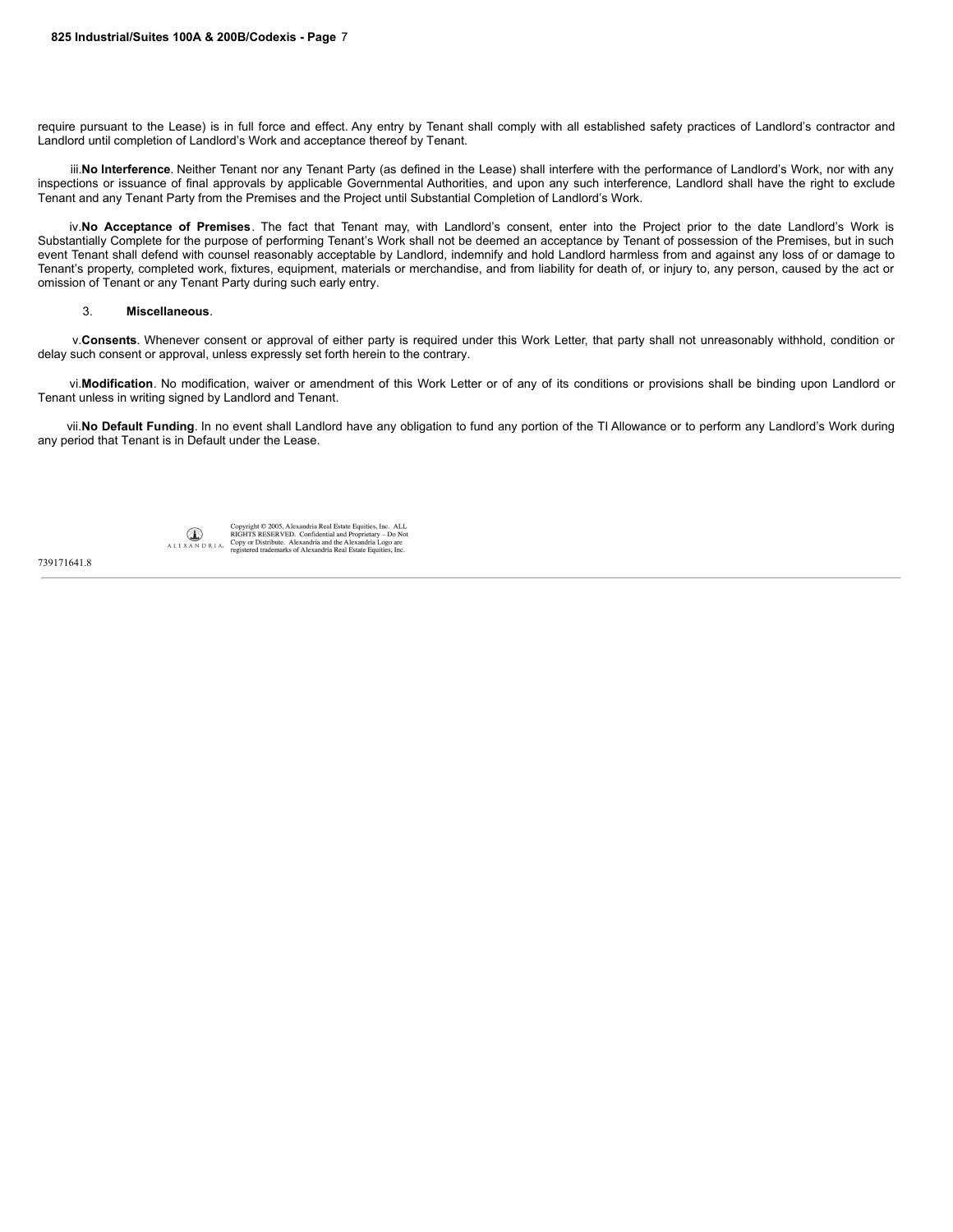require pursuant to the Lease) is in full force and effect. Any entry by Tenant shall comply with all established safety practices of Landlord's contractor and Landlord until completion of Landlord's Work and acceptance thereof by Tenant.

iii.**No Interference**. Neither Tenant nor any Tenant Party (as defined in the Lease) shall interfere with the performance of Landlord's Work, nor with any inspections or issuance of final approvals by applicable Governmental Authorities, and upon any such interference, Landlord shall have the right to exclude Tenant and any Tenant Party from the Premises and the Project until Substantial Completion of Landlord's Work.

iv.**No Acceptance of Premises**. The fact that Tenant may, with Landlord's consent, enter into the Project prior to the date Landlord's Work is Substantially Complete for the purpose of performing Tenant's Work shall not be deemed an acceptance by Tenant of possession of the Premises, but in such event Tenant shall defend with counsel reasonably acceptable by Landlord, indemnify and hold Landlord harmless from and against any loss of or damage to Tenant's property, completed work, fixtures, equipment, materials or merchandise, and from liability for death of, or injury to, any person, caused by the act or omission of Tenant or any Tenant Party during such early entry.

#### 3. **Miscellaneous**.

v.**Consents**. Whenever consent or approval of either party is required under this Work Letter, that party shall not unreasonably withhold, condition or delay such consent or approval, unless expressly set forth herein to the contrary.

vi.**Modification**. No modification, waiver or amendment of this Work Letter or of any of its conditions or provisions shall be binding upon Landlord or Tenant unless in writing signed by Landlord and Tenant.

vii.**No Default Funding**. In no event shall Landlord have any obligation to fund any portion of the TI Allowance or to perform any Landlord's Work during any period that Tenant is in Default under the Lease.

ALEX.

 $\bigotimes \text{Copyright} @ 2005, Alexandria Real Estate Equities, Inc. ALL RIGHTS RESERVED. Conditional and Propricary – Do Not  $\wedge$  NO R1 A. Copy or D Stilbute. Alexandria and the Alexandria Logo are registered trademarks of Alexandria Real Estate Equities, Inc.$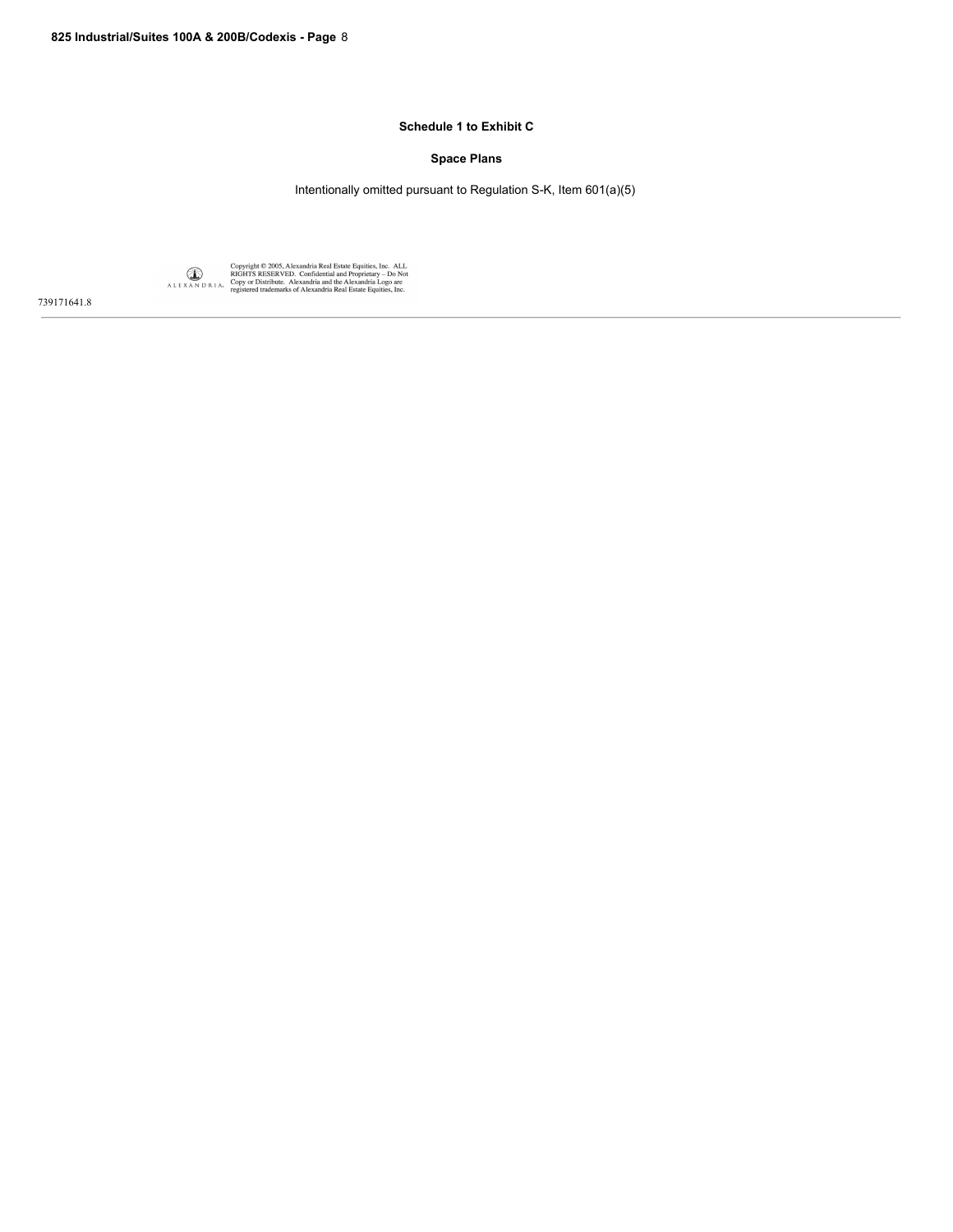# **Schedule 1 to Exhibit C**

### **Space Plans**

Intentionally omitted pursuant to Regulation S-K, Item 601(a)(5)

 $\bigotimes \text{Copyright © 2005, Alexandria Real Battle Equities, Inc. ALL Copy or District. Additional and Proplicative Copy on District. A lexical data and Proplicative Copy are required trademarks of Alexandria Real State Equities, Inc.$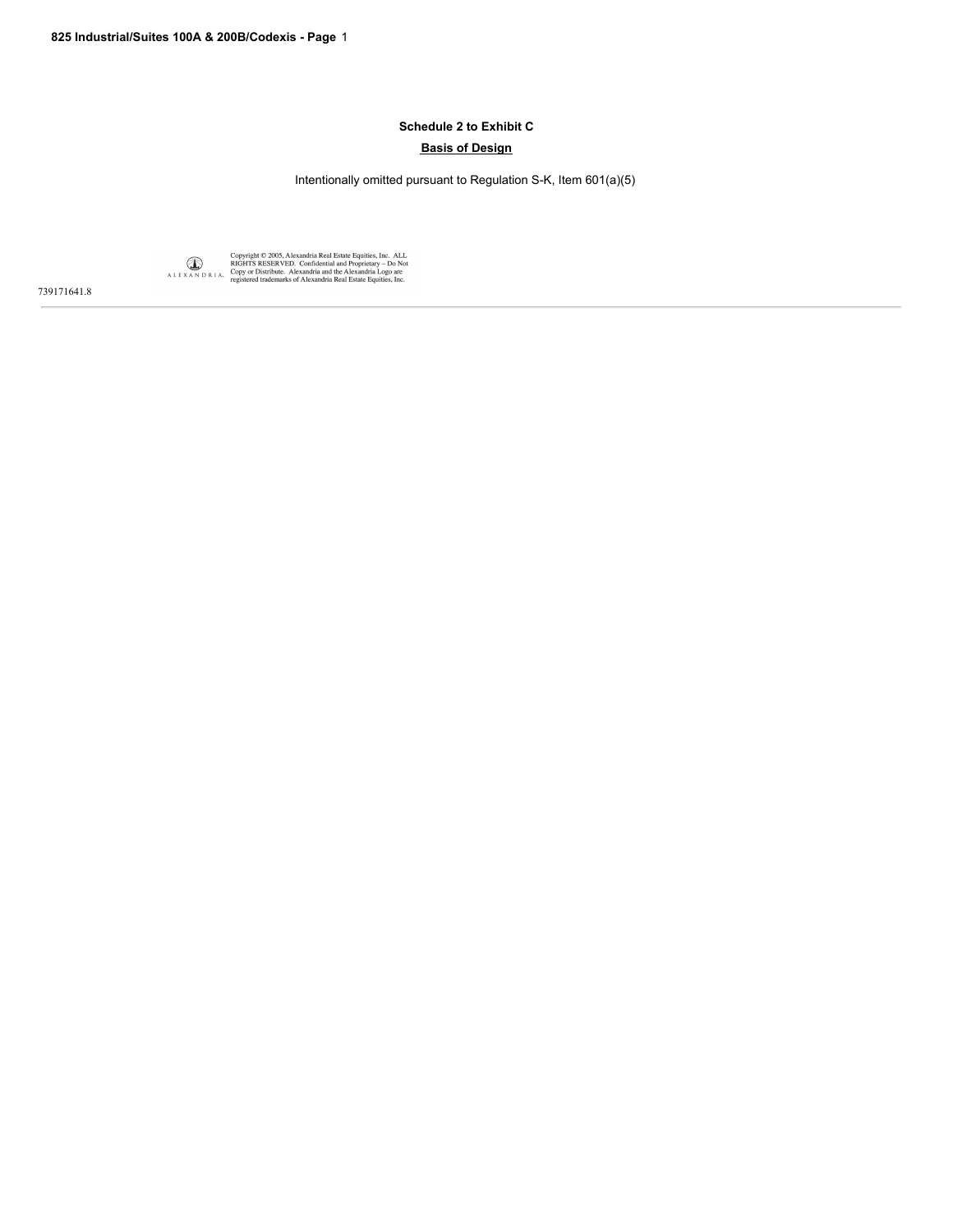# **Schedule 2 to Exhibit C**

# **Basis of Design**

Intentionally omitted pursuant to Regulation S-K, Item 601(a)(5)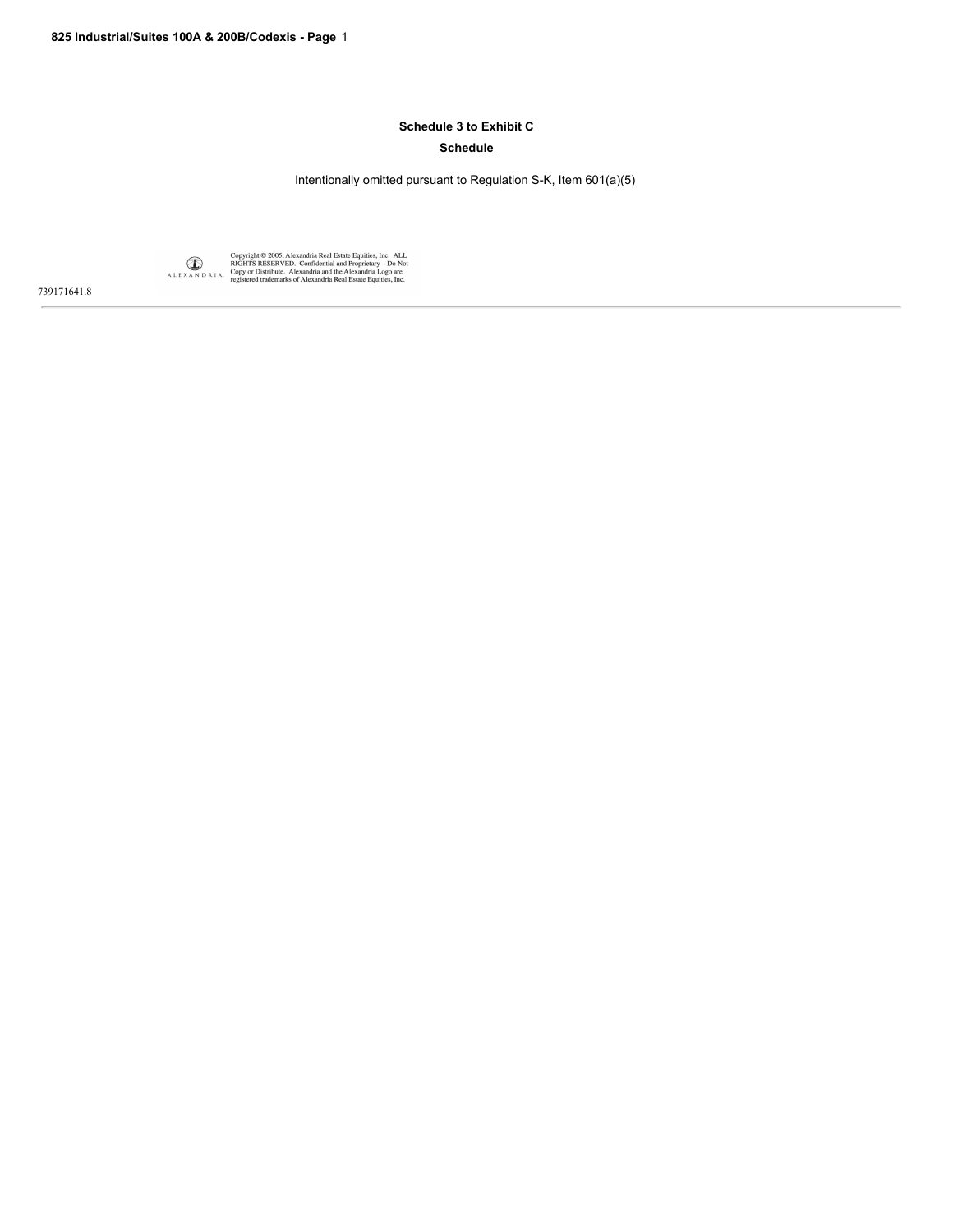# **Schedule 3 to Exhibit C**

## **Schedule**

Intentionally omitted pursuant to Regulation S-K, Item 601(a)(5)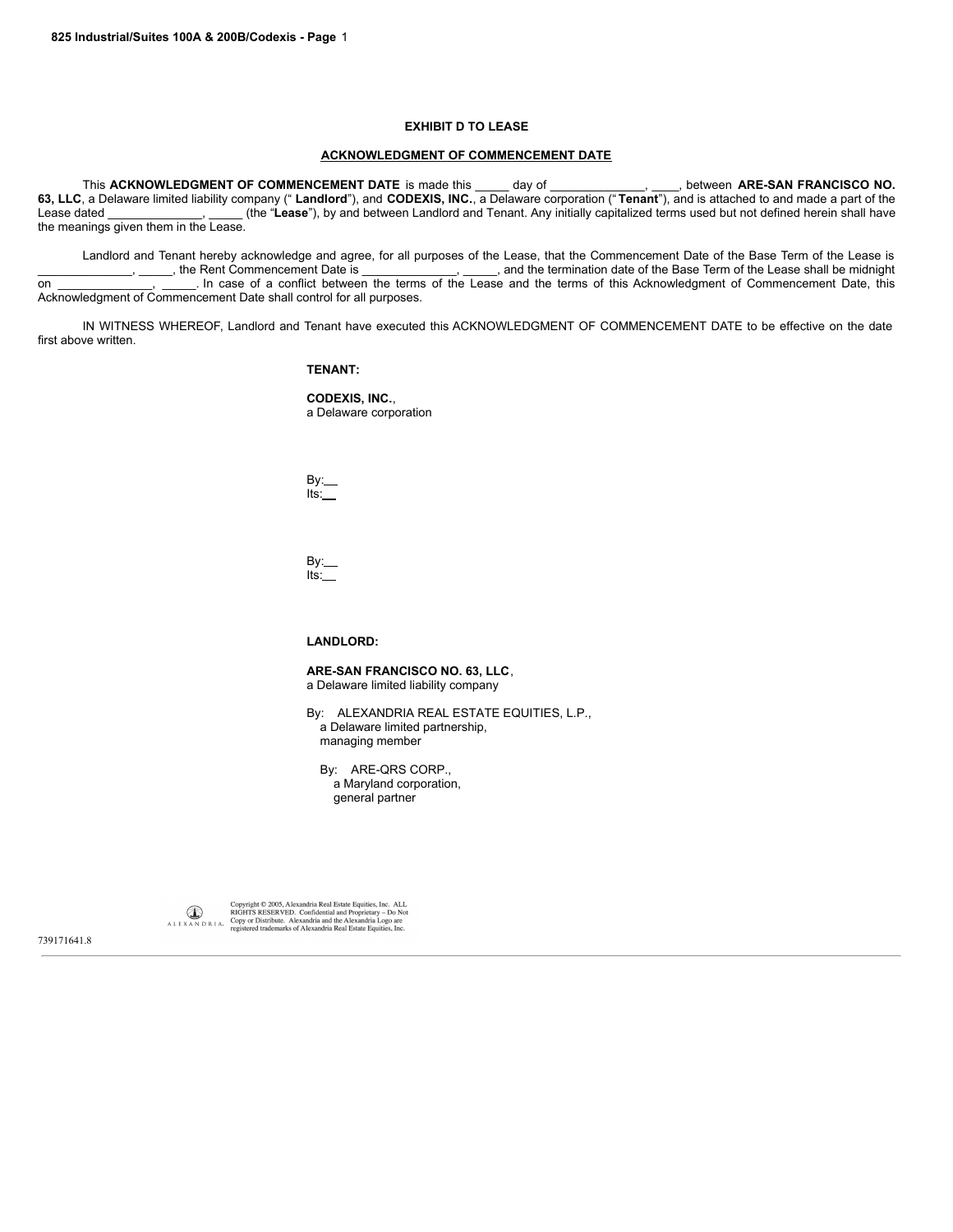### **EXHIBIT D TO LEASE**

### **ACKNOWLEDGMENT OF COMMENCEMENT DATE**

This **ACKNOWLEDGMENT OF COMMENCEMENT DATE** is made this \_\_\_\_\_ day of \_\_\_\_\_\_\_\_\_\_\_\_\_\_, \_\_\_\_, between **ARE-SAN FRANCISCO NO. 63, LLC**, a Delaware limited liability company (" **Landlord**"), and **CODEXIS, INC.**, a Delaware corporation (" **Tenant**"), and is attached to and made a part of the Lease dated \_\_\_\_\_\_\_\_\_\_\_\_\_\_, \_\_\_\_\_ (the "**Lease**"), by and between Landlord and Tenant. Any initially capitalized terms used but not defined herein shall have the meanings given them in the Lease.

Landlord and Tenant hereby acknowledge and agree, for all purposes of the Lease, that the Commencement Date of the Base Term of the Lease is , ithe Rent Commencement Date is entitled is and the termination date of the Base Term of the Lease shall be midnight on \_\_\_\_\_\_\_\_\_\_\_\_\_\_, \_\_\_\_\_\_. In case of a conflict between the terms of the Lease and the terms of this Acknowledgment of Commencement Date, this Acknowledgment of Commencement Date shall control for all purposes.

IN WITNESS WHEREOF, Landlord and Tenant have executed this ACKNOWLEDGMENT OF COMMENCEMENT DATE to be effective on the date first above written.

### **TENANT:**

**CODEXIS, INC.**, a Delaware corporation

 $By:$ Its:

 $By:$ Its:

### **LANDLORD:**

**ARE-SAN FRANCISCO NO. 63, LLC**, a Delaware limited liability company

By: ALEXANDRIA REAL ESTATE EQUITIES, L.P., a Delaware limited partnership, managing member

By: ARE-QRS CORP., a Maryland corporation, general partner



Copyright © 2005, Alexandria Real Estate Equities, Inc. ALL<br>RIGHTS RESERVED. Confidential and Proprietary – Do Not<br>Copy or Distribute. Alexandria and the Alexandria Logo are<br>registered trademarks of Alexandria Real Estate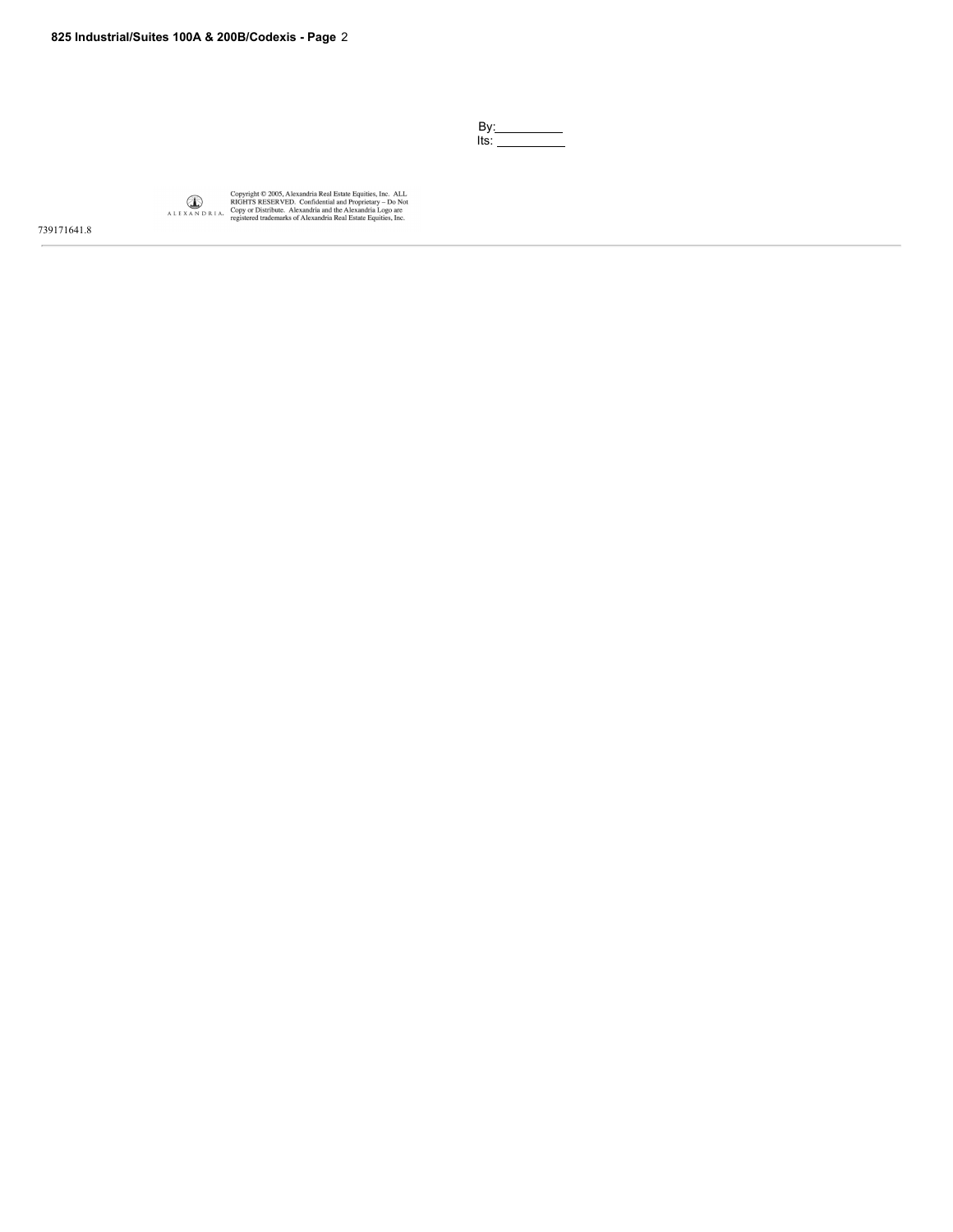By: Its: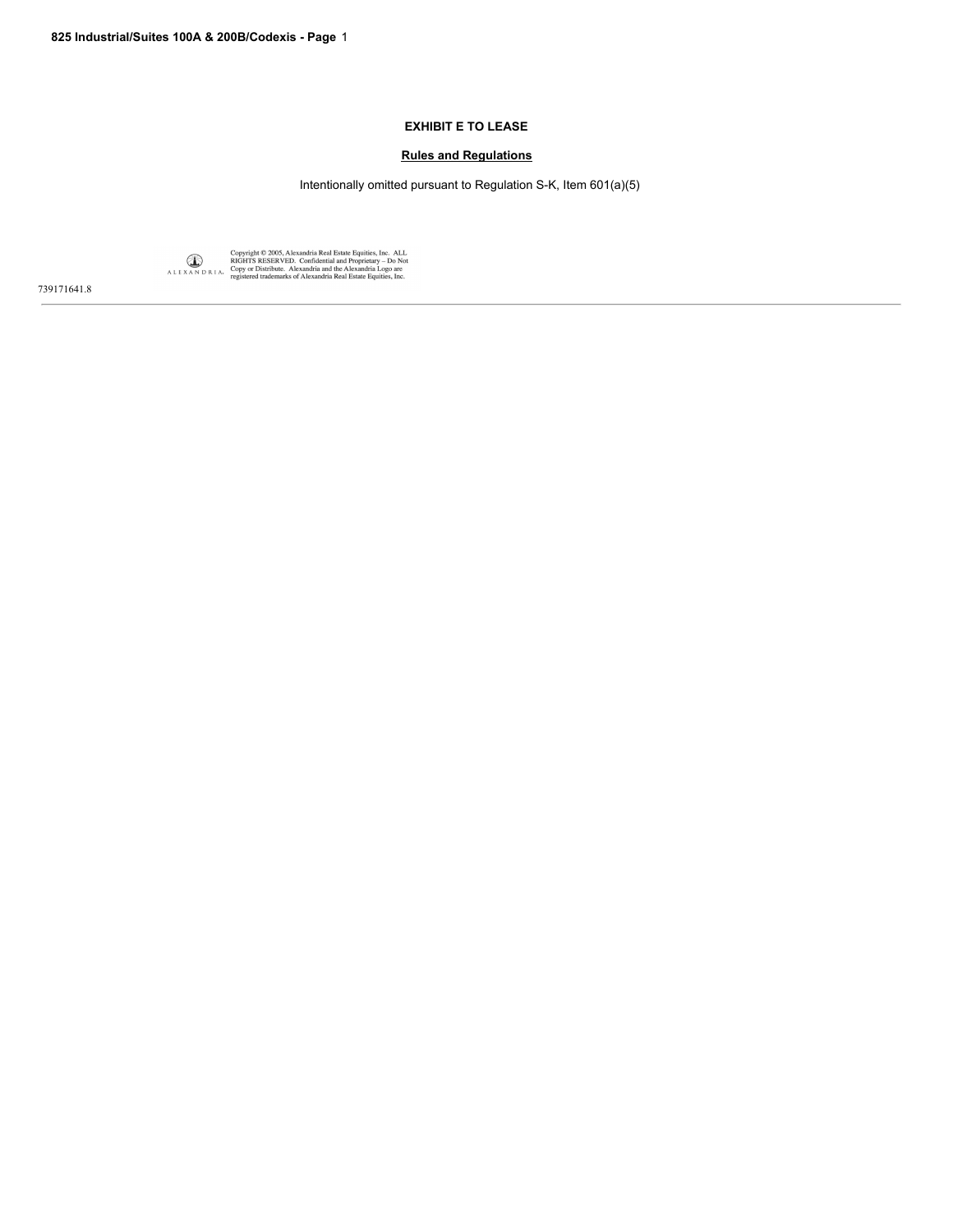# **EXHIBIT E TO LEASE**

## **Rules and Regulations**

Intentionally omitted pursuant to Regulation S-K, Item 601(a)(5)

 $\bigotimes \text{Copyright} @ 2005, \text{Alexanderal State Equities, Inc. ALL, RIGHTS RESERVED. \textbf{Confidential and Property-Do Not} \wedge \textbf{Copy or District} \textbf{N-cal} @ 10000 are used to get a {\tt ALEX} and the {\tt ALEX} and {\tt BCA} are Equations. A {\tt L.S. A DE.}$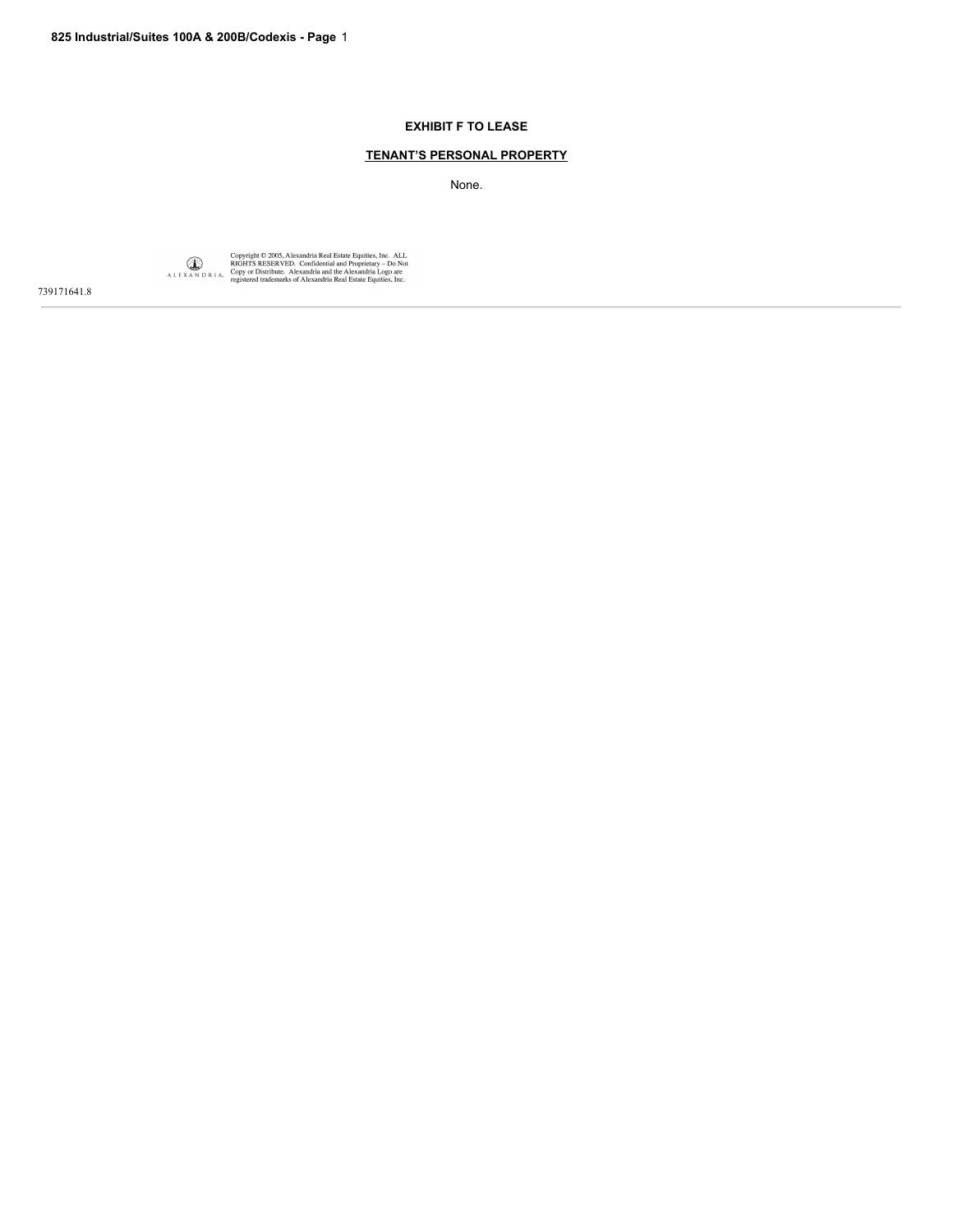# **EXHIBIT F TO LEASE**

# **TENANT'S PERSONAL PROPERTY**

None.

 $\bigotimes \text{Copyright} @ 2005, \text{Alexanderal State Equities, Inc. ALL} \\ \text{RUCHTS RESRYEDD. Configuration and Propertently -- Do Not\\ \text{Copyright} @ 2003. \text{Copy or District} \\ \text{Copyright} @ 4 \text{the Australian Log} \\ \text{A L E X AN D R1 A.} \\ \text{registered trademarks of Alexandria Real State Equities, Inc.}$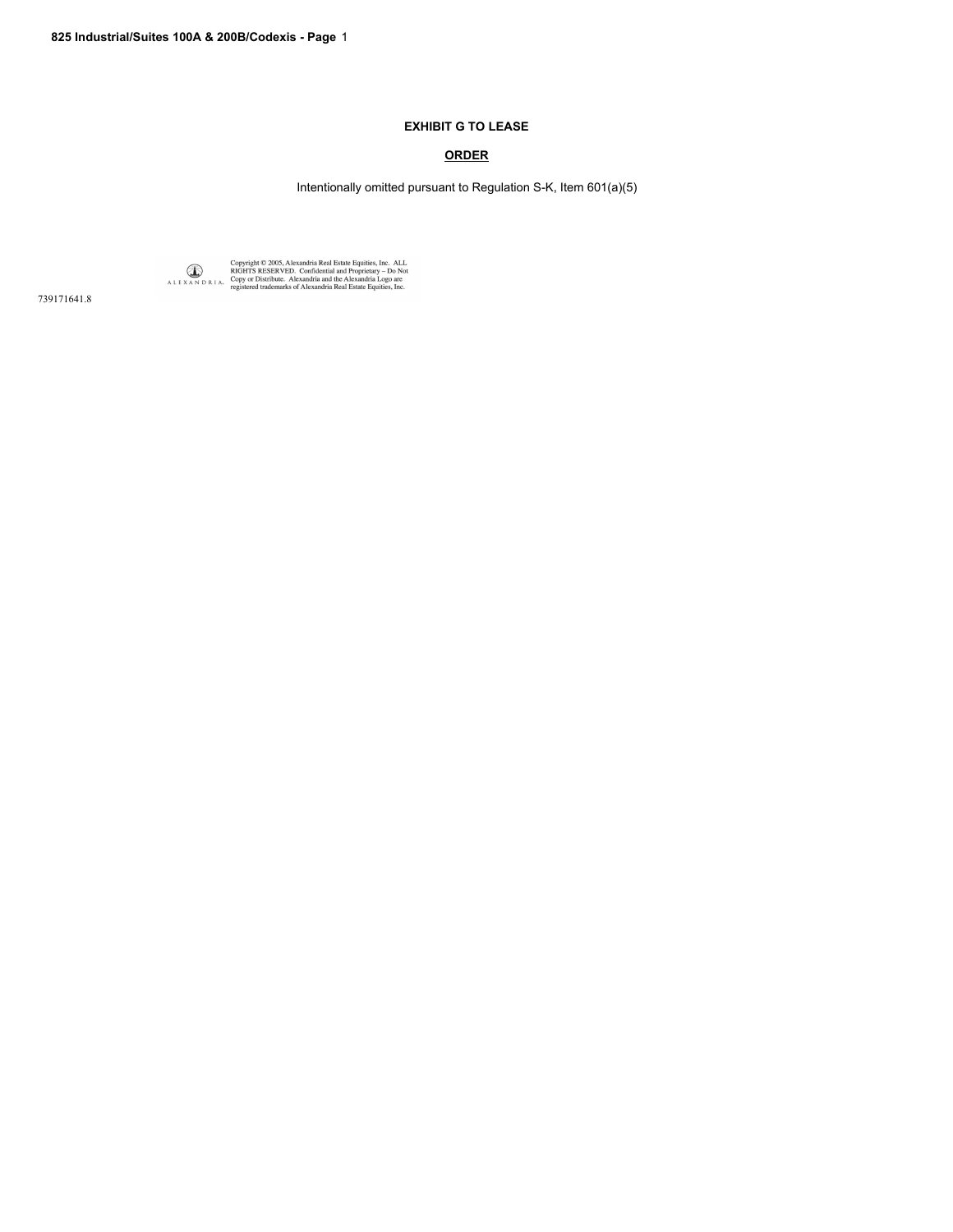# **EXHIBIT G TO LEASE**

## **ORDER**

Intentionally omitted pursuant to Regulation S-K, Item 601(a)(5)

 $\bigotimes \text{Copyright} @ 2005, \text{Alexanderal State Equities, Inc. ALL} \\ \text{RCHHTS RESRYEDD. Configuration and Propertetary- Do Not} \\ \text{Copyright} @ \text{Copyright} \\ \text{A L E X AN DR 1 A. Copy or District} \\ \text{Listing} \\ \text{A L E X AN DR 1 A.}$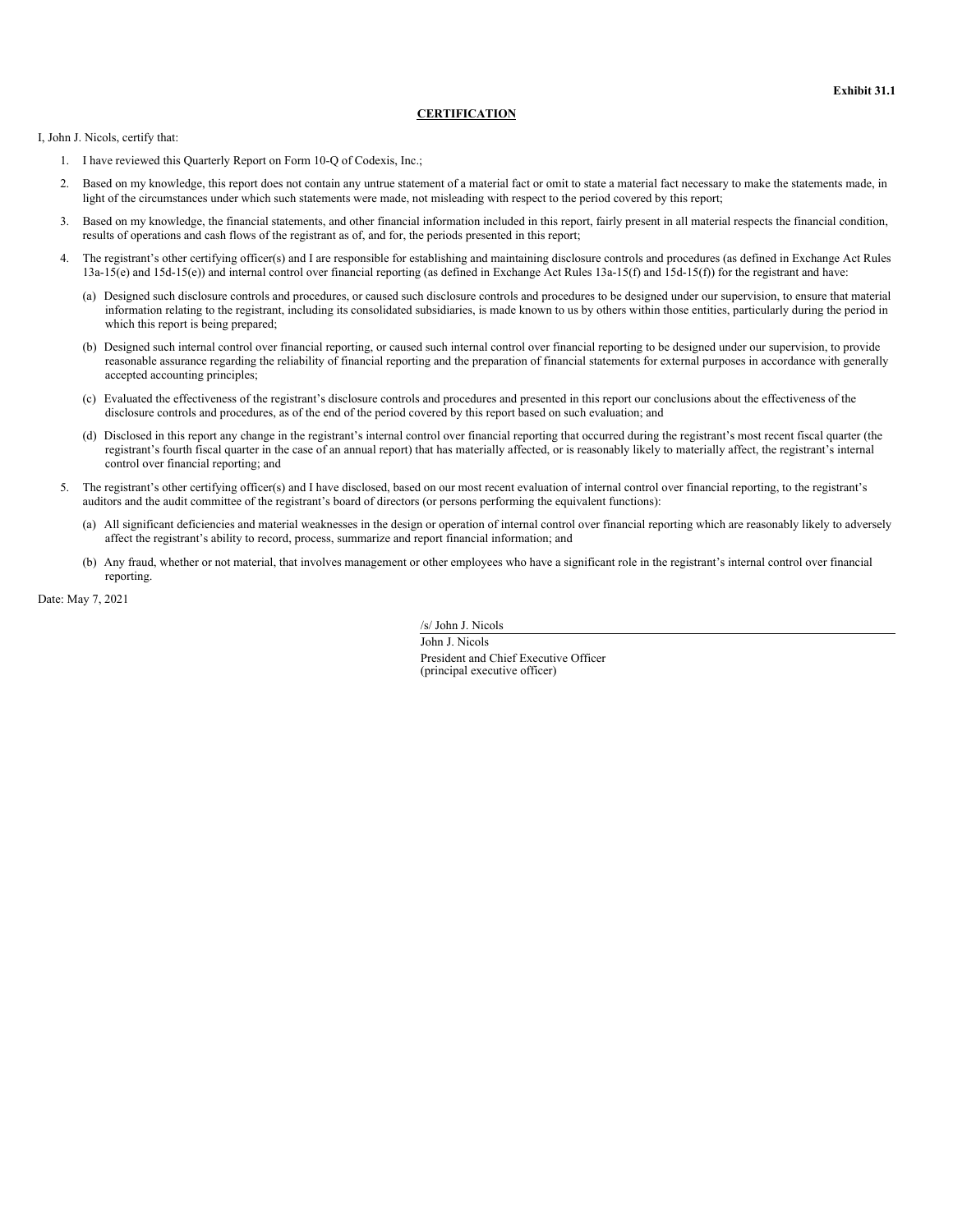### **CERTIFICATION**

I, John J. Nicols, certify that:

- 1. I have reviewed this Quarterly Report on Form 10-Q of Codexis, Inc.;
- 2. Based on my knowledge, this report does not contain any untrue statement of a material fact or omit to state a material fact necessary to make the statements made, in light of the circumstances under which such statements were made, not misleading with respect to the period covered by this report;
- 3. Based on my knowledge, the financial statements, and other financial information included in this report, fairly present in all material respects the financial condition, results of operations and cash flows of the registrant as of, and for, the periods presented in this report;
- 4. The registrant's other certifying officer(s) and I are responsible for establishing and maintaining disclosure controls and procedures (as defined in Exchange Act Rules 13a-15(e) and 15d-15(e)) and internal control over financial reporting (as defined in Exchange Act Rules 13a-15(f) and 15d-15(f)) for the registrant and have:
	- (a) Designed such disclosure controls and procedures, or caused such disclosure controls and procedures to be designed under our supervision, to ensure that material information relating to the registrant, including its consolidated subsidiaries, is made known to us by others within those entities, particularly during the period in which this report is being prepared;
	- (b) Designed such internal control over financial reporting, or caused such internal control over financial reporting to be designed under our supervision, to provide reasonable assurance regarding the reliability of financial reporting and the preparation of financial statements for external purposes in accordance with generally accepted accounting principles;
	- (c) Evaluated the effectiveness of the registrant's disclosure controls and procedures and presented in this report our conclusions about the effectiveness of the disclosure controls and procedures, as of the end of the period covered by this report based on such evaluation; and
	- (d) Disclosed in this report any change in the registrant's internal control over financial reporting that occurred during the registrant's most recent fiscal quarter (the registrant's fourth fiscal quarter in the case of an annual report) that has materially affected, or is reasonably likely to materially affect, the registrant's internal control over financial reporting; and
- 5. The registrant's other certifying officer(s) and I have disclosed, based on our most recent evaluation of internal control over financial reporting, to the registrant's auditors and the audit committee of the registrant's board of directors (or persons performing the equivalent functions):
	- (a) All significant deficiencies and material weaknesses in the design or operation of internal control over financial reporting which are reasonably likely to adversely affect the registrant's ability to record, process, summarize and report financial information; and
	- (b) Any fraud, whether or not material, that involves management or other employees who have a significant role in the registrant's internal control over financial reporting.

Date: May 7, 2021

/s/ John J. Nicols

John J. Nicols President and Chief Executive Officer (principal executive officer)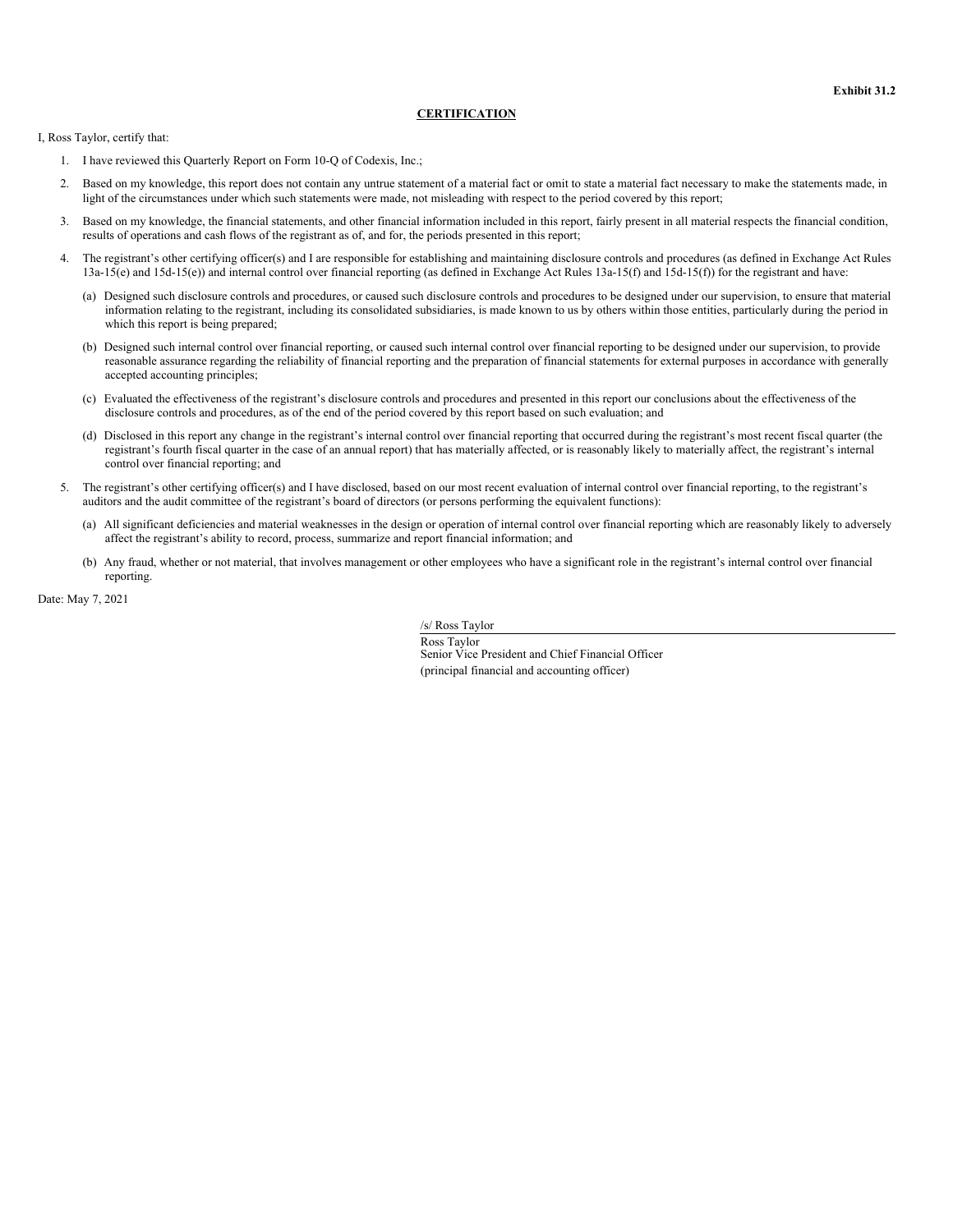### **CERTIFICATION**

I, Ross Taylor, certify that:

- 1. I have reviewed this Quarterly Report on Form 10-Q of Codexis, Inc.;
- 2. Based on my knowledge, this report does not contain any untrue statement of a material fact or omit to state a material fact necessary to make the statements made, in light of the circumstances under which such statements were made, not misleading with respect to the period covered by this report;
- 3. Based on my knowledge, the financial statements, and other financial information included in this report, fairly present in all material respects the financial condition, results of operations and cash flows of the registrant as of, and for, the periods presented in this report;
- 4. The registrant's other certifying officer(s) and I are responsible for establishing and maintaining disclosure controls and procedures (as defined in Exchange Act Rules 13a-15(e) and 15d-15(e)) and internal control over financial reporting (as defined in Exchange Act Rules 13a-15(f) and 15d-15(f)) for the registrant and have:
	- (a) Designed such disclosure controls and procedures, or caused such disclosure controls and procedures to be designed under our supervision, to ensure that material information relating to the registrant, including its consolidated subsidiaries, is made known to us by others within those entities, particularly during the period in which this report is being prepared;
	- (b) Designed such internal control over financial reporting, or caused such internal control over financial reporting to be designed under our supervision, to provide reasonable assurance regarding the reliability of financial reporting and the preparation of financial statements for external purposes in accordance with generally accepted accounting principles;
	- (c) Evaluated the effectiveness of the registrant's disclosure controls and procedures and presented in this report our conclusions about the effectiveness of the disclosure controls and procedures, as of the end of the period covered by this report based on such evaluation; and
	- (d) Disclosed in this report any change in the registrant's internal control over financial reporting that occurred during the registrant's most recent fiscal quarter (the registrant's fourth fiscal quarter in the case of an annual report) that has materially affected, or is reasonably likely to materially affect, the registrant's internal control over financial reporting; and
- 5. The registrant's other certifying officer(s) and I have disclosed, based on our most recent evaluation of internal control over financial reporting, to the registrant's auditors and the audit committee of the registrant's board of directors (or persons performing the equivalent functions):
	- (a) All significant deficiencies and material weaknesses in the design or operation of internal control over financial reporting which are reasonably likely to adversely affect the registrant's ability to record, process, summarize and report financial information; and
	- (b) Any fraud, whether or not material, that involves management or other employees who have a significant role in the registrant's internal control over financial reporting.

Date: May 7, 2021

/s/ Ross Taylor

Ross Taylor Senior Vice President and Chief Financial Officer (principal financial and accounting officer)